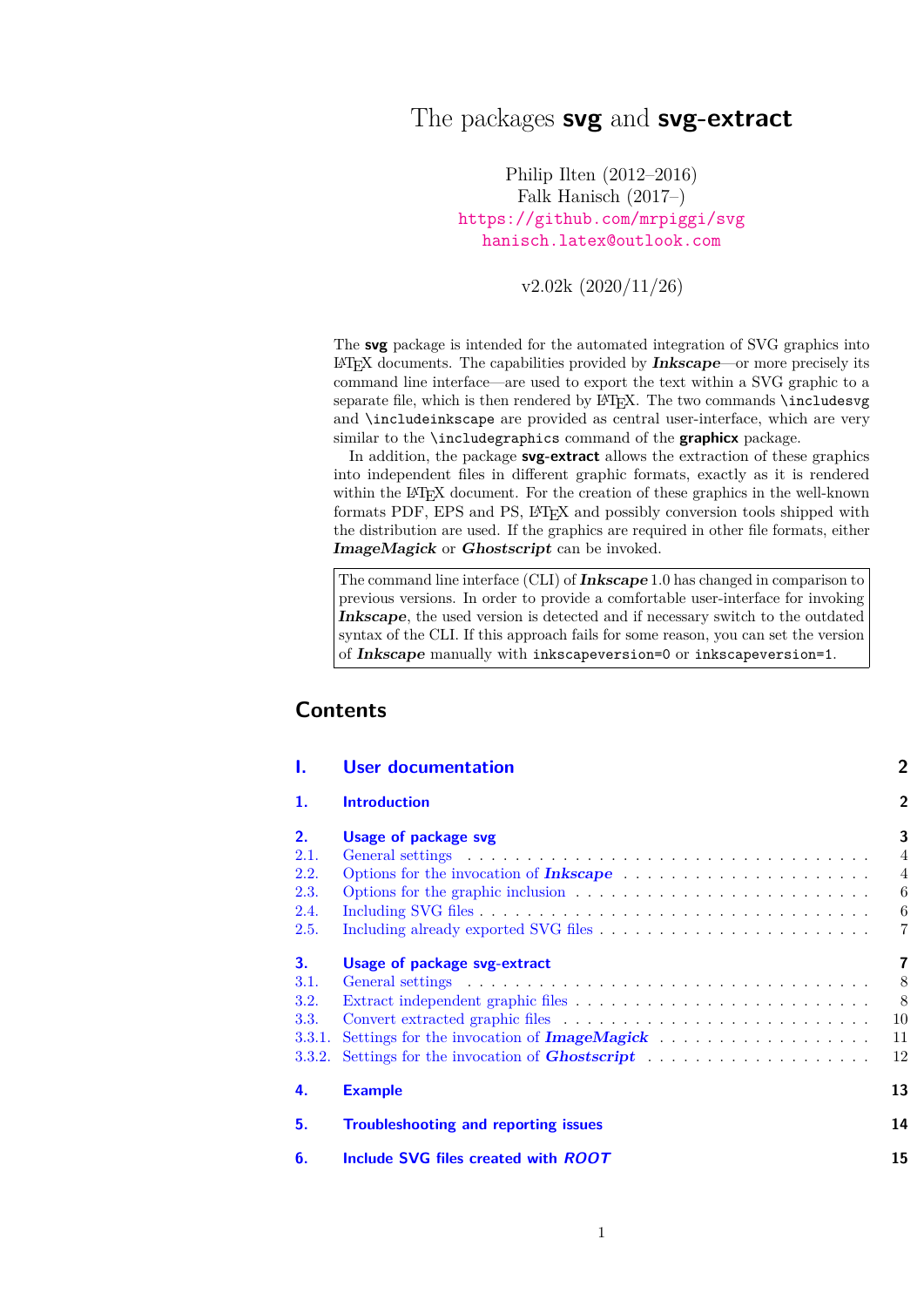# The packages **svg** and **svg-extract**

Philip Ilten (2012–2016) Falk Hanisch (2017–) <https://github.com/mrpiggi/svg> [hanisch.latex@outlook.com](mailto:hanisch.latex@outlook.com)

v2.02k (2020/11/26)

The **svg** package is intended for the automated integration of SVG graphics into LATEX documents. The capabilities provided by **Inkscape**—or more precisely its command line interface—are used to export the text within a SVG graphic to a separate file, which is then rendered by  $E_{T}X$ . The two commands  $\infty$ and \includeinkscape are provided as central user-interface, which are very similar to the \includegraphics command of the **graphicx** package.

In addition, the package **svg-extract** allows the extraction of these graphics into independent files in different graphic formats, exactly as it is rendered within the LAT<sub>EX</sub> document. For the creation of these graphics in the well-known formats PDF, EPS and PS, LATEX and possibly conversion tools shipped with the distribution are used. If the graphics are required in other file formats, either **ImageMagick** or **Ghostscript** can be invoked.

The command line interface (CLI) of **Inkscape** 1.0 has changed in comparison to previous versions. In order to provide a comfortable user-interface for invoking **Inkscape**, the used version is detected and if necessary switch to the outdated syntax of the CLI. If this approach fails for some reason, you can set the version of **Inkscape** manually with inkscapeversion=0 or inkscapeversion=1.

# **Contents**

| ı.                                                            | <b>User documentation</b>                                                                                                                                                                                               | $\overline{2}$                                  |
|---------------------------------------------------------------|-------------------------------------------------------------------------------------------------------------------------------------------------------------------------------------------------------------------------|-------------------------------------------------|
| 1.                                                            | <b>Introduction</b>                                                                                                                                                                                                     | $\overline{2}$                                  |
| 2.<br>2.1.<br>2.2.<br>2.3.<br>2.4.                            | Usage of package svg<br>Options for the invocation of <b>Inkscape</b> $\ldots \ldots \ldots \ldots \ldots \ldots \ldots$<br>Options for the graphic inclusion $\ldots \ldots \ldots \ldots \ldots \ldots \ldots \ldots$ | 3<br>$\overline{4}$<br>$\overline{4}$<br>6<br>6 |
| 2.5.<br>3.<br>3.1.<br>3.2.<br>3.3.<br>3.3.1.<br><b>3.3.2.</b> | Usage of package svg-extract                                                                                                                                                                                            | $\overline{7}$<br>7<br>8<br>8<br>10<br>11<br>12 |
| 4.                                                            | <b>Example</b>                                                                                                                                                                                                          | 13                                              |
| 5.                                                            | <b>Troubleshooting and reporting issues</b>                                                                                                                                                                             | 14                                              |
| 6.                                                            | Include SVG files created with ROOT                                                                                                                                                                                     | 15                                              |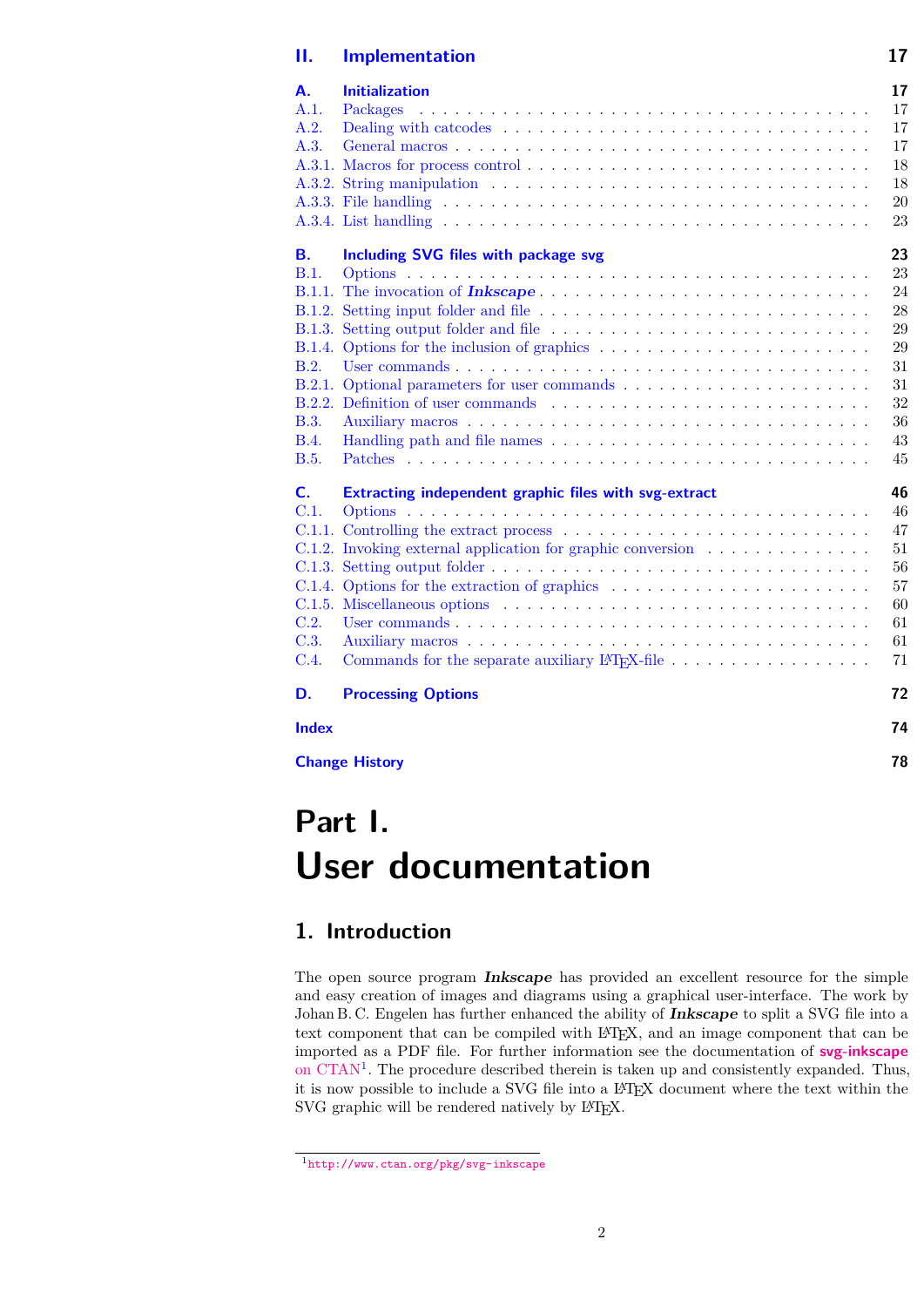### **[II. Implementation](#page-16-0) 17**

| А.             | <b>Initialization</b>                                                                                            | 17 |
|----------------|------------------------------------------------------------------------------------------------------------------|----|
| A.1.           | Packages                                                                                                         | 17 |
| A.2.           |                                                                                                                  | 17 |
| A.3.           |                                                                                                                  | 17 |
|                |                                                                                                                  | 18 |
|                | A.3.2. String manipulation $\ldots \ldots \ldots \ldots \ldots \ldots \ldots \ldots \ldots \ldots \ldots \ldots$ | 18 |
|                |                                                                                                                  | 20 |
|                |                                                                                                                  | 23 |
| <b>B.</b>      | Including SVG files with package svg                                                                             | 23 |
| B.1.           |                                                                                                                  | 23 |
|                |                                                                                                                  | 24 |
|                |                                                                                                                  | 28 |
|                |                                                                                                                  | 29 |
| <b>B.1.4.</b>  |                                                                                                                  | 29 |
| B.2.           |                                                                                                                  | 31 |
|                |                                                                                                                  | 31 |
|                |                                                                                                                  | 32 |
| <b>B.3.</b>    |                                                                                                                  | 36 |
| <b>B.4.</b>    |                                                                                                                  | 43 |
| <b>B.5.</b>    |                                                                                                                  | 45 |
| $\mathsf{C}$ . | Extracting independent graphic files with svg-extract                                                            | 46 |
| C.1.           |                                                                                                                  | 46 |
|                |                                                                                                                  | 47 |
|                | C.1.2. Invoking external application for graphic conversion                                                      | 51 |
|                |                                                                                                                  | 56 |
|                | C.1.4. Options for the extraction of graphics $\dots \dots \dots \dots \dots \dots \dots \dots \dots$            | 57 |
|                |                                                                                                                  | 60 |
| C.2.           |                                                                                                                  | 61 |
| C.3.           |                                                                                                                  | 61 |
| C.4.           | Commands for the separate auxiliary L <sup>A</sup> T <sub>F</sub> X-file                                         | 71 |
| D.             | <b>Processing Options</b>                                                                                        | 72 |
| <b>Index</b>   |                                                                                                                  | 74 |
|                | <b>Change History</b>                                                                                            | 78 |
|                |                                                                                                                  |    |

# <span id="page-1-0"></span>**Part I. User documentation**

# <span id="page-1-1"></span>**1. Introduction**

The open source program **Inkscape** has provided an excellent resource for the simple and easy creation of images and diagrams using a graphical user-interface. The work by Johan B. C. Engelen has further enhanced the ability of **Inkscape** to split a SVG file into a text component that can be compiled with LATEX, and an image component that can be imported as a PDF file. For further information see the documentation of **[svg-inkscape](http://www.ctan.org/pkg/svg-inkscape)** [on CTAN](http://www.ctan.org/pkg/svg-inkscape)<sup>[1](#page-1-2)</sup>. The procedure described therein is taken up and consistently expanded. Thus, it is now possible to include a SVG file into a LATEX document where the text within the SVG graphic will be rendered natively by IATEX.

<span id="page-1-2"></span><sup>1</sup><http://www.ctan.org/pkg/svg-inkscape>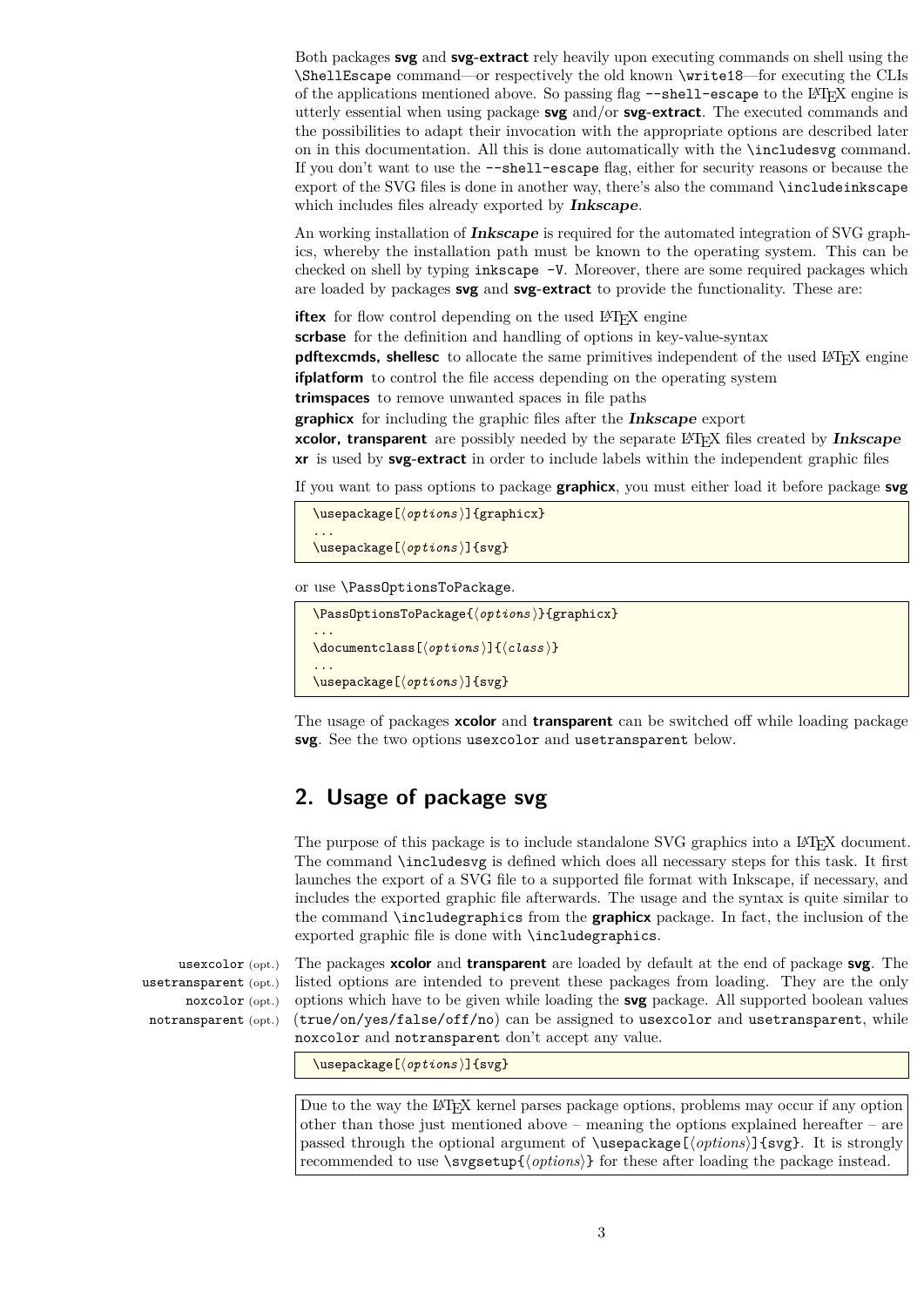Both packages **svg** and **svg-extract** rely heavily upon executing commands on shell using the \ShellEscape command—or respectively the old known \write18—for executing the CLIs of the applications mentioned above. So passing flag --shell-escape to the LAT<sub>EX</sub> engine is utterly essential when using package **svg** and/or **svg-extract**. The executed commands and the possibilities to adapt their invocation with the appropriate options are described later on in this documentation. All this is done automatically with the \includesvg command. If you don't want to use the --shell-escape flag, either for security reasons or because the export of the SVG files is done in another way, there's also the command \includeinkscape which includes files already exported by **Inkscape**.

An working installation of **Inkscape** is required for the automated integration of SVG graphics, whereby the installation path must be known to the operating system. This can be checked on shell by typing inkscape -V. Moreover, there are some required packages which are loaded by packages **svg** and **svg-extract** to provide the functionality. These are:

**iftex** for flow control depending on the used L<sup>AT</sup>EX engine

**scrbase** for the definition and handling of options in key-value-syntax

**pdftexcmds, shellesc** to allocate the same primitives independent of the used L<sup>A</sup>T<sub>E</sub>X engine **ifplatform** to control the file access depending on the operating system

**trimspaces** to remove unwanted spaces in file paths

**graphicx** for including the graphic files after the **Inkscape** export

**xcolor, transparent** are possibly needed by the separate LATEX files created by **Inkscape xr** is used by **svg-extract** in order to include labels within the independent graphic files

If you want to pass options to package **graphicx**, you must either load it before package **svg**

```
\usepackage[\langleoptions}]{graphicx}
...
```
\usepackage[ $\langle$ options}]{svg}

or use \PassOptionsToPackage.

```
\PassOptionsToPackage{\langleoptions}}{graphicx}
...
\documentclass[\langle options \rangle]{\langle class \rangle}
...
\{\text{usage}[\langle options \rangle]\}_{\text{svg}}
```
The usage of packages **xcolor** and **transparent** can be switched off while loading package **svg**. See the two options usexcolor and usetransparent below.

# <span id="page-2-0"></span>**2. Usage of package svg**

The purpose of this package is to include standalone SVG graphics into a L<sup>AT</sup>EX document. The command \includesvg is defined which does all necessary steps for this task. It first launches the export of a SVG file to a supported file format with Inkscape, if necessary, and includes the exported graphic file afterwards. The usage and the syntax is quite similar to the command \includegraphics from the **graphicx** package. In fact, the inclusion of the exported graphic file is done with \includegraphics.

usexcolor (opt.) usetransparent (opt.) noxcolor (opt.) notransparent (opt.)

The packages **xcolor** and **transparent** are loaded by default at the end of package **svg**. The listed options are intended to prevent these packages from loading. They are the only options which have to be given while loading the **svg** package. All supported boolean values (true/on/yes/false/off/no) can be assigned to usexcolor and usetransparent, while noxcolor and notransparent don't accept any value.

\usepackage[ $\langle$ options}]{svg}

Due to the way the L<sup>A</sup>T<sub>EX</sub> kernel parses package options, problems may occur if any option other than those just mentioned above – meaning the options explained hereafter – are passed through the optional argument of \usepackage[ $\{options\}$ ]{svg}. It is strongly recommended to use  $\simeq \simeq \f(\text{options})$  for these after loading the package instead.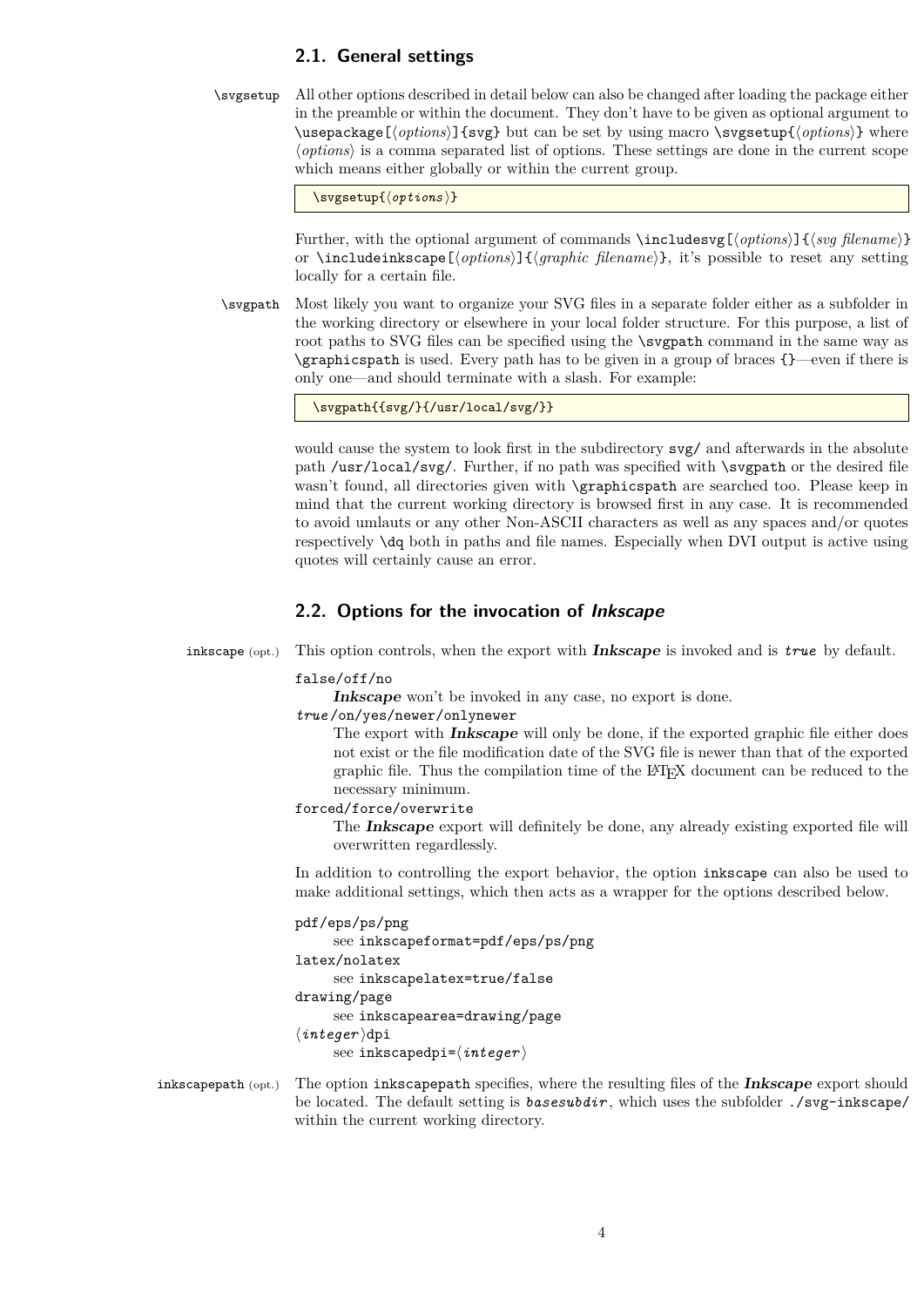### <span id="page-3-0"></span>**2.1. General settings**

\svgsetup All other options described in detail below can also be changed after loading the package either in the preamble or within the document. They don't have to be given as optional argument to \usepackage[ $\{options\}$ ] {svg} but can be set by using macro \svgsetup{ $\{options\}$ } where h*options*i is a comma separated list of options. These settings are done in the current scope which means either globally or within the current group.

\svgsetup{\\svgsetup}}

Further, with the optional argument of commands \includesvg[{*options*}]{\*svg filename*}} or \includeinkscape[\*options*}]{\*graphic filename*}}, it's possible to reset any setting locally for a certain file.

\svgpath Most likely you want to organize your SVG files in a separate folder either as a subfolder in the working directory or elsewhere in your local folder structure. For this purpose, a list of root paths to SVG files can be specified using the \svgpath command in the same way as \graphicspath is used. Every path has to be given in a group of braces {}—even if there is only one—and should terminate with a slash. For example:

\svgpath{{svg/}{/usr/local/svg/}}

would cause the system to look first in the subdirectory svg/ and afterwards in the absolute path /usr/local/svg/. Further, if no path was specified with \svgpath or the desired file wasn't found, all directories given with \graphicspath are searched too. Please keep in mind that the current working directory is browsed first in any case. It is recommended to avoid umlauts or any other Non-ASCII characters as well as any spaces and/or quotes respectively \dq both in paths and file names. Especially when DVI output is active using quotes will certainly cause an error.

### <span id="page-3-1"></span>**2.2. Options for the invocation of Inkscape**

inkscape (opt.) This option controls, when the export with **Inkscape** is invoked and is *true* by default.

#### false/off/no

Inkscape won't be invoked in any case, no export is done.

*true* /on/yes/newer/onlynewer

The export with **Inkscape** will only be done, if the exported graphic file either does not exist or the file modification date of the SVG file is newer than that of the exported graphic file. Thus the compilation time of the LATEX document can be reduced to the necessary minimum.

forced/force/overwrite

The **Inkscape** export will definitely be done, any already existing exported file will overwritten regardlessly.

In addition to controlling the export behavior, the option inkscape can also be used to make additional settings, which then acts as a wrapper for the options described below.

### pdf/eps/ps/png

```
see inkscapeformat=pdf/eps/ps/png
latex/nolatex
     see inkscapelatex=true/false
drawing/page
     see inkscapearea=drawing/page
\langleinteger\rangledpi
     see inkscapedpi=\langleinteger\rangle
```
inkscapepath (opt.) The option inkscapepath specifies, where the resulting files of the **Inkscape** export should be located. The default setting is *basesubdir* , which uses the subfolder ./svg-inkscape/ within the current working directory.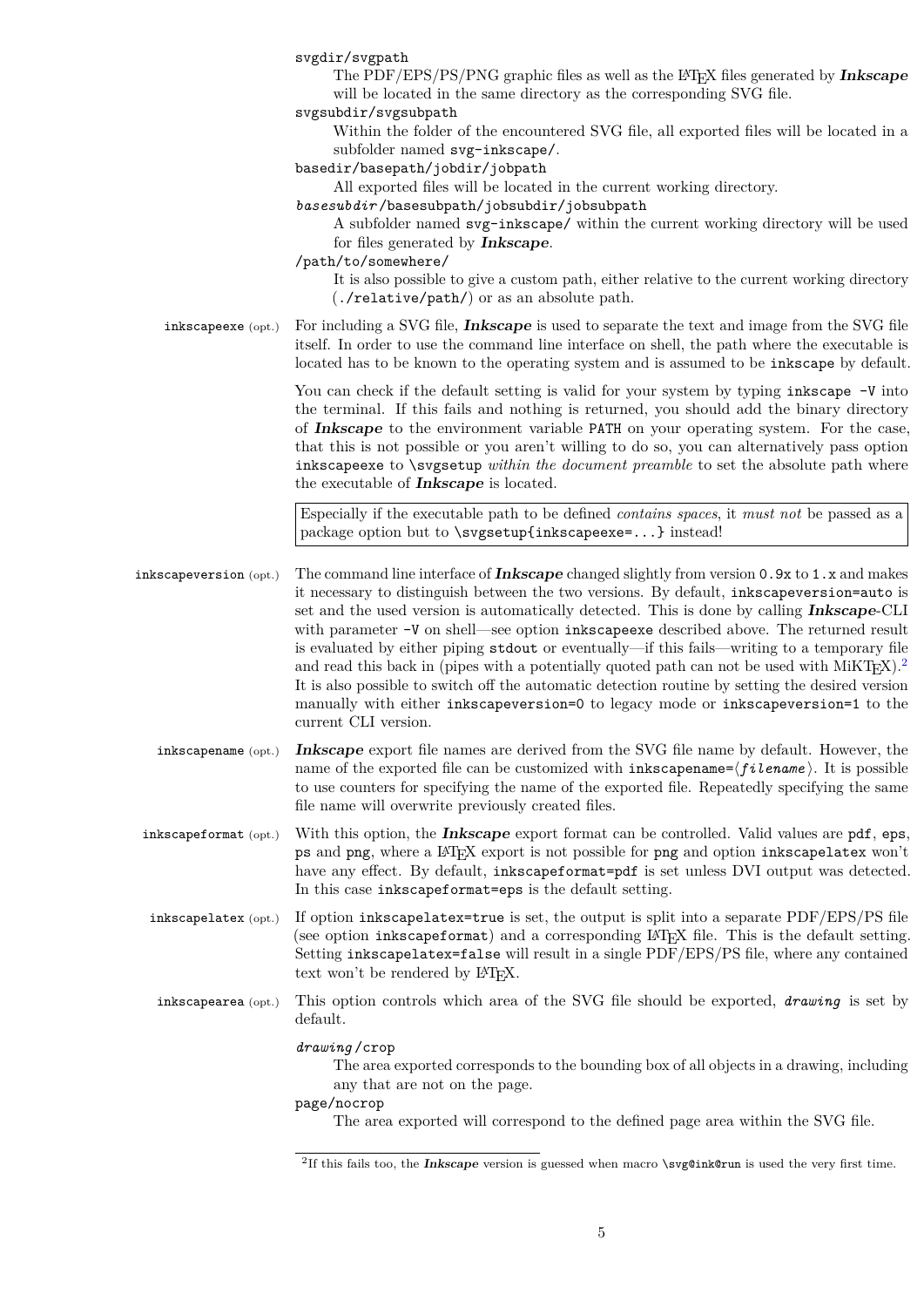|                        | svgdir/svgpath<br>The PDF/EPS/PS/PNG graphic files as well as the LATFX files generated by <b>Inkscape</b><br>will be located in the same directory as the corresponding SVG file.<br>svgsubdir/svgsubpath<br>Within the folder of the encountered SVG file, all exported files will be located in a<br>subfolder named svg-inkscape/.<br>basedir/basepath/jobdir/jobpath<br>All exported files will be located in the current working directory.<br>basesubdir/basesubpath/jobsubdir/jobsubpath<br>A subfolder named svg-inkscape/ within the current working directory will be used<br>for files generated by <b>Inkscape</b> .<br>/path/to/somewhere/<br>It is also possible to give a custom path, either relative to the current working directory<br>$(.$ /relative/path/ $)$ or as an absolute path.                          |
|------------------------|--------------------------------------------------------------------------------------------------------------------------------------------------------------------------------------------------------------------------------------------------------------------------------------------------------------------------------------------------------------------------------------------------------------------------------------------------------------------------------------------------------------------------------------------------------------------------------------------------------------------------------------------------------------------------------------------------------------------------------------------------------------------------------------------------------------------------------------|
| inkscapeexe (opt.)     | For including a SVG file, <i>Inkscape</i> is used to separate the text and image from the SVG file<br>itself. In order to use the command line interface on shell, the path where the executable is<br>located has to be known to the operating system and is assumed to be inkscape by default.                                                                                                                                                                                                                                                                                                                                                                                                                                                                                                                                     |
|                        | You can check if the default setting is valid for your system by typing inkscape -V into<br>the terminal. If this fails and nothing is returned, you should add the binary directory<br>of Inkscape to the environment variable PATH on your operating system. For the case,<br>that this is not possible or you aren't willing to do so, you can alternatively pass option<br>inkscapeexe to \svgsetup within the document preamble to set the absolute path where<br>the executable of <b>Inkscape</b> is located.                                                                                                                                                                                                                                                                                                                 |
|                        | Especially if the executable path to be defined <i>contains spaces</i> , it <i>must not</i> be passed as a<br>package option but to \svgsetup{inkscapeexe=} instead!                                                                                                                                                                                                                                                                                                                                                                                                                                                                                                                                                                                                                                                                 |
| inkscapeversion (opt.) | The command line interface of <b>Inkscape</b> changed slightly from version $0.9x$ to $1.x$ and makes<br>it necessary to distinguish between the two versions. By default, inkscapeversion=auto is<br>set and the used version is automatically detected. This is done by calling Inkscape-CLI<br>with parameter -V on shell—see option inkscapeexe described above. The returned result<br>is evaluated by either piping stdout or eventually—if this fails—writing to a temporary file<br>and read this back in (pipes with a potentially quoted path can not be used with $M_i$ KT <sub>F</sub> X). <sup>2</sup><br>It is also possible to switch off the automatic detection routine by setting the desired version<br>manually with either inkscapeversion=0 to legacy mode or inkscapeversion=1 to the<br>current CLI version. |
| $inkscapename$ (opt.)  | <b>Inkscape</b> export file names are derived from the SVG file name by default. However, the<br>name of the exported file can be customized with $inkscapename = \langle filename \rangle$ . It is possible<br>to use counters for specifying the name of the exported file. Repeatedly specifying the same<br>file name will overwrite previously created files.                                                                                                                                                                                                                                                                                                                                                                                                                                                                   |
| inkscapeformat (opt.)  | With this option, the <b>Inkscape</b> export format can be controlled. Valid values are pdf, eps,<br>ps and png, where a IAT <sub>E</sub> X export is not possible for png and option inkscapelatex won't<br>have any effect. By default, inkscapeformat=pdf is set unless DVI output was detected.<br>In this case inkscapeformat=eps is the default setting.                                                                                                                                                                                                                                                                                                                                                                                                                                                                       |
| inkscapelatex (opt.)   | If option inkscapelatex=true is set, the output is split into a separate PDF/EPS/PS file<br>(see option inkscapeformat) and a corresponding IATEX file. This is the default setting.<br>Setting inkscapelatex=false will result in a single PDF/EPS/PS file, where any contained<br>text won't be rendered by IATFX.                                                                                                                                                                                                                                                                                                                                                                                                                                                                                                                 |
| inkscapearea (opt.)    | This option controls which area of the SVG file should be exported, <i>drawing</i> is set by<br>default.                                                                                                                                                                                                                                                                                                                                                                                                                                                                                                                                                                                                                                                                                                                             |
|                        | drawing/crop<br>The area exported corresponds to the bounding box of all objects in a drawing, including<br>any that are not on the page.<br>page/nocrop<br>The area exported will correspond to the defined page area within the SVG file.                                                                                                                                                                                                                                                                                                                                                                                                                                                                                                                                                                                          |

<span id="page-4-0"></span><sup>2</sup> If this fails too, the **Inkscape** version is guessed when macro \svg@ink@run is used the very first time.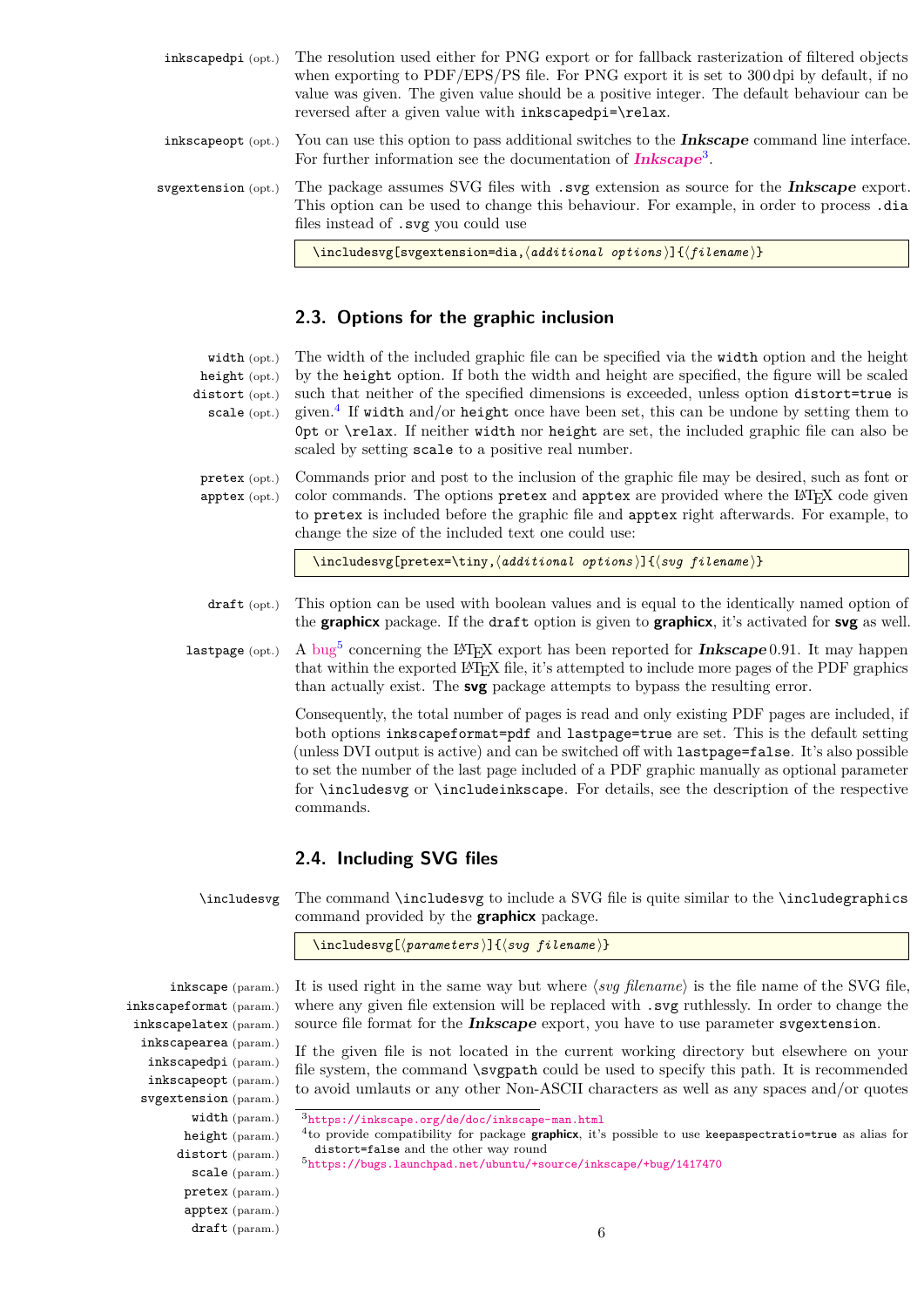- inkscapedpi (opt.) The resolution used either for PNG export or for fallback rasterization of filtered objects when exporting to PDF/EPS/PS file. For PNG export it is set to 300 dpi by default, if no value was given. The given value should be a positive integer. The default behaviour can be reversed after a given value with inkscapedpi=\relax.
- inkscapeopt (opt.) You can use this option to pass additional switches to the **Inkscape** command line interface. For further information see the documentation of **[Inkscape](https://inkscape.org/de/doc/inkscape-man.html)**[3](#page-5-2) .
- svgextension (opt.) The package assumes SVG files with .svg extension as source for the **Inkscape** export. This option can be used to change this behaviour. For example, in order to process .dia files instead of .svg you could use

\includesvg[svgextension=dia,\additional options\]{\filename\}

### <span id="page-5-0"></span>**2.3. Options for the graphic inclusion**

width (opt.) height (opt.) distort (opt.) scale (opt.) The width of the included graphic file can be specified via the width option and the height by the height option. If both the width and height are specified, the figure will be scaled such that neither of the specified dimensions is exceeded, unless option distort=true is given.<sup>[4](#page-5-3)</sup> If width and/or height once have been set, this can be undone by setting them to 0pt or \relax. If neither width nor height are set, the included graphic file can also be scaled by setting scale to a positive real number.

pretex (opt.) apptex (opt.) Commands prior and post to the inclusion of the graphic file may be desired, such as font or color commands. The options pretex and apptex are provided where the LAT<sub>EX</sub> code given to pretex is included before the graphic file and apptex right afterwards. For example, to change the size of the included text one could use:

\includesvg[pretex=\tiny,\additional options)]{\svg filename)}

- draft (opt.) This option can be used with boolean values and is equal to the identically named option of the **graphicx** package. If the draft option is given to **graphicx**, it's activated for **svg** as well.
- $lastpage$  (opt.) A bug<sup>5</sup> concerning the L<sup>A</sup>T<sub>E</sub>X export has been reported for **Inkscape** 0.91. It may happen that within the exported LATEX file, it's attempted to include more pages of the PDF graphics than actually exist. The **svg** package attempts to bypass the resulting error.

Consequently, the total number of pages is read and only existing PDF pages are included, if both options inkscapeformat=pdf and lastpage=true are set. This is the default setting (unless DVI output is active) and can be switched off with lastpage=false. It's also possible to set the number of the last page included of a PDF graphic manually as optional parameter for \includesvg or \includeinkscape. For details, see the description of the respective commands.

### <span id="page-5-1"></span>**2.4. Including SVG files**

\includesvg The command \includesvg to include a SVG file is quite similar to the \includegraphics command provided by the **graphicx** package.

\includesvg[ $\langle parameters \rangle$ ]{ $\langle sug\ filter$ }}

inkscape (param.) inkscapeformat (param.) inkscapelatex (param.) inkscapearea (param.) inkscapedpi (param.) inkscapeopt (param.) svgextension (param.) width (param.) height (param.) distort (param.) scale (param.) pretex (param.) apptex (param.) draft (param.)

It is used right in the same way but where  $\langle s v g \nvert$  *filename*) is the file name of the SVG file, where any given file extension will be replaced with .svg ruthlessly. In order to change the source file format for the **Inkscape** export, you have to use parameter svgextension.

If the given file is not located in the current working directory but elsewhere on your file system, the command \svgpath could be used to specify this path. It is recommended to avoid umlauts or any other Non-ASCII characters as well as any spaces and/or quotes

<span id="page-5-3"></span><span id="page-5-2"></span><sup>3</sup><https://inkscape.org/de/doc/inkscape-man.html>

<sup>4</sup> to provide compatibility for package **graphicx**, it's possible to use keepaspectratio=true as alias for distort=false and the other way round

<span id="page-5-4"></span><sup>5</sup><https://bugs.launchpad.net/ubuntu/+source/inkscape/+bug/1417470>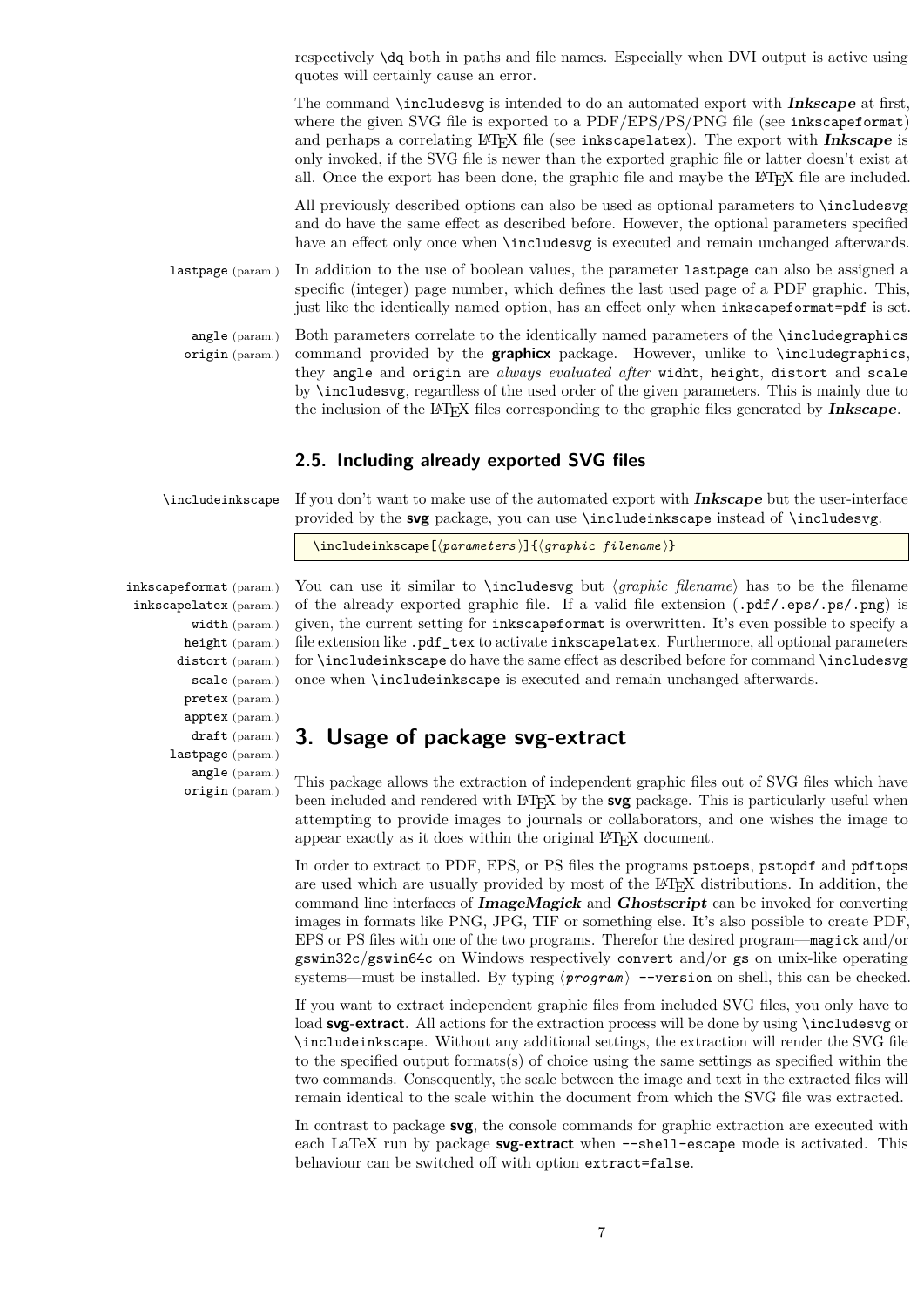respectively \dq both in paths and file names. Especially when DVI output is active using quotes will certainly cause an error.

The command \includesvg is intended to do an automated export with **Inkscape** at first, where the given SVG file is exported to a PDF/EPS/PS/PNG file (see inkscapeformat) and perhaps a correlating L<sup>AT</sup>EX file (see inkscapelatex). The export with **Inkscape** is only invoked, if the SVG file is newer than the exported graphic file or latter doesn't exist at all. Once the export has been done, the graphic file and maybe the LATEX file are included.

All previously described options can also be used as optional parameters to \includesvg and do have the same effect as described before. However, the optional parameters specified have an effect only once when **\includesvg** is executed and remain unchanged afterwards.

lastpage (param.) In addition to the use of boolean values, the parameter lastpage can also be assigned a specific (integer) page number, which defines the last used page of a PDF graphic. This, just like the identically named option, has an effect only when inkscapeformat=pdf is set.

angle  $(\text{param})$ origin (param.) Both parameters correlate to the identically named parameters of the \includegraphics command provided by the **graphicx** package. However, unlike to \includegraphics, they angle and origin are *always evaluated after* widht, height, distort and scale by \includesvg, regardless of the used order of the given parameters. This is mainly due to the inclusion of the LATEX files corresponding to the graphic files generated by **Inkscape**.

### <span id="page-6-0"></span>**2.5. Including already exported SVG files**

\includeinkscape If you don't want to make use of the automated export with **Inkscape** but the user-interface provided by the **svg** package, you can use \includeinkscape instead of \includesvg.

```
\includeinkscape[\langle parameters \rangle]{\langle graphic filename \rangle}
```
inkscapeformat (param.) inkscapelatex (param.) width (param.) height (param.) distort (param.) scale (param.) pretex (param.) apptex (param.) draft (param.) lastpage (param.) angle (param.) origin (param.)

You can use it similar to **\includesvg** but  $\langle graphic \ filename \rangle$  has to be the filename of the already exported graphic file. If a valid file extension (.pdf/.eps/.ps/.png) is given, the current setting for inkscapeformat is overwritten. It's even possible to specify a file extension like .pdf\_tex to activate inkscapelatex. Furthermore, all optional parameters for \includeinkscape do have the same effect as described before for command \includesvg once when \includeinkscape is executed and remain unchanged afterwards.

# <span id="page-6-1"></span>**3. Usage of package svg-extract**

This package allows the extraction of independent graphic files out of SVG files which have been included and rendered with LATEX by the **svg** package. This is particularly useful when attempting to provide images to journals or collaborators, and one wishes the image to appear exactly as it does within the original LAT<sub>EX</sub> document.

In order to extract to PDF, EPS, or PS files the programs pstoeps, pstopdf and pdftops are used which are usually provided by most of the LAT<sub>EX</sub> distributions. In addition, the command line interfaces of **ImageMagick** and **Ghostscript** can be invoked for converting images in formats like PNG, JPG, TIF or something else. It's also possible to create PDF, EPS or PS files with one of the two programs. Therefor the desired program—magick and/or gswin32c/gswin64c on Windows respectively convert and/or gs on unix-like operating systems—must be installed. By typing  $\langle program \rangle$  -version on shell, this can be checked.

If you want to extract independent graphic files from included SVG files, you only have to load **svg-extract**. All actions for the extraction process will be done by using \includesvg or \includeinkscape. Without any additional settings, the extraction will render the SVG file to the specified output formats(s) of choice using the same settings as specified within the two commands. Consequently, the scale between the image and text in the extracted files will remain identical to the scale within the document from which the SVG file was extracted.

In contrast to package **svg**, the console commands for graphic extraction are executed with each LaTeX run by package **svg-extract** when --shell-escape mode is activated. This behaviour can be switched off with option extract=false.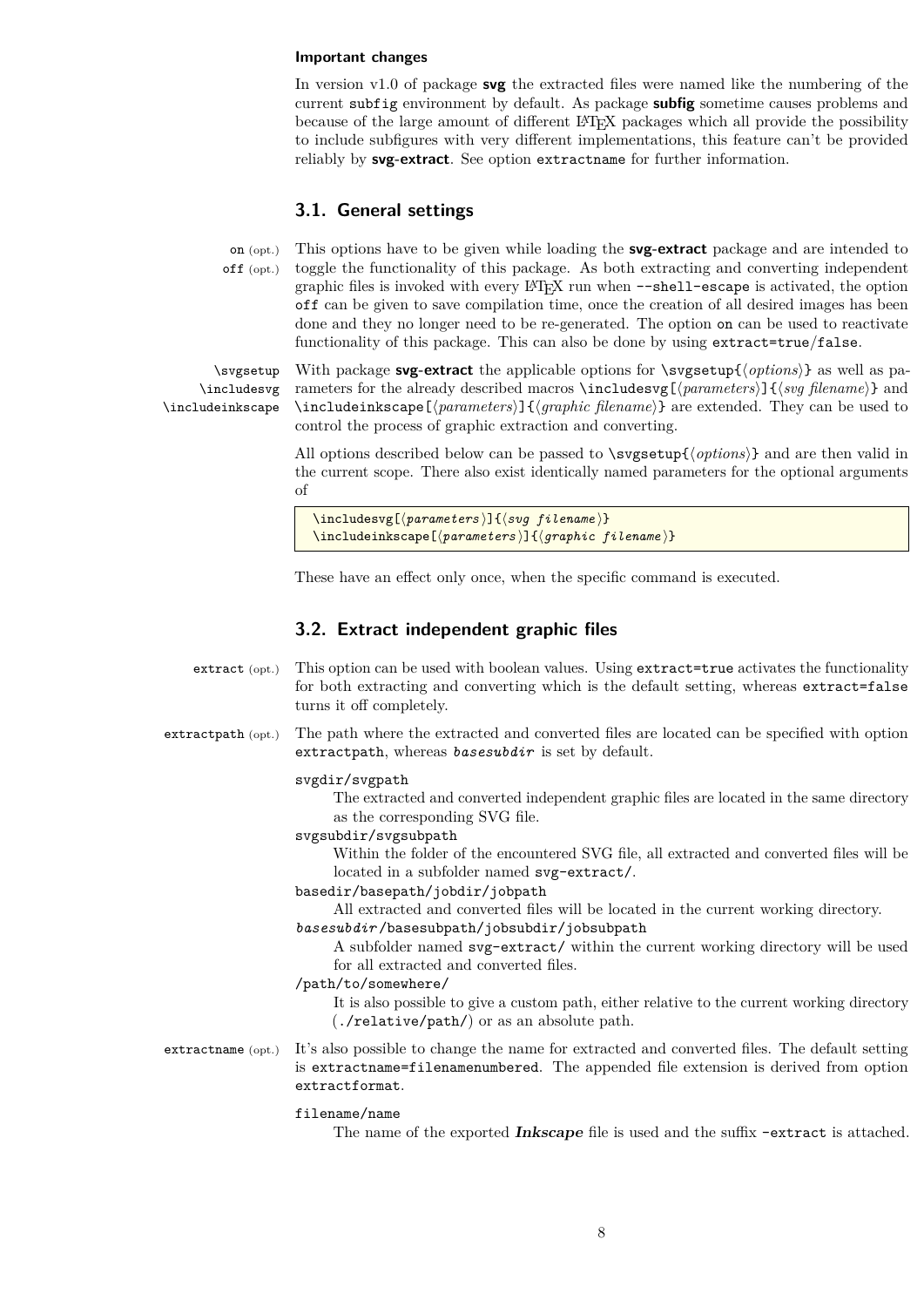#### **Important changes**

In version v1.0 of package **svg** the extracted files were named like the numbering of the current subfig environment by default. As package **subfig** sometime causes problems and because of the large amount of different LATEX packages which all provide the possibility to include subfigures with very different implementations, this feature can't be provided reliably by **svg-extract**. See option extractname for further information.

### <span id="page-7-0"></span>**3.1. General settings**

on (opt.) off (opt.) This options have to be given while loading the **svg-extract** package and are intended to toggle the functionality of this package. As both extracting and converting independent graphic files is invoked with every LATEX run when --shell-escape is activated, the option off can be given to save compilation time, once the creation of all desired images has been done and they no longer need to be re-generated. The option on can be used to reactivate functionality of this package. This can also be done by using extract=true/false.

\svgsetup \includesvg \includeinkscape

With package **svg-extract** the applicable options for  $\text{sysetup}\{\text{options}\}$  as well as parameters for the already described macros **\includesvg[** $\{parameters}$ ] { $\{sy\ filename\}$  and \includeinkscape[ $\langle parameters \rangle$ ]{ $\langle graphic \ filename{\rangle}$ } are extended. They can be used to control the process of graphic extraction and converting.

All options described below can be passed to  $\arg\theta / \text{options}}$  and are then valid in the current scope. There also exist identically named parameters for the optional arguments of

```
\includesvg[\langle parameters \rangle]{\langle sug\ filter\rangle}
\includeinkscape[\langle parameters \rangle]{\langle graphic \ file \mathit{filename} \rangle}
```
These have an effect only once, when the specific command is executed.

### <span id="page-7-1"></span>**3.2. Extract independent graphic files**

- extract (opt.) This option can be used with boolean values. Using extract=true activates the functionality for both extracting and converting which is the default setting, whereas extract=false turns it off completely.
- extractpath (opt.) The path where the extracted and converted files are located can be specified with option extractpath, whereas *basesubdir* is set by default.

#### svgdir/svgpath

The extracted and converted independent graphic files are located in the same directory as the corresponding SVG file.

#### svgsubdir/svgsubpath

Within the folder of the encountered SVG file, all extracted and converted files will be located in a subfolder named svg-extract/.

basedir/basepath/jobdir/jobpath

All extracted and converted files will be located in the current working directory.

*basesubdir* /basesubpath/jobsubdir/jobsubpath

A subfolder named svg-extract/ within the current working directory will be used for all extracted and converted files.

/path/to/somewhere/

It is also possible to give a custom path, either relative to the current working directory (./relative/path/) or as an absolute path.

extractname (opt.) It's also possible to change the name for extracted and converted files. The default setting is extractname=filenamenumbered. The appended file extension is derived from option extractformat.

#### filename/name

The name of the exported **Inkscape** file is used and the suffix -extract is attached.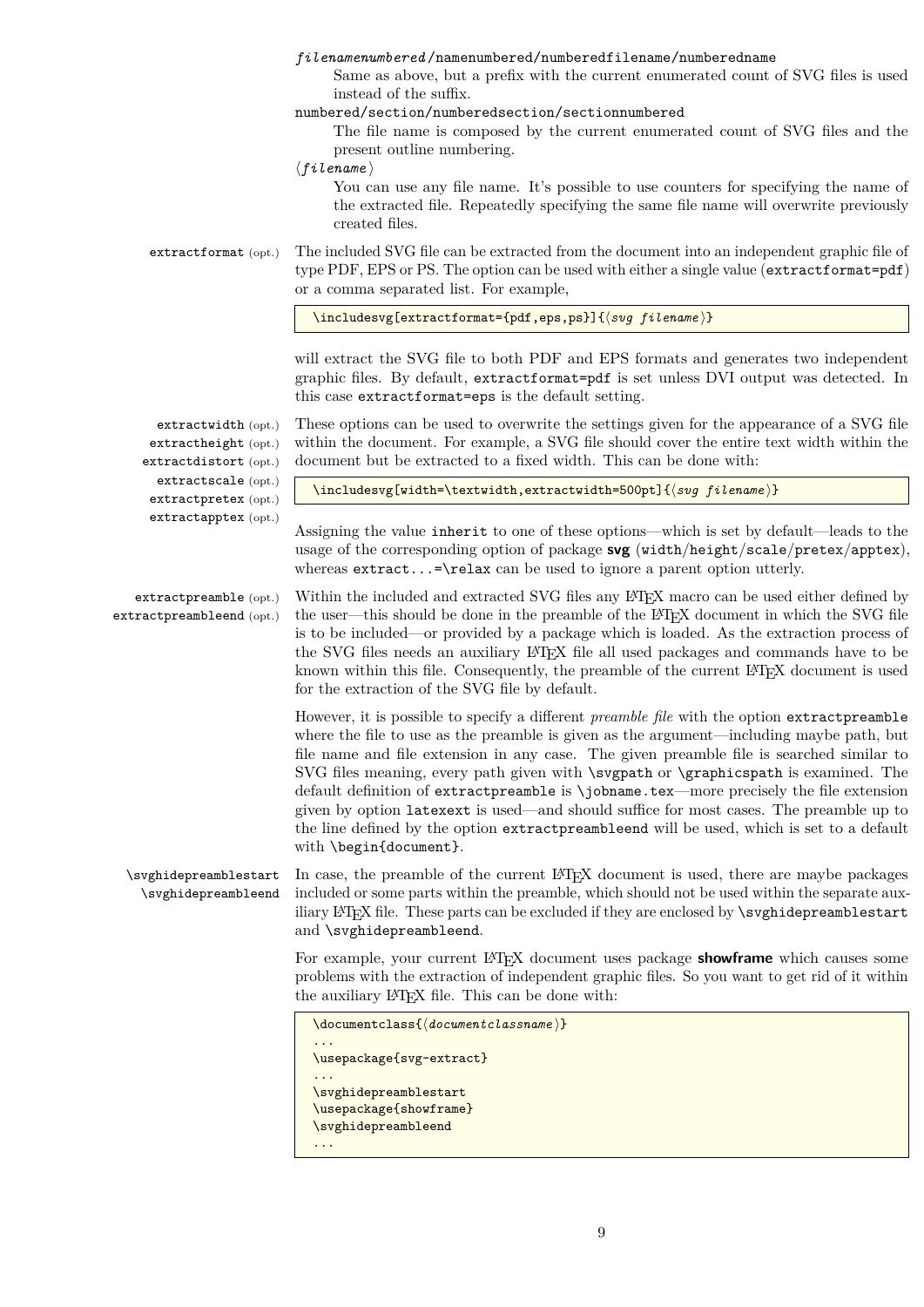### *filenamenumbered* /namenumbered/numberedfilename/numberedname

Same as above, but a prefix with the current enumerated count of SVG files is used instead of the suffix.

numbered/section/numberedsection/sectionnumbered

The file name is composed by the current enumerated count of SVG files and the present outline numbering.

 $\langle$  filename $\rangle$ 

You can use any file name. It's possible to use counters for specifying the name of the extracted file. Repeatedly specifying the same file name will overwrite previously created files.

extractformat (opt.) The included SVG file can be extracted from the document into an independent graphic file of type PDF, EPS or PS. The option can be used with either a single value (extractformat=pdf) or a comma separated list. For example,

\includesvg[extractformat={pdf,eps,ps}]{ $\langle syg \ filename{} \rangle$ }

will extract the SVG file to both PDF and EPS formats and generates two independent graphic files. By default, extractformat=pdf is set unless DVI output was detected. In this case extractformat=eps is the default setting.

extractwidth (opt.) extractheight (opt.) extractdistort (opt.) extractscale (opt.) extractpretex (opt.) extractapptex (opt.)

These options can be used to overwrite the settings given for the appearance of a SVG file within the document. For example, a SVG file should cover the entire text width within the document but be extracted to a fixed width. This can be done with:

\includesvg[width=\textwidth,extractwidth=500pt]{\svg filename}}

Assigning the value inherit to one of these options—which is set by default—leads to the usage of the corresponding option of package **svg** (width/height/scale/pretex/apptex), whereas  $extract...=\relnt{a}x$  can be used to ignore a parent option utterly.

extractpreamble (opt.) extractpreambleend (opt.) Within the included and extracted SVG files any LAT<sub>EX</sub> macro can be used either defined by the user—this should be done in the preamble of the LATEX document in which the SVG file is to be included—or provided by a package which is loaded. As the extraction process of the SVG files needs an auxiliary LAT<sub>EX</sub> file all used packages and commands have to be known within this file. Consequently, the preamble of the current LATEX document is used for the extraction of the SVG file by default.

> However, it is possible to specify a different *preamble file* with the option extractpreamble where the file to use as the preamble is given as the argument—including maybe path, but file name and file extension in any case. The given preamble file is searched similar to SVG files meaning, every path given with \svgpath or \graphicspath is examined. The default definition of extractpreamble is \jobname.tex—more precisely the file extension given by option latexext is used—and should suffice for most cases. The preamble up to the line defined by the option extractpreambleend will be used, which is set to a default with \begin{document}.

\svghidepreamblestart \svghidepreambleend In case, the preamble of the current L<sup>AT</sup>EX document is used, there are maybe packages included or some parts within the preamble, which should not be used within the separate auxiliary LAT<sub>EX</sub> file. These parts can be excluded if they are enclosed by **\svghidepreamblestart** and \svghidepreambleend.

> For example, your current LATEX document uses package **showframe** which causes some problems with the extraction of independent graphic files. So you want to get rid of it within the auxiliary LATEX file. This can be done with:

```
\documentclass{\documentclassname}}
...
\usepackage{svg-extract}
...
\svghidepreamblestart
\usepackage{showframe}
\svghidepreambleend
...
```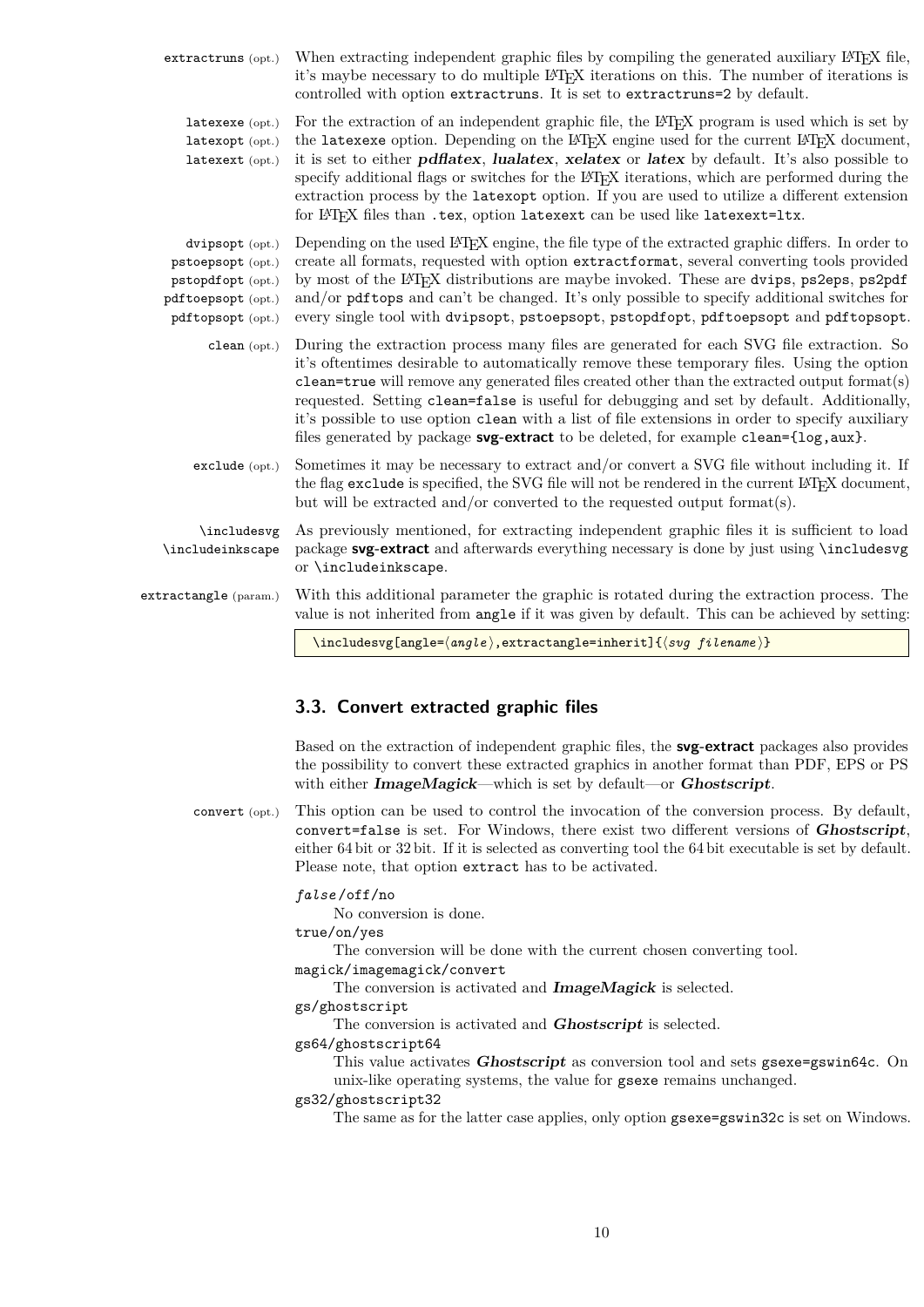| extractruns (opt.)                                                                                   | When extracting independent graphic files by compiling the generated auxiliary L <sup>A</sup> T <sub>F</sub> X file,<br>it's maybe necessary to do multiple LAT <sub>E</sub> X iterations on this. The number of iterations is<br>controlled with option extractruns. It is set to extractruns=2 by default.                                                                                                                                                                                                                                                                                                                                                                                                          |
|------------------------------------------------------------------------------------------------------|-----------------------------------------------------------------------------------------------------------------------------------------------------------------------------------------------------------------------------------------------------------------------------------------------------------------------------------------------------------------------------------------------------------------------------------------------------------------------------------------------------------------------------------------------------------------------------------------------------------------------------------------------------------------------------------------------------------------------|
| latexexe (opt.)<br>latexopt (opt.)<br>latexext (opt.)                                                | For the extraction of an independent graphic file, the L <sup>A</sup> T <sub>F</sub> X program is used which is set by<br>the latexexe option. Depending on the L <sup>A</sup> T <sub>F</sub> X engine used for the current L <sup>A</sup> T <sub>F</sub> X document,<br>it is set to either <i>pdflatex</i> , <i>lualatex</i> , <i>xelatex</i> or <i>latex</i> by default. It's also possible to<br>specify additional flags or switches for the L <sup>A</sup> T <sub>F</sub> X iterations, which are performed during the<br>extraction process by the latexopt option. If you are used to utilize a different extension<br>for IAT <sub>F</sub> X files than .tex, option latexext can be used like latexext=1tx. |
| dvipsopt (opt.)<br>pstoepsopt (opt.)<br>pstopdfopt (opt.)<br>pdftoepsopt (opt.)<br>pdftopsopt (opt.) | Depending on the used LAT <sub>F</sub> X engine, the file type of the extracted graphic differs. In order to<br>create all formats, requested with option extractformat, several converting tools provided<br>by most of the IAT <sub>R</sub> X distributions are maybe invoked. These are dvips, ps2eps, ps2pdf<br>and/or pdf tops and can't be changed. It's only possible to specify additional switches for<br>every single tool with dvipsopt, pstoepsopt, pstopdfopt, pdftoepsopt and pdftopsopt.                                                                                                                                                                                                               |
| clean (opt.)                                                                                         | During the extraction process many files are generated for each SVG file extraction. So<br>it's oftentimes desirable to automatically remove these temporary files. Using the option<br>$clean = true$ will remove any generated files created other than the extracted output format(s)<br>requested. Setting clean=false is useful for debugging and set by default. Additionally,<br>it's possible to use option clean with a list of file extensions in order to specify auxiliary<br>files generated by package <b>svg-extract</b> to be deleted, for example clean={log, aux}.                                                                                                                                  |
| exclude (opt.)                                                                                       | Sometimes it may be necessary to extract and/or convert a SVG file without including it. If<br>the flag exclude is specified, the SVG file will not be rendered in the current L <sup>4</sup> T <sub>F</sub> X document,<br>but will be extracted and/or converted to the requested output format(s).                                                                                                                                                                                                                                                                                                                                                                                                                 |
| \includesvg<br>\includeinkscape                                                                      | As previously mentioned, for extracting independent graphic files it is sufficient to load<br>package svg-extract and afterwards everything necessary is done by just using \includesvg<br>or \includeinkscape.                                                                                                                                                                                                                                                                                                                                                                                                                                                                                                       |
| extractangle (param.)                                                                                | With this additional parameter the graphic is rotated during the extraction process. The<br>value is not inherited from angle if it was given by default. This can be achieved by setting:                                                                                                                                                                                                                                                                                                                                                                                                                                                                                                                            |
|                                                                                                      | \includesvg[angle= $\langle angle\rangle$ , extractangle=inherit]{ $\langle sug\ filename\rangle$ }                                                                                                                                                                                                                                                                                                                                                                                                                                                                                                                                                                                                                   |

### <span id="page-9-0"></span>**3.3. Convert extracted graphic files**

Based on the extraction of independent graphic files, the **svg-extract** packages also provides the possibility to convert these extracted graphics in another format than PDF, EPS or PS with either **ImageMagick**—which is set by default—or **Ghostscript**.

convert (opt.) This option can be used to control the invocation of the conversion process. By default, convert=false is set. For Windows, there exist two different versions of **Ghostscript**, either 64 bit or 32 bit. If it is selected as converting tool the 64 bit executable is set by default. Please note, that option extract has to be activated.

### *false* /off/no

No conversion is done.

true/on/yes

The conversion will be done with the current chosen converting tool.

magick/imagemagick/convert

The conversion is activated and **ImageMagick** is selected.

gs/ghostscript

The conversion is activated and **Ghostscript** is selected.

gs64/ghostscript64

This value activates **Ghostscript** as conversion tool and sets gsexe=gswin64c. On unix-like operating systems, the value for gsexe remains unchanged.

gs32/ghostscript32

The same as for the latter case applies, only option gsexe=gswin32c is set on Windows.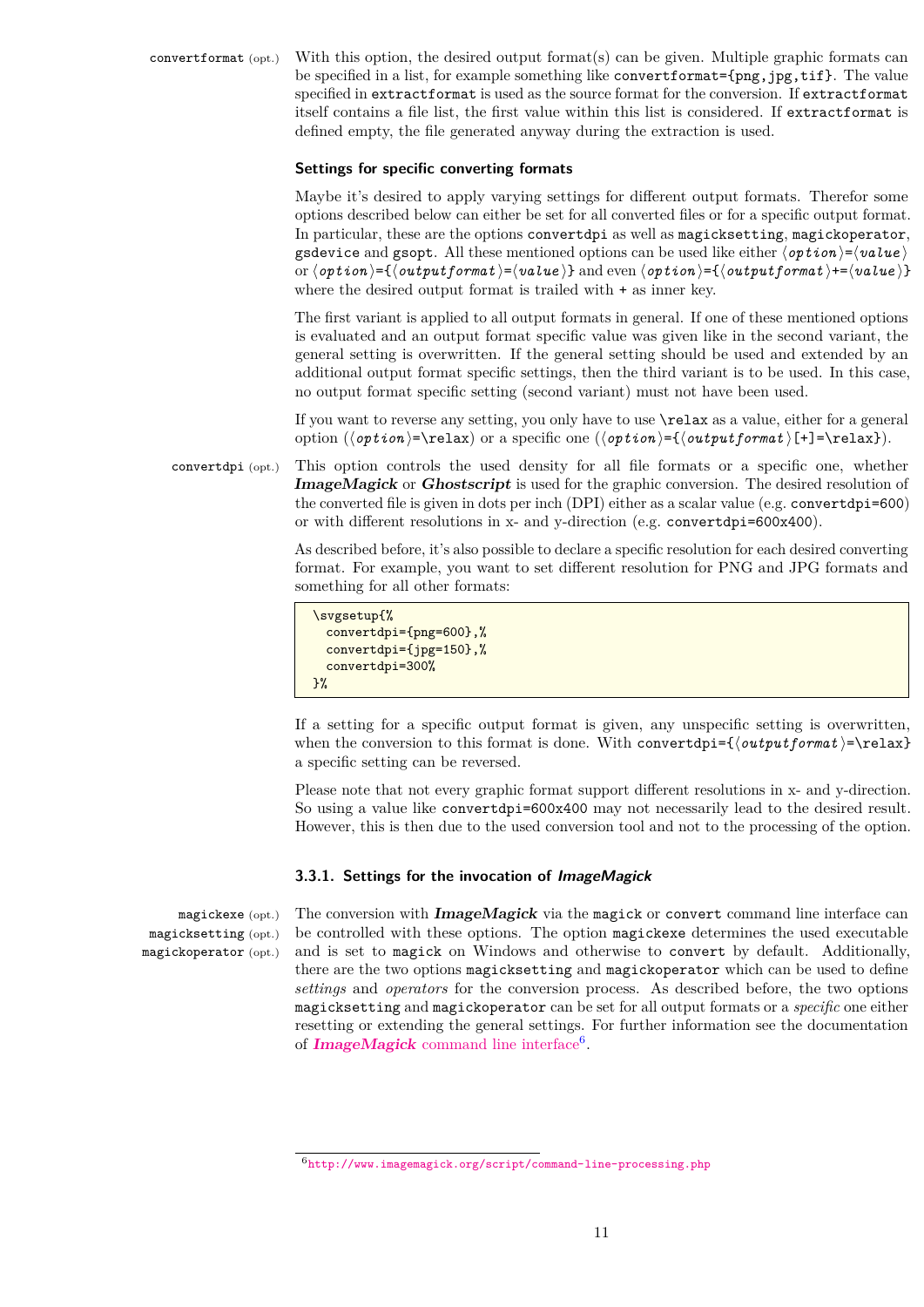convertformat (opt.) With this option, the desired output format(s) can be given. Multiple graphic formats can be specified in a list, for example something like convertformat={png,jpg,tif}. The value specified in extractformat is used as the source format for the conversion. If extractformat itself contains a file list, the first value within this list is considered. If extractformat is defined empty, the file generated anyway during the extraction is used.

### **Settings for specific converting formats**

Maybe it's desired to apply varying settings for different output formats. Therefor some options described below can either be set for all converted files or for a specific output format. In particular, these are the options convertdpi as well as magicksetting, magickoperator, gsdevice and gsopt. All these mentioned options can be used like either  $\langle$ *option* $\rangle = \langle$ *value* $\rangle$ or  $\langle$ *option* $\rangle = {\langle}$ *outputformat* $\rangle = \langle$ *value* $\rangle$ } and even  $\langle$ *option* $\rangle = {\langle}$ *outputformat* $\rangle = {\langle}$ *value* $\rangle$ } where the desired output format is trailed with  $+$  as inner key.

The first variant is applied to all output formats in general. If one of these mentioned options is evaluated and an output format specific value was given like in the second variant, the general setting is overwritten. If the general setting should be used and extended by an additional output format specific settings, then the third variant is to be used. In this case, no output format specific setting (second variant) must not have been used.

If you want to reverse any setting, you only have to use \relax as a value, either for a general option  $(\langle$ *option* $\rangle$ =\relax) or a specific one  $(\langle$ *option* $\rangle$ ={ $\langle$ *outputformat*} [+]=\relax}).

convertdpi (opt.) This option controls the used density for all file formats or a specific one, whether **ImageMagick** or **Ghostscript** is used for the graphic conversion. The desired resolution of the converted file is given in dots per inch (DPI) either as a scalar value (e.g. convertdpi=600) or with different resolutions in x- and y-direction (e.g. convertdpi=600x400).

> As described before, it's also possible to declare a specific resolution for each desired converting format. For example, you want to set different resolution for PNG and JPG formats and something for all other formats:

```
\svgsetup{%
  convertdpi={png=600},%
  convertdpi={jpg=150},%
  convertdpi=300%
\frac{1}{2}%
```
If a setting for a specific output format is given, any unspecific setting is overwritten, when the conversion to this format is done. With convertdpi= $\{outputformat\rangle$ =\relax} a specific setting can be reversed.

Please note that not every graphic format support different resolutions in x- and y-direction. So using a value like convertdpi=600x400 may not necessarily lead to the desired result. However, this is then due to the used conversion tool and not to the processing of the option.

### <span id="page-10-0"></span>**3.3.1. Settings for the invocation of ImageMagick**

magickexe (opt.) magicksetting (opt.) magickoperator (opt.) The conversion with **ImageMagick** via the magick or convert command line interface can be controlled with these options. The option magickexe determines the used executable and is set to magick on Windows and otherwise to convert by default. Additionally, there are the two options magicksetting and magickoperator which can be used to define *settings* and *operators* for the conversion process. As described before, the two options magicksetting and magickoperator can be set for all output formats or a *specific* one either resetting or extending the general settings. For further information see the documentation of **ImageMagick** [command line interface](http://www.imagemagick.org/script/command-line-processing.php)<sup>[6](#page-10-1)</sup>.

<span id="page-10-1"></span><sup>6</sup><http://www.imagemagick.org/script/command-line-processing.php>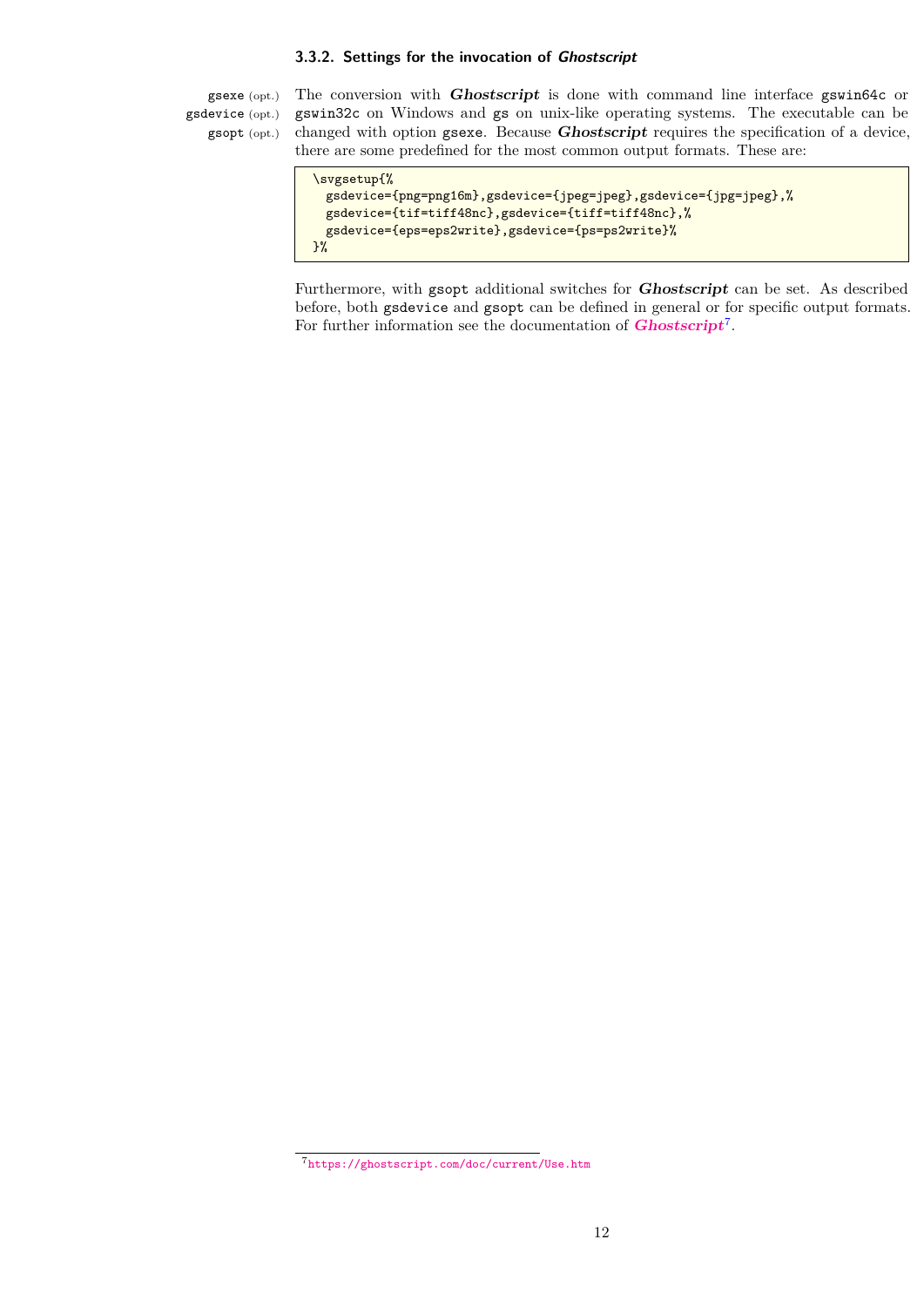### <span id="page-11-0"></span>**3.3.2. Settings for the invocation of Ghostscript**

gsexe (opt.) gsdevice (opt.) gsopt (opt.)

The conversion with **Ghostscript** is done with command line interface gswin64c or gswin32c on Windows and gs on unix-like operating systems. The executable can be changed with option gsexe. Because **Ghostscript** requires the specification of a device, there are some predefined for the most common output formats. These are:

```
\svgsetup{%
 gsdevice={png=png16m},gsdevice={jpeg=jpeg},gsdevice={jpg=jpeg},%
 gsdevice={tif=tiff48nc},gsdevice={tiff=tiff48nc},%
 gsdevice={eps=eps2write},gsdevice={ps=ps2write}%
}%
```
Furthermore, with gsopt additional switches for **Ghostscript** can be set. As described before, both gsdevice and gsopt can be defined in general or for specific output formats. For further information see the documentation of **[Ghostscript](https://ghostscript.com/doc/current/Use.htm)**[7](#page-11-1) .

<span id="page-11-1"></span><sup>7</sup><https://ghostscript.com/doc/current/Use.htm>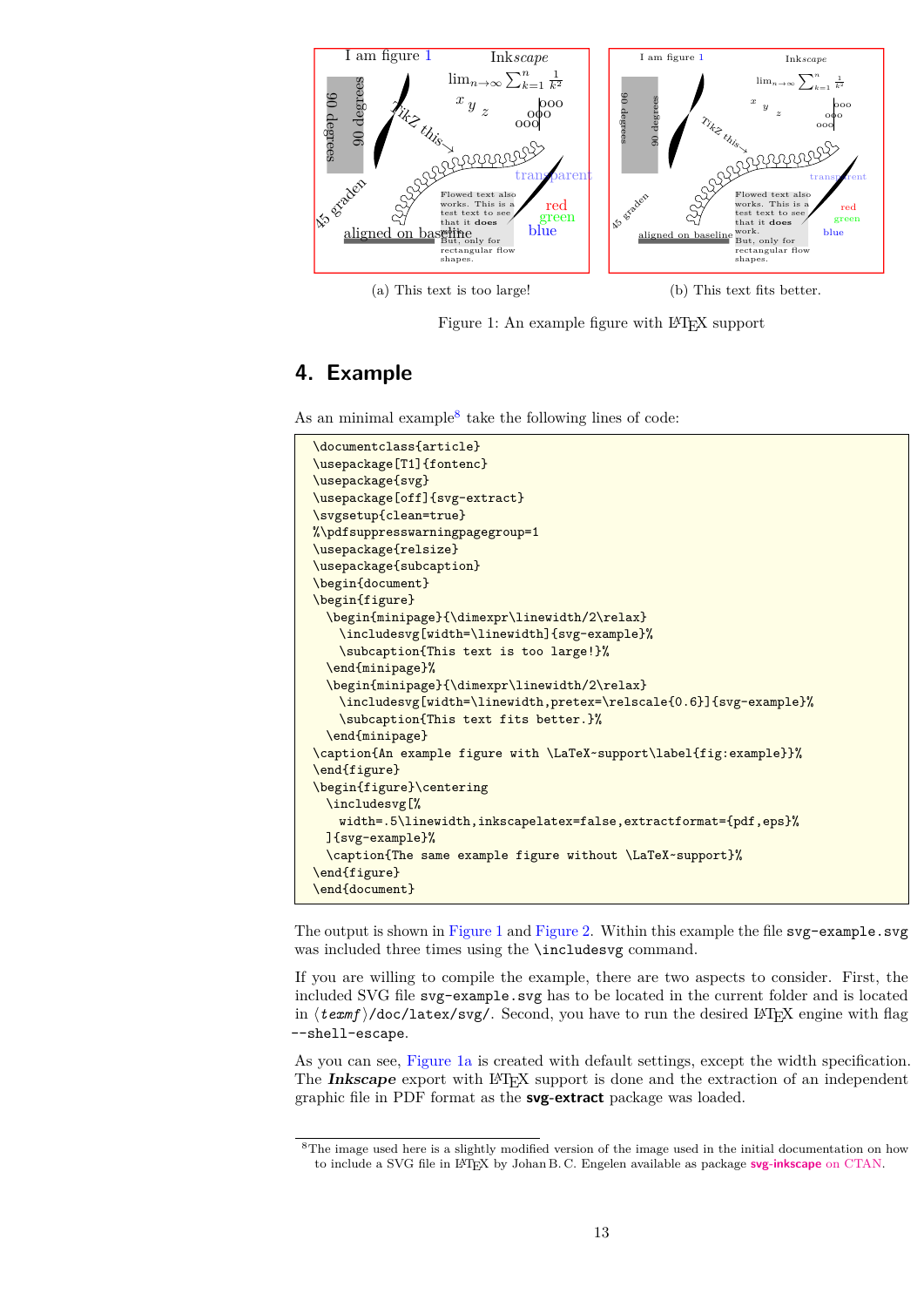<span id="page-12-1"></span>

(a) This text is too large!

(b) This text fits better.

Figure 1: An example figure with L<sup>AT</sup>EX support

# <span id="page-12-0"></span>**4. Example**

As an minimal example<sup>[8](#page-12-2)</sup> take the following lines of code:

```
\documentclass{article}
\usepackage[T1]{fontenc}
\usepackage{svg}
\usepackage[off]{svg-extract}
\svgsetup{clean=true}
%\pdfsuppresswarningpagegroup=1
\usepackage{relsize}
\usepackage{subcaption}
\begin{document}
\begin{figure}
 \begin{minipage}{\dimexpr\linewidth/2\relax}
   \includesvg[width=\linewidth]{svg-example}%
   \subcaption{This text is too large!}%
 \end{minipage}%
 \begin{minipage}{\dimexpr\linewidth/2\relax}
   \includesvg[width=\linewidth,pretex=\relscale{0.6}]{svg-example}%
   \subcaption{This text fits better.}%
 \end{minipage}
\caption{An example figure with \LaTeX~support\label{fig:example}}%
\end{figure}
\begin{figure}\centering
 \includesvg[%
   width=.5\linewidth,inkscapelatex=false,extractformat={pdf,eps}%
 ]{svg-example}%
 \caption{The same example figure without \LaTeX~support}%
\end{figure}
\end{document}
```
The output is shown in [Figure 1](#page-12-1) and [Figure 2.](#page-13-1) Within this example the file svg-example.svg was included three times using the **\includesvg** command.

If you are willing to compile the example, there are two aspects to consider. First, the included SVG file svg-example.svg has to be located in the current folder and is located in  $\texttt{\&term}/\texttt{doc/latex/svg/}.$  Second, you have to run the desired LAT<sub>EX</sub> engine with flag --shell-escape.

As you can see, [Figure 1a](#page-12-1) is created with default settings, except the width specification. The **Inkscape** export with L<sup>AT</sup>EX support is done and the extraction of an independent graphic file in PDF format as the **svg-extract** package was loaded.

<span id="page-12-2"></span><sup>8</sup>The image used here is a slightly modified version of the image used in the initial documentation on how to include a SVG file in LATEX by Johan B. C. Engelen available as package **[svg-inkscape](http://www.ctan.org/pkg/svg-inkscape)** on CTAN.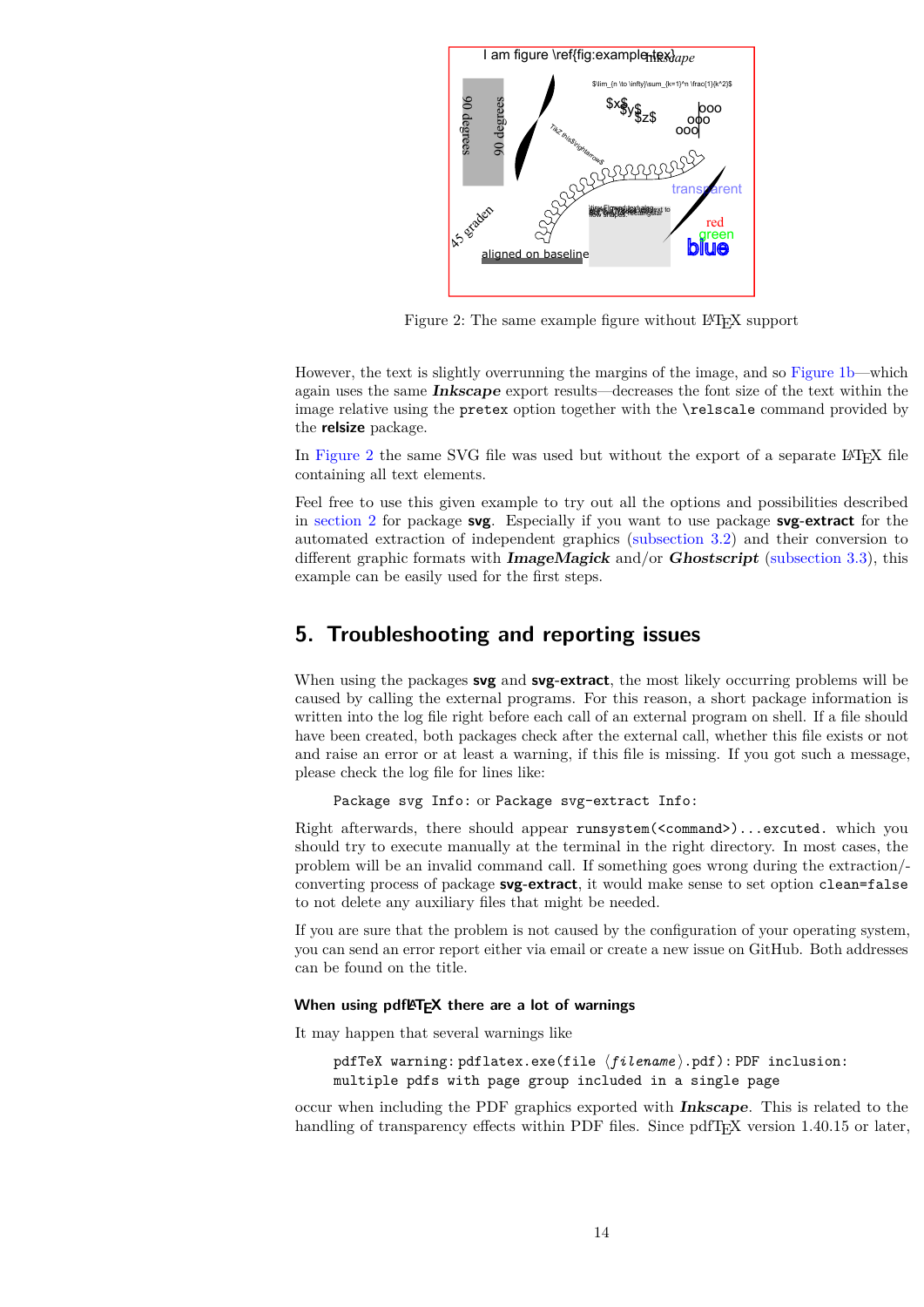<span id="page-13-1"></span>

Figure 2: The same example figure without LAT<sub>EX</sub> support

However, the text is slightly overrunning the margins of the image, and so [Figure 1b—](#page-12-1)which again uses the same **Inkscape** export results—decreases the font size of the text within the image relative using the pretex option together with the \relscale command provided by the **relsize** package.

In [Figure 2](#page-13-1) the same SVG file was used but without the export of a separate LATEX file containing all text elements.

Feel free to use this given example to try out all the options and possibilities described in [section 2](#page-2-0) for package **svg**. Especially if you want to use package **svg-extract** for the automated extraction of independent graphics [\(subsection 3.2\)](#page-7-1) and their conversion to different graphic formats with **ImageMagick** and/or **Ghostscript** [\(subsection 3.3\)](#page-9-0), this example can be easily used for the first steps.

# <span id="page-13-0"></span>**5. Troubleshooting and reporting issues**

When using the packages **svg** and **svg-extract**, the most likely occurring problems will be caused by calling the external programs. For this reason, a short package information is written into the log file right before each call of an external program on shell. If a file should have been created, both packages check after the external call, whether this file exists or not and raise an error or at least a warning, if this file is missing. If you got such a message, please check the log file for lines like:

Package svg Info: or Package svg-extract Info:

Right afterwards, there should appear runsystem(<command>)...excuted. which you should try to execute manually at the terminal in the right directory. In most cases, the problem will be an invalid command call. If something goes wrong during the extraction/ converting process of package **svg-extract**, it would make sense to set option clean=false to not delete any auxiliary files that might be needed.

If you are sure that the problem is not caused by the configuration of your operating system, you can send an error report either via email or create a new issue on GitHub. Both addresses can be found on the title.

### **When using pdfLFFX there are a lot of warnings**

It may happen that several warnings like

pdfTeX warning: pdflatex.exe(file  $\langle file$  and  $\rangle$ .pdf): PDF inclusion: multiple pdfs with page group included in a single page

occur when including the PDF graphics exported with **Inkscape**. This is related to the handling of transparency effects within PDF files. Since pdfT<sub>E</sub>X version 1.40.15 or later,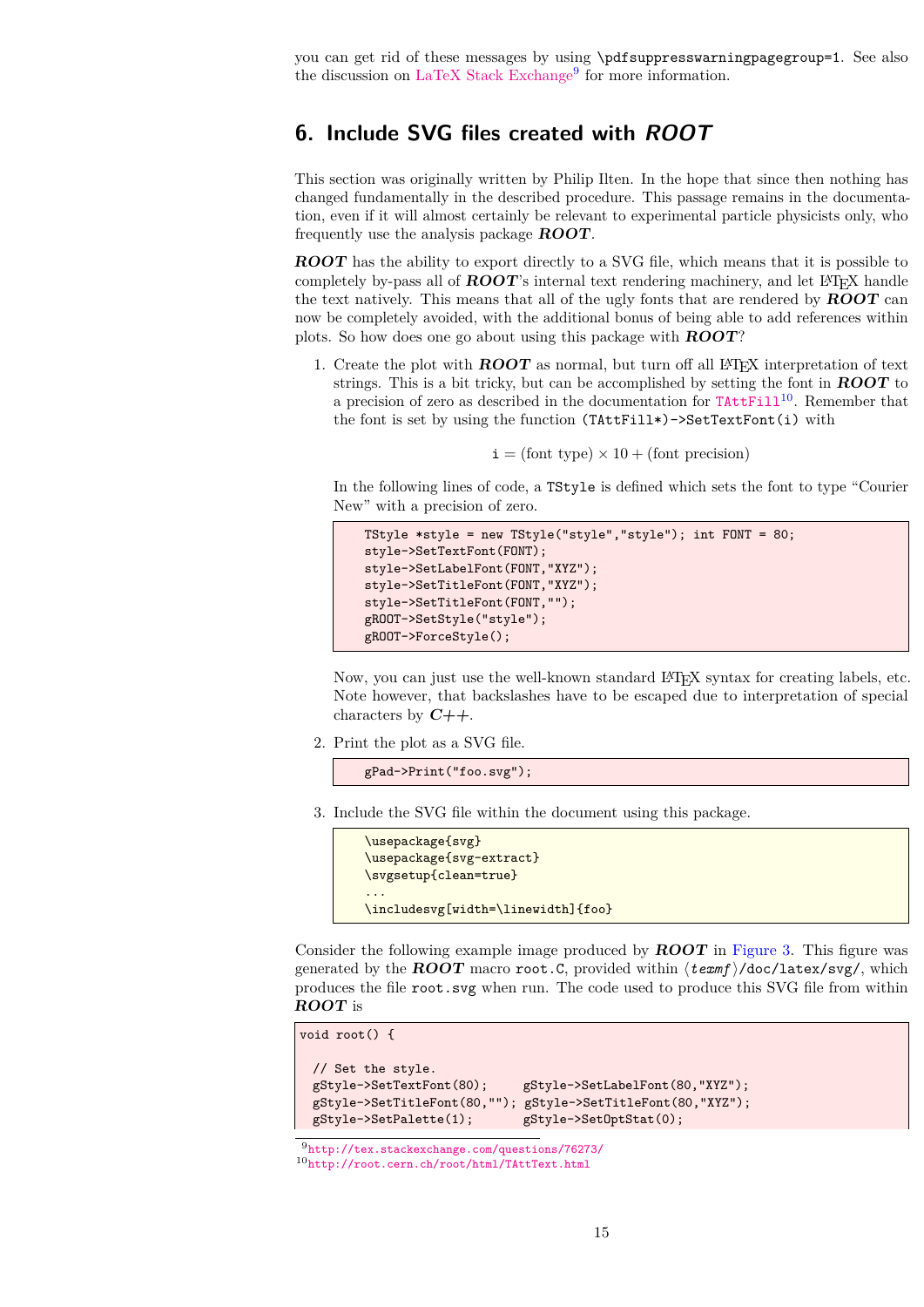you can get rid of these messages by using \pdfsuppresswarningpagegroup=1. See also the discussion on [LaTeX Stack Exchange](http://tex.stackexchange.com/questions/76273/)<sup>[9](#page-14-1)</sup> for more information.

## <span id="page-14-0"></span>**6. Include SVG files created with ROOT**

This section was originally written by Philip Ilten. In the hope that since then nothing has changed fundamentally in the described procedure. This passage remains in the documentation, even if it will almost certainly be relevant to experimental particle physicists only, who frequently use the analysis package **ROOT**.

**ROOT** has the ability to export directly to a SVG file, which means that it is possible to completely by-pass all of **ROOT**'s internal text rendering machinery, and let LAT<sub>EX</sub> handle the text natively. This means that all of the ugly fonts that are rendered by **ROOT** can now be completely avoided, with the additional bonus of being able to add references within plots. So how does one go about using this package with **ROOT**?

1. Create the plot with **ROOT** as normal, but turn off all LAT<sub>EX</sub> interpretation of text strings. This is a bit tricky, but can be accomplished by setting the font in **ROOT** to a precision of zero as described in the documentation for  $\text{TAttFill}^{10}$  $\text{TAttFill}^{10}$  $\text{TAttFill}^{10}$  $\text{TAttFill}^{10}$  $\text{TAttFill}^{10}$ . Remember that the font is set by using the function (TAttFill\*)->SetTextFont(i) with

 $i = (font type) \times 10 + (font precision)$ 

In the following lines of code, a TStyle is defined which sets the font to type "Courier New" with a precision of zero.

```
TStyle *style = new TStyle("style","style"); int FONT = 80;
style->SetTextFont(FONT);
style->SetLabelFont(FONT,"XYZ");
style->SetTitleFont(FONT,"XYZ");
style->SetTitleFont(FONT,"");
gROOT->SetStyle("style");
gROOT->ForceStyle();
```
Now, you can just use the well-known standard LATEX syntax for creating labels, etc. Note however, that backslashes have to be escaped due to interpretation of special characters by **C++**.

2. Print the plot as a SVG file.

gPad->Print("foo.svg");

3. Include the SVG file within the document using this package.

```
\usepackage{svg}
\usepackage{svg-extract}
\svgsetup{clean=true}
...
\includesvg[width=\linewidth]{foo}
```
Consider the following example image produced by **ROOT** in [Figure 3.](#page-15-0) This figure was generated by the **ROOT** macro root. C, provided within  $\langle \text{texf{f}/doc/latex}/svg/$ , which produces the file root.svg when run. The code used to produce this SVG file from within **ROOT** is

```
void root() {
 // Set the style.
 gStyle->SetTextFont(80); gStyle->SetLabelFont(80,"XYZ");
 gStyle->SetTitleFont(80,""); gStyle->SetTitleFont(80,"XYZ");
 gStyle->SetPalette(1); gStyle->SetOptStat(0);
```
<span id="page-14-2"></span><span id="page-14-1"></span><sup>9</sup><http://tex.stackexchange.com/questions/76273/> <sup>10</sup><http://root.cern.ch/root/html/TAttText.html>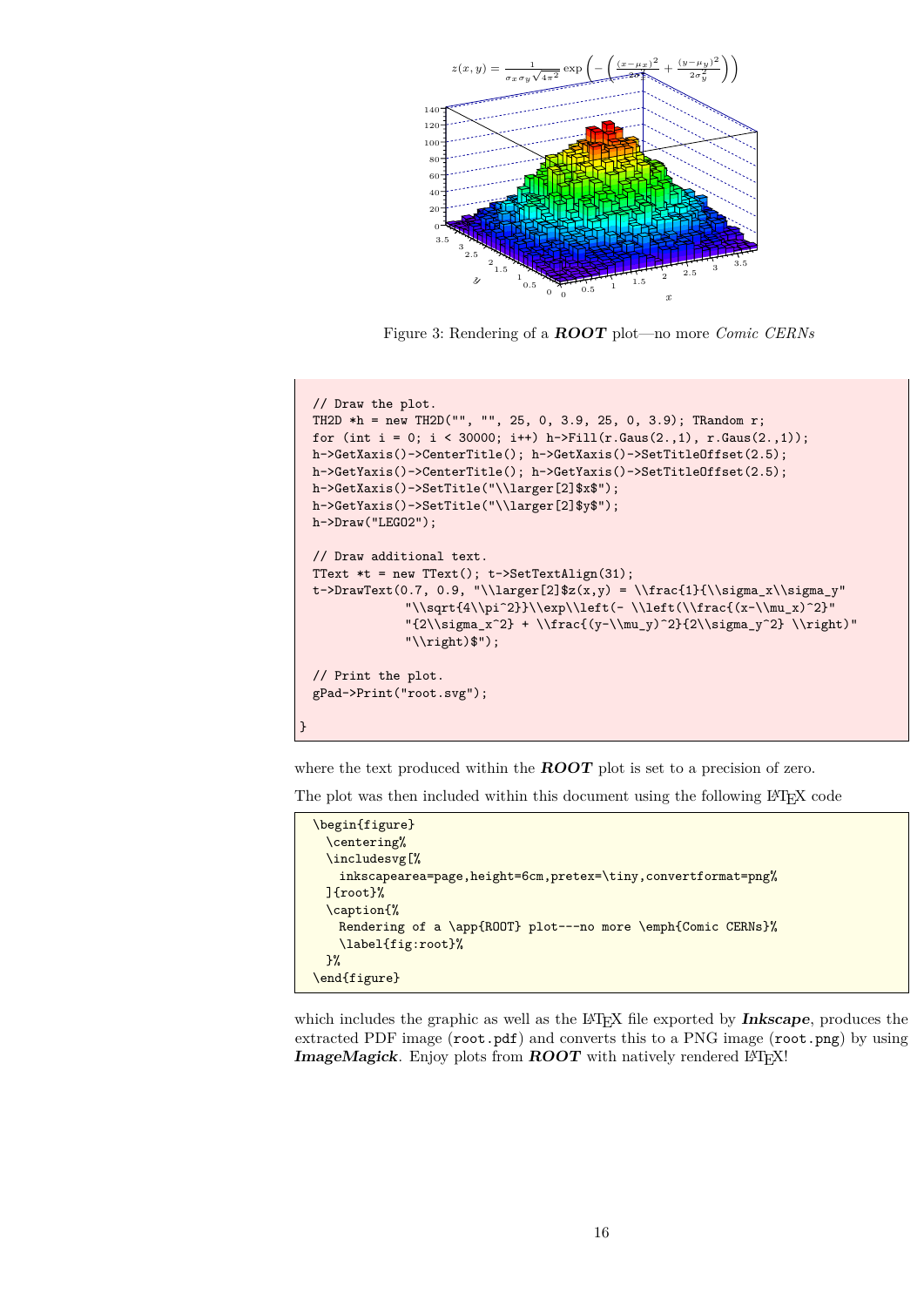<span id="page-15-0"></span>

Figure 3: Rendering of a **ROOT** plot—no more *Comic CERNs*

```
// Draw the plot.
 TH2D *h = new TH2D("", "", 25, 0, 3.9, 25, 0, 3.9); TRandom r;
 for (int i = 0; i < 30000; i++) h->Fill(r.Gaus(2.,1), r.Gaus(2.,1));
 h->GetXaxis()->CenterTitle(); h->GetXaxis()->SetTitleOffset(2.5);
 h->GetYaxis()->CenterTitle(); h->GetYaxis()->SetTitleOffset(2.5);
 h->GetXaxis()->SetTitle("\\larger[2]$x$");
 h->GetYaxis()->SetTitle("\\larger[2]$y$");
 h->Draw("LEGO2");
 // Draw additional text.
 TText *t = new TText(); t->SetTextAlign(31);
 t->DrawText(0.7, 0.9, "\\larger[2]$z(x,y) = \\frac{1}{\\sigma_x\\sigma_y"
              "\\sqrt{4\\pi^2}}\\exp\\left(- \\left(\\frac{(x-\\mu_x)^2}"
              "{2\\sigma_x^2} + \\frac{(y-\\mu_y)^2}{2\\sigma_y^2} \\right)"
              "\\right)$");
 // Print the plot.
 gPad->Print("root.svg");
}
```
where the text produced within the **ROOT** plot is set to a precision of zero.

The plot was then included within this document using the following LATEX code

```
\begin{figure}
 \centering%
 \includesvg[%
   inkscapearea=page,height=6cm,pretex=\tiny,convertformat=png%
 ]{root}%
 \caption{%
   Rendering of a \app{ROOT} plot---no more \emph{Comic CERNs}%
   \label{fig:root}%
 }%
\end{figure}
```
which includes the graphic as well as the L<sup>AT</sup>EX file exported by **Inkscape**, produces the extracted PDF image (root.pdf) and converts this to a PNG image (root.png) by using **ImageMagick**. Enjoy plots from **ROOT** with natively rendered LATEX!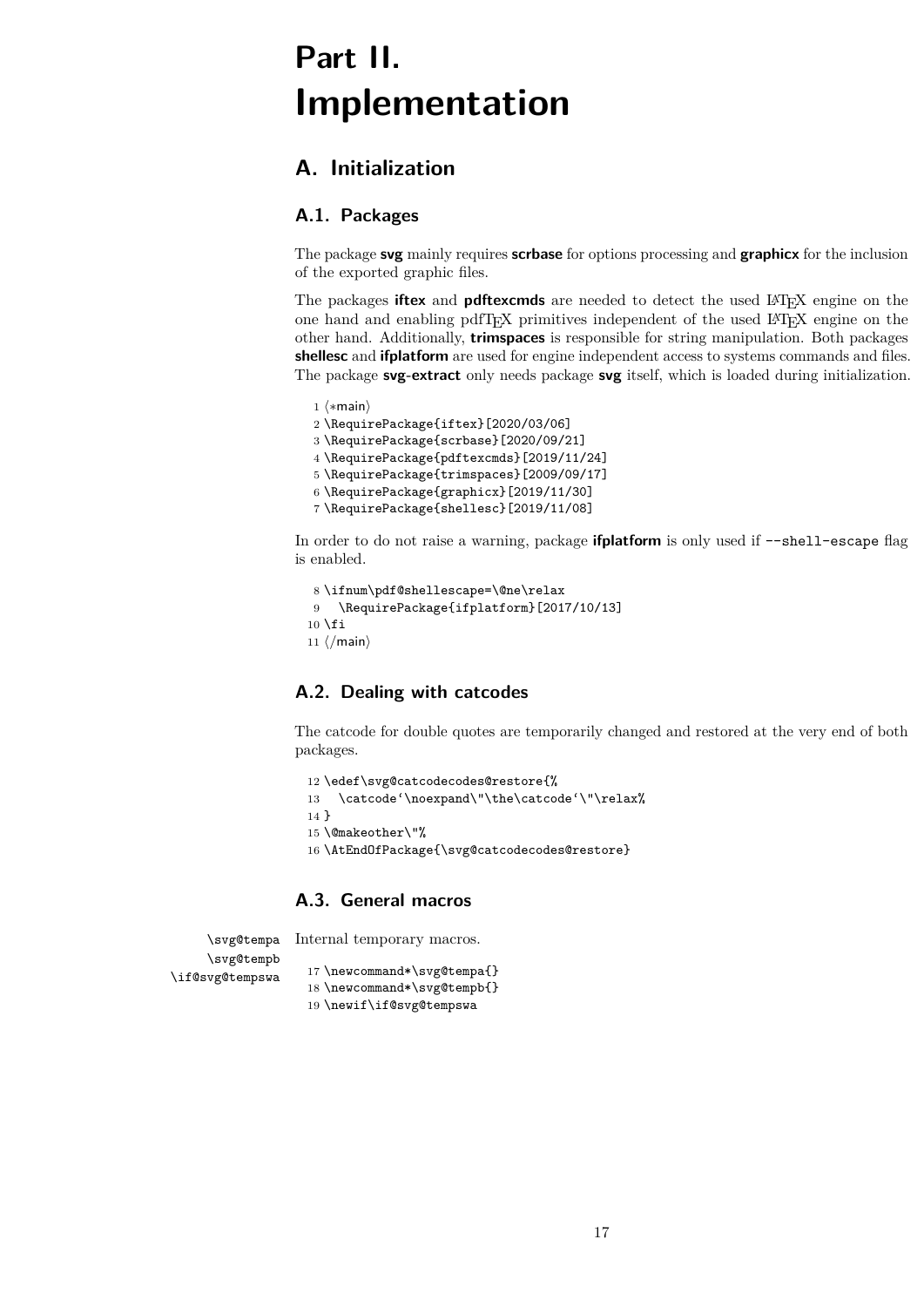# <span id="page-16-0"></span>**Part II. Implementation**

# <span id="page-16-1"></span>**A. Initialization**

# <span id="page-16-2"></span>**A.1. Packages**

The package **svg** mainly requires **scrbase** for options processing and **graphicx** for the inclusion of the exported graphic files.

The packages **iftex** and **pdftexcmds** are needed to detect the used LATEX engine on the one hand and enabling pdfTEX primitives independent of the used LATEX engine on the other hand. Additionally, **trimspaces** is responsible for string manipulation. Both packages **shellesc** and **ifplatform** are used for engine independent access to systems commands and files. The package **svg-extract** only needs package **svg** itself, which is loaded during initialization.

```
1 (*main)
2 \RequirePackage{iftex}[2020/03/06]
3 \RequirePackage{scrbase}[2020/09/21]
4 \RequirePackage{pdftexcmds}[2019/11/24]
5 \RequirePackage{trimspaces}[2009/09/17]
6 \RequirePackage{graphicx}[2019/11/30]
7 \RequirePackage{shellesc}[2019/11/08]
```
In order to do not raise a warning, package **ifplatform** is only used if --shell-escape flag is enabled.

```
8 \ifnum\pdf@shellescape=\@ne\relax
9 \RequirePackage{ifplatform}[2017/10/13]
10 \text{ Yfi}11 \langle /main \rangle
```
# <span id="page-16-3"></span>**A.2. Dealing with catcodes**

The catcode for double quotes are temporarily changed and restored at the very end of both packages.

```
12 \edef\svg@catcodecodes@restore{%
13 \catcode'\noexpand\"\the\catcode'\"\relax%
14 }
15 \@makeother\"%
16 \AtEndOfPackage{\svg@catcodecodes@restore}
```
## <span id="page-16-4"></span>**A.3. General macros**

Internal temporary macros.

\svg@tempa \svg@tempb \if@svg@tempswa

```
17 \newcommand*\svg@tempa{}
18 \newcommand*\svg@tempb{}
19 \newif\if@svg@tempswa
```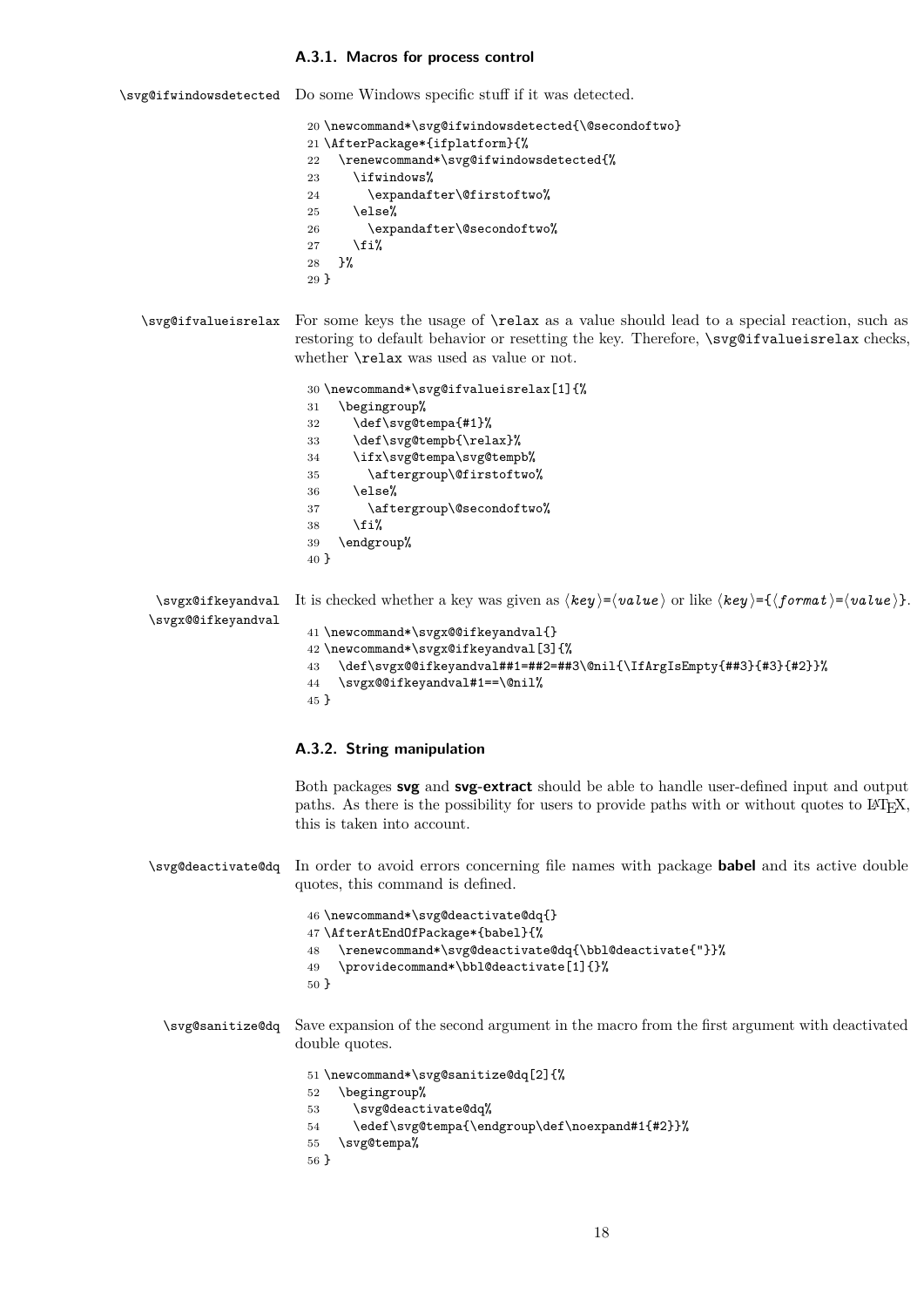#### <span id="page-17-0"></span>**A.3.1. Macros for process control**

\svg@ifwindowsdetected Do some Windows specific stuff if it was detected.

\newcommand\*\svg@ifwindowsdetected{\@secondoftwo}

- \AfterPackage\*{ifplatform}{%
- \renewcommand\*\svg@ifwindowsdetected{%
- \ifwindows%
- \expandafter\@firstoftwo%
- $25 \text{$  \else%
- \expandafter\@secondoftwo%
- 27  $\overline{1}\$
- }%
- }
- \svg@ifvalueisrelax For some keys the usage of \relax as a value should lead to a special reaction, such as restoring to default behavior or resetting the key. Therefore, \svg@ifvalueisrelax checks, whether \relax was used as value or not.

```
30 \newcommand*\svg@ifvalueisrelax[1]{%
31 \begingroup%<br>32 \def\svg@t
```
- \def\svg@tempa{#1}%
- \def\svg@tempb{\relax}%
- \ifx\svg@tempa\svg@tempb%
- \aftergroup\@firstoftwo%
- $36 \text{else}$ %
- \aftergroup\@secondoftwo%
- \fi%
- \endgroup%
- }

\svgx@ifkeyandval It is checked whether a key was given as  $\langle key \rangle = \langle value \rangle$  or like  $\langle key \rangle = \{ \{format \} = \langle value \rangle \}.$ \svgx@@ifkeyandval \newcommand\*\svgx@@ifkeyandval{} \newcommand\*\svgx@ifkeyandval[3]{% \def\svgx@@ifkeyandval##1=##2=##3\@nil{\IfArgIsEmpty{##3}{#3}{#2}}%

- \svgx@@ifkeyandval#1==\@nil%
- }

### <span id="page-17-1"></span>**A.3.2. String manipulation**

Both packages **svg** and **svg-extract** should be able to handle user-defined input and output paths. As there is the possibility for users to provide paths with or without quotes to LATEX, this is taken into account.

\svg@deactivate@dq In order to avoid errors concerning file names with package **babel** and its active double quotes, this command is defined.

```
46 \newcommand*\svg@deactivate@dq{}
47 \AfterAtEndOfPackage*{babel}{%
48 \renewcommand*\svg@deactivate@dq{\bbl@deactivate{"}}%
49 \providecommand*\bbl@deactivate[1]{}%
50 }
```
\svg@sanitize@dq Save expansion of the second argument in the macro from the first argument with deactivated double quotes.

```
51 \newcommand*\svg@sanitize@dq[2]{%
```
- \begingroup%
- \svg@deactivate@dq%
- \edef\svg@tempa{\endgroup\def\noexpand#1{#2}}%
- \svg@tempa%
- }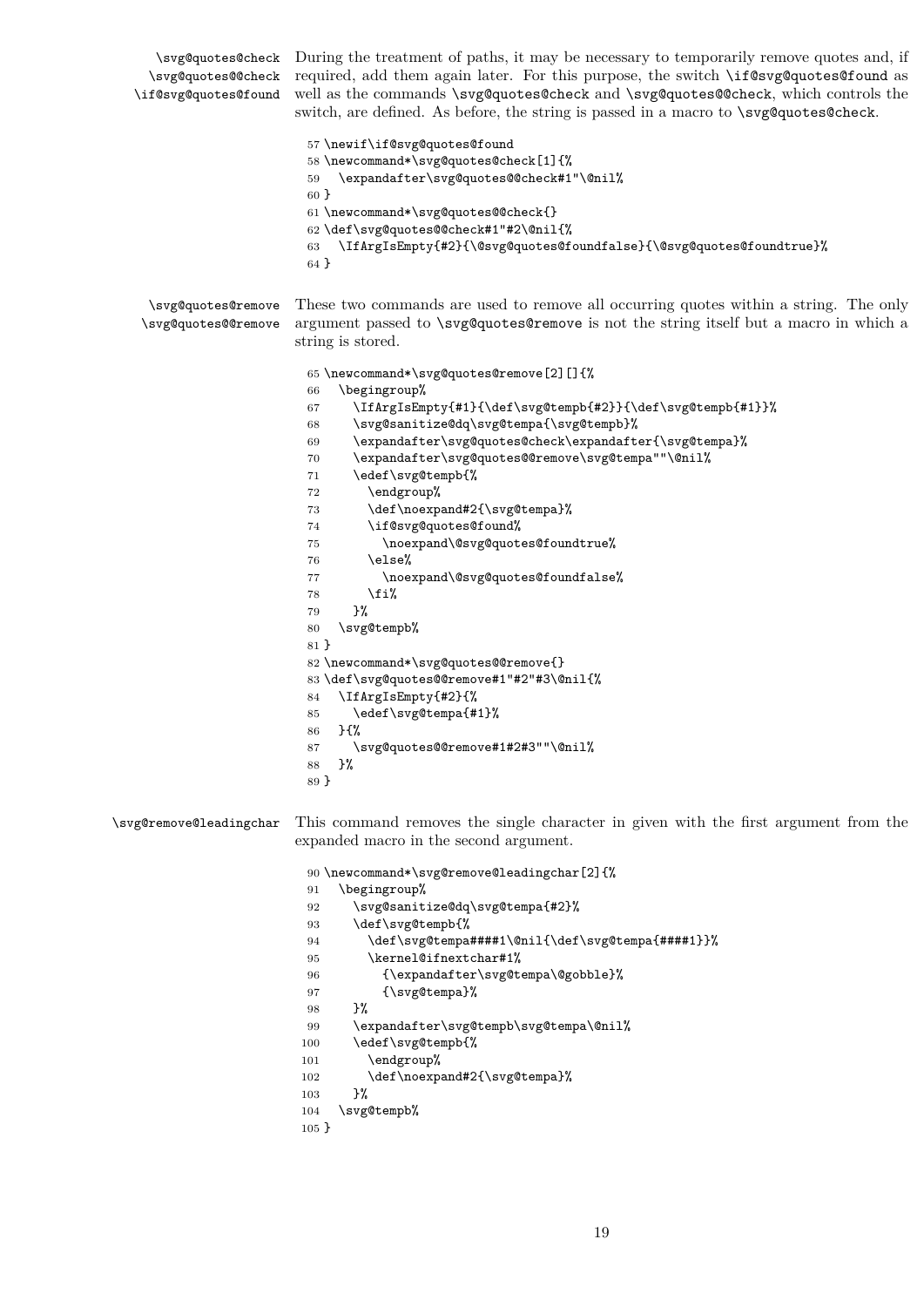\svg@quotes@check During the treatment of paths, it may be necessary to temporarily remove quotes and, if \svg@quotes@@check required, add them again later. For this purpose, the switch \if@svg@quotes@found as \if@svg@quotes@found well as the commands \svg@quotes@check and \svg@quotes@@check, which controls the switch, are defined. As before, the string is passed in a macro to \svg@quotes@check. \newif\if@svg@quotes@found \newcommand\*\svg@quotes@check[1]{% \expandafter\svg@quotes@@check#1"\@nil% } \newcommand\*\svg@quotes@@check{} \def\svg@quotes@@check#1"#2\@nil{% \IfArgIsEmpty{#2}{\@svg@quotes@foundfalse}{\@svg@quotes@foundtrue}% } \svg@quotes@remove \svg@quotes@@remove These two commands are used to remove all occurring quotes within a string. The only argument passed to \svg@quotes@remove is not the string itself but a macro in which a string is stored. \newcommand\*\svg@quotes@remove[2][]{% \begingroup% \IfArgIsEmpty{#1}{\def\svg@tempb{#2}}{\def\svg@tempb{#1}}% \svg@sanitize@dq\svg@tempa{\svg@tempb}% \expandafter\svg@quotes@check\expandafter{\svg@tempa}% \expandafter\svg@quotes@@remove\svg@tempa""\@nil% \edef\svg@tempb{% \endgroup% 73 \def\noexpand#2{\svg@tempa}% \if@svg@quotes@found% 75 \noexpand\@svg@quotes@foundtrue%  $76 \qquad \text{leles } \ell$ 77 \noexpand\@svg@quotes@foundfalse% \fi% }% \svg@tempb% } \newcommand\*\svg@quotes@@remove{} \def\svg@quotes@@remove#1"#2"#3\@nil{% \IfArgIsEmpty{#2}{% \edef\svg@tempa{#1}% }{% \svg@quotes@@remove#1#2#3""\@nil% }% } \svg@remove@leadingchar This command removes the single character in given with the first argument from the expanded macro in the second argument. \newcommand\*\svg@remove@leadingchar[2]{% \begingroup% \svg@sanitize@dq\svg@tempa{#2}% \def\svg@tempb{% \def\svg@tempa####1\@nil{\def\svg@tempa{####1}}% 95 \kernel@ifnextchar#1% {\expandafter\svg@tempa\@gobble}% 97 {\svg@tempa}% }% \expandafter\svg@tempb\svg@tempa\@nil% \edef\svg@tempb{% \endgroup% 102 \def\noexpand#2{\svg@tempa}% 103 }% \svg@tempb%

}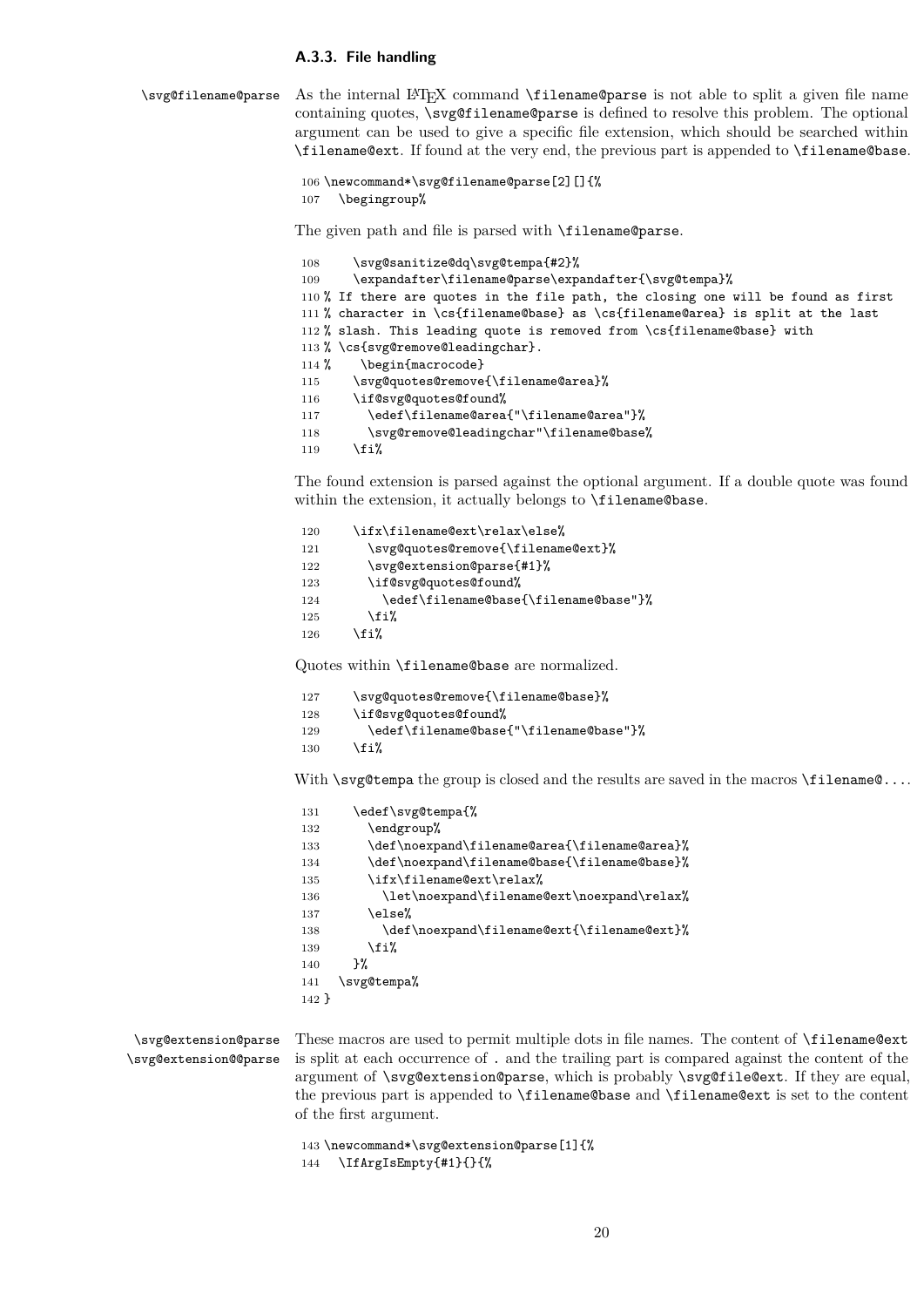#### <span id="page-19-0"></span>**A.3.3. File handling**

\svg@filename@parse As the internal LATEX command \filename@parse is not able to split a given file name containing quotes, \svg@filename@parse is defined to resolve this problem. The optional argument can be used to give a specific file extension, which should be searched within \filename@ext. If found at the very end, the previous part is appended to \filename@base.

```
106 \newcommand*\svg@filename@parse[2][]{%
107 \begingroup%
```
The given path and file is parsed with \filename@parse.

```
108 \svg@sanitize@dq\svg@tempa{#2}%
109 \expandafter\filename@parse\expandafter{\svg@tempa}%
110 % If there are quotes in the file path, the closing one will be found as first
111 % character in \cs{filename@base} as \cs{filename@area} is split at the last
112 % slash. This leading quote is removed from \cs{filename@base} with
113 % \cs{svg@remove@leadingchar}.
114 % \begin{macrocode}
115 \svg@quotes@remove{\filename@area}%
116 \if@svg@quotes@found%
117 \edef\filename@area{"\filename@area"}%
118 \svg@remove@leadingchar"\filename@base%
119 \fi%
```
The found extension is parsed against the optional argument. If a double quote was found within the extension, it actually belongs to \filename@base.

```
120 \ifx\filename@ext\relax\else%
121 \svg@quotes@remove{\filename@ext}%
122 \svg@extension@parse{#1}%
123 \if@svg@quotes@found%
124 \edef\filename@base{\filename@base"}%
125 \overline{\iota}126 \fi%
```
Quotes within \filename@base are normalized.

```
127 \svg@quotes@remove{\filename@base}%
128 \if@svg@quotes@found%
129 \edef\filename@base{"\filename@base"}%
130 \, \text{Vfi}
```
With  $\simeq$  the group is closed and the results are saved in the macros  $\theta$ ...

```
131 \edef\svg@tempa{%
132 \endgroup%
133 \def\noexpand\filename@area{\filename@area}%
134 \def\noexpand\filename@base{\filename@base}%
135 \ifx\filename@ext\relax%
136 \let\noexpand\filename@ext\noexpand\relax%
137 \else%
138 \def\noexpand\filename@ext{\filename@ext}%
139 \quad \text{if } \mathbf{i}140 }%
141 \svg@tempa%
142 }
```
\svg@extension@parse \svg@extension@@parse

These macros are used to permit multiple dots in file names. The content of \filename@ext is split at each occurrence of . and the trailing part is compared against the content of the argument of \svg@extension@parse, which is probably \svg@file@ext. If they are equal, the previous part is appended to \filename@base and \filename@ext is set to the content of the first argument.

```
143 \newcommand*\svg@extension@parse[1]{%
144 \IfArgIsEmpty{#1}{}{%
```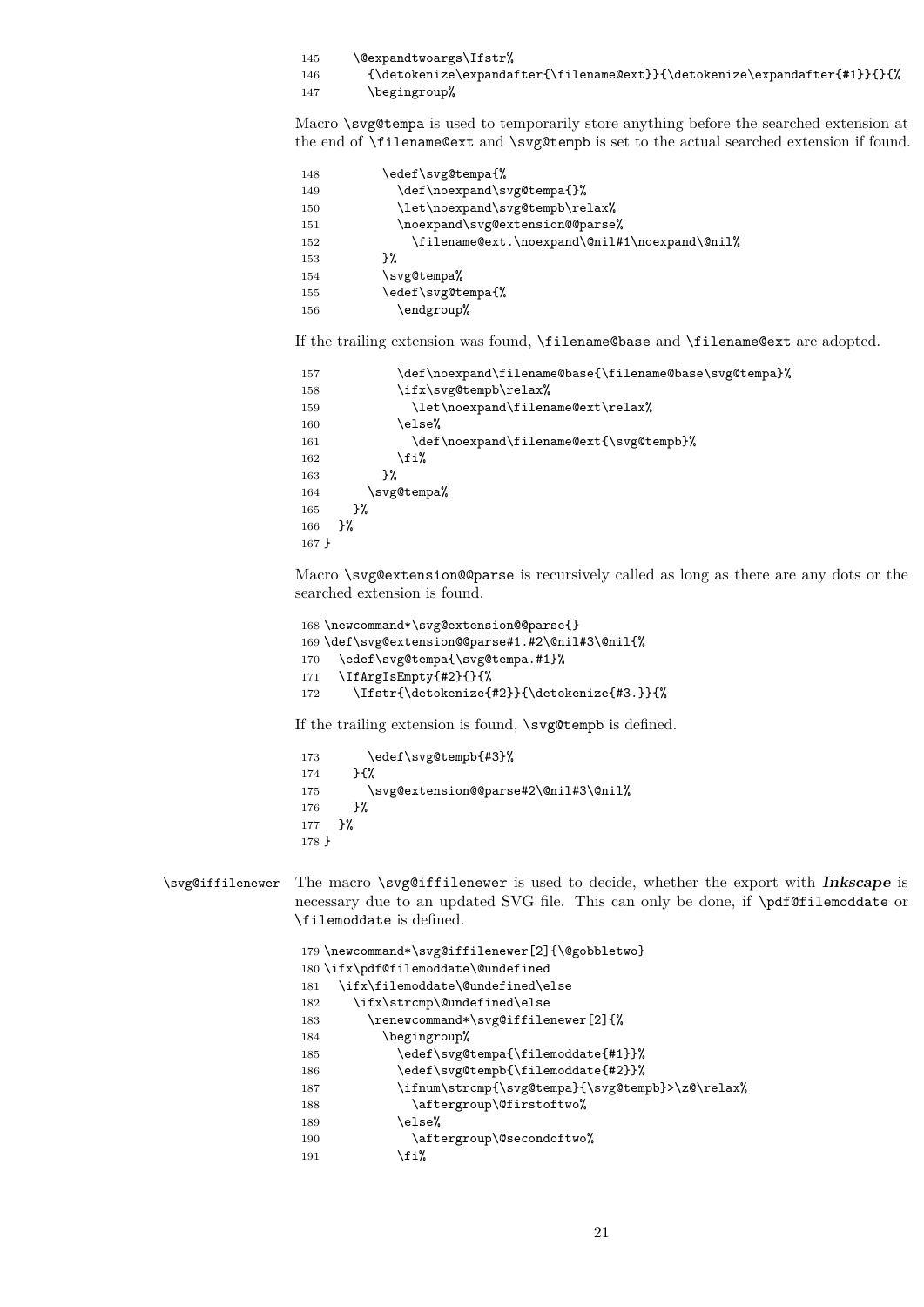| 145 | \@expandtwoargs\Ifstr% |
|-----|------------------------|
|-----|------------------------|

146  ${\detoker}\exp\{ \filenameText}\{ \deter\{\filenameText}\}$ 

147 \begingroup%

Macro \svg@tempa is used to temporarily store anything before the searched extension at the end of \filename@ext and \svg@tempb is set to the actual searched extension if found.

| 148 | \edef\svg@tempa{%                             |
|-----|-----------------------------------------------|
| 149 | \def\noexpand\svg@tempa{}%                    |
| 150 | \let\noexpand\svg@tempb\relax%                |
| 151 | \noexpand\svg@extension@@parse%               |
| 152 | \filename@ext.\noexpand\@nil#1\noexpand\@nil% |
| 153 | ጉ%                                            |
| 154 | \svg@tempa%                                   |
| 155 | \edef\svg@tempa{%                             |
| 156 | \endgroup%                                    |

If the trailing extension was found, \filename@base and \filename@ext are adopted.

```
157 \def\noexpand\filename@base{\filename@base\svg@tempa}%
158 \ifx\svg@tempb\relax%
159 \let\noexpand\filename@ext\relax%
160 \qquad \text{leles } \ell161 \def\noexpand\filename@ext{\svg@tempb}%
162 \quad \text{if } \mathbf{i}163 }%
164 \svg@tempa%
165 }%
166 }%
167 }
```
Macro \svg@extension@@parse is recursively called as long as there are any dots or the searched extension is found.

```
168 \newcommand*\svg@extension@@parse{}
169 \def\svg@extension@@parse#1.#2\@nil#3\@nil{%
170 \edef\svg@tempa{\svg@tempa.#1}%
171 \IfArgIsEmpty{#2}{}{%
172 \Ifstr{\detokenize{#2}}{\detokenize{#3.}}{%
```
If the trailing extension is found, \svg@tempb is defined.

```
173 \edef\svg@tempb{#3}%
174 }{%
175 \svg@extension@@parse#2\@nil#3\@nil%
176 }%
177 }%
178 }
```
\svg@iffilenewer The macro \svg@iffilenewer is used to decide, whether the export with **Inkscape** is necessary due to an updated SVG file. This can only be done, if \pdf@filemoddate or \filemoddate is defined.

```
179 \newcommand*\svg@iffilenewer[2]{\@gobbletwo}
180 \ifx\pdf@filemoddate\@undefined
181 \ifx\filemoddate\@undefined\else
182 \ifx\strcmp\@undefined\else
183 \renewcommand*\svg@iffilenewer[2]{%
184 \begingroup%
185 \edef\svg@tempa{\filemoddate{#1}}%
186 \edef\svg@tempb{\filemoddate{#2}}%
187 \ifnum\strcmp{\svg@tempa}{\svg@tempb}>\z@\relax%
188 \aftergroup\@firstoftwo%
189 \sqrt{9}190 \aftergroup\@secondoftwo%
191 \overline{\} \fi%
```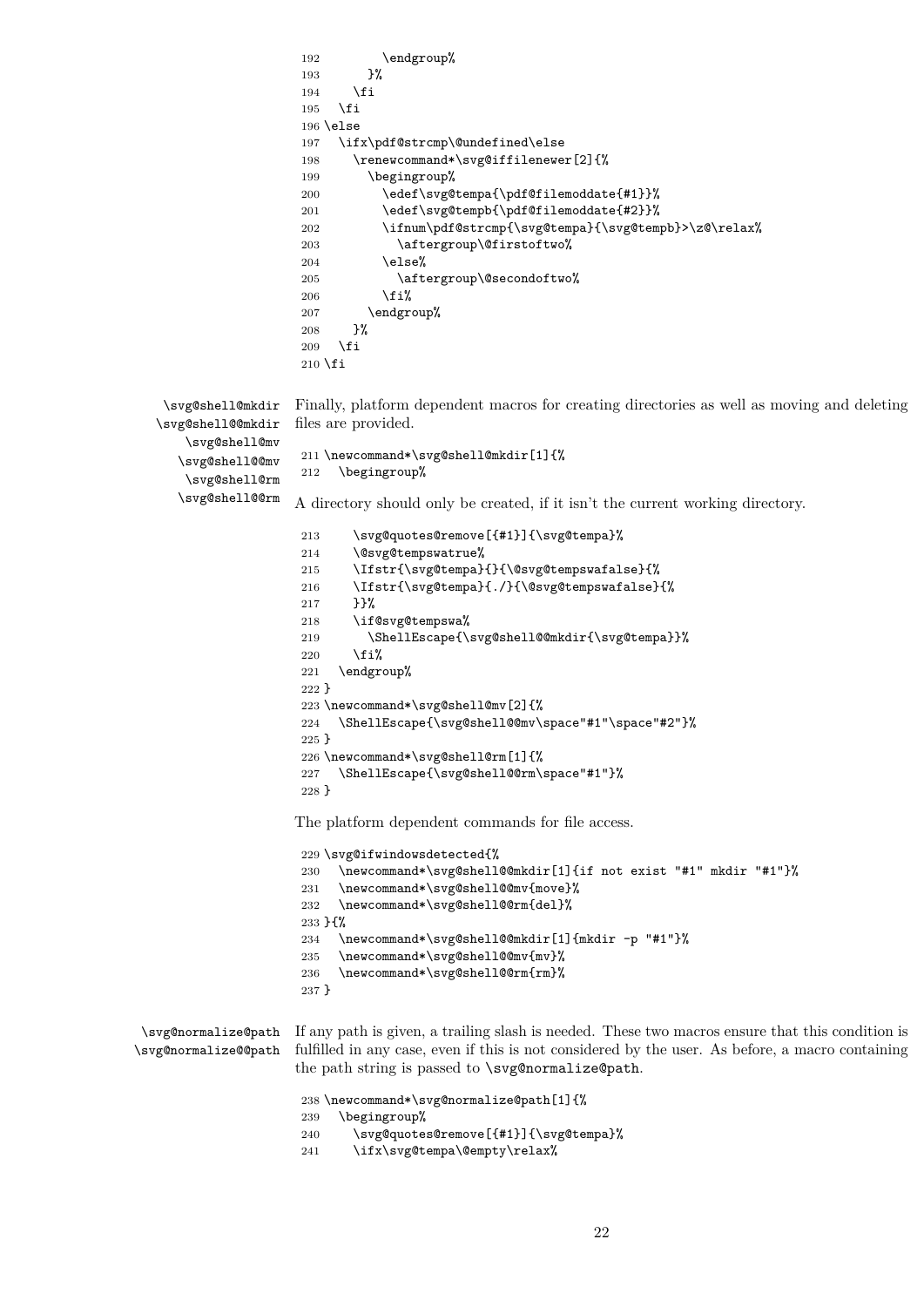```
192 \endgroup%
                       193 }%
                       194 \fi
                       195 \overline{195}196 \else
                       197 \ifx\pdf@strcmp\@undefined\else
                       198 \renewcommand*\svg@iffilenewer[2]{%
                       199 \begingroup%
                       200 \edef\svg@tempa{\pdf@filemoddate{#1}}%
                       201 \edef\svg@tempb{\pdf@filemoddate{#2}}%<br>202 \ifnum\pdf@strcmp{\svg@tempa}{\svg@tem
                                  \ifnum\pdf@strcmp{\svg@tempa}{\svg@tempb}>\z@\relax%
                       203 \aftergroup\@firstoftwo%
                       204 \else%
                       205 \aftergroup\@secondoftwo%
                       206 \fi%
                       207 \endgroup%
                       208 }%
                       209 \overline{\text{fi}}210 \fi
   \svg@shell@mkdir
   \svg@shell@@mkdir
       \svg@shell@mv
      \svg@shell@@mv
       \svg@shell@rm
      \svg@shell@@rm
                      Finally, platform dependent macros for creating directories as well as moving and deleting
                      files are provided.
                       211 \newcommand*\svg@shell@mkdir[1]{%
                       212 \begingroup%
                      A directory should only be created, if it isn't the current working directory.
                       213 \svg@quotes@remove[{#1}]{\svg@tempa}%
                       214 \@svg@tempswatrue%
                       215 \Ifstr{\svg@tempa}{}{\@svg@tempswafalse}{%
                       216 \Ifstr{\svg@tempa}{./}{\@svg@tempswafalse}{%
                       217 }}%
                       218 \if@svg@tempswa%
                       219 \ShellEscape{\svg@shell@@mkdir{\svg@tempa}}%
                       220 \overline{\text{if}'}221 \endgroup%
                       222 }
                       223 \newcommand*\svg@shell@mv[2]{%
                       224 \ShellEscape{\svg@shell@@mv\space"#1"\space"#2"}%
                       225 }
                       226 \newcommand*\svg@shell@rm[1]{%
                       227 \ShellEscape{\svg@shell@@rm\space"#1"}%
                       228 }
                      The platform dependent commands for file access.
                       229 \svg@ifwindowsdetected{%
                       230 \newcommand*\svg@shell@@mkdir[1]{if not exist "#1" mkdir "#1"}%
                       231 \newcommand*\svg@shell@@mv{move}%
                       232 \newcommand*\svg@shell@@rm{del}%
                       233 }{%
                       234 \newcommand*\svg@shell@@mkdir[1]{mkdir -p "#1"}%
                       235 \newcommand*\svg@shell@@mv{mv}%
                       236 \newcommand*\svg@shell@@rm{rm}%
                       237 }
 \svg@normalize@path
If any path is given, a trailing slash is needed. These two macros ensure that this condition is
\svg@normalize@@path
                      fulfilled in any case, even if this is not considered by the user. As before, a macro containing
                      the path string is passed to \svg@normalize@path.
                       238 \newcommand*\svg@normalize@path[1]{%
                       239 \begingroup%
                       240 \svg@quotes@remove[{#1}]{\svg@tempa}%
                       241 \ifx\svg@tempa\@empty\relax%
```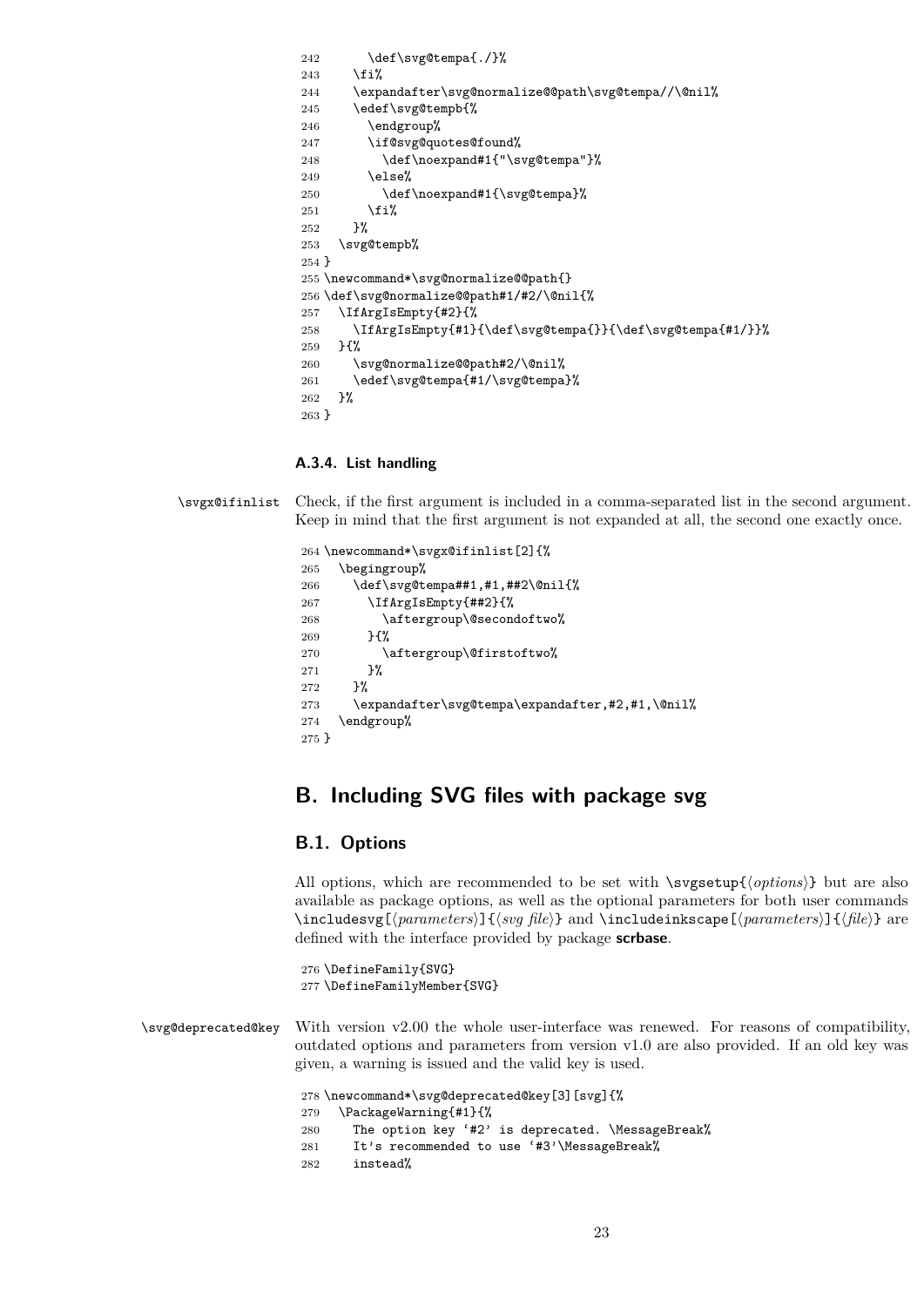242 \def\svg@tempa{./}%  $\overrightarrow{1}$  \expandafter\svg@normalize@@path\svg@tempa//\@nil% \edef\svg@tempb{% \endgroup% \if@svg@quotes@found% 248 \def\noexpand#1{"\svg@tempa"}%  $\text{lelse}$ % 250 \def\noexpand#1{\svg@tempa}%  $\overrightarrow{fi}$  }% \svg@tempb% } \newcommand\*\svg@normalize@@path{} \def\svg@normalize@@path#1/#2/\@nil{% \IfArgIsEmpty{#2}{% \IfArgIsEmpty{#1}{\def\svg@tempa{}}{\def\svg@tempa{#1/}}% }{% \svg@normalize@@path#2/\@nil% \edef\svg@tempa{#1/\svg@tempa}% }% }

### <span id="page-22-0"></span>**A.3.4. List handling**

\svgx@ifinlist Check, if the first argument is included in a comma-separated list in the second argument. Keep in mind that the first argument is not expanded at all, the second one exactly once.

```
264 \newcommand*\svgx@ifinlist[2]{%
265 \begingroup%
266 \def\svg@tempa##1,#1,##2\@nil{%
267 \IfArgIsEmpty{##2}{%
268 \aftergroup\@secondoftwo%
269 }{%
270 \aftergroup\@firstoftwo%
271 }%
272 }%
273 \expandafter\svg@tempa\expandafter,#2,#1,\@nil%
274 \endgroup%
275 }
```
# <span id="page-22-1"></span>**B. Including SVG files with package svg**

### <span id="page-22-2"></span>**B.1. Options**

All options, which are recommended to be set with  $\s_{optif{options}}$  but are also available as package options, as well as the optional parameters for both user commands \includesvg[ $\langle parameters \rangle$ ]{ $\langle sys \overline{file} \rangle$ } and \includeinkscape[ $\langle parameters \rangle$ ]{ $\{file\}$ } are defined with the interface provided by package **scrbase**.

 \DefineFamily{SVG} \DefineFamilyMember{SVG}

\svg@deprecated@key With version v2.00 the whole user-interface was renewed. For reasons of compatibility, outdated options and parameters from version v1.0 are also provided. If an old key was given, a warning is issued and the valid key is used.

```
278 \newcommand*\svg@deprecated@key[3][svg]{%
```

```
279 \PackageWarning{#1}{%
```
The option key '#2' is deprecated. \MessageBreak%

```
281 It's recommended to use '#3'\MessageBreak%
```
instead%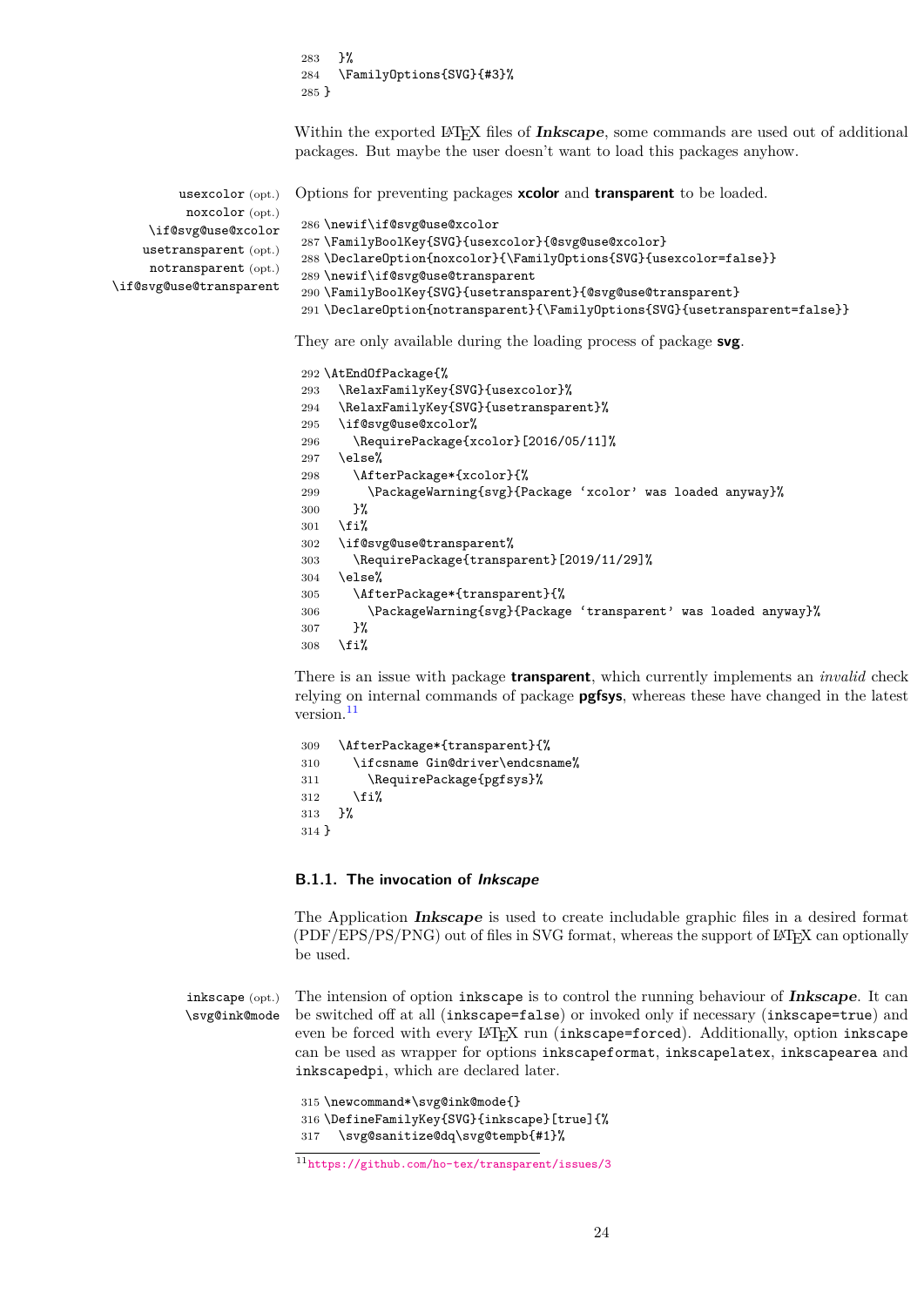283 }% 284 \FamilyOptions{SVG}{#3}% 285 }

Within the exported L<sup>AT</sup>EX files of **Inkscape**, some commands are used out of additional packages. But maybe the user doesn't want to load this packages anyhow.

| $usexcolor(\; opt.)$             | Options for preventing packages <b>xcolor</b> and <b>transparent</b> to be loaded. |
|----------------------------------|------------------------------------------------------------------------------------|
| $\texttt{noxcolor}(\text{opt.})$ |                                                                                    |
| \if@svg@use@xcolor               | 286 \newif\if@svg@use@xcolor                                                       |
| usetransparent (opt.)            | 287 \FamilyBoolKey{SVG}{usexcolor}{@svg@use@xcolor}                                |
|                                  | 288 \Declare0ption{noxcolor}{\Family0ptions{SVG}{usexcolor=false}}                 |
| notransparent (opt.)             | 289 \newif\if@svg@use@transparent                                                  |
| \if@svg@use@transparent          | 290 \FamilyBoolKey{SVG}{usetransparent}{@svg@use@transparent}                      |
|                                  | 291\DeclareOption{notransparent}{\FamilyOptions{SVG}{usetransparent=false}}        |

They are only available during the loading process of package **svg**.

```
292 \AtEndOfPackage{%
293 \RelaxFamilyKey{SVG}{usexcolor}%
294 \RelaxFamilyKey{SVG}{usetransparent}%
295 \if@svg@use@xcolor%
296 \RequirePackage{xcolor}[2016/05/11]%
297 \else%
298 \AfterPackage*{xcolor}{%
299 \PackageWarning{svg}{Package 'xcolor' was loaded anyway}%
300 }%
301 \forallfi%
302 \if@svg@use@transparent%
303 \RequirePackage{transparent}[2019/11/29]%
304 \else%
305 \AfterPackage*{transparent}{%
306 \PackageWarning{svg}{Package 'transparent' was loaded anyway}%
307 }%
308 \fi%
```
There is an issue with package **transparent**, which currently implements an *invalid* check relying on internal commands of package **pgfsys**, whereas these have changed in the latest version.<sup>[11](#page-23-1)</sup>

```
309 \AfterPackage*{transparent}{%
310 \ifcsname Gin@driver\endcsname%
311 \RequirePackage{pgfsys}%
312 \fi%
313 }%
314 }
```
#### <span id="page-23-0"></span>**B.1.1. The invocation of Inkscape**

The Application **Inkscape** is used to create includable graphic files in a desired format (PDF/EPS/PS/PNG) out of files in SVG format, whereas the support of LATEX can optionally be used.

inkscape (opt.) \svg@ink@mode

The intension of option inkscape is to control the running behaviour of **Inkscape**. It can be switched off at all (inkscape=false) or invoked only if necessary (inkscape=true) and even be forced with every LATEX run (inkscape=forced). Additionally, option inkscape can be used as wrapper for options inkscapeformat, inkscapelatex, inkscapearea and inkscapedpi, which are declared later.

315 \newcommand\*\svg@ink@mode{} 316 \DefineFamilyKey{SVG}{inkscape}[true]{% 317 \svg@sanitize@dq\svg@tempb{#1}%

<span id="page-23-1"></span><sup>11</sup><https://github.com/ho-tex/transparent/issues/3>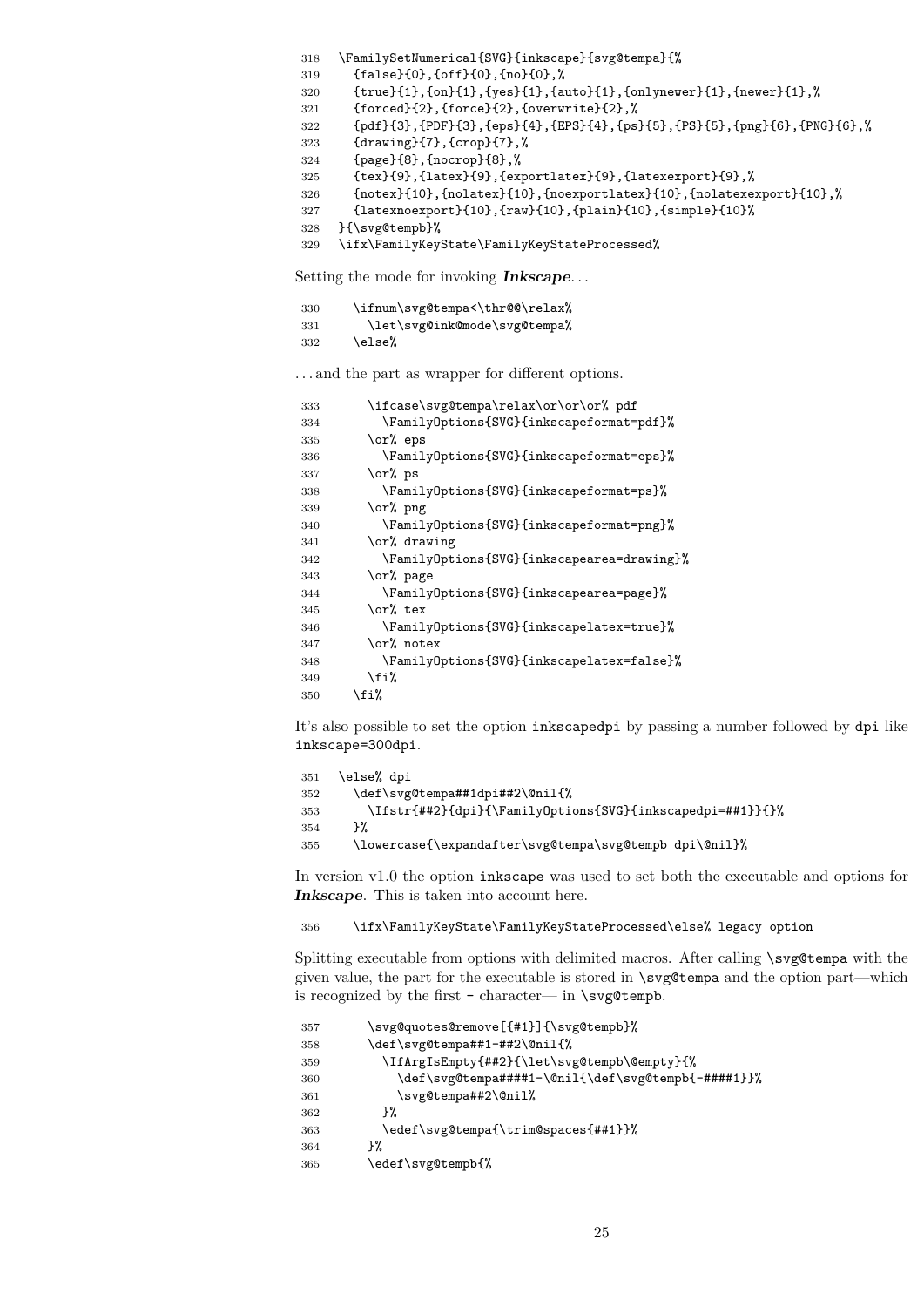```
318 \FamilySetNumerical{SVG}{inkscape}{svg@tempa}{%
319 {false}{0},{off}{0},{no}{0},%
320 {true}{1},{on}{1},{yes}{1},{auto}{1},{onlynewer}{1},{newer}{1},%
321 {forced}{2},{force}{2},{overwrite}{2},%
322 {pdf}{3},{PDF}{3},{eps}{4},{EPS}{4},{ps}{5},{PS}{5},{png}{6},{PNG}{6},%
323 {drawing}{7},{crop}{7},%
324 {page}{8},{nocrop}{8},%
325 {tex}{9},{latex}{9},{exportlatex}{9},{latexexport}{9},%
326 {notex}{10},{nolatex}{10},{noexportlatex}{10},{nolatexexport}{10},%
327 {latexnoexport}{10},{raw}{10},{plain}{10},{simple}{10}%
328 }{\svg@tempb}%
```
\ifx\FamilyKeyState\FamilyKeyStateProcessed%

Setting the mode for invoking **Inkscape**. . .

| 330 | \ifnum\svg@tempa<\thr@@\relax% |
|-----|--------------------------------|
| 331 | \let\svg@ink@mode\svg@tempa%   |
| 332 | \else%                         |

. . . and the part as wrapper for different options.

| 333 | \ifcase\svg@tempa\relax\or\or\or% pdf      |
|-----|--------------------------------------------|
| 334 | \FamilyOptions{SVG}{inkscapeformat=pdf}%   |
| 335 | \or% eps                                   |
| 336 | \FamilyOptions{SVG}{inkscapeformat=eps}%   |
| 337 | \or% ps                                    |
| 338 | \FamilyOptions{SVG}{inkscapeformat=ps}%    |
| 339 | \or% png                                   |
| 340 | \FamilyOptions{SVG}{inkscapeformat=png}%   |
| 341 | \or% drawing                               |
| 342 | \FamilyOptions{SVG}{inkscapearea=drawing}% |
| 343 | \or% page                                  |
| 344 | \FamilyOptions{SVG}{inkscapearea=page}%    |
| 345 | \or% tex                                   |
| 346 | \FamilyOptions{SVG}{inkscapelatex=true}%   |
| 347 | \or% notex                                 |
| 348 | \FamilyOptions{SVG}{inkscapelatex=false}%  |
| 349 | \fi%                                       |
| 350 | \fi%                                       |

It's also possible to set the option inkscapedpi by passing a number followed by dpi like inkscape=300dpi.

```
351 \else% dpi
352 \def\svg@tempa##1dpi##2\@nil{%
353 \Ifstr{##2}{dpi}{\FamilyOptions{SVG}{inkscapedpi=##1}}{}%
354 }%
355 \lowercase{\expandafter\svg@tempa\svg@tempb dpi\@nil}%
```
In version v1.0 the option inkscape was used to set both the executable and options for **Inkscape**. This is taken into account here.

\ifx\FamilyKeyState\FamilyKeyStateProcessed\else% legacy option

Splitting executable from options with delimited macros. After calling \svg@tempa with the given value, the part for the executable is stored in \svg@tempa and the option part—which is recognized by the first - character— in  $\s$ yg@tempb.

```
357 \svg@quotes@remove[{#1}]{\svg@tempb}%
358 \def\svg@tempa##1-##2\@nil{%
359 \IfArgIsEmpty{##2}{\let\svg@tempb\@empty}{%
360 \def\svg@tempa####1-\@nil{\def\svg@tempb{-####1}}%
361 \svg@tempa##2\@nil%
362 }%
363 \edef\svg@tempa{\trim@spaces{##1}}%
364 }%
365 \edef\svg@tempb{%
```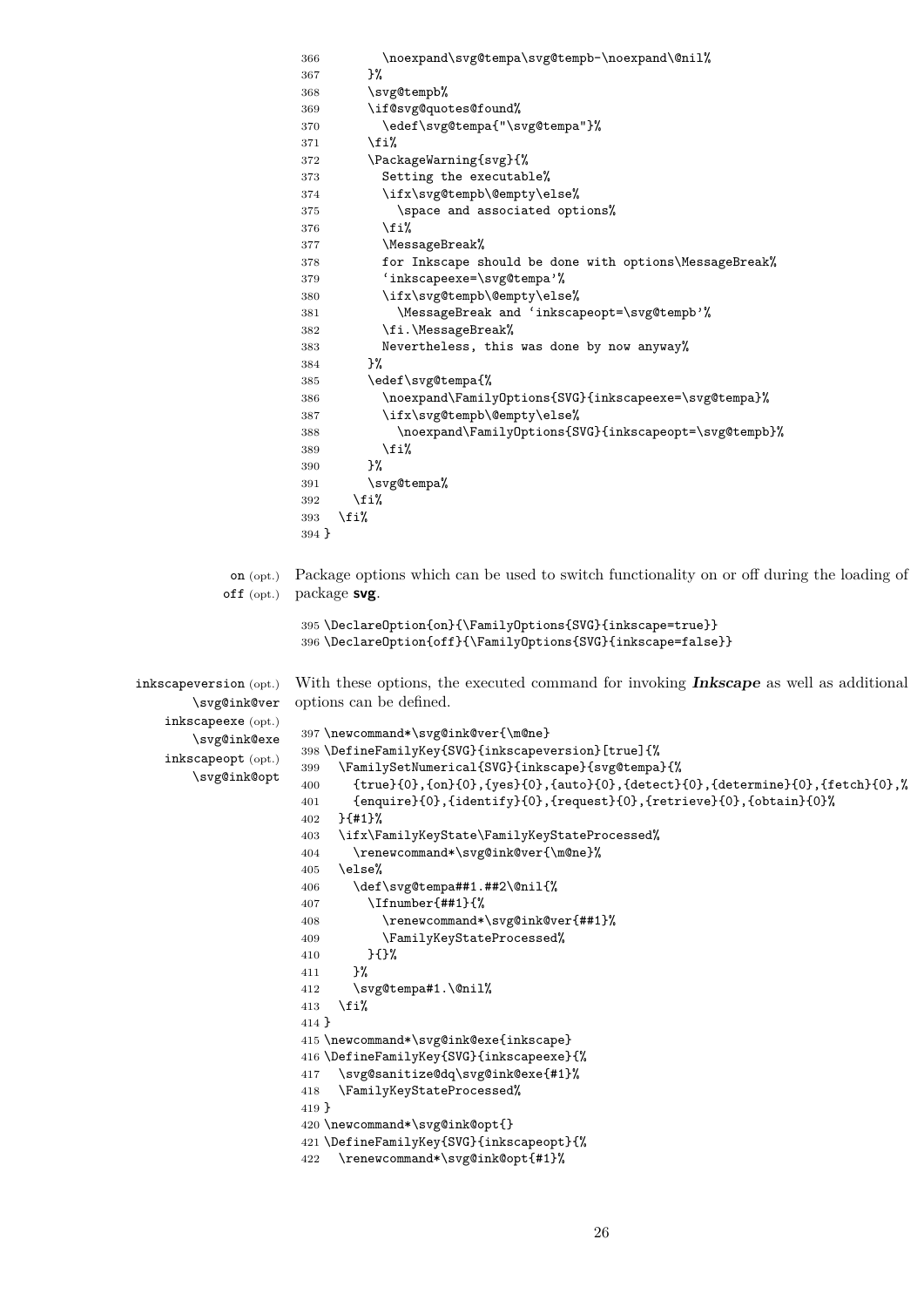```
366 \noexpand\svg@tempa\svg@tempb-\noexpand\@nil%
                     367 }%
                     368 \svg@tempb%
                     369 \if@svg@quotes@found%
                     370 \edef\svg@tempa{"\svg@tempa"}%
                    371 \fi%
                    372 \PackageWarning{svg}{%
                    373 Setting the executable%
                    374 \ifx\svg@tempb\@empty\else%
                    375 \space and associated options%
                     376 \fi%
                     377 \MessageBreak%
                     378 for Inkscape should be done with options\MessageBreak%
                     379 'inkscapeexe=\svg@tempa'%
                     380 \ifx\svg@tempb\@empty\else%
                     381 \MessageBreak and 'inkscapeopt=\svg@tempb'%
                     382 \fi.\MessageBreak%
                     383 Nevertheless, this was done by now anyway%
                    384 }%
                    385 \edef\svg@tempa{%
                    386 \noexpand\FamilyOptions{SVG}{inkscapeexe=\svg@tempa}%
                    387 \ifx\svg@tempb\@empty\else%
                     388 \noexpand\FamilyOptions{SVG}{inkscapeopt=\svg@tempb}%
                     389 \overrightarrow{1}390 }%
                     391 \svg@tempa%
                     392 \fi%
                    393 \fi%
                    394 }
            on (opt.)
          off (opt.)
                    Package options which can be used to switch functionality on or off during the loading of
                    package svg.
                     395 \DeclareOption{on}{\FamilyOptions{SVG}{inkscape=true}}
                    396 \DeclareOption{off}{\FamilyOptions{SVG}{inkscape=false}}
inkscapeversion (opt.)
       \svg@ink@ver
   inkscapeexe (opt.)
       \svg@ink@exe
   inkscapeopt (opt.)
       \svg@ink@opt
                    With these options, the executed command for invoking Inkscape as well as additional
                    options can be defined.
                    397 \newcommand*\svg@ink@ver{\m@ne}
                    398 \DefineFamilyKey{SVG}{inkscapeversion}[true]{%
                     399 \FamilySetNumerical{SVG}{inkscape}{svg@tempa}{%
                     400 {true}{0},{on}{0},{yes}{0},{auto}{0},{detect}{0},{determine}{0},{fetch}{0},%
                     401 {enquire}{0},{identify}{0},{request}{0},{retrieve}{0},{obtain}{0}%
                     402 }{#1}%
                     403 \ifx\FamilyKeyState\FamilyKeyStateProcessed%
                     404 \renewcommand*\svg@ink@ver{\m@ne}%
                     405 \else%
                     406 \def\svg@tempa##1.##2\@nil{%
                     407 \Ifnumber{##1}{%
                     408 \renewcommand*\svg@ink@ver{##1}%
                     409 \FamilyKeyStateProcessed%
                    410 } {}%
                    411 }%
                    412 \svg@tempa#1.\@nil%
                    413 \text{ifi}414 }
                    415 \newcommand*\svg@ink@exe{inkscape}
                    416 \DefineFamilyKey{SVG}{inkscapeexe}{%
                    417 \svg@sanitize@dq\svg@ink@exe{#1}%
                    418 \FamilyKeyStateProcessed%
                    419 }
                    420 \newcommand*\svg@ink@opt{}
                    421 \DefineFamilyKey{SVG}{inkscapeopt}{%
                     422 \renewcommand*\svg@ink@opt{#1}%
```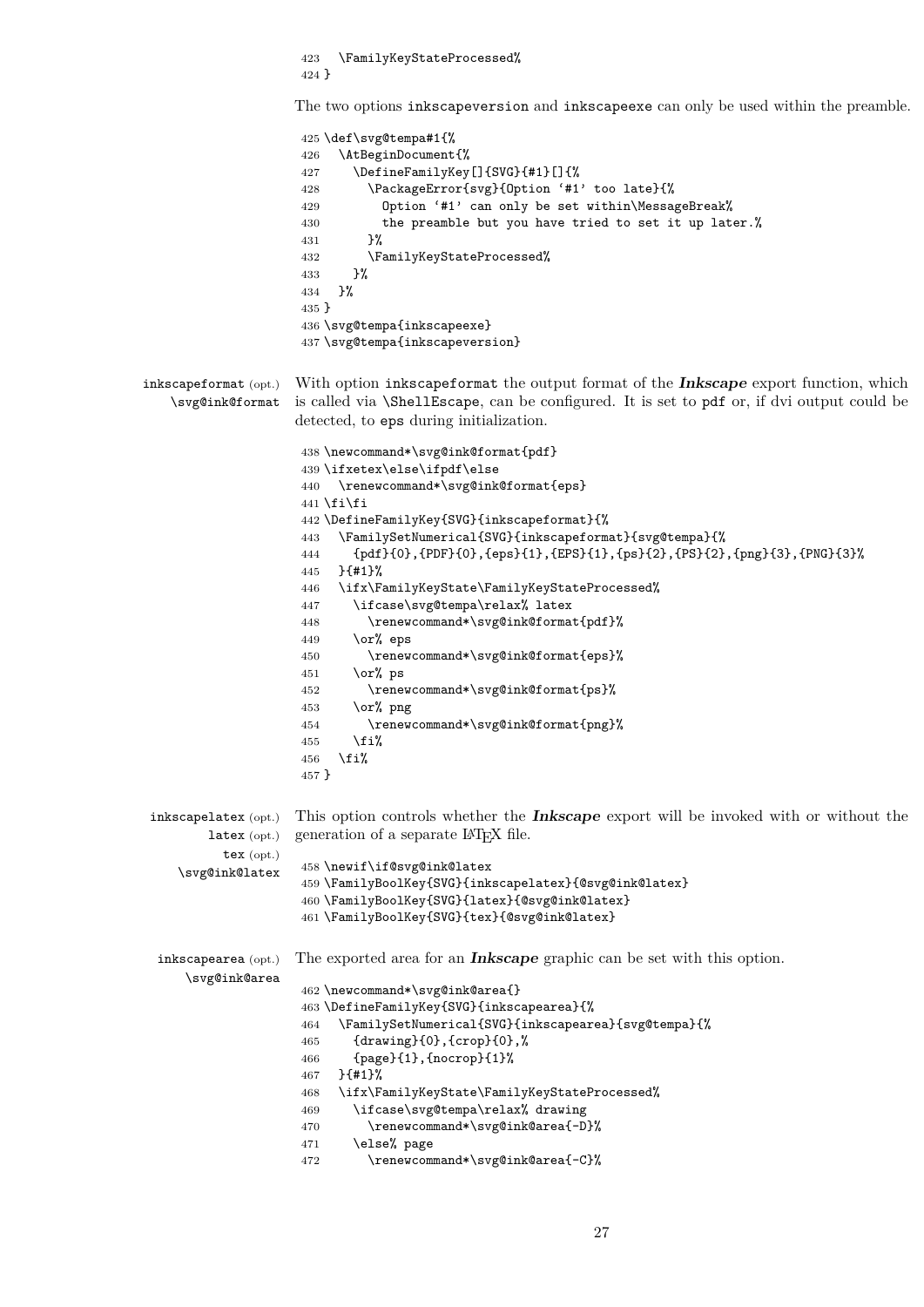\FamilyKeyStateProcessed% }

The two options inkscapeversion and inkscapeexe can only be used within the preamble.

|                                                                | 425 \def\svg@tempa#1{%<br>\AtBeginDocument{%<br>426<br>\DefineFamilyKey[]{SVG}{#1}[]{%<br>427<br>\PackageError{svg}{Option '#1' too late}{%<br>428<br>Option '#1' can only be set within\MessageBreak%<br>429<br>the preamble but you have tried to set it up later.%<br>430<br>}%<br>431<br>\FamilyKeyStateProcessed%<br>432<br>}%<br>433<br>}%<br>434<br>$435$ }<br>436 \svg@tempa{inkscapeexe}<br>437 \svg@tempa{inkscapeversion}                                                                                                                                                                                                                                                                                                      |
|----------------------------------------------------------------|-------------------------------------------------------------------------------------------------------------------------------------------------------------------------------------------------------------------------------------------------------------------------------------------------------------------------------------------------------------------------------------------------------------------------------------------------------------------------------------------------------------------------------------------------------------------------------------------------------------------------------------------------------------------------------------------------------------------------------------------|
| inkscapeformat (opt.)<br>\svg@ink@format                       | With option inkscapeformat the output format of the Inkscape export function, which<br>is called via <i>\ShellEscape</i> , can be configured. It is set to pdf or, if dvi output could be<br>detected, to eps during initialization.                                                                                                                                                                                                                                                                                                                                                                                                                                                                                                      |
|                                                                | 438\newcommand*\svg@ink@format{pdf}<br>439 \ifxetex\else\ifpdf\else<br>\renewcommand*\svg@ink@format{eps}<br>440<br>441 \fi\fi<br>442 \DefineFamilyKey{SVG}{inkscapeformat}{%<br>\FamilySetNumerical{SVG}{inkscapeformat}{svg@tempa}{%<br>443<br>{pdf}{0},{PDF}{0},{eps}{1},{EPS}{1},{ps}{2},{PS}{2},{png}{3},{PNG}{3}%}<br>444<br>$}$ {#1}%<br>445<br>\ifx\FamilyKeyState\FamilyKeyStateProcessed%<br>446<br>\ifcase\svg@tempa\relax% latex<br>447<br>\renewcommand*\svg@ink@format{pdf}%<br>448<br>\or% eps<br>449<br>\renewcommand*\svg@ink@format{eps}%<br>450<br>\or% ps<br>451<br>\renewcommand*\svg@ink@format{ps}%<br>452<br>\or% png<br>453<br>\renewcommand*\svg@ink@format{png}%<br>454<br>\fi%<br>455<br>\fi%<br>456<br>457 } |
| $inkscape\text{late}x$ (opt.)<br>$\texttt{latex}(\text{opt.})$ | This option controls whether the <b>Inkscape</b> export will be invoked with or without the<br>generation of a separate LAT <sub>E</sub> X file.                                                                                                                                                                                                                                                                                                                                                                                                                                                                                                                                                                                          |
| $text{tex}$ (opt.)                                             |                                                                                                                                                                                                                                                                                                                                                                                                                                                                                                                                                                                                                                                                                                                                           |
| \svg@ink@latex                                                 | 458 \newif\if@svg@ink@latex                                                                                                                                                                                                                                                                                                                                                                                                                                                                                                                                                                                                                                                                                                               |
|                                                                | 459 \FamilyBoolKey{SVG}{inkscapelatex}{@svg@ink@latex}                                                                                                                                                                                                                                                                                                                                                                                                                                                                                                                                                                                                                                                                                    |
|                                                                | 460 \FamilyBoolKey{SVG}{latex}{@svg@ink@latex}<br>461 \FamilyBoolKey{SVG}{tex}{@svg@ink@latex}                                                                                                                                                                                                                                                                                                                                                                                                                                                                                                                                                                                                                                            |
| inkscapearea (opt.)<br>\svg@ink@area                           | The exported area for an <b>Inkscape</b> graphic can be set with this option.                                                                                                                                                                                                                                                                                                                                                                                                                                                                                                                                                                                                                                                             |
|                                                                | 462 \newcommand*\svg@ink@area{}                                                                                                                                                                                                                                                                                                                                                                                                                                                                                                                                                                                                                                                                                                           |
|                                                                | 463 \DefineFamilyKey{SVG}{inkscapearea}{%                                                                                                                                                                                                                                                                                                                                                                                                                                                                                                                                                                                                                                                                                                 |
|                                                                | \FamilySetNumerical{SVG}{inkscapearea}{svg@tempa}{%<br>464                                                                                                                                                                                                                                                                                                                                                                                                                                                                                                                                                                                                                                                                                |
|                                                                | {drawing}{0}, {crop}{0},%<br>465<br>{page}{1}, {nocrop}{1}%<br>466                                                                                                                                                                                                                                                                                                                                                                                                                                                                                                                                                                                                                                                                        |
|                                                                | $}$ {#1}%<br>467                                                                                                                                                                                                                                                                                                                                                                                                                                                                                                                                                                                                                                                                                                                          |
|                                                                | \ifx\FamilyKeyState\FamilyKeyStateProcessed%<br>468                                                                                                                                                                                                                                                                                                                                                                                                                                                                                                                                                                                                                                                                                       |
|                                                                | \ifcase\svg@tempa\relax% drawing<br>469                                                                                                                                                                                                                                                                                                                                                                                                                                                                                                                                                                                                                                                                                                   |
|                                                                | \renewcommand*\svg@ink@area{-D}%<br>470                                                                                                                                                                                                                                                                                                                                                                                                                                                                                                                                                                                                                                                                                                   |
|                                                                | \else% page<br>471                                                                                                                                                                                                                                                                                                                                                                                                                                                                                                                                                                                                                                                                                                                        |
|                                                                | \renewcommand*\svg@ink@area{-C}%<br>472                                                                                                                                                                                                                                                                                                                                                                                                                                                                                                                                                                                                                                                                                                   |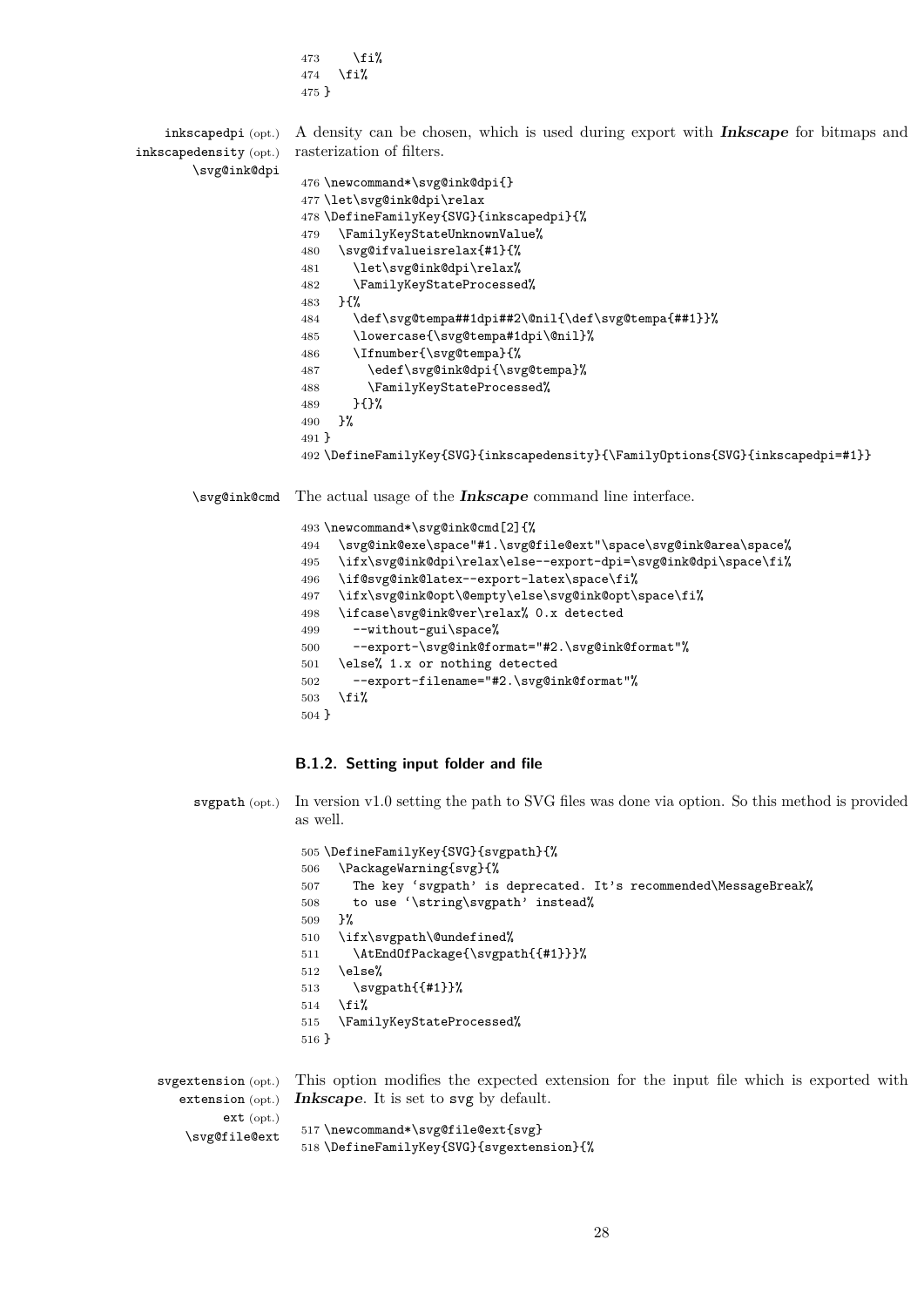473  $\{f_i\}$  \fi% } inkscapedpi (opt.) inkscapedensity (opt.) \svg@ink@dpi A density can be chosen, which is used during export with **Inkscape** for bitmaps and rasterization of filters. \newcommand\*\svg@ink@dpi{} \let\svg@ink@dpi\relax \DefineFamilyKey{SVG}{inkscapedpi}{% \FamilyKeyStateUnknownValue% \svg@ifvalueisrelax{#1}{% \let\svg@ink@dpi\relax% \FamilyKeyStateProcessed% }{% \def\svg@tempa##1dpi##2\@nil{\def\svg@tempa{##1}}% \lowercase{\svg@tempa#1dpi\@nil}% \Ifnumber{\svg@tempa}{% \edef\svg@ink@dpi{\svg@tempa}% \FamilyKeyStateProcessed% }{}% }% } \DefineFamilyKey{SVG}{inkscapedensity}{\FamilyOptions{SVG}{inkscapedpi=#1}} \svg@ink@cmd The actual usage of the **Inkscape** command line interface. \newcommand\*\svg@ink@cmd[2]{%

 \svg@ink@exe\space"#1.\svg@file@ext"\space\svg@ink@area\space% \ifx\svg@ink@dpi\relax\else--export-dpi=\svg@ink@dpi\space\fi% \if@svg@ink@latex--export-latex\space\fi% \ifx\svg@ink@opt\@empty\else\svg@ink@opt\space\fi% \ifcase\svg@ink@ver\relax% 0.x detected --without-gui\space% --export-\svg@ink@format="#2.\svg@ink@format"% \else% 1.x or nothing detected --export-filename="#2.\svg@ink@format"% \fi% }

#### <span id="page-27-0"></span>**B.1.2. Setting input folder and file**

 $505 \times 10^{10}$   $\text{F}$   $\text{F}$   $\text{F}$   $\text{F}$   $\text{F}$   $\text{F}$   $\text{F}$   $\text{F}$   $\text{F}$   $\text{F}$   $\text{F}$   $\text{F}$   $\text{F}$   $\text{F}$   $\text{F}$   $\text{F}$   $\text{F}$   $\text{F}$   $\text{F}$   $\text{F}$   $\text{F}$   $\text{F}$   $\text{F}$   $\text{F}$   $\text{F}$   $\text{F}$ 

svgpath (opt.) In version v1.0 setting the path to SVG files was done via option. So this method is provided as well.

|         | 505 \DerineramilyKey{SVG}{SVgpath}{%                            |
|---------|-----------------------------------------------------------------|
| 506     | \PackageWarning{svg}{%                                          |
| 507     | The key 'svgpath' is deprecated. It's recommended\MessageBreak% |
| 508     | to use '\string\svgpath' instead%                               |
| 509     | ጉ%                                                              |
| 510     | \ifx\svgpath\@undefined%                                        |
| 511     | \AtEndOfPackage{\svgpath{{#1}}}%                                |
| 512     | \else%                                                          |
| 513     | $\sqrt{\text{sypath}({11}}$                                     |
| 514     | \fi%                                                            |
| 515     | \FamilyKeyStateProcessed%                                       |
| $516$ } |                                                                 |
|         |                                                                 |
|         | $\cdots$                                                        |

svgextension (opt.) extension (opt.) ext (opt.) \svg@file@ext This option modifies the expected extension for the input file which is exported with **Inkscape**. It is set to svg by default. \newcommand\*\svg@file@ext{svg} \DefineFamilyKey{SVG}{svgextension}{%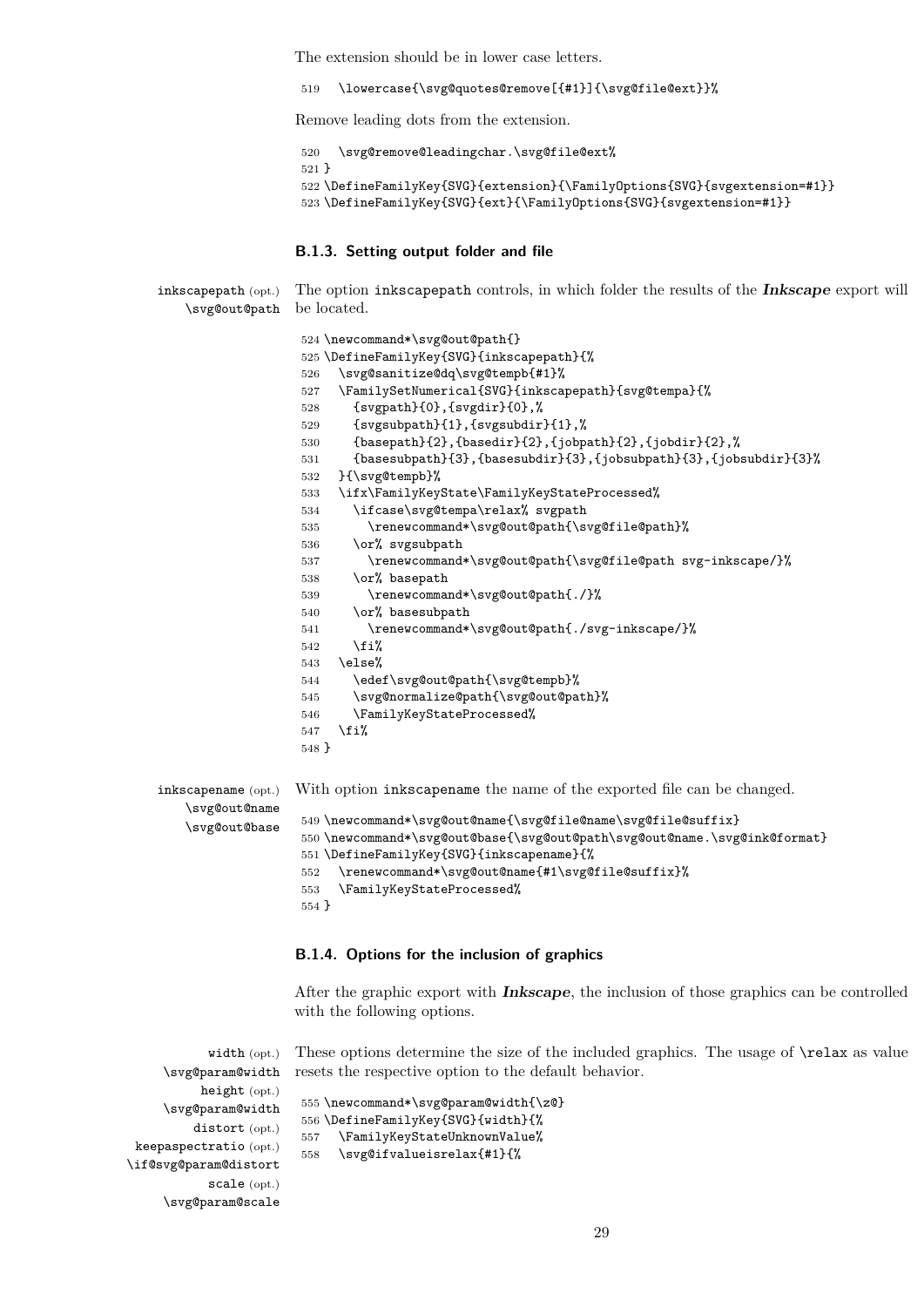The extension should be in lower case letters.

\lowercase{\svg@quotes@remove[{#1}]{\svg@file@ext}}%

Remove leading dots from the extension.

```
520 \svg@remove@leadingchar.\svg@file@ext%
521 }
522 \DefineFamilyKey{SVG}{extension}{\FamilyOptions{SVG}{svgextension=#1}}
523 \DefineFamilyKey{SVG}{ext}{\FamilyOptions{SVG}{svgextension=#1}}
```
#### <span id="page-28-0"></span>**B.1.3. Setting output folder and file**

inkscapepath (opt.) \svg@out@path be located. The option inkscapepath controls, in which folder the results of the **Inkscape** export will

|                     | 524 \newcommand*\svg@out@path{}                                                                                          |
|---------------------|--------------------------------------------------------------------------------------------------------------------------|
|                     | 525 \DefineFamilyKey{SVG}{inkscapepath}{%                                                                                |
|                     | \svg@sanitize@dq\svg@tempb{#1}%<br>526                                                                                   |
|                     | \FamilySetNumerical{SVG}{inkscapepath}{svg@tempa}{%<br>527                                                               |
|                     | $\{sygpath\}(0\}$ , $\{sygdir\}(0\}$ , $\%$<br>528                                                                       |
|                     | $\{syg \text{subpath}\}\{1\}$ , $\{syg \text{subdir}\}\{1\}$ , $\%$<br>529                                               |
|                     | ${basepath}{2}, {basedir}{2}, {jobpath}{2}, {jobdir}{2},$<br>530                                                         |
|                     | $\{base \text{subpath}\{3\}, \{base \text{subdir}\{3\}, \{job \text{subpath}\{3\}, \{job \text{subdir}\{3\}\},\}$<br>531 |
|                     | }{\svg@tempb}%<br>532                                                                                                    |
|                     | \ifx\FamilyKeyState\FamilyKeyStateProcessed%<br>533                                                                      |
|                     | \ifcase\svg@tempa\relax% svgpath<br>534                                                                                  |
|                     | \renewcommand*\svg@out@path{\svg@file@path}%<br>535                                                                      |
|                     | \or% svgsubpath<br>536                                                                                                   |
|                     | \renewcommand*\svg@out@path{\svg@file@path svg-inkscape/}%<br>537                                                        |
|                     | \or% basepath<br>538                                                                                                     |
|                     | \renewcommand*\svg@out@path{./}%<br>539                                                                                  |
|                     | \or% basesubpath<br>540                                                                                                  |
|                     | \renewcommand*\svg@out@path{./svg-inkscape/}%<br>541                                                                     |
|                     | \fi%<br>542                                                                                                              |
|                     | \else%<br>543                                                                                                            |
|                     | \edef\svg@out@path{\svg@tempb}%<br>544                                                                                   |
|                     | \svg@normalize@path{\svg@out@path}%<br>545                                                                               |
|                     | \FamilyKeyStateProcessed%<br>546                                                                                         |
|                     | \fi%<br>547                                                                                                              |
|                     | $548$ }                                                                                                                  |
|                     |                                                                                                                          |
| inkscapename (opt.) | With option inkscapename the name of the exported file can be changed.                                                   |
| \svg@out@name       |                                                                                                                          |
| \svg@out@base       | 549 \newcommand*\svg@out@name{\svg@file@name\svg@file@suffix}                                                            |
|                     | 550\newcommand*\svg@out@base{\svg@out@path\svg@out@name.\svg@ink@format}<br>551 \DefineFamilyKey{SVG}{inkscapename}{%    |
|                     |                                                                                                                          |

```
552 \renewcommand*\svg@out@name{#1\svg@file@suffix}%
```

```
553 \FamilyKeyStateProcessed%
```
}

\svg@param@scale

#### <span id="page-28-1"></span>**B.1.4. Options for the inclusion of graphics**

After the graphic export with **Inkscape**, the inclusion of those graphics can be controlled with the following options.

width (opt.) \svg@param@width height (opt.) \svg@param@width distort (opt.) keepaspectratio (opt.) \if@svg@param@distort scale (opt.) These options determine the size of the included graphics. The usage of \relax as value resets the respective option to the default behavior. \newcommand\*\svg@param@width{\z@} \DefineFamilyKey{SVG}{width}{% \FamilyKeyStateUnknownValue% \svg@ifvalueisrelax{#1}{%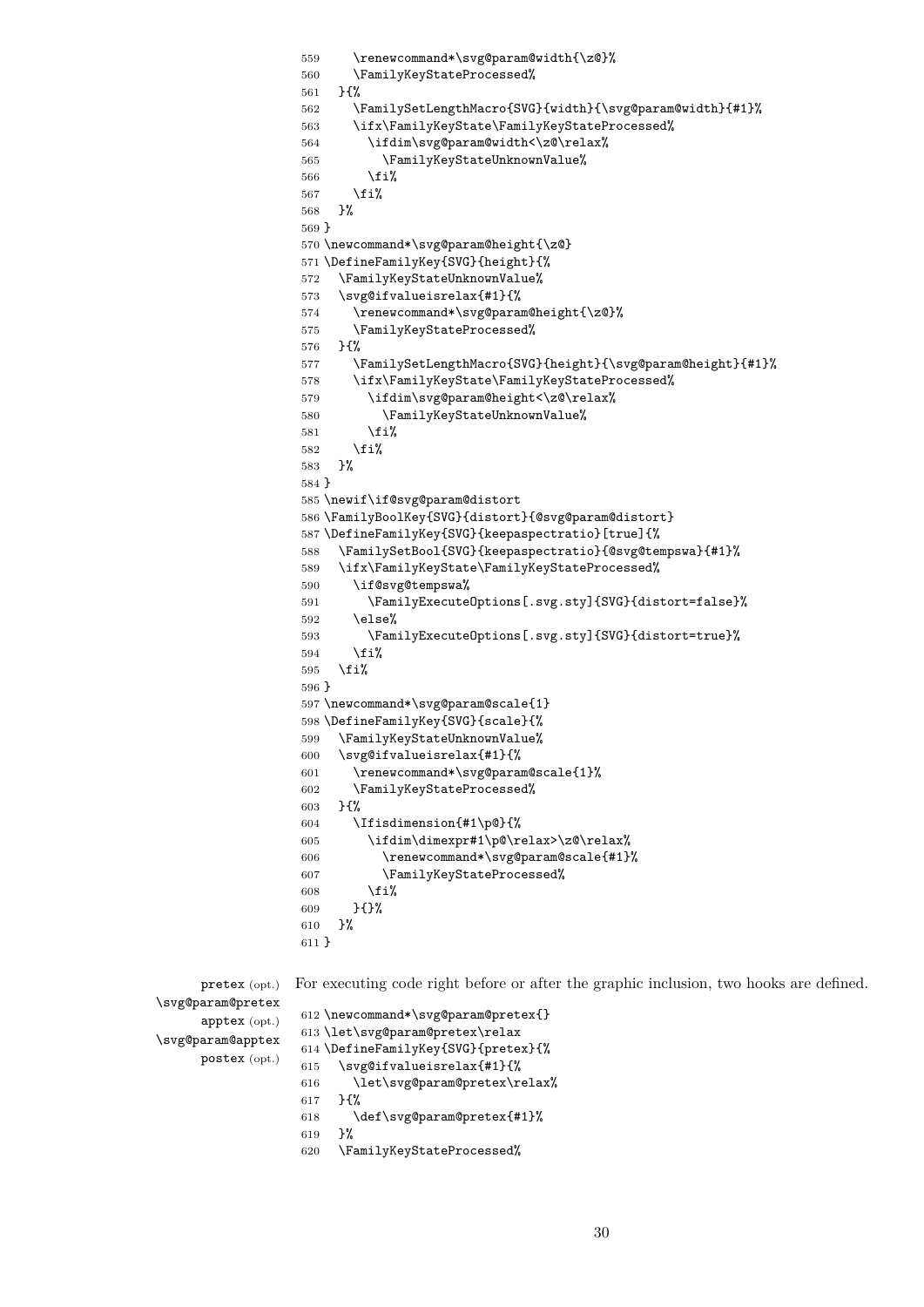\renewcommand\*\svg@param@width{\z@}% \FamilyKeyStateProcessed% }{% \FamilySetLengthMacro{SVG}{width}{\svg@param@width}{#1}% \ifx\FamilyKeyState\FamilyKeyStateProcessed% \ifdim\svg@param@width<\z@\relax% \FamilyKeyStateUnknownValue% \fi% 567 \fi% }% } \newcommand\*\svg@param@height{\z@} \DefineFamilyKey{SVG}{height}{% \FamilyKeyStateUnknownValue% \svg@ifvalueisrelax{#1}{% \renewcommand\*\svg@param@height{\z@}% \FamilyKeyStateProcessed% }{% \FamilySetLengthMacro{SVG}{height}{\svg@param@height}{#1}% \ifx\FamilyKeyState\FamilyKeyStateProcessed% \ifdim\svg@param@height<\z@\relax% \FamilyKeyStateUnknownValue%  $\overrightarrow{fi}$  \fi% }% } \newif\if@svg@param@distort \FamilyBoolKey{SVG}{distort}{@svg@param@distort} \DefineFamilyKey{SVG}{keepaspectratio}[true]{% \FamilySetBool{SVG}{keepaspectratio}{@svg@tempswa}{#1}% \ifx\FamilyKeyState\FamilyKeyStateProcessed% \if@svg@tempswa% \FamilyExecuteOptions[.svg.sty]{SVG}{distort=false}% \else% \FamilyExecuteOptions[.svg.sty]{SVG}{distort=true}% 594  $\text{Y}$  \fi% } \newcommand\*\svg@param@scale{1} \DefineFamilyKey{SVG}{scale}{% \FamilyKeyStateUnknownValue% \svg@ifvalueisrelax{#1}{% \renewcommand\*\svg@param@scale{1}% \FamilyKeyStateProcessed% }{% \Ifisdimension{#1\p@}{% \ifdim\dimexpr#1\p@\relax>\z@\relax% \renewcommand\*\svg@param@scale{#1}% \FamilyKeyStateProcessed% \fi% }{}% }% }

pretex (opt.) For executing code right before or after the graphic inclusion, two hooks are defined.

```
\svg@param@pretex
      apptex (opt.)
\svg@param@apptex
      postex (opt.)
                    612 \newcommand*\svg@param@pretex{}
                    613 \let\svg@param@pretex\relax
                    614 \DefineFamilyKey{SVG}{pretex}{%
                    615 \svg@ifvalueisrelax{#1}{%
                    616 \let\svg@param@pretex\relax%
                    617 }{%
                    618 \def\svg@param@pretex{#1}%
                    619 }%
                    620 \FamilyKeyStateProcessed%
```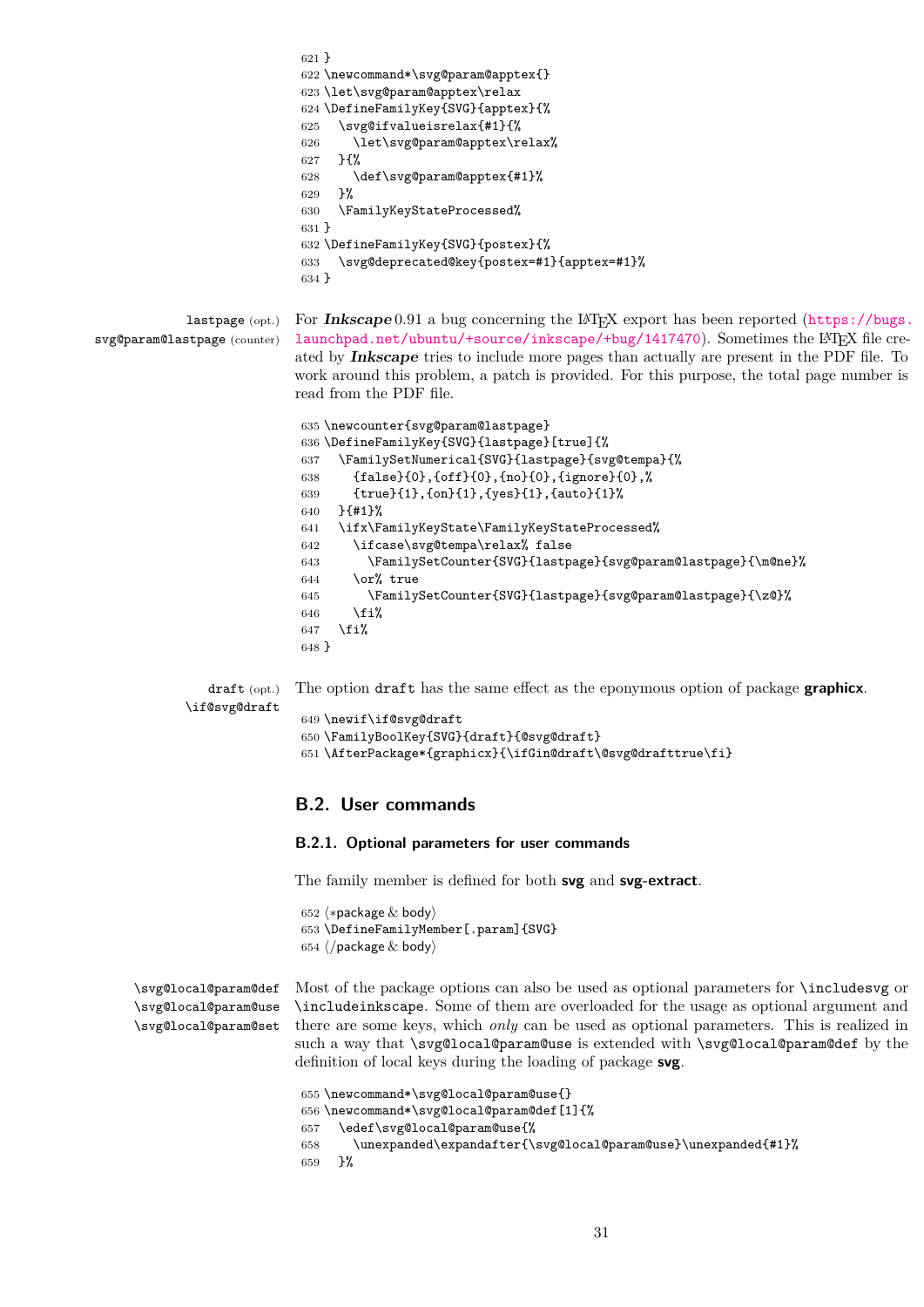```
621 }
                          622 \newcommand*\svg@param@apptex{}
                          623 \let\svg@param@apptex\relax
                          624 \DefineFamilyKey{SVG}{apptex}{%
                          625 \svg@ifvalueisrelax{#1}{%
                          626 \let\svg@param@apptex\relax%
                          627 }{%
                          628 \def\svg@param@apptex{#1}%
                          629 }%
                          630 \FamilyKeyStateProcessed%
                          631 }
                          632 \DefineFamilyKey{SVG}{postex}{%
                          633 \svg@deprecated@key{postex=#1}{apptex=#1}%
                          634 }
           lastpage (opt.)
svg@param@lastpage (counter)
                         For Inkscapehttps://bugs.
                          launchpad.net/ubuntu/+source/inkscape/+bug/1417470). Sometimes the LATEX file cre-
                          ated by Inkscape tries to include more pages than actually are present in the PDF file. To
                          work around this problem, a patch is provided. For this purpose, the total page number is
                          read from the PDF file.
                          635 \newcounter{svg@param@lastpage}
```

```
636 \DefineFamilyKey{SVG}{lastpage}[true]{%
637 \FamilySetNumerical{SVG}{lastpage}{svg@tempa}{%
638 {false}{0},{off}{0},{no}{0},{ignore}{0},%
639 {true}{1},{on}{1},{yes}{1},{auto}{1}%
640 }{#1}%
641 \ifx\FamilyKeyState\FamilyKeyStateProcessed%
642 \ifcase\svg@tempa\relax% false
643 \FamilySetCounter{SVG}{lastpage}{svg@param@lastpage}{\m@ne}%
644 \qquad \text{or\% true}645 \FamilySetCounter{SVG}{lastpage}{svg@param@lastpage}{\z@}%
646 \fi%
647 \fi%
648 }
```
draft (opt.) The option draft has the same effect as the eponymous option of package **graphicx**.

```
\if@svg@draft
```

```
649 \newif\if@svg@draft
650 \FamilyBoolKey{SVG}{draft}{@svg@draft}
651 \AfterPackage*{graphicx}{\ifGin@draft\@svg@drafttrue\fi}
```
### <span id="page-30-0"></span>**B.2. User commands**

### <span id="page-30-1"></span>**B.2.1. Optional parameters for user commands**

The family member is defined for both **svg** and **svg-extract**.

652  $\langle *package & body \rangle$ 653 \DefineFamilyMember[.param]{SVG} 654  $\langle$ /package & body)

```
\svg@local@param@def
\svg@local@param@use
\svg@local@param@set
```
Most of the package options can also be used as optional parameters for \includesvg or \includeinkscape. Some of them are overloaded for the usage as optional argument and there are some keys, which *only* can be used as optional parameters. This is realized in such a way that \svg@local@param@use is extended with \svg@local@param@def by the definition of local keys during the loading of package **svg**.

```
655 \newcommand*\svg@local@param@use{}
656 \newcommand*\svg@local@param@def[1]{%
657 \edef\svg@local@param@use{%
658 \unexpanded\expandafter{\svg@local@param@use}\unexpanded{#1}%
659 }%
```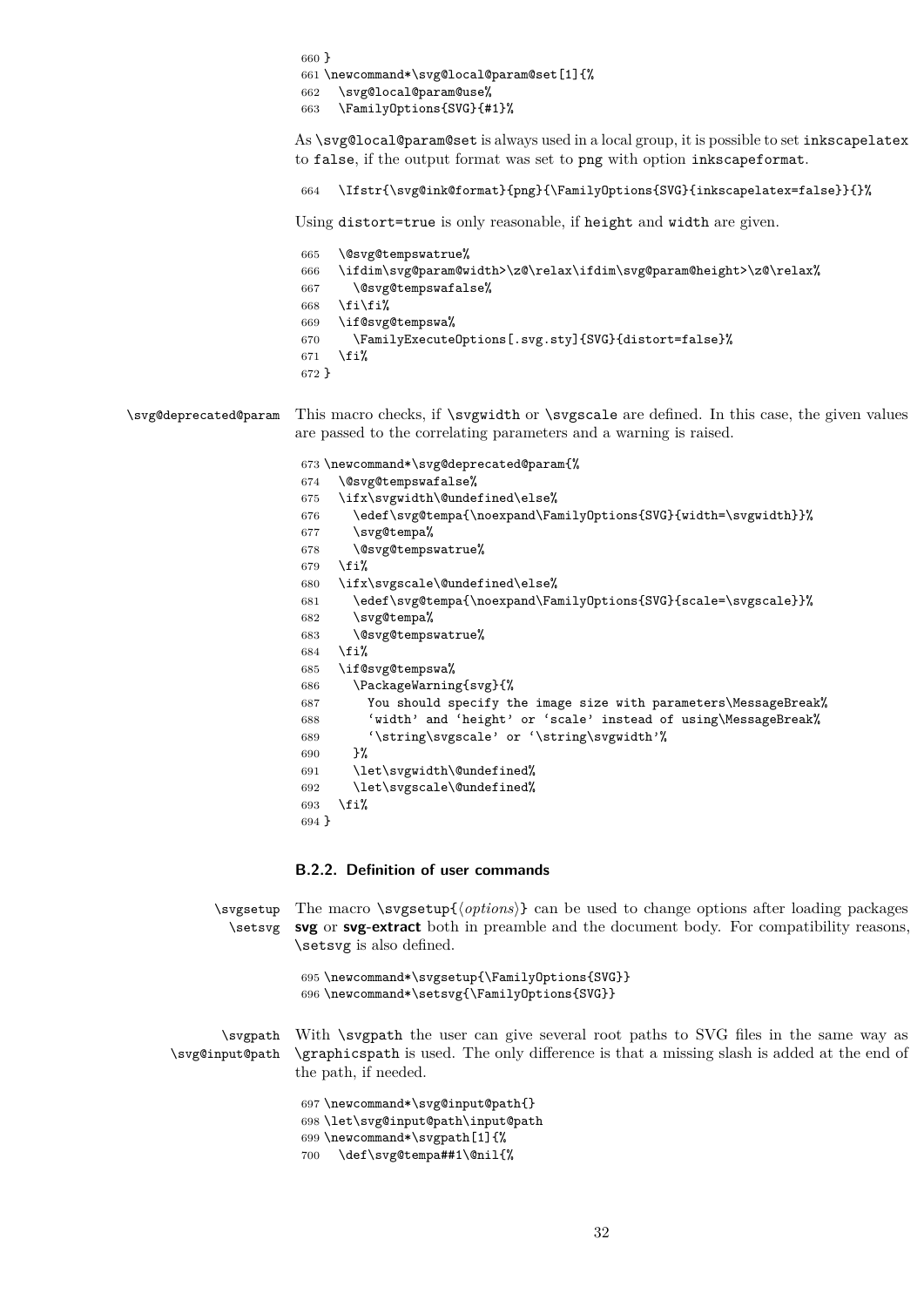|                       | $660$ }                                                                                                                                                                                                              |
|-----------------------|----------------------------------------------------------------------------------------------------------------------------------------------------------------------------------------------------------------------|
|                       | 661 \newcommand*\svg@local@param@set[1]{%                                                                                                                                                                            |
|                       | \svg@local@param@use%<br>662                                                                                                                                                                                         |
|                       | \FamilyOptions{SVG}{#1}%<br>663                                                                                                                                                                                      |
|                       | As \svg@local@param@set is always used in a local group, it is possible to set inkscapelatex                                                                                                                         |
|                       | to false, if the output format was set to png with option inkscapeformat.                                                                                                                                            |
|                       | \Ifstr{\svg@ink@format}{png}{\Family0ptions{SVG}{inkscapelatex=false}}{}%<br>664                                                                                                                                     |
|                       | Using distort=true is only reasonable, if height and width are given.                                                                                                                                                |
|                       | \@svg@tempswatrue%<br>665                                                                                                                                                                                            |
|                       | \ifdim\svg@param@width>\z@\relax\ifdim\svg@param@height>\z@\relax%<br>666                                                                                                                                            |
|                       | \@svg@tempswafalse%<br>667                                                                                                                                                                                           |
|                       | \fi\fi%<br>668                                                                                                                                                                                                       |
|                       | \if@svg@tempswa%<br>669                                                                                                                                                                                              |
|                       | \FamilyExecuteOptions[.svg.sty]{SVG}{distort=false}%<br>670                                                                                                                                                          |
|                       | \fi%<br>671                                                                                                                                                                                                          |
|                       | $672 \}$                                                                                                                                                                                                             |
| \svg@deprecated@param | This macro checks, if <i>svgwidth</i> or <i>svgscale</i> are defined. In this case, the given values<br>are passed to the correlating parameters and a warning is raised.<br>673 \newcommand*\svg@deprecated@param{% |
|                       | \@svg@tempswafalse%<br>674                                                                                                                                                                                           |
|                       | \ifx\svgwidth\@undefined\else%<br>675                                                                                                                                                                                |
|                       | \edef\svg@tempa{\noexpand\FamilyOptions{SVG}{width=\svgwidth}}%<br>676                                                                                                                                               |
|                       | \svg@tempa%<br>677                                                                                                                                                                                                   |
|                       | \@svg@tempswatrue%<br>678                                                                                                                                                                                            |
|                       | \fi%<br>679                                                                                                                                                                                                          |
|                       | \ifx\svgscale\@undefined\else%<br>680                                                                                                                                                                                |
|                       | \edef\svg@tempa{\noexpand\FamilyOptions{SVG}{scale=\svgscale}}%<br>681                                                                                                                                               |
|                       | \svg@tempa%<br>682                                                                                                                                                                                                   |
|                       | \@svg@tempswatrue%<br>683                                                                                                                                                                                            |
|                       | \fi%<br>684                                                                                                                                                                                                          |
|                       | \if@svg@tempswa%<br>685                                                                                                                                                                                              |
|                       | \PackageWarning{svg}{%<br>686                                                                                                                                                                                        |
|                       | You should specify the image size with parameters\MessageBreak%<br>687                                                                                                                                               |
|                       | 'width' and 'height' or 'scale' instead of using\MessageBreak%<br>688                                                                                                                                                |
|                       | 689<br>'\string\svgscale' or '\string\svgwidth'%                                                                                                                                                                     |
|                       | }%<br>690                                                                                                                                                                                                            |
|                       | \let\svgwidth\@undefined%<br>691                                                                                                                                                                                     |
|                       | \let\svgscale\@undefined%<br>692                                                                                                                                                                                     |
|                       | 693<br>\fi%                                                                                                                                                                                                          |
|                       | $694$ }                                                                                                                                                                                                              |
|                       |                                                                                                                                                                                                                      |
|                       | B.2.2. Definition of user commands                                                                                                                                                                                   |
|                       |                                                                                                                                                                                                                      |
|                       |                                                                                                                                                                                                                      |

<span id="page-31-0"></span>\svgsetup The macro \svgsetup{\*options*} can be used to change options after loading packages \setsvg **svg** or **svg-extract** both in preamble and the document body. For compatibility reasons, \setsvg is also defined.

```
695 \newcommand*\svgsetup{\FamilyOptions{SVG}}
696 \newcommand*\setsvg{\FamilyOptions{SVG}}
```
\svgpath \svg@input@path With \svgpath the user can give several root paths to SVG files in the same way as \graphicspath is used. The only difference is that a missing slash is added at the end of the path, if needed.

> \newcommand\*\svg@input@path{} \let\svg@input@path\input@path \newcommand\*\svgpath[1]{% \def\svg@tempa##1\@nil{%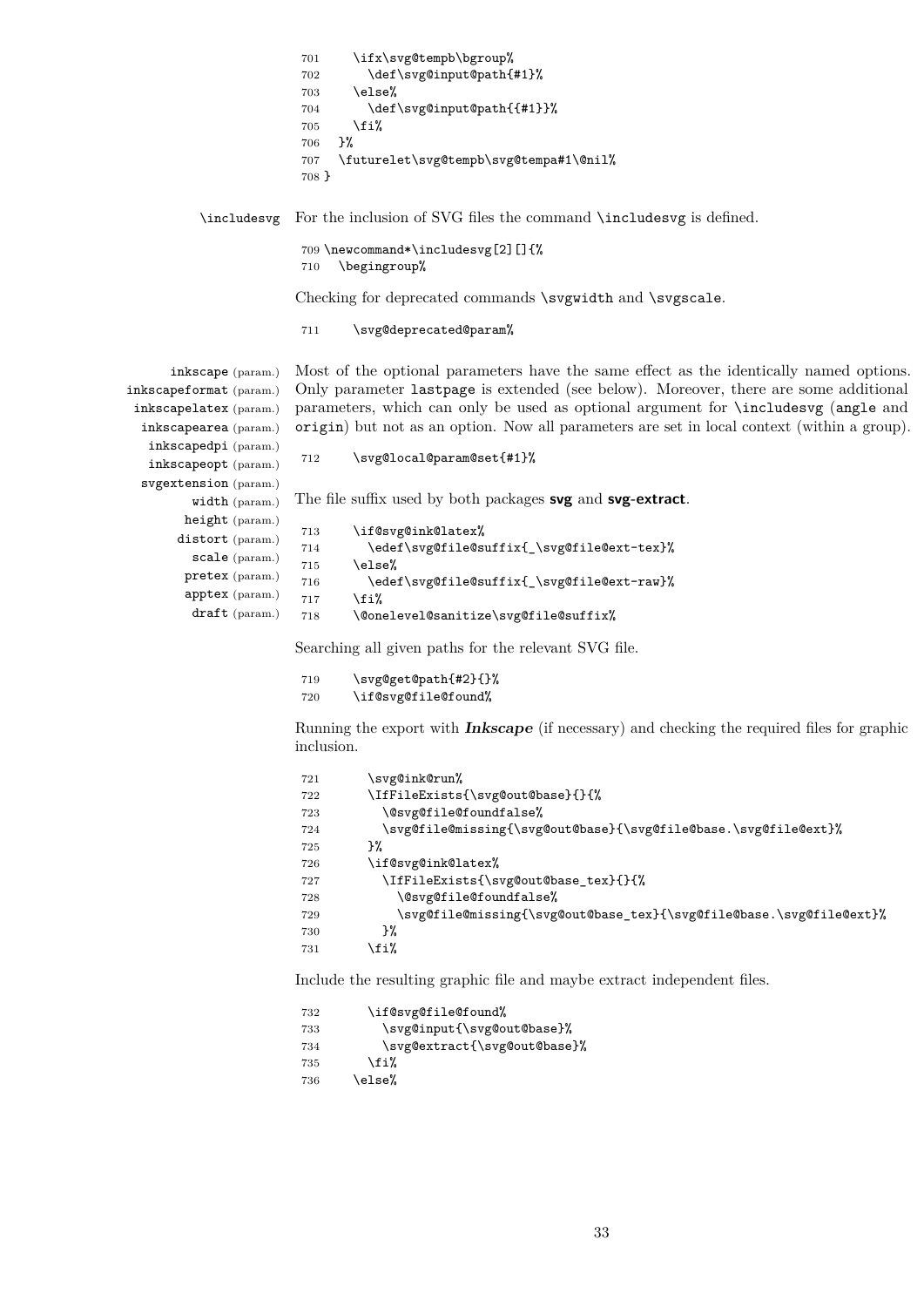|                                                 | \ifx\svg@tempb\bgroup%<br>701<br>\def\svg@input@path{#1}%<br>702<br>\else%<br>703<br>\def\svg@input@path{{#1}}%<br>704<br>\fi%<br>705<br>}%<br>706                                      |
|-------------------------------------------------|-----------------------------------------------------------------------------------------------------------------------------------------------------------------------------------------|
|                                                 | \futurelet\svg@tempb\svg@tempa#1\@nil%<br>707<br>708 }                                                                                                                                  |
|                                                 | \includesvg For the inclusion of SVG files the command \includesvg is defined.                                                                                                          |
|                                                 | 709 \newcommand*\includesvg[2][]{%<br>\begingroup%<br>710                                                                                                                               |
|                                                 | Checking for deprecated commands \svgwidth and \svgscale.                                                                                                                               |
|                                                 | \svg@deprecated@param%<br>711                                                                                                                                                           |
| inkscape (param.)                               | Most of the optional parameters have the same effect as the identically named options.                                                                                                  |
| inkscapeformat (param.)                         | Only parameter last page is extended (see below). Moreover, there are some additional                                                                                                   |
| inkscapelatex (param.)<br>inkscapearea (param.) | parameters, which can only be used as optional argument for <i>includesvg</i> (angle and<br>origin) but not as an option. Now all parameters are set in local context (within a group). |
| inkscapedpi (param.)                            |                                                                                                                                                                                         |
| inkscapeopt (param.)                            | \svg@local@param@set{#1}%<br>712                                                                                                                                                        |
| svgextension (param.)                           |                                                                                                                                                                                         |
| width (param.)                                  | The file suffix used by both packages svg and svg-extract.                                                                                                                              |
| height (param.)                                 | \if@svg@ink@latex%<br>713                                                                                                                                                               |
| distort (param.)                                | \edef\svg@file@suffix{_\svg@file@ext-tex}%<br>714                                                                                                                                       |
| scale (param.)                                  | \else%<br>715                                                                                                                                                                           |
| pretex (param.)                                 | \edef\svg@file@suffix{_\svg@file@ext-raw}%<br>716                                                                                                                                       |
| apptex (param.)                                 | \fi%<br>717                                                                                                                                                                             |
| $draff$ (param.)                                | \@onelevel@sanitize\svg@file@suffix%<br>718                                                                                                                                             |

Searching all given paths for the relevant SVG file.

| 719 | \svg@get@path{#2}{}% |
|-----|----------------------|
| 720 | \if@svg@file@found%  |

Running the export with **Inkscape** (if necessary) and checking the required files for graphic inclusion.

```
721 \svg@ink@run%
722 \IfFileExists{\svg@out@base}{}{%
723 \@svg@file@foundfalse%
724 \svg@file@missing{\svg@out@base}{\svg@file@base.\svg@file@ext}%
725 }%
726 \if@svg@ink@latex%
727 \IfFileExists{\svg@out@base_tex}{}{%
728 \@svg@file@foundfalse%
729 \svg@file@missing{\svg@out@base_tex}{\svg@file@base.\svg@file@ext}%<br>730 }%
730
731 \overleftrightarrow{f}i%
```
Include the resulting graphic file and maybe extract independent files.

| 732 | \if@svg@file@found%          |
|-----|------------------------------|
| 733 | \svg@input{\svg@out@base}%   |
| 734 | \svg@extract{\svg@out@base}% |
| 735 | \fi%                         |
| 736 | \else%                       |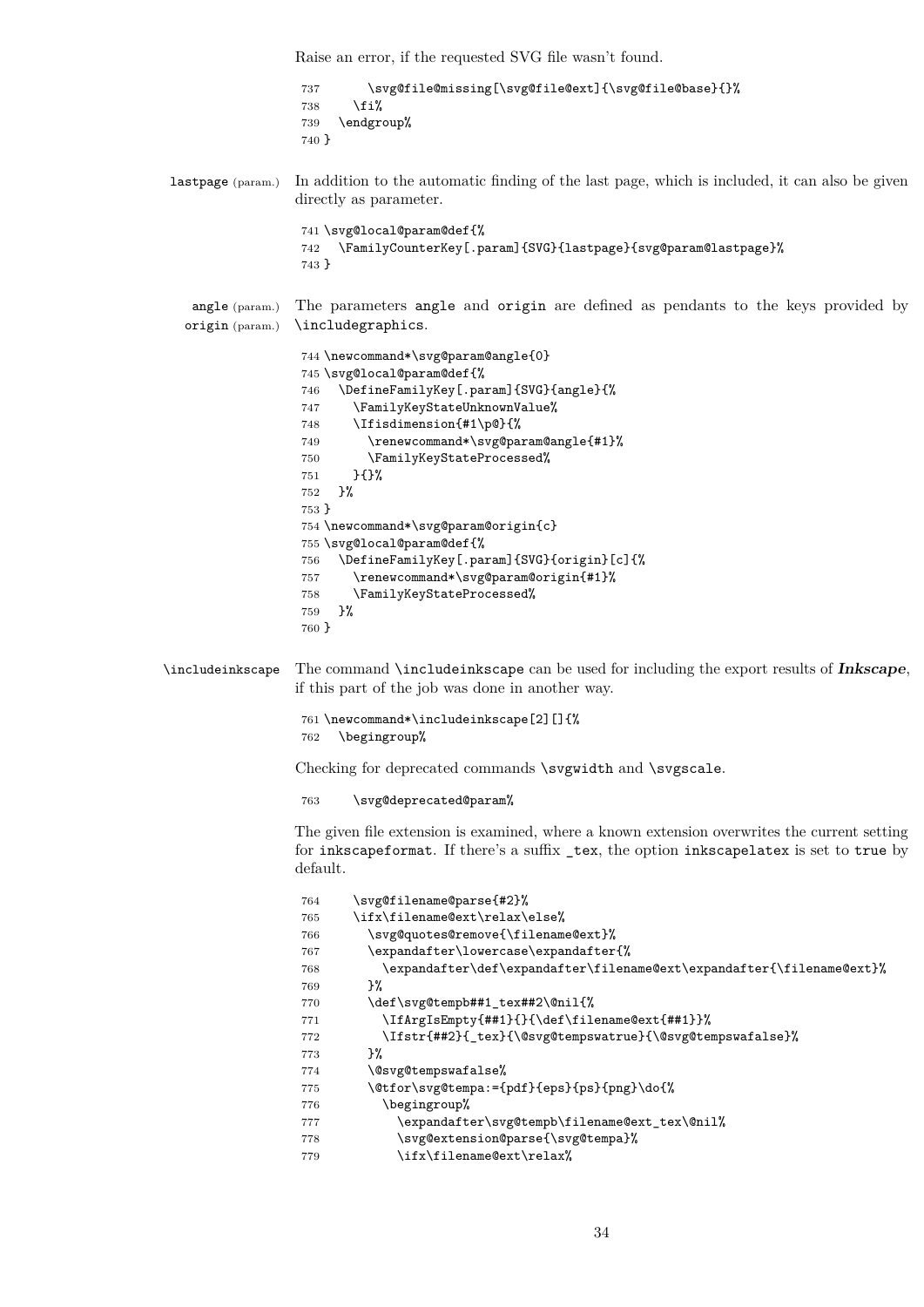Raise an error, if the requested SVG file wasn't found.

 \svg@file@missing[\svg@file@ext]{\svg@file@base}{}% \fi% \endgroup% }

lastpage (param.) In addition to the automatic finding of the last page, which is included, it can also be given directly as parameter.

```
741 \svg@local@param@def{%
742 \FamilyCounterKey[.param]{SVG}{lastpage}{svg@param@lastpage}%
743 }
```
angle (param.) origin (param.) The parameters angle and origin are defined as pendants to the keys provided by \includegraphics.

```
744 \newcommand*\svg@param@angle{0}
745 \svg@local@param@def{%
746 \DefineFamilyKey[.param]{SVG}{angle}{%
747 \FamilyKeyStateUnknownValue%
748 \Ifisdimension{#1\p@}{%
749 \renewcommand*\svg@param@angle{#1}%
750 \FamilyKeyStateProcessed%
751 }{}%
752 }%
753 }
754 \newcommand*\svg@param@origin{c}
755 \svg@local@param@def{%
756 \DefineFamilyKey[.param]{SVG}{origin}[c]{%
757 \renewcommand*\svg@param@origin{#1}%
758 \FamilyKeyStateProcessed%
759 }%
760 }
```
\includeinkscape The command \includeinkscape can be used for including the export results of **Inkscape**, if this part of the job was done in another way.

```
761 \newcommand*\includeinkscape[2][]{%
762 \begingroup%
```
Checking for deprecated commands \svgwidth and \svgscale.

763 \svg@deprecated@param%

The given file extension is examined, where a known extension overwrites the current setting for inkscapeformat. If there's a suffix \_tex, the option inkscapelatex is set to true by default.

```
764 \svg@filename@parse{#2}%
765 \ifx\filename@ext\relax\else%
766 \svg@quotes@remove{\filename@ext}%
767 \expandafter\lowercase\expandafter{%
768 \expandafter\def\expandafter\filename@ext\expandafter{\filename@ext}%
769 }%
770 \def\svg@tempb##1_tex##2\@nil{%
771 \IfArgIsEmpty{##1}{}{\def\filename@ext{##1}}%
772 \Ifstr{##2}{_tex}{\@svg@tempswatrue}{\@svg@tempswafalse}%
773 }%
774 \@svg@tempswafalse%
775 \@tfor\svg@tempa:={pdf}{eps}{ps}{png}\do{%
776 \begingroup%
777 \expandafter\svg@tempb\filename@ext_tex\@nil%
778 \svg@extension@parse{\svg@tempa}%
779 \ifx\filename@ext\relax%
```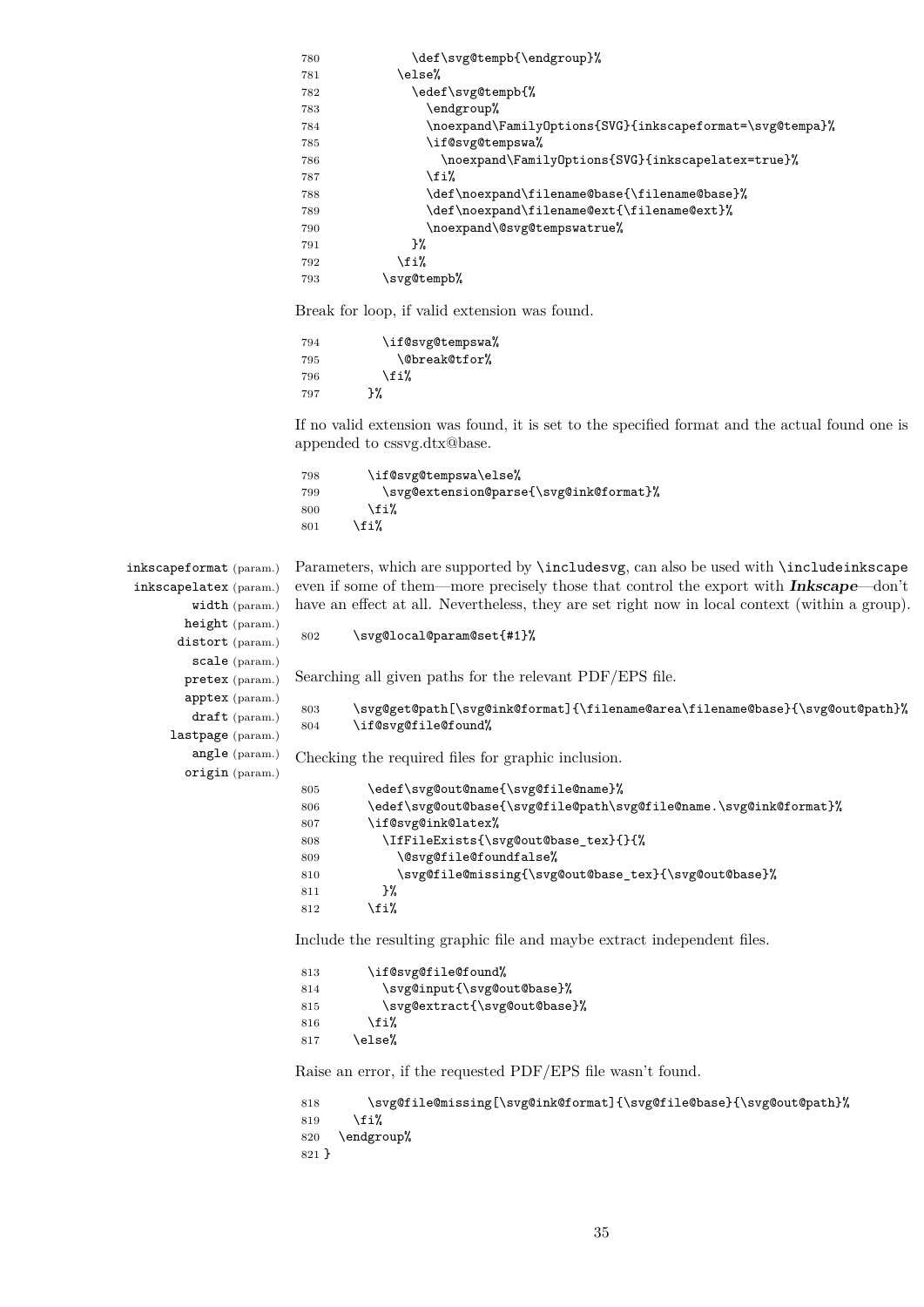| 780 | \def\svg@tempb{\endgroup}%                               |
|-----|----------------------------------------------------------|
| 781 | \else%                                                   |
| 782 | \edef\svg@tempb{%                                        |
| 783 | \endgroup%                                               |
| 784 | \noexpand\FamilyOptions{SVG}{inkscapeformat=\svg@tempa}% |
| 785 | \if@svg@tempswa%                                         |
| 786 | \noexpand\FamilyOptions{SVG}{inkscapelatex=true}%        |
| 787 | \fi%                                                     |
| 788 | \def\noexpand\filename@base{\filename@base}%             |
| 789 | \def\noexpand\filename@ext{\filename@ext}%               |
| 790 | \noexpand\@svg@tempswatrue%                              |
| 791 | }%                                                       |
| 792 | \fi%                                                     |
| 793 | \svg@tempb%                                              |

Break for loop, if valid extension was found.

```
794 \if@svg@tempswa%
795 \@break@tfor%
796 \overline{1}\797 }%
```
If no valid extension was found, it is set to the specified format and the actual found one is appended to cssvg.dtx@base.

```
798 \if@svg@tempswa\else%
799 \svg@extension@parse{\svg@ink@format}%
800 \fi%
801 \fi%
```

```
inkscapeformat (param.)
 inkscapelatex (param.)
          width (param.)
         height (param.)
        distort (param.)
          scale (param.)
         pretex (param.)
         apptex (param.)
          draft (param.)
      lastpage (param.)
          angle (param.)
         origin (param.)
```
Parameters, which are supported by \includesvg, can also be used with \includeinkscape even if some of them—more precisely those that control the export with **Inkscape**—don't have an effect at all. Nevertheless, they are set right now in local context (within a group).

```
802 \svg@local@param@set{#1}%
```
Searching all given paths for the relevant PDF/EPS file.

803 \svg@get@path[\svg@ink@format]{\filename@area\filename@base}{\svg@out@path}% 804 \if@svg@file@found%

Checking the required files for graphic inclusion.

```
805 \edef\svg@out@name{\svg@file@name}%
806 \edef\svg@out@base{\svg@file@path\svg@file@name.\svg@ink@format}%
807 \if@svg@ink@latex%
808 \IfFileExists{\svg@out@base_tex}{}{%
809 \@svg@file@foundfalse%
810 \svg@file@missing{\svg@out@base_tex}{\svg@out@base}%
811 }%
812 \fi%
```
Include the resulting graphic file and maybe extract independent files.

```
813 \if@svg@file@found%
814 \svg@input{\svg@out@base}%
815 \svg@extract{\svg@out@base}%
816 \fi%
817 \else%
```
Raise an error, if the requested PDF/EPS file wasn't found.

```
818 \svg@file@missing[\svg@ink@format]{\svg@file@base}{\svg@out@path}%
819 \fi%
820 \endgroup%
821 }
```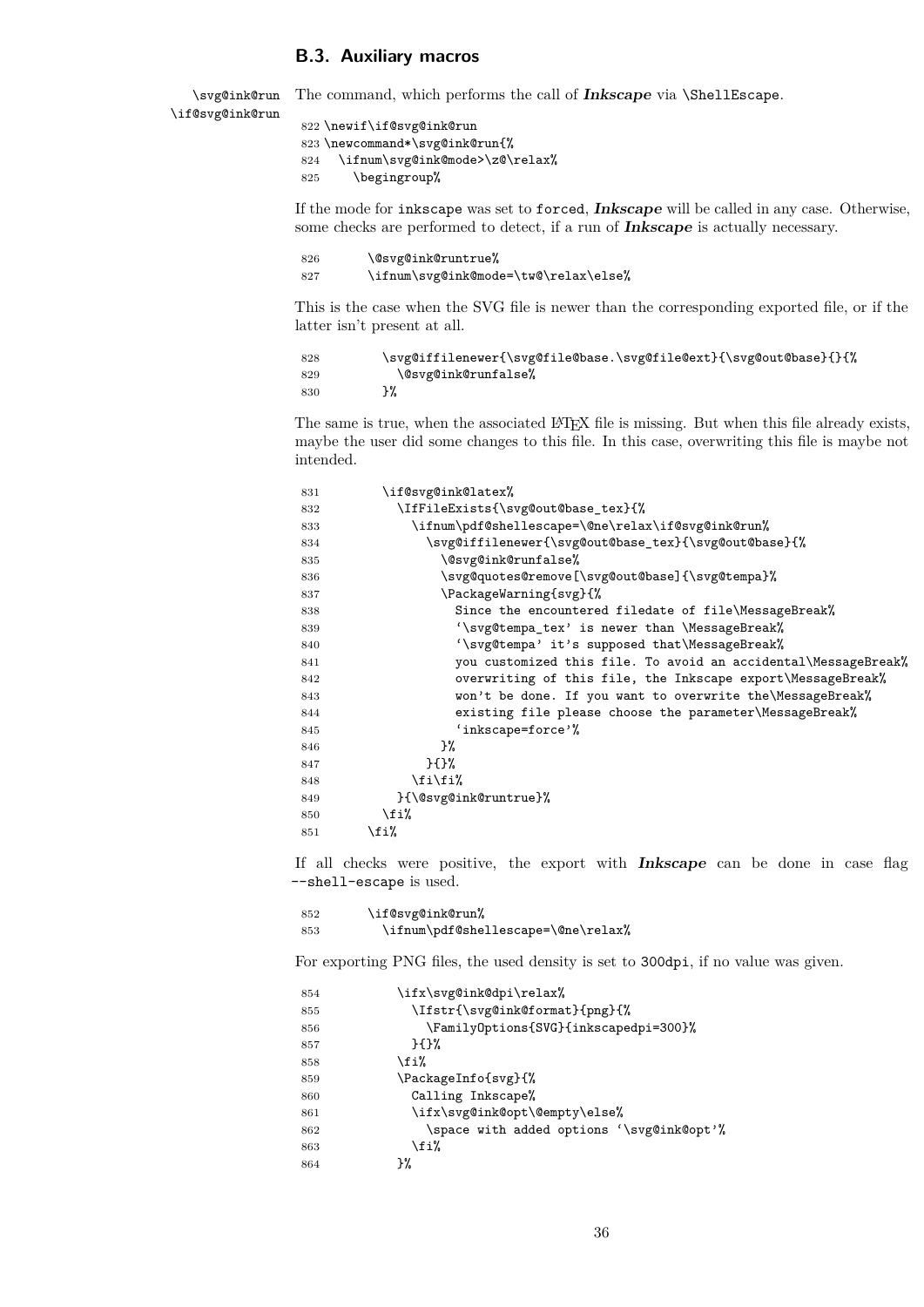### <span id="page-35-0"></span>**B.3. Auxiliary macros**

\svg@ink@run \if@svg@ink@run

 \newif\if@svg@ink@run \newcommand\*\svg@ink@run{% \ifnum\svg@ink@mode>\z@\relax% \begingroup%

If the mode for inkscape was set to forced, **Inkscape** will be called in any case. Otherwise, some checks are performed to detect, if a run of **Inkscape** is actually necessary.

The command, which performs the call of **Inkscape** via \ShellEscape.

```
826 \@svg@ink@runtrue%
827 \ifnum\svg@ink@mode=\tw@\relax\else%
```
This is the case when the SVG file is newer than the corresponding exported file, or if the latter isn't present at all.

```
828 \svg@iffilenewer{\svg@file@base.\svg@file@ext}{\svg@out@base}{}{%
829 \@svg@ink@runfalse%
830 }%
```
The same is true, when the associated IATEX file is missing. But when this file already exists, maybe the user did some changes to this file. In this case, overwriting this file is maybe not intended.

| 831 | \if@svg@ink@latex%                                             |
|-----|----------------------------------------------------------------|
| 832 | \IfFileExists{\svg@out@base_tex}{%                             |
| 833 | \ifnum\pdf@shellescape=\@ne\relax\if@svg@ink@run%              |
| 834 | \svg@iffilenewer{\svg@out@base_tex}{\svg@out@base}{%           |
| 835 | \@svg@ink@runfalse%                                            |
| 836 | \svg@quotes@remove[\svg@out@base]{\svg@tempa}%                 |
| 837 | \PackageWarning{svg}{%                                         |
| 838 | Since the encountered filedate of file\MessageBreak%           |
| 839 | '\svg@tempa_tex' is newer than \MessageBreak%                  |
| 840 | '\svg@tempa' it's supposed that\MessageBreak%                  |
| 841 | you customized this file. To avoid an accidental\MessageBreak% |
| 842 | overwriting of this file, the Inkscape export\MessageBreak%    |
| 843 | won't be done. If you want to overwrite the\MessageBreak%      |
| 844 | existing file please choose the parameter\MessageBreak%        |
| 845 | 'inkscape=force'%                                              |
| 846 | }‰                                                             |
| 847 | H                                                              |
| 848 | \fi\fi%                                                        |
| 849 | }{\@svg@ink@runtrue}%                                          |
| 850 | \fi%                                                           |
| 851 | \fi%                                                           |
|     |                                                                |

If all checks were positive, the export with **Inkscape** can be done in case flag --shell-escape is used.

| 852 | \if@svg@ink@run%                   |
|-----|------------------------------------|
| 853 | \ifnum\pdf@shellescape=\@ne\relax% |

For exporting PNG files, the used density is set to 300dpi, if no value was given.

| 854 | \ifx\svg@ink@dpi\relax%                   |
|-----|-------------------------------------------|
| 855 | \Ifstr{\svg@ink@format}{png}{%            |
| 856 | \FamilyOptions{SVG}{inkscapedpi=300}%     |
| 857 | H                                         |
| 858 | \fi%                                      |
| 859 | \PackageInfo{svg}{%                       |
| 860 | Calling Inkscape%                         |
| 861 | \ifx\svg@ink@opt\@empty\else%             |
| 862 | \space with added options '\svg@ink@opt'% |
| 863 | \fi%                                      |
| 864 | ን%                                        |
|     |                                           |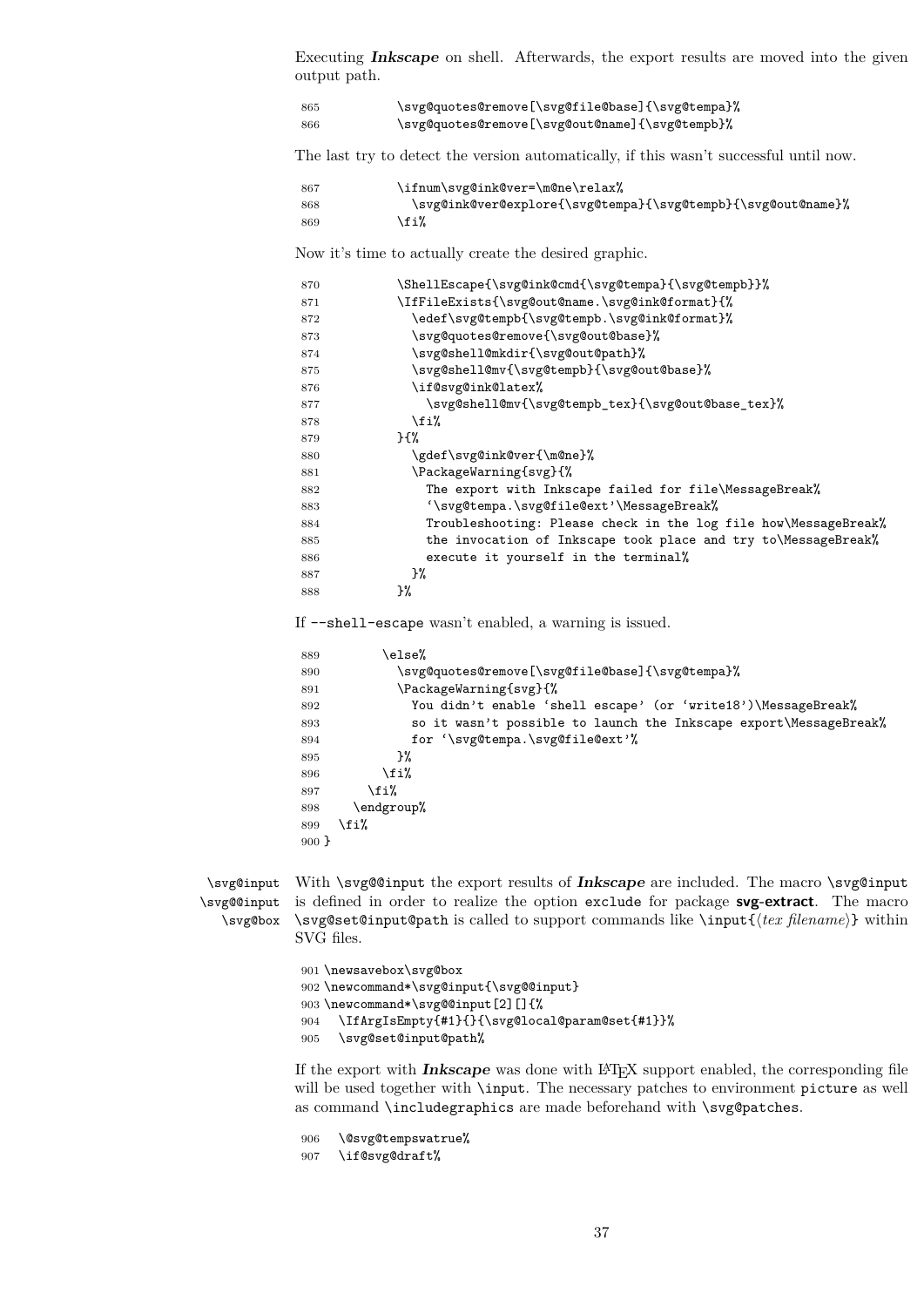Executing **Inkscape** on shell. Afterwards, the export results are moved into the given output path.

| 865 | \svg@quotes@remove[\svg@file@base]{\svg@tempa}% |
|-----|-------------------------------------------------|
| 866 | \svg@quotes@remove[\svg@out@name]{\svg@tempb}%  |

The last try to detect the version automatically, if this wasn't successful until now.

| -867 | \ifnum\svg@ink@ver=\m@ne\relax%                              |
|------|--------------------------------------------------------------|
| 868  | \svg@ink@ver@explore{\svg@tempa}{\svg@tempb}{\svg@out@name}% |
| 869  | \fi%                                                         |

Now it's time to actually create the desired graphic.

| 870 | \ShellEscape{\svg@ink@cmd{\svg@tempa}{\svg@tempb}}%             |
|-----|-----------------------------------------------------------------|
| 871 | \IfFileExists{\svg@out@name.\svg@ink@format}{%                  |
| 872 | \edef\svg@tempb{\svg@tempb.\svg@ink@format}%                    |
| 873 | \svg@quotes@remove{\svg@out@base}%                              |
| 874 | \svg@shell@mkdir{\svg@out@path}%                                |
| 875 | \svg@shell@mv{\svg@tempb}{\svg@out@base}%                       |
| 876 | \if@svg@ink@latex%                                              |
| 877 | \svg@shell@mv{\svg@tempb_tex}{\svg@out@base_tex}%               |
| 878 | \fi%                                                            |
| 879 | $H^{\prime\prime}$                                              |
| 880 | \gdef\svg@ink@ver{\m@ne}%                                       |
| 881 | \PackageWarning{svg}{%                                          |
| 882 | The export with Inkscape failed for file\MessageBreak%          |
| 883 | '\svg@tempa.\svg@file@ext'\MessageBreak%                        |
| 884 | Troubleshooting: Please check in the log file how\MessageBreak% |
| 885 | the invocation of Inkscape took place and try to\MessageBreak%  |
| 886 | execute it yourself in the terminal%                            |
| 887 | }‰                                                              |
| 888 | }%                                                              |
|     |                                                                 |

If --shell-escape wasn't enabled, a warning is issued.

| 889     | else%)                                                            |
|---------|-------------------------------------------------------------------|
| 890     | \svg@quotes@remove[\svg@file@base]{\svg@tempa}%                   |
| 891     | \PackageWarning{svg}{%                                            |
| 892     | You didn't enable 'shell escape' (or 'write18') \MessageBreak%    |
| 893     | so it wasn't possible to launch the Inkscape export\MessageBreak% |
| 894     | for '\svg@tempa.\svg@file@ext'%                                   |
| 895     | }‰                                                                |
| 896     | \fi%                                                              |
| 897     | \fi%                                                              |
| 898     | \endgroup%                                                        |
| 899     | \fi%                                                              |
| $900$ } |                                                                   |

```
\svg@@input
   \svg@box
```
\svg@input With \svg@@input the export results of **Inkscape** are included. The macro \svg@input is defined in order to realize the option exclude for package **svg-extract**. The macro \svg@set@input@path is called to support commands like \input{h*tex filename*i} within SVG files.

> \newsavebox\svg@box \newcommand\*\svg@input{\svg@@input} 903 \newcommand\*\svg@@input[2][]{% \IfArgIsEmpty{#1}{}{\svg@local@param@set{#1}}% \svg@set@input@path%

If the export with **Inkscape** was done with LATEX support enabled, the corresponding file will be used together with \input. The necessary patches to environment picture as well as command \includegraphics are made beforehand with \svg@patches.

 \@svg@tempswatrue% \if@svg@draft%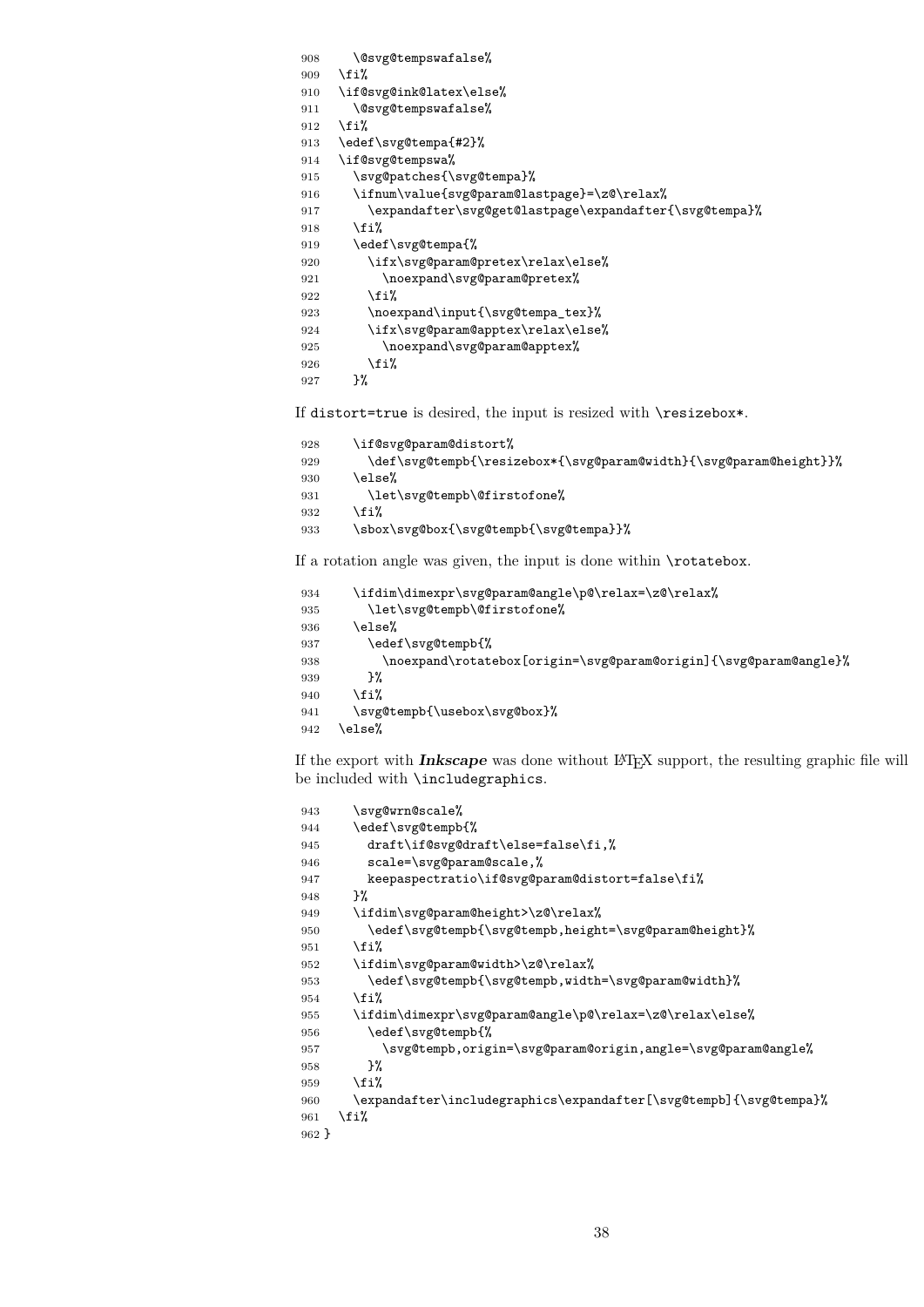```
908 \@svg@tempswafalse%
909 \fi%
910 \if@svg@ink@latex\else%
911 \@svg@tempswafalse%
912 \fi%
913 \edef\svg@tempa{#2}%
914 \if@svg@tempswa%
915 \svg@patches{\svg@tempa}%
916 \ifnum\value{svg@param@lastpage}=\z@\relax%
917 \expandafter\svg@get@lastpage\expandafter{\svg@tempa}%
918 \fi%
919 \edef\svg@tempa{%
920 \ifx\svg@param@pretex\relax\else%
921 \noexpand\svg@param@pretex%
922 \fi%
923 \noexpand\input{\svg@tempa_tex}%
924 \ifx\svg@param@apptex\relax\else%
925 \noexpand\svg@param@apptex%
926 \fi%
927 }%
```
If distort=true is desired, the input is resized with \resizebox\*.

```
928 \if@svg@param@distort%
929 \def\svg@tempb{\resizebox*{\svg@param@width}{\svg@param@height}}%
930 \else%
931 \let\svg@tempb\@firstofone%
932 \fi%
933 \sbox\svg@box{\svg@tempb{\svg@tempa}}%
```
If a rotation angle was given, the input is done within \rotatebox.

```
934 \ifdim\dimexpr\svg@param@angle\p@\relax=\z@\relax%
935 \let\svg@tempb\@firstofone%
936 \else%
937 \edef\svg@tempb{%
938 \noexpand\rotatebox[origin=\svg@param@origin]{\svg@param@angle}%
939 \frac{12}{3}940 \overline{\text{f}i\text{}}941 \svg@tempb{\usebox\svg@box}%
942 \text{ kg}
```
If the export with **Inkscape** was done without LATEX support, the resulting graphic file will be included with \includegraphics.

```
943 \svg@wrn@scale%
944 \edef\svg@tempb{%
945 draft\if@svg@draft\else=false\fi,%
946 scale=\svg@param@scale,%
947 keepaspectratio\if@svg@param@distort=false\fi%
948 }%
949 \ifdim\svg@param@height>\z@\relax%
950 \edef\svg@tempb{\svg@tempb,height=\svg@param@height}%
951 \fi%
952 \ifdim\svg@param@width>\z@\relax%
953 \edef\svg@tempb{\svg@tempb,width=\svg@param@width}%
954 \fi%
955 \ifdim\dimexpr\svg@param@angle\p@\relax=\z@\relax\else%
956 \edef\svg@tempb{%
957 \svg@tempb,origin=\svg@param@origin,angle=\svg@param@angle%
958 }%
959 \fi<sup>9</sup>
960 \expandafter\includegraphics\expandafter[\svg@tempb]{\svg@tempa}%
961 \quad \text{If } 1\%962 }
```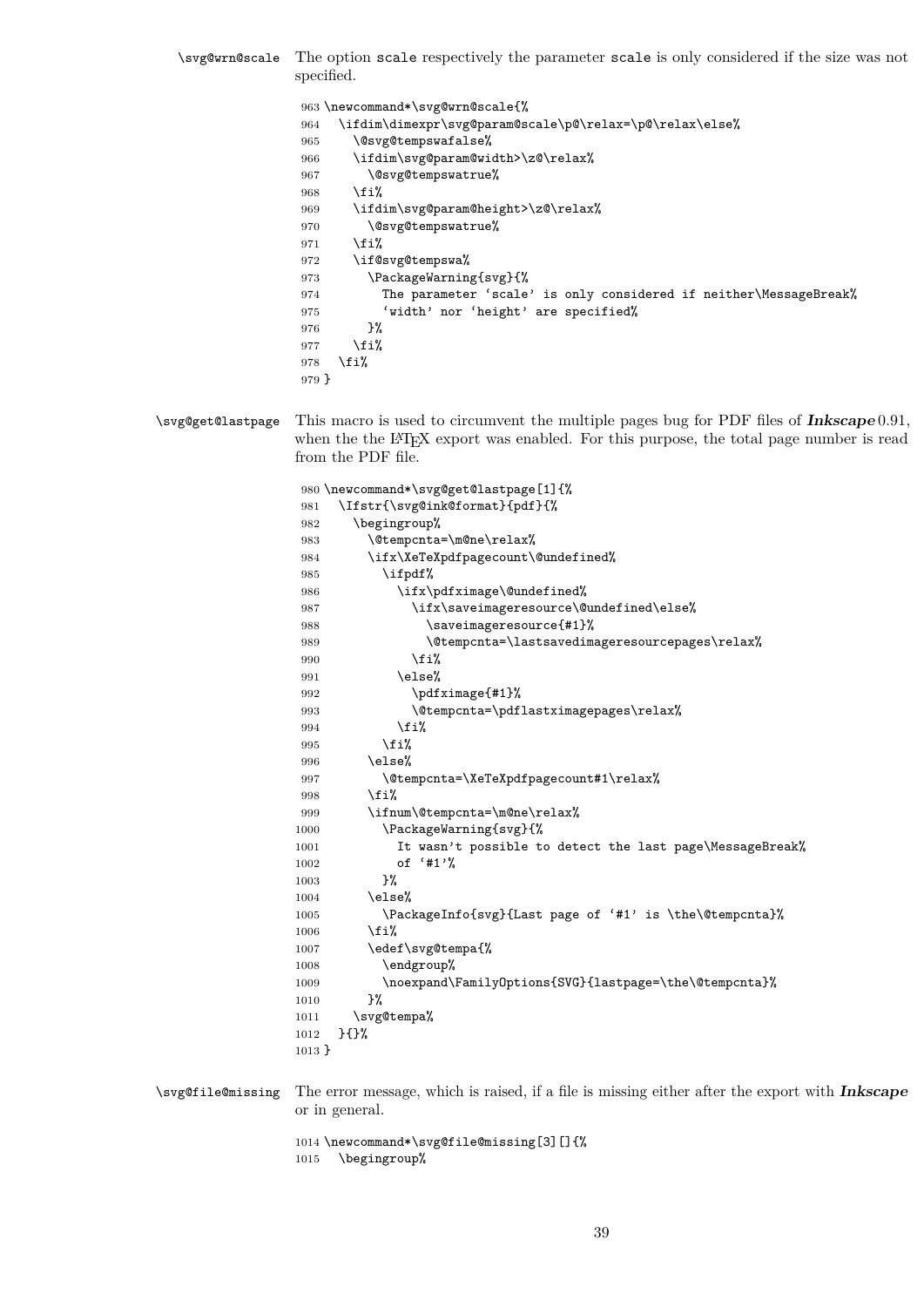\svg@wrn@scale The option scale respectively the parameter scale is only considered if the size was not specified.

> 963 \newcommand\*\svg@wrn@scale{% 964 \ifdim\dimexpr\svg@param@scale\p@\relax=\p@\relax\else% 965 \@svg@tempswafalse% 966 \ifdim\svg@param@width>\z@\relax% 967 \@svg@tempswatrue% 968 \fi% 969 \ifdim\svg@param@height>\z@\relax% 970 \@svg@tempswatrue% 971 \fi% 972 \if@svg@tempswa% 973 \PackageWarning{svg}{% 974 The parameter 'scale' is only considered if neither\MessageBreak% 975 'width' nor 'height' are specified% 976 }%  $977$  \fi% 978 \fi% 979 }

\svg@get@lastpage This macro is used to circumvent the multiple pages bug for PDF files of **Inkscape** 0.91, when the the L<sup>AT</sup>EX export was enabled. For this purpose, the total page number is read from the PDF file.

> 980 \newcommand\*\svg@get@lastpage[1]{% 981 \Ifstr{\svg@ink@format}{pdf}{% 982 \begingroup% 983 \@tempcnta=\m@ne\relax% 984 \ifx\XeTeXpdfpagecount\@undefined% 985 \ifpdf% 986 \ifx\pdfximage\@undefined% 987 \ifx\saveimageresource\@undefined\else% 988 \saveimageresource{#1}% 989 \@tempcnta=\lastsavedimageresourcepages\relax% 990  $\overline{\text{if}}$ 991 \else% 992 \pdfximage{#1}% 993 \@tempcnta=\pdflastximagepages\relax% 994  $\overrightarrow{f_1}$ 995  $\overline{\text{f}i\text{}}$ 996 \else% 997 \@tempcnta=\XeTeXpdfpagecount#1\relax% 998  $\overline{\text{f}i}$ 999 \ifnum\@tempcnta=\m@ne\relax% 1000 \PackageWarning{svg}{% 1001 It wasn't possible to detect the last page\MessageBreak% 1002 of '#1'% 1003 }% 1004 \else% 1005 \PackageInfo{svg}{Last page of '#1' is \the\@tempcnta}%  $1006$  \fi% 1007 \edef\svg@tempa{% 1008 \endgroup% 1009 \noexpand\FamilyOptions{SVG}{lastpage=\the\@tempcnta}%<br>1010 }%  $1010$ 1011 \svg@tempa% 1012 }{}% 1013 }

\svg@file@missing The error message, which is raised, if a file is missing either after the export with **Inkscape** or in general.

> 1014 \newcommand\*\svg@file@missing[3][]{% 1015 \begingroup%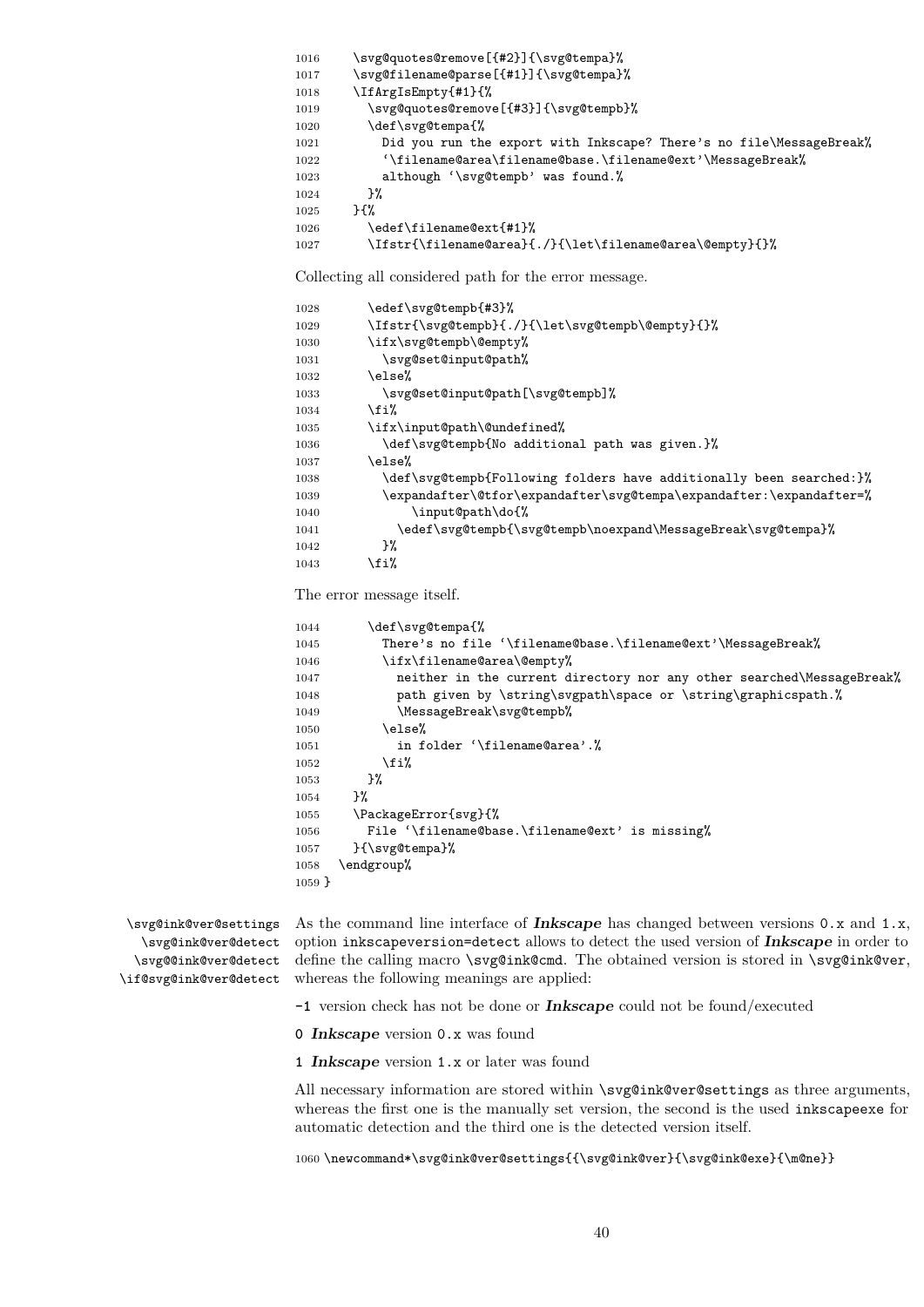\svg@quotes@remove[{#2}]{\svg@tempa}% \svg@filename@parse[{#1}]{\svg@tempa}% \IfArgIsEmpty{#1}{% \svg@quotes@remove[{#3}]{\svg@tempb}% 1020 \def\svg@tempa{% 1021 Did you run the export with Inkscape? There's no file\MessageBreak% '\filename@area\filename@base.\filename@ext'\MessageBreak% although '\svg@tempb' was found.% 1024 }% }{% \edef\filename@ext{#1}% \Ifstr{\filename@area}{./}{\let\filename@area\@empty}{}%

Collecting all considered path for the error message.

| 1028 | \edef\svg@tempb{#3}%                                                |
|------|---------------------------------------------------------------------|
| 1029 | \Ifstr{\svg@tempb}{./}{\let\svg@tempb\@empty}{}%                    |
| 1030 | \ifx\svg@tempb\@empty%                                              |
| 1031 | \svg@set@input@path%                                                |
| 1032 | \else%                                                              |
| 1033 | \svg@set@input@path[\svg@tempb]%                                    |
| 1034 | \fi%                                                                |
| 1035 | \ifx\input@path\@undefined%                                         |
| 1036 | \def\svg@tempb{No additional path was given.}%                      |
| 1037 | \else%                                                              |
| 1038 | \def\svg@tempb{Following folders have additionally been searched:}% |
| 1039 | \expandafter\@tfor\expandafter\svg@tempa\expandafter:\expandafter=% |
| 1040 | \input@path\do{%                                                    |
| 1041 | \edef\svg@tempb{\svg@tempb\noexpand\MessageBreak\svg@tempa}%        |
| 1042 | }‰                                                                  |
| 1043 | \fi%                                                                |

The error message itself.

```
1044 \def\svg@tempa{%
1045 There's no file '\filename@base.\filename@ext'\MessageBreak%
1046 \ifx\filename@area\@empty%
1047 neither in the current directory nor any other searched\MessageBreak%
1048 path given by \string\svgpath\space or \string\graphicspath. %
1049 \MessageBreak\svg@tempb%
1050 \text{e} \text{se} \text{\%}1051 in folder '\filename@area'. %
1052 \fi%
1053 }%
1054 }%
1055 \PackageError{svg}{%
1056 File '\filename@base.\filename@ext' is missing%
1057 }{\svg@tempa}%
1058 \endgroup%
1059 }
```
\svg@ink@ver@settings \svg@ink@ver@detect \svg@@ink@ver@detect \if@svg@ink@ver@detect

As the command line interface of **Inkscape** has changed between versions 0.x and 1.x, option inkscapeversion=detect allows to detect the used version of **Inkscape** in order to define the calling macro \svg@ink@cmd. The obtained version is stored in \svg@ink@ver, whereas the following meanings are applied:

**-1** version check has not be done or **Inkscape** could not be found/executed

**Inkscape** version 0.x was found

**Inkscape** version 1.x or later was found

All necessary information are stored within \svg@ink@ver@settings as three arguments, whereas the first one is the manually set version, the second is the used inkscapeexe for automatic detection and the third one is the detected version itself.

1060\newcommand\*\svg@ink@ver@settings{{\svg@ink@ver}{\svg@ink@exe}{\m@ne}}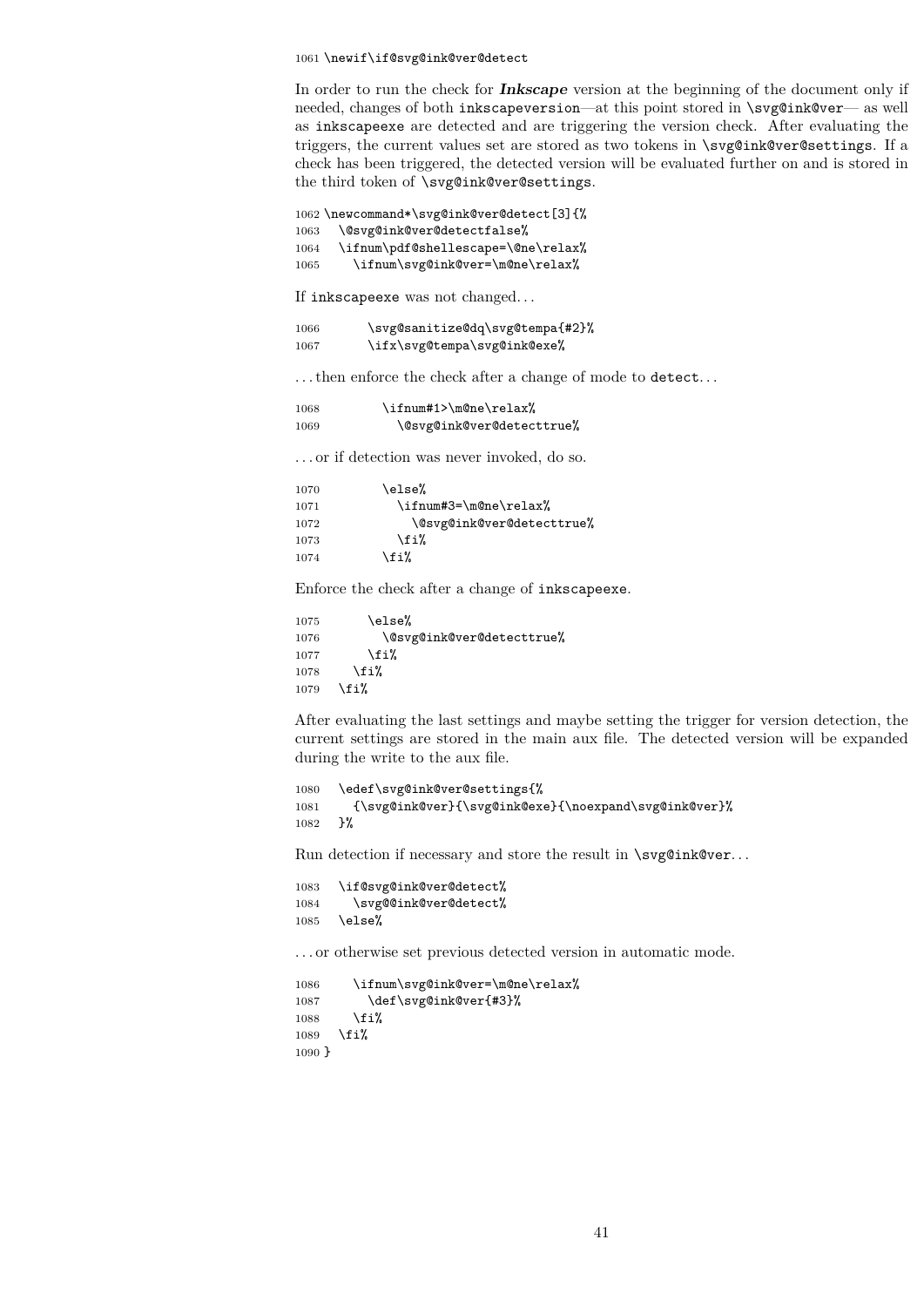#### 1061 \newif\if@svg@ink@ver@detect

In order to run the check for **Inkscape** version at the beginning of the document only if needed, changes of both inkscapeversion—at this point stored in \svg@ink@ver— as well as inkscapeexe are detected and are triggering the version check. After evaluating the triggers, the current values set are stored as two tokens in \svg@ink@ver@settings. If a check has been triggered, the detected version will be evaluated further on and is stored in the third token of \svg@ink@ver@settings.

1062 \newcommand\*\svg@ink@ver@detect[3]{% 1063 \@svg@ink@ver@detectfalse% 1064 \ifnum\pdf@shellescape=\@ne\relax%

1065 \ifnum\svg@ink@ver=\m@ne\relax%

If inkscapeexe was not changed. . .

| 1066 | \svg@sanitize@dq\svg@tempa{#2}% |
|------|---------------------------------|
| 1067 | \ifx\svg@tempa\svg@ink@exe%     |

. . . then enforce the check after a change of mode to detect. . .

| 1068 | \ifnum#1>\m@ne\relax%     |
|------|---------------------------|
| 1069 | \@svg@ink@ver@detecttrue% |

. . . or if detection was never invoked, do so.

| 1070 | \else%                    |  |
|------|---------------------------|--|
| 1071 | \ifnum#3=\m@ne\relax%     |  |
| 1072 | \@svg@ink@ver@detecttrue% |  |
| 1073 | \fi%                      |  |
| 1074 | \fi%                      |  |

Enforce the check after a change of inkscapeexe.

```
1075 \else%
1076 \@svg@ink@ver@detecttrue%
1077 \fi%
1078 \fi%
1079 \fi%
```
After evaluating the last settings and maybe setting the trigger for version detection, the current settings are stored in the main aux file. The detected version will be expanded during the write to the aux file.

```
1080 \edef\svg@ink@ver@settings{%
1081 {\svg@ink@ver}{\svg@ink@exe}{\noexpand\svg@ink@ver}%
1082 }%
```
Run detection if necessary and store the result in  $\s\sqrt{\frac{g_{ink}\overline{g}}{g_{mk}\overline{g}}$ 

```
1083 \if@svg@ink@ver@detect%
1084 \svg@@ink@ver@detect%
1085 \else%
```
. . . or otherwise set previous detected version in automatic mode.

```
1086 \ifnum\svg@ink@ver=\m@ne\relax%
1087 \def\svg@ink@ver{#3}%
1088 \fi%
1089 \fi%
1090 }
```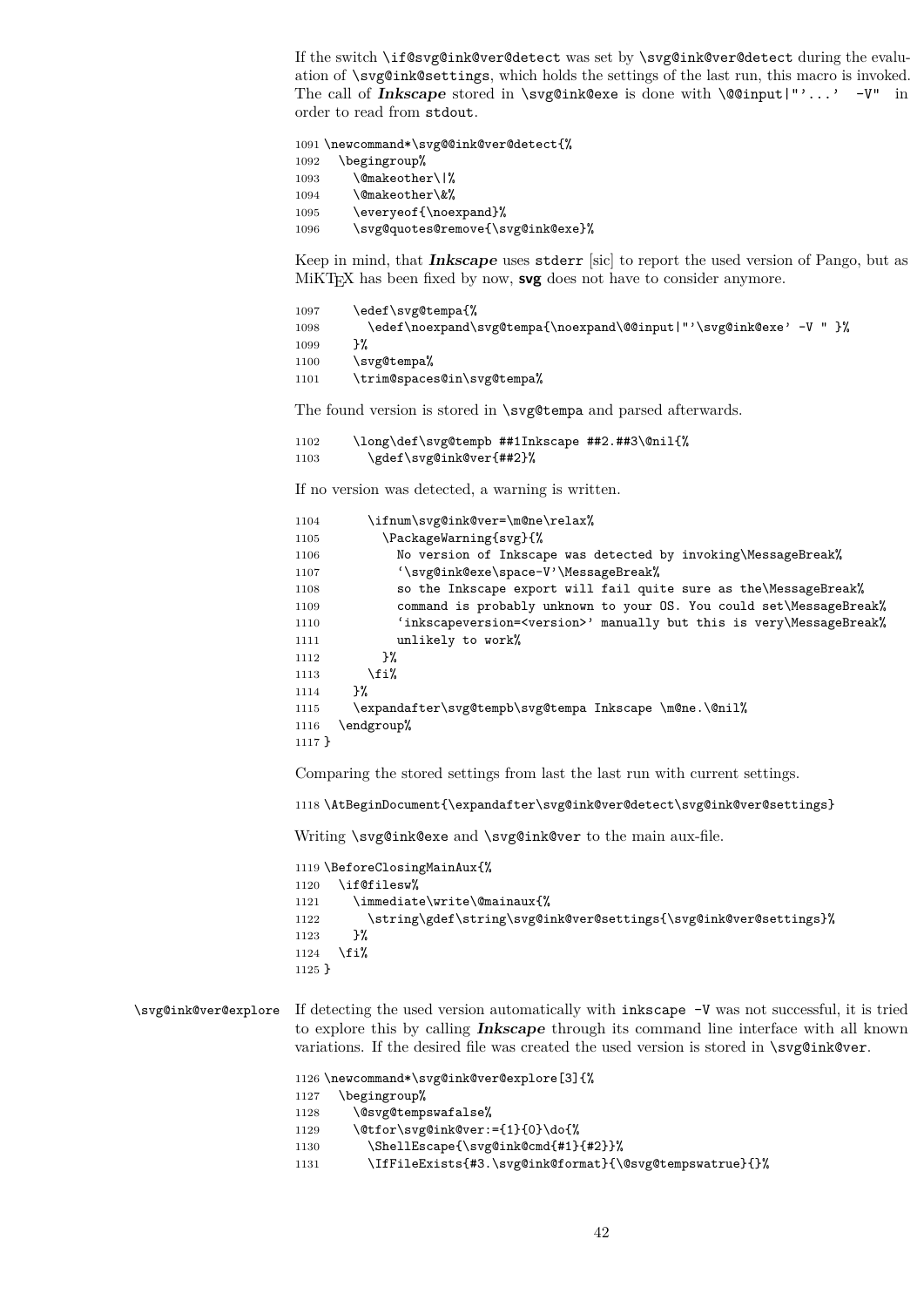If the switch \if@svg@ink@ver@detect was set by \svg@ink@ver@detect during the evaluation of \svg@ink@settings, which holds the settings of the last run, this macro is invoked. The call of **Inkscape** stored in \svg@ink@exe is done with \@@input|"'...' -V" in order to read from stdout.

 \newcommand\*\svg@@ink@ver@detect{% \begingroup% 1093 \@makeother\|% 1094 \@makeother\&% 1095 \everyeof{\noexpand}% \svg@quotes@remove{\svg@ink@exe}%

Keep in mind, that **Inkscape** uses stderr [sic] to report the used version of Pango, but as MiKT<sub>E</sub>X has been fixed by now, **svg** does not have to consider anymore.

| 1097 | \edef\svg@tempa{%                                                     |
|------|-----------------------------------------------------------------------|
| 1098 | ጉ%<br>\edef\noexpand\svg@tempa{\noexpand\@@input "'\svg@ink@exe' -V " |
| 1099 |                                                                       |
| 1100 | \svg@tempa%                                                           |
| 1101 | \trim@spaces@in\svg@tempa%                                            |

The found version is stored in \svg@tempa and parsed afterwards.

```
1102 \long\def\svg@tempb ##1Inkscape ##2.##3\@nil{%
1103 \gdef\svg@ink@ver{##2}%
```
If no version was detected, a warning is written.

| 1104     | \ifnum\svg@ink@ver=\m@ne\relax%                                                |
|----------|--------------------------------------------------------------------------------|
| 1105     | \PackageWarning{svg}{%                                                         |
| 1106     | No version of Inkscape was detected by invoking\MessageBreak%                  |
| 1107     | '\svg@ink@exe\space-V'\MessageBreak%                                           |
| 1108     | so the Inkscape export will fail quite sure as the\MessageBreak%               |
| 1109     | command is probably unknown to your OS. You could set\MessageBreak%            |
| 1110     | 'inkscapeversion= <version>' manually but this is very\MessageBreak%</version> |
| 1111     | unlikely to work%                                                              |
| 1112     | ጉ%                                                                             |
| 1113     | \fi%                                                                           |
| 1114     | ጉ%                                                                             |
| 1115     | \expandafter\svg@tempb\svg@tempa Inkscape \m@ne.\@nil%                         |
| 1116     | \endgroup%                                                                     |
| $1117$ } |                                                                                |
|          |                                                                                |

Comparing the stored settings from last the last run with current settings.

\AtBeginDocument{\expandafter\svg@ink@ver@detect\svg@ink@ver@settings}

Writing \svg@ink@exe and \svg@ink@ver to the main aux-file.

```
1119 \BeforeClosingMainAux{%
1120 \if@filesw%
1121 \immediate\write\@mainaux{%
1122 \string\gdef\string\svg@ink@ver@settings{\svg@ink@ver@settings}%
1123 }%
1124 \fi%
1125 }
```
\svg@ink@ver@explore If detecting the used version automatically with inkscape -V was not successful, it is tried to explore this by calling **Inkscape** through its command line interface with all known variations. If the desired file was created the used version is stored in \svg@ink@ver.

```
1126 \newcommand*\svg@ink@ver@explore[3]{%
```

```
1127 \begingroup%
```

```
1128 \@svg@tempswafalse%
```

```
1129 \@tfor\svg@ink@ver:={1}{0}\do{%
```

```
1130 \ShellEscape{\svg@ink@cmd{#1}{#2}}%
```

```
1131 \IfFileExists{#3.\svg@ink@format}{\@svg@tempswatrue}{}%
```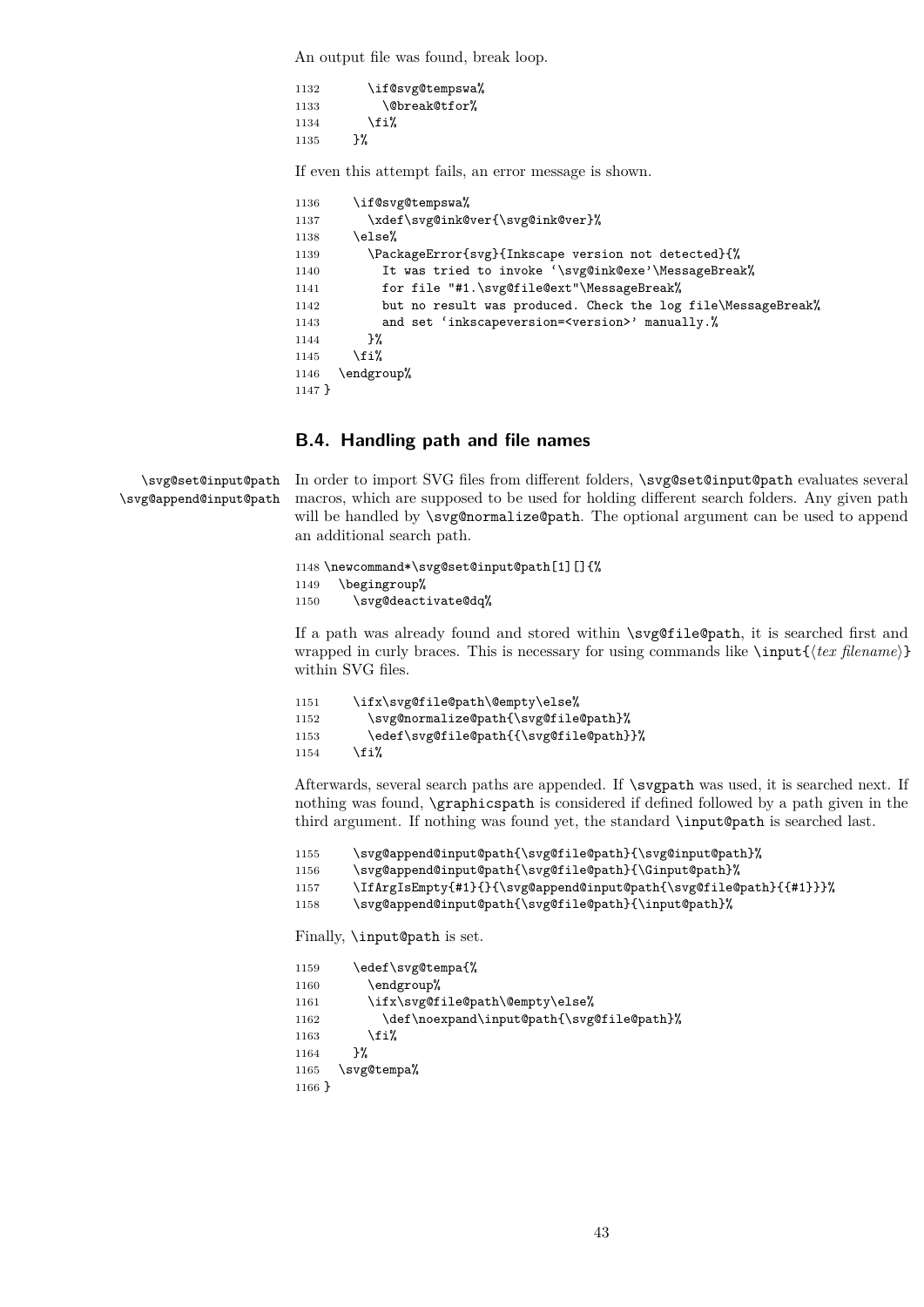An output file was found, break loop.

1132 \if@svg@tempswa% 1133 \@break@tfor% 1134  $\overrightarrow{134}$ 1135 }%

If even this attempt fails, an error message is shown.

```
1136 \if@svg@tempswa%
1137 \xdef\svg@ink@ver{\svg@ink@ver}%
1138 \else<sup>%</sup>
1139 \PackageError{svg}{Inkscape version not detected}{%
1140 It was tried to invoke '\svg@ink@exe'\MessageBreak%
1141 for file "#1.\svg@file@ext"\MessageBreak%
1142 but no result was produced. Check the log file\MessageBreak%
1143 and set 'inkscapeversion=<version>' manually.%
1144 }%
1145 \overline{1145}1146 \endgroup%
1147 }
```
## **B.4. Handling path and file names**

\svg@set@input@path \svg@append@input@path

In order to import SVG files from different folders, \svg@set@input@path evaluates several macros, which are supposed to be used for holding different search folders. Any given path will be handled by \svg@normalize@path. The optional argument can be used to append an additional search path.

```
1148 \newcommand*\svg@set@input@path[1][]{%
1149 \begingroup%
1150 \svg@deactivate@dq%
```
If a path was already found and stored within \svg@file@path, it is searched first and wrapped in curly braces. This is necessary for using commands like  $\infty$  filename) within SVG files.

```
1151 \ifx\svg@file@path\@empty\else%
1152 \svg@normalize@path{\svg@file@path}%
1153 \edef\svg@file@path{{\svg@file@path}}%
1154 \overline{154}
```
Afterwards, several search paths are appended. If \svgpath was used, it is searched next. If nothing was found, \graphicspath is considered if defined followed by a path given in the third argument. If nothing was found yet, the standard \input@path is searched last.

```
1155 \svg@append@input@path{\svg@file@path}{\svg@input@path}%
1156 \svg@append@input@path{\svg@file@path}{\Ginput@path}%
1157 \IfArgIsEmpty{#1}{}{\svg@append@input@path{\svg@file@path}{{#1}}}%
1158 \svg@append@input@path{\svg@file@path}{\input@path}%
```
Finally, \input@path is set.

```
1159 \edef\svg@tempa{%
1160 \endgroup%
1161 \ifx\svg@file@path\@empty\else%
1162 \def\noexpand\input@path{\svg@file@path}%
1163 \fi%
1164 }%
1165 \svg@tempa%
1166 }
```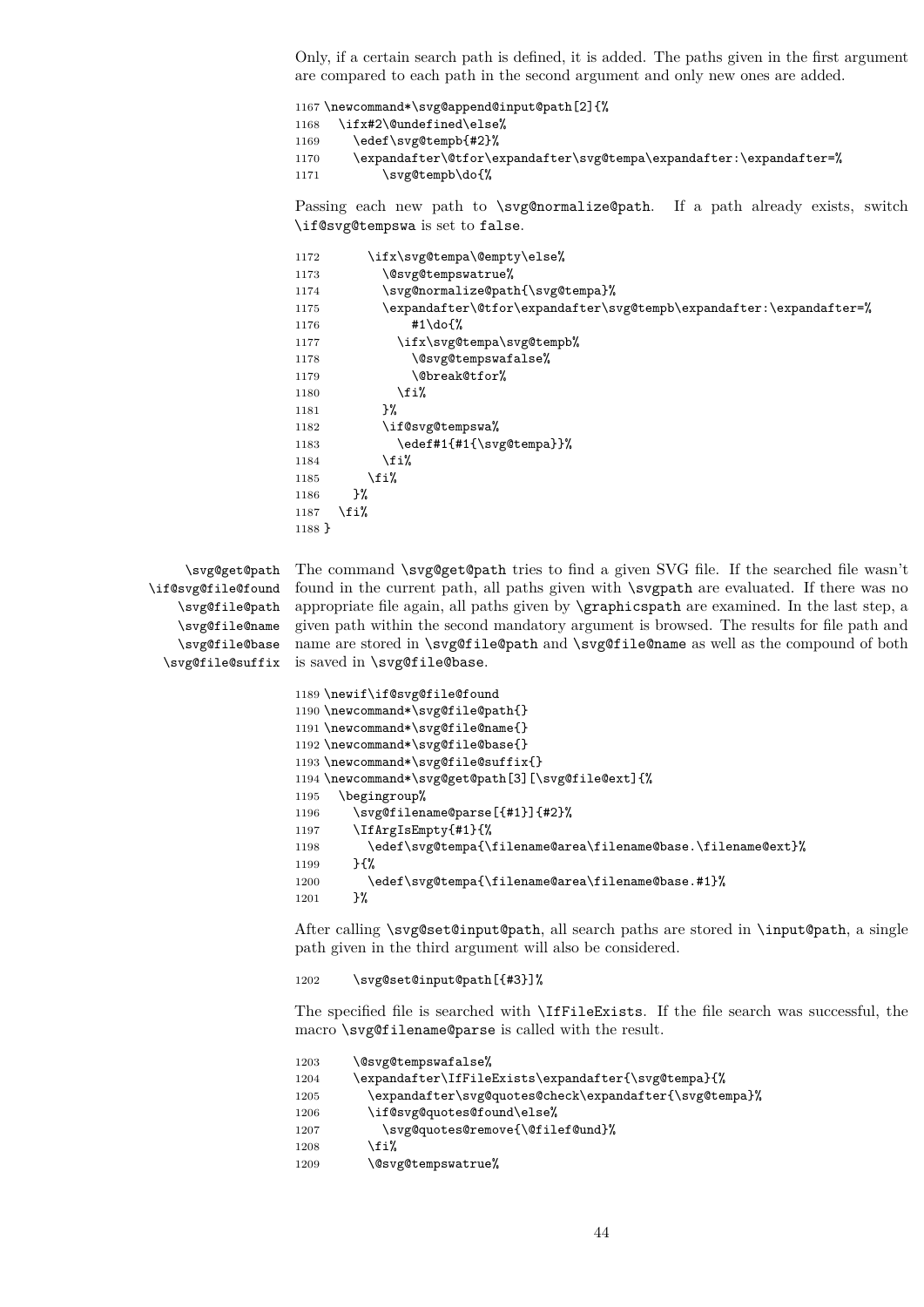Only, if a certain search path is defined, it is added. The paths given in the first argument are compared to each path in the second argument and only new ones are added.

 \newcommand\*\svg@append@input@path[2]{% \ifx#2\@undefined\else% \edef\svg@tempb{#2}% \expandafter\@tfor\expandafter\svg@tempa\expandafter:\expandafter=% 1171 \svg@tempb\do{%

Passing each new path to \svg@normalize@path. If a path already exists, switch \if@svg@tempswa is set to false.

```
1172 \ifx\svg@tempa\@empty\else%
1173 \@svg@tempswatrue%
1174 \svg@normalize@path{\svg@tempa}%
1175 \expandafter\@tfor\expandafter\svg@tempb\expandafter:\expandafter=%
1176 #1\do{%
1177 \ifx\svg@tempa\svg@tempb%
1178 \@svg@tempswafalse%
1179 \\@break@tfor%
1180 \quad \text{if } \lambda1181 }%
1182 \if@svg@tempswa%
1183 \edef#1{#1{\svg@tempa}}%
1184 \fi%
1185 \fi%
1186 }%
1187 \fi%
1188 }
```

```
\svg@get@path
\if@svg@file@found
    \svg@file@path
    \svg@file@name
    \svg@file@base
```
\svg@file@suffix is saved in \svg@file@base. The command \svg@get@path tries to find a given SVG file. If the searched file wasn't found in the current path, all paths given with \svgpath are evaluated. If there was no appropriate file again, all paths given by \graphicspath are examined. In the last step, a given path within the second mandatory argument is browsed. The results for file path and name are stored in \svg@file@path and \svg@file@name as well as the compound of both

```
1189 \newif\if@svg@file@found
1190 \newcommand*\svg@file@path{}
1191 \newcommand*\svg@file@name{}
1192 \newcommand*\svg@file@base{}
1193 \newcommand*\svg@file@suffix{}
1194 \newcommand*\svg@get@path[3][\svg@file@ext]{%
1195 \begingroup%
1196 \svg@filename@parse[{#1}]{#2}%
1197 \IfArgIsEmpty{#1}{%
1198 \edef\svg@tempa{\filename@area\filename@base.\filename@ext}%
1199 }\{%
1200 \edef\svg@tempa{\filename@area\filename@base.#1}%
1201 }%
```
After calling \svg@set@input@path, all search paths are stored in \input@path, a single path given in the third argument will also be considered.

1202 \svg@set@input@path[{#3}]%

The specified file is searched with \IfFileExists. If the file search was successful, the macro \svg@filename@parse is called with the result.

| 1203 | \@svg@tempswafalse%                                    |
|------|--------------------------------------------------------|
| 1204 | \expandafter\IfFileExists\expandafter{\svg@tempa}{%    |
| 1205 | \expandafter\svg@quotes@check\expandafter{\svg@tempa}% |
| 1206 | \if@svg@quotes@found\else%                             |
| 1207 | \svg@quotes@remove{\@filef@und}%                       |
| 1208 | \fi%                                                   |
| 1209 | \@svg@tempswatrue%                                     |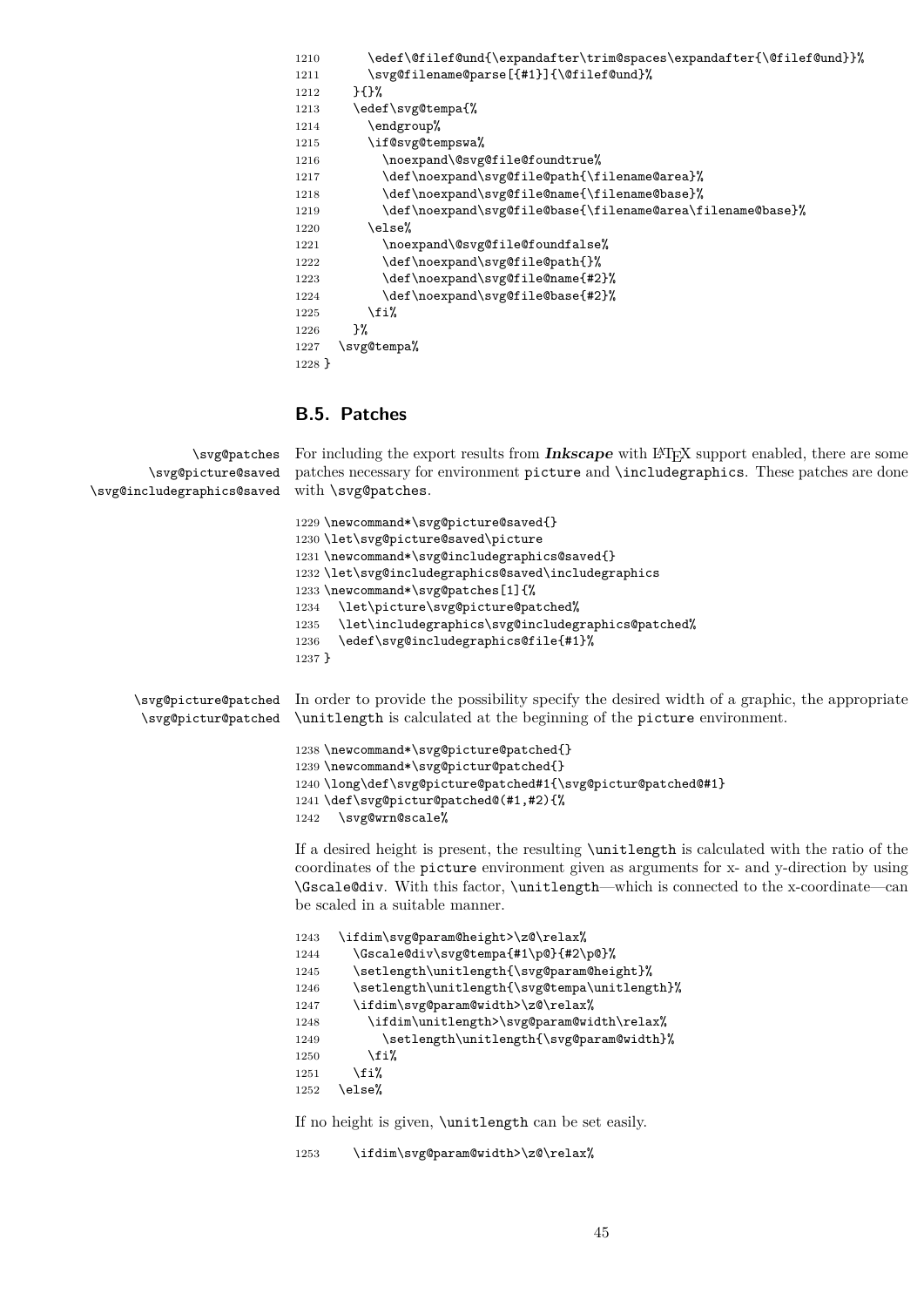| 1210     | \edef\@filef@und{\expandafter\trim@spaces\expandafter{\@filef@und}}% |
|----------|----------------------------------------------------------------------|
| 1211     | \svg@filename@parse[{#1}]{\@filef@und}%                              |
| 1212     | }{}%                                                                 |
| 1213     | \edef\svg@tempa{%                                                    |
| 1214     | \endgroup%                                                           |
| 1215     | \if@svg@tempswa%                                                     |
| 1216     | \noexpand\@svg@file@foundtrue%                                       |
| 1217     | \def\noexpand\svg@file@path{\filename@area}%                         |
| 1218     | \def\noexpand\svg@file@name{\filename@base}%                         |
| 1219     | \def\noexpand\svg@file@base{\filename@area\filename@base}%           |
| 1220     | \else%                                                               |
| 1221     | \noexpand\@svg@file@foundfalse%                                      |
| 1222     | \def\noexpand\svg@file@path{}%                                       |
| 1223     | \def\noexpand\svg@file@name{#2}%                                     |
| 1224     | \def\noexpand\svg@file@base{#2}%                                     |
| 1225     | \fi%                                                                 |
| 1226     | }‰                                                                   |
| 1227     | \svg@tempa%                                                          |
| $1228$ } |                                                                      |

# **B.5. Patches**

```
\svg@patches
        \svg@picture@saved
\svg@includegraphics@saved
                            For including the export results from Inkscape with L<sup>AT</sup>EX support enabled, there are some
                            patches necessary for environment picture and \includegraphics. These patches are done
                            with \svg@patches.
                            1229 \newcommand*\svg@picture@saved{}
                            1230 \let\svg@picture@saved\picture
                            1231 \newcommand*\svg@includegraphics@saved{}
                            1232 \let\svg@includegraphics@saved\includegraphics
                            1233 \newcommand*\svg@patches[1]{%
                            1234 \let\picture\svg@picture@patched%
                            1235 \let\includegraphics\svg@includegraphics@patched%
                            1236 \edef\svg@includegraphics@file{#1}%
                            1237 }
      \svg@picture@patched
In order to provide the possibility specify the desired width of a graphic, the appropriate
       \svg@pictur@patched
                            \unitlength is calculated at the beginning of the picture environment.
                            1238 \newcommand*\svg@picture@patched{}
                            1239 \newcommand*\svg@pictur@patched{}
                            1240 \long\def\svg@picture@patched#1{\svg@pictur@patched@#1}
                            1241 \def\svg@pictur@patched@(#1,#2){%
                            1242 \svg@wrn@scale%
                            If a desired height is present, the resulting \unitlength is calculated with the ratio of the
                            coordinates of the picture environment given as arguments for x- and y-direction by using
                            \Gscale@div. With this factor, \unitlength—which is connected to the x-coordinate—can
                            be scaled in a suitable manner.
                            1243 \ifdim\svg@param@height>\z@\relax%
                            1244 \Gscale@div\svg@tempa{#1\p@}{#2\p@}%
                            1245 \setlength\unitlength{\svg@param@height}%
                            1246 \setlength\unitlength{\svg@tempa\unitlength}%
                            1247 \ifdim\svg@param@width>\z@\relax%
                            1248 \ifdim\unitlength>\svg@param@width\relax%
                            1249 \setlength\unitlength{\svg@param@width}%
                            1250 \fi%
                            1251 \fi%
                            1252 \else%
                            If no height is given, \unitlength can be set easily.
                            1253 \ifdim\svg@param@width>\z@\relax%
```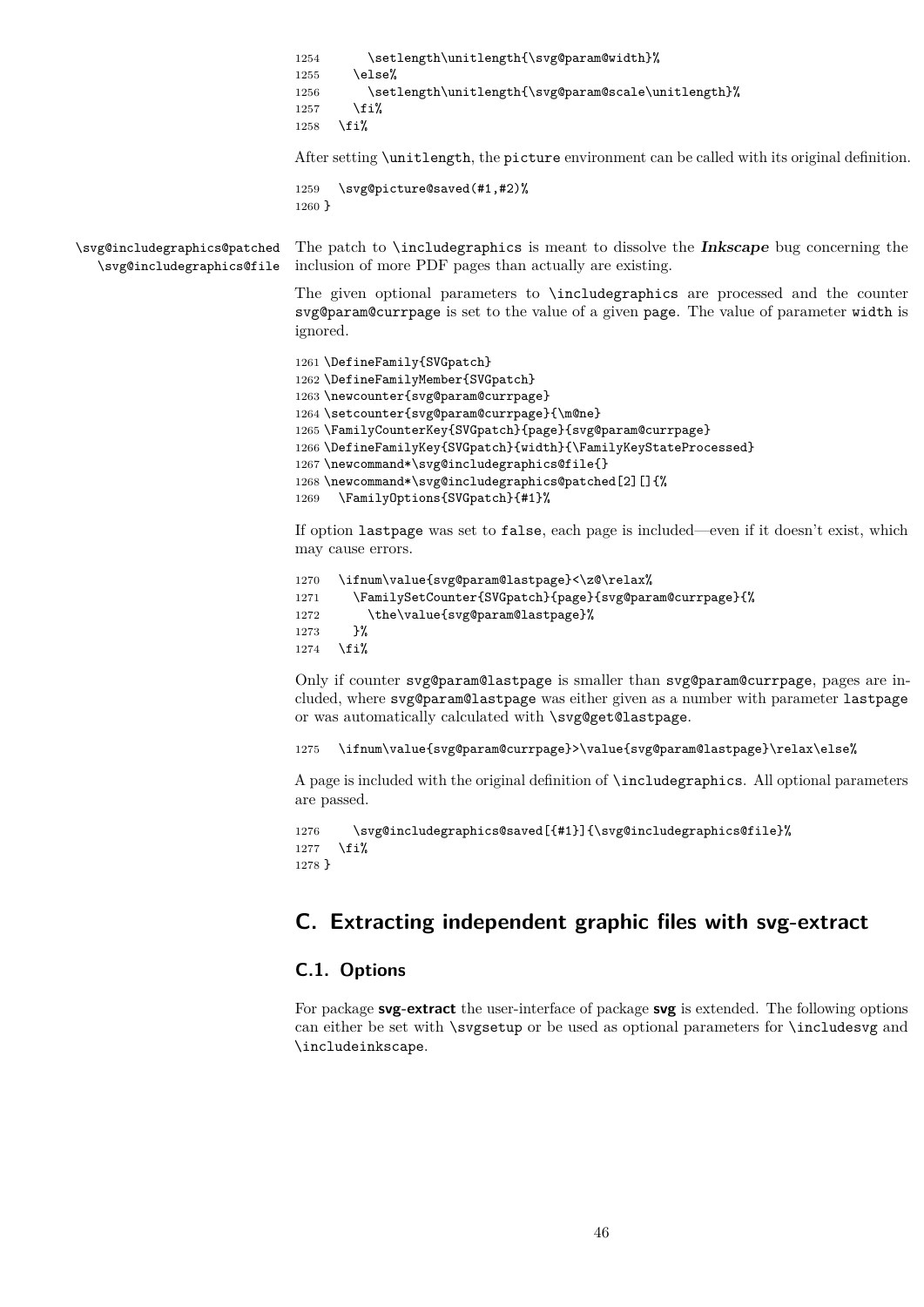|                                                           | \setlength\unitlength{\svg@param@width}%<br>1254<br>\else%<br>1255<br>\setlength\unitlength{\svg@param@scale\unitlength}%<br>1256<br>\fi%<br>1257<br>\fi%<br>1258                                                                                                                                                                                                                                                                            |
|-----------------------------------------------------------|----------------------------------------------------------------------------------------------------------------------------------------------------------------------------------------------------------------------------------------------------------------------------------------------------------------------------------------------------------------------------------------------------------------------------------------------|
|                                                           | After setting \unitlength, the picture environment can be called with its original definition.                                                                                                                                                                                                                                                                                                                                               |
|                                                           | \svg@picture@saved(#1,#2)%<br>1259<br>1260 }                                                                                                                                                                                                                                                                                                                                                                                                 |
| \svg@includegraphics@patched<br>\svg@includegraphics@file | The patch to <b>\includegraphics</b> is meant to dissolve the <b>Inkscape</b> bug concerning the<br>inclusion of more PDF pages than actually are existing.                                                                                                                                                                                                                                                                                  |
|                                                           | The given optional parameters to <i>includegraphics</i> are processed and the counter<br>svg@param@currpage is set to the value of a given page. The value of parameter width is<br>ignored.                                                                                                                                                                                                                                                 |
|                                                           | 1261 \DefineFamily{SVGpatch}<br>1262 \DefineFamilyMember{SVGpatch}<br>1263 \newcounter{svg@param@currpage}<br>1264 \setcounter{svg@param@currpage}{\m@ne}<br>1265 \FamilyCounterKey{SVGpatch}{page}{svg@param@currpage}<br>1266 \DefineFamilyKey{SVGpatch}{width}{\FamilyKeyStateProcessed}<br>1267 \newcommand*\svg@includegraphics@file{}<br>1268 \newcommand*\svg@includegraphics@patched[2][]{%<br>\FamilyOptions{SVGpatch}{#1}%<br>1269 |
|                                                           | If option last page was set to false, each page is included—even if it doesn't exist, which<br>may cause errors.                                                                                                                                                                                                                                                                                                                             |
|                                                           | \ifnum\value{svg@param@lastpage}<\z@\relax%<br>1270<br>\FamilySetCounter{SVGpatch}{page}{svg@param@currpage}{%<br>1271<br>\the\value{svg@param@lastpage}%<br>1272<br>}%<br>1273<br>\fi%<br>1274                                                                                                                                                                                                                                              |
|                                                           | Only if counter svg@param@lastpage is smaller than svg@param@currpage, pages are in-<br>cluded, where svg@param@lastpage was either given as a number with parameter lastpage<br>or was automatically calculated with \svg@get@lastpage.                                                                                                                                                                                                     |
|                                                           | \ifnum\value{svg@param@currpage}>\value{svg@param@lastpage}\relax\else%<br>1275                                                                                                                                                                                                                                                                                                                                                              |
|                                                           | A page is included with the original definition of <b>\includegraphics</b> . All optional parameters<br>are passed.                                                                                                                                                                                                                                                                                                                          |
|                                                           | \svg@includegraphics@saved[{#1}]{\svg@includegraphics@file}%<br>1276<br>\fi%<br>1277<br>1278 }                                                                                                                                                                                                                                                                                                                                               |
|                                                           | C. Extracting independent graphic files with svg-extract                                                                                                                                                                                                                                                                                                                                                                                     |

# **C.1. Options**

For package **svg-extract** the user-interface of package **svg** is extended. The following options can either be set with \svgsetup or be used as optional parameters for \includesvg and \includeinkscape.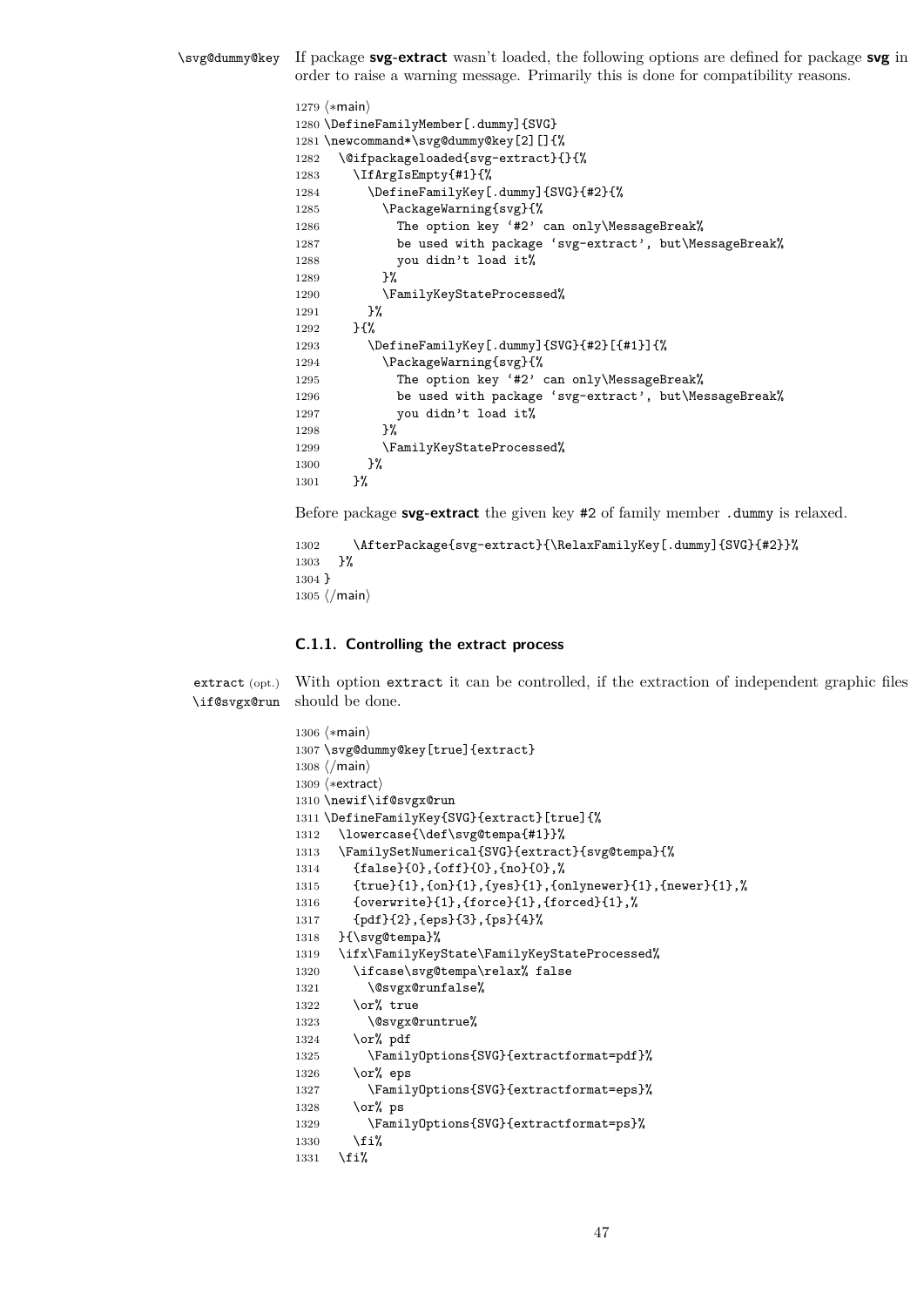\svg@dummy@key If package **svg-extract** wasn't loaded, the following options are defined for package **svg** in order to raise a warning message. Primarily this is done for compatibility reasons.

```
1279 \langle *main \rangle1280 \DefineFamilyMember[.dummy]{SVG}
1281 \newcommand*\svg@dummy@key[2][]{%
1282 \@ifpackageloaded{svg-extract}{}{%
1283 \IfArgIsEmpty{#1}{%
1284 \DefineFamilyKey[.dummy]{SVG}{#2}{%
1285 \PackageWarning{svg}{%
1286 The option key '#2' can only\MessageBreak%
1287 be used with package 'svg-extract', but\MessageBreak%
1288 you didn't load it%
1289 }%
1290 \FamilyKeyStateProcessed%
1291 }%
1292 }{%
1293 \DefineFamilyKey[.dummy]{SVG}{#2}[{#1}]{%
1294 \PackageWarning{svg}{%
1295 The option key '#2' can only\MessageBreak%
1296 be used with package 'svg-extract', but\MessageBreak%
1297 you didn't load it%
1298 }%
1299 \FamilyKeyStateProcessed%
1300 }%
1301 }%
```
Before package **svg-extract** the given key #2 of family member .dummy is relaxed.

```
1302 \AfterPackage{svg-extract}{\RelaxFamilyKey[.dummy]{SVG}{#2}}%<br>1303 }%
1303
1304 }
1305 \langle/main\rangle
```
## **C.1.1. Controlling the extract process**

extract (opt.) \if@svgx@run With option extract it can be controlled, if the extraction of independent graphic files should be done.

```
1306 (*main)
1307 \svg@dummy@key[true]{extract}
1308 (/main)
1309 (*extract)
1310 \newif\if@svgx@run
1311 \DefineFamilyKey{SVG}{extract}[true]{%
1312 \lowercase{\def\svg@tempa{#1}}%
1313 \FamilySetNumerical{SVG}{extract}{svg@tempa}{%
1314 {false}{0}, {off}{0}, {no}{0},%
1315 {true}{1},{on}{1},{yes}{1},{onlynewer}{1},{newer}{1},%
1316 {overwrite}{1}, {force}{1}, {forced}{1},%
1317 {pdf}{2},{eps}{3},{ps}{4}%
1318 }{\svg@tempa}%
1319 \ifx\FamilyKeyState\FamilyKeyStateProcessed%
1320 \ifcase\svg@tempa\relax% false
1321 \@svgx@runfalse%
1322 \or\ true
1323 \@svgx@runtrue%
1324 \or% pdf
1325 \FamilyOptions{SVG}{extractformat=pdf}%
1326 \or% eps
1327 \FamilyOptions{SVG}{extractformat=eps}%
1328 \or% ps
1329 \FamilyOptions{SVG}{extractformat=ps}%
1330 \fi%
1331 \fi%
```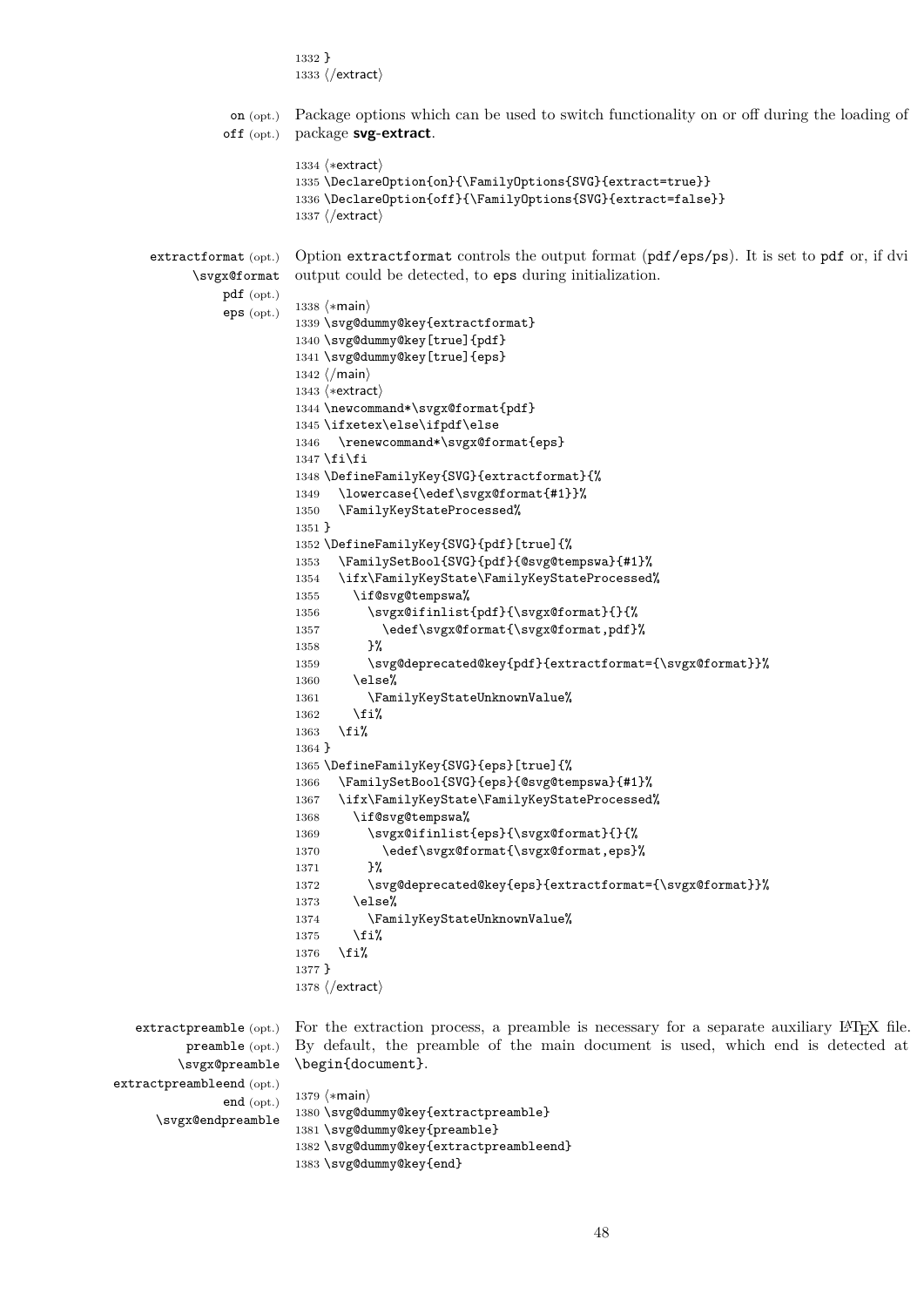```
1332 }
                         1333 \langle/extract\rangleon (opt.)
               off (opt.)
                         Package options which can be used to switch functionality on or off during the loading of
                         package svg-extract.
                         1334 (*extract)
                         1335 \DeclareOption{on}{\FamilyOptions{SVG}{extract=true}}
                         1336 \DeclareOption{off}{\FamilyOptions{SVG}{extract=false}}
                         1337 (/extract)
    extractformat (opt.)
           \svgx@format
               pdf (opt.)
               eps (opt.)
                         Option extractformat controls the output format (pdf/eps/ps). It is set to pdf or, if dvi
                         output could be detected, to eps during initialization.
                         1338 (*main)
                         1339 \svg@dummy@key{extractformat}
                         1340 \svg@dummy@key[true]{pdf}
                         1341 \svg@dummy@key[true]{eps}
                         1342 \langle/main)
                         1343 (*extract)
                         1344 \newcommand*\svgx@format{pdf}
                         1345 \ifxetex\else\ifpdf\else
                         1346 \renewcommand*\svgx@format{eps}
                         1347 \fi\fi
                         1348 \DefineFamilyKey{SVG}{extractformat}{%
                         1349 \lowercase{\edef\svgx@format{#1}}%
                         1350 \FamilyKeyStateProcessed%
                         1351 }
                         1352 \DefineFamilyKey{SVG}{pdf}[true]{%
                         1353 \FamilySetBool{SVG}{pdf}{@svg@tempswa}{#1}%
                         1354 \ifx\FamilyKeyState\FamilyKeyStateProcessed%
                         1355 \if@svg@tempswa%
                         1356 \svgx@ifinlist{pdf}{\svgx@format}{}{%
                         1357 \edef\svgx@format{\svgx@format,pdf}%
                         1358 }%
                         1359 \svg@deprecated@key{pdf}{extractformat={\svgx@format}}%
                         1360 \qquad \text{leless}1361 \FamilyKeyStateUnknownValue%
                         1362 \{f_i\}1363 \fi%
                         1364 }
                         1365 \DefineFamilyKey{SVG}{eps}[true]{%
                         1366 \FamilySetBool{SVG}{eps}{@svg@tempswa}{#1}%
                         1367 \ifx\FamilyKeyState\FamilyKeyStateProcessed%
                         1368 \if@svg@tempswa%
                         1369 \svgx@ifinlist{eps}{\svgx@format}{}{%
                         1370 \edef\svgx@format{\svgx@format,eps}%
                         1371 }%
                         1372 \svg@deprecated@key{eps}{extractformat={\svgx@format}}%
                         1373 \text{delse}%
                         1374 \FamilyKeyStateUnknownValue%
                         1375 \fi%
                         1376 \fi%
                         1377 }
                         1378 \langle/extract)
  extractpreamble (opt.)
         preamble (opt.)
        \svgx@preamble
extractpreambleend (opt.)
               end (opt.)
     \svgx@endpreamble
                         For the extraction process, a preamble is necessary for a separate auxiliary LATEX file.
                         By default, the preamble of the main document is used, which end is detected at
                         \begin{document}.
                         1379 (*main)
                         1380 \svg@dummy@key{extractpreamble}
                         1381 \svg@dummy@key{preamble}
                         1382 \svg@dummy@key{extractpreambleend}
```

```
1383 \svg@dummy@key{end}
```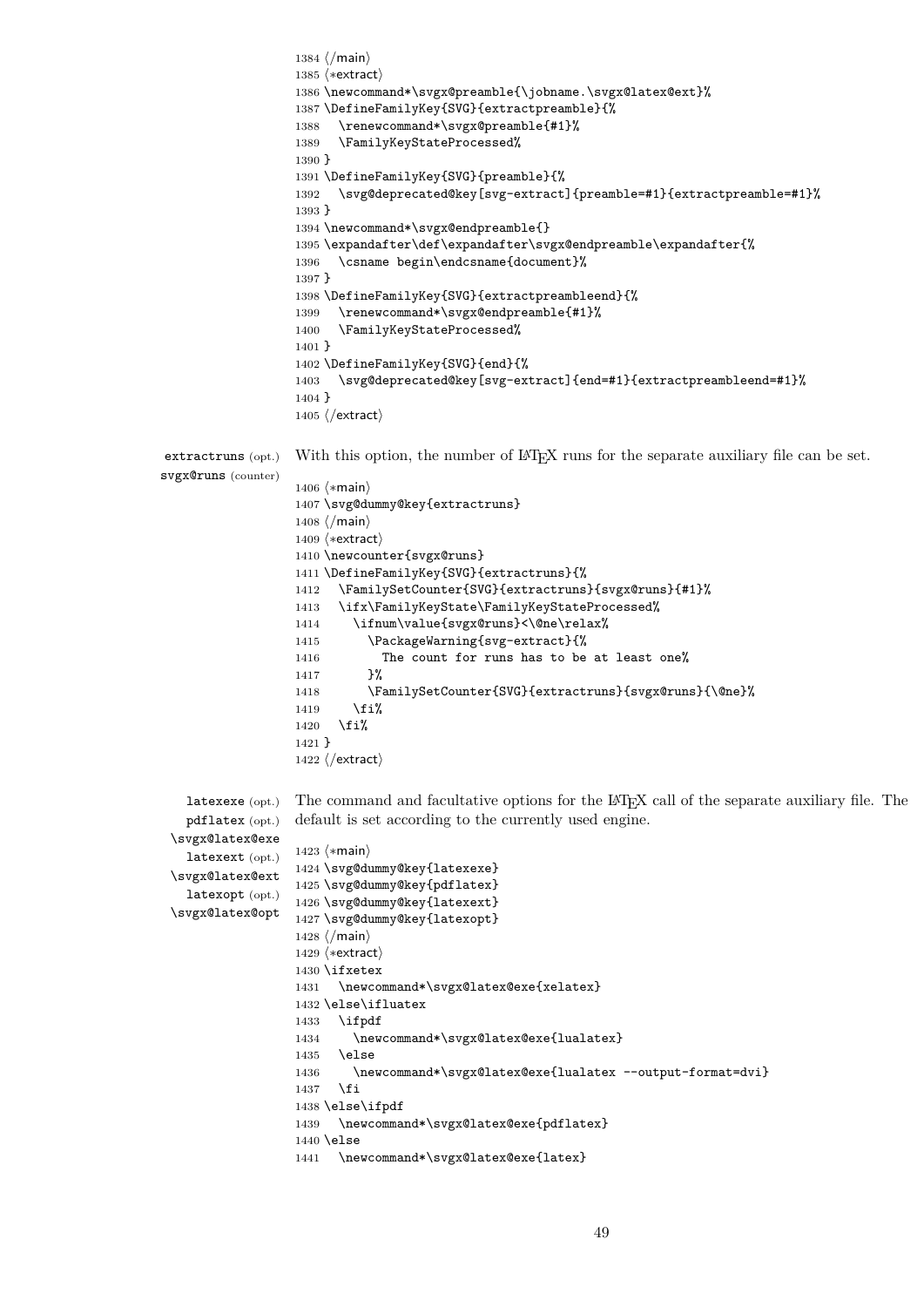```
1384 (/main)
                    1385 (*extract)
                    1386 \newcommand*\svgx@preamble{\jobname.\svgx@latex@ext}%
                    1387 \DefineFamilyKey{SVG}{extractpreamble}{%
                    1388 \renewcommand*\svgx@preamble{#1}%
                    1389 \FamilyKeyStateProcessed%
                    1390 }
                    1391 \DefineFamilyKey{SVG}{preamble}{%
                    1392 \svg@deprecated@key[svg-extract]{preamble=#1}{extractpreamble=#1}%
                    1393 }
                    1394 \newcommand*\svgx@endpreamble{}
                    1395 \expandafter\def\expandafter\svgx@endpreamble\expandafter{%
                    1396 \csname begin\endcsname{document}%
                    1397 }
                    1398 \DefineFamilyKey{SVG}{extractpreambleend}{%<br>1399 \renewcommand*\svgx@endpreamble{#1}%
                         \renewcommand*\svgx@endpreamble{#1}%
                    1400 \FamilyKeyStateProcessed%
                    1401 }
                    1402 \DefineFamilyKey{SVG}{end}{%
                    1403 \svg@deprecated@key[svg-extract]{end=#1}{extractpreambleend=#1}%
                    1404 }
                    1405 \langle/extract\rangleextractruns (opt.)
svgx@runs (counter)
                   With this option, the number of LAT<sub>EX</sub> runs for the separate auxiliary file can be set.
                    1406 \langle \ast \text{main} \rangle1407 \svg@dummy@key{extractruns}
                    1408 \langle/main\rangle1409 (*extract)
                    1410 \newcounter{svgx@runs}
                    1411 \DefineFamilyKey{SVG}{extractruns}{%
                    1412 \FamilySetCounter{SVG}{extractruns}{svgx@runs}{#1}%
                    1413 \ifx\FamilyKeyState\FamilyKeyStateProcessed%
                    1414 \ifnum\value{svgx@runs}<\@ne\relax%
                    1415 \PackageWarning{svg-extract}{%
                    1416 The count for runs has to be at least one%
                    1417 }%
                    1418 \FamilySetCounter{SVG}{extractruns}{svgx@runs}{\@ne}%
                    1419 \fi%
                   1420 \fi%
                   1421 }
                    1422 (/extract)
   latexexe (opt.)
   pdflatex (opt.)
 \svgx@latex@exe
   latexext (opt.)
 \svgx@latex@ext
   latexopt (opt.)
 \svgx@latex@opt
                   The command and facultative options for the LATEX call of the separate auxiliary file. The
                   default is set according to the currently used engine.
                   1423 (*main)
                   1424 \svg@dummy@key{latexexe}
                    1425 \svg@dummy@key{pdflatex}
                   1426 \svg@dummy@key{latexext}
                   1427 \svg@dummy@key{latexopt}
                    1428 \langle/main\rangle1429 \langle*extract\rangle1430 \ifxetex
                    1431 \newcommand*\svgx@latex@exe{xelatex}
                    1432 \else\ifluatex
                    1433 \ifpdf
                    1434 \newcommand*\svgx@latex@exe{lualatex}
                    1435 \else
                    1436 \newcommand*\svgx@latex@exe{lualatex --output-format=dvi}
                    1437 \fi
                    1438 \else\ifpdf
                    1439 \newcommand*\svgx@latex@exe{pdflatex}
                    1440 \else
                    1441 \newcommand*\svgx@latex@exe{latex}
```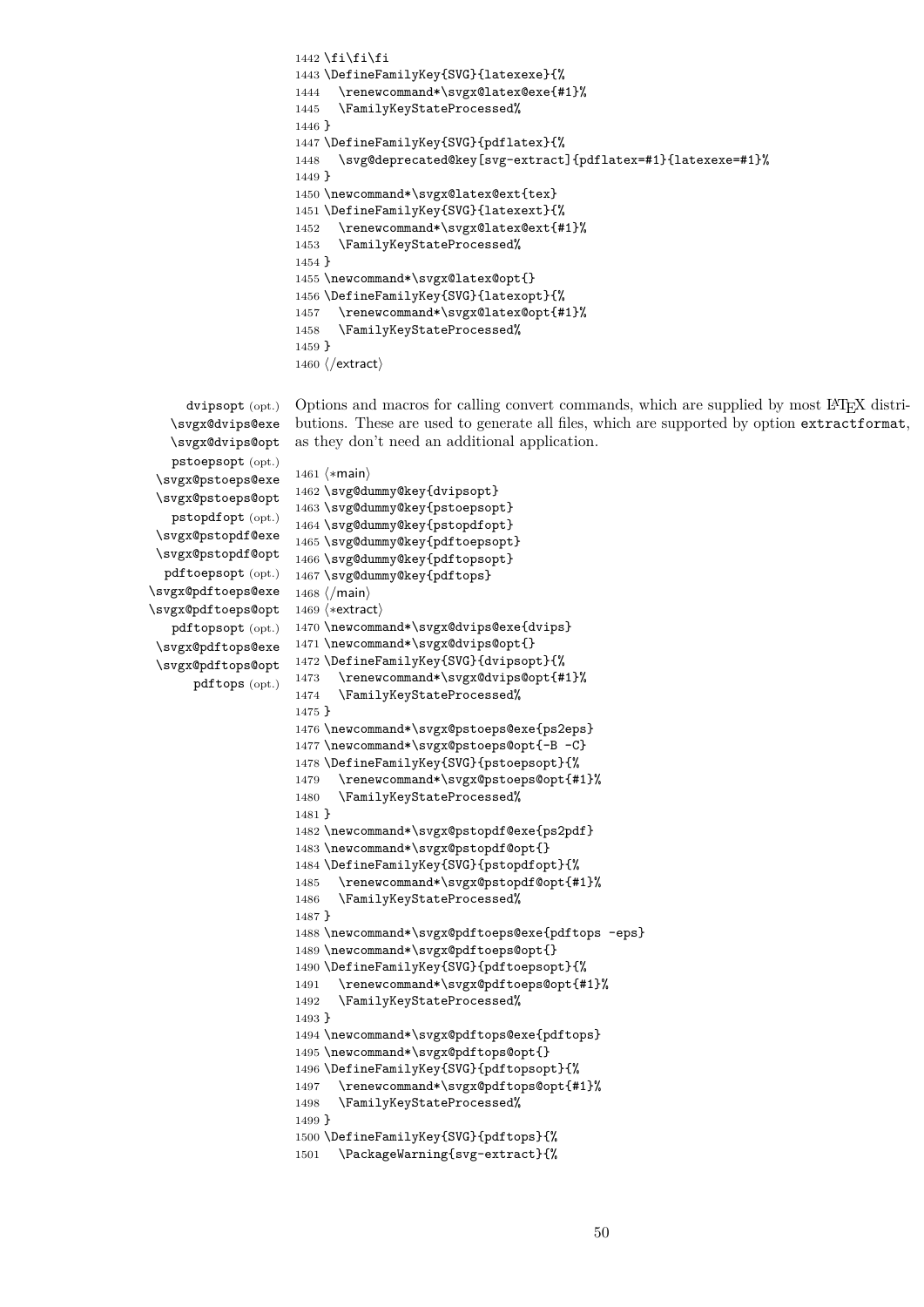```
1442 \if\ifnextchar[{\@model{12}{1442}}\if\ifnextchar[{\@model{12}{1442}}\if\ifnextchar[{\@model{12}{1442}}\if\ifnextchar[{\@model{12}{1442}}\if\ifnextchar[{\@model{12}{1442}}\if\ifnextchar[{\@model{12}{1442}}\if\ifnextchar[{\@model{12}{1442}}\if\ifnextchar[{\@model{12}{1442}}\if\ifnextchar[{\@model{12}{1442}}\if\ifnextchar[{\@model{12}{1442}}\if\ifnextchar[{\@model{12}{1442}}\if\ifnextchar[1443 \DefineFamilyKey{SVG}{latexexe}{%
1444 \renewcommand*\svgx@latex@exe{#1}%
1445 \FamilyKeyStateProcessed%
1446 }
1447 \DefineFamilyKey{SVG}{pdflatex}{%
1448 \svg@deprecated@key[svg-extract]{pdflatex=#1}{latexexe=#1}%
1449 }
1450 \newcommand*\svgx@latex@ext{tex}
1451 \DefineFamilyKey{SVG}{latexext}{%
1452 \renewcommand*\svgx@latex@ext{#1}%
1453 \FamilyKeyStateProcessed%
1454 }
1455 \newcommand*\svgx@latex@opt{}
1456 \DefineFamilyKey{SVG}{latexopt}{%
1457 \renewcommand*\svgx@latex@opt{#1}%
1458 \FamilyKeyStateProcessed%
1459 }
1460 \langle/extract\rangle
```

```
dvipsopt (opt.)
  \svgx@dvips@exe
  \svgx@dvips@opt
   pstoepsopt (opt.)
\svgx@pstoeps@exe
\svgx@pstoeps@opt
  pstopdfopt (opt.)
\svgx@pstopdf@exe
\svgx@pstopdf@opt
 pdftoepsopt (opt.)
\svgx@pdftoeps@exe
\svgx@pdftoeps@opt 1469 \*extract
  pdftopsopt (opt.)
\svgx@pdftops@exe
\svgx@pdftops@opt
      pdftops (opt.)
```
Options and macros for calling convert commands, which are supplied by most LATEX distributions. These are used to generate all files, which are supported by option extractformat, as they don't need an additional application.

```
1461 \langle *main \rangle1462 \svg@dummy@key{dvipsopt}
1463 \svg@dummy@key{pstoepsopt}
1464 \svg@dummy@key{pstopdfopt}
1465 \svg@dummy@key{pdftoepsopt}
1466 \svg@dummy@key{pdftopsopt}
1467 \svg@dummy@key{pdftops}
1468 (/main)
1470 \newcommand*\svgx@dvips@exe{dvips}
1471 \newcommand*\svgx@dvips@opt{}
1472 \DefineFamilyKey{SVG}{dvipsopt}{%
1473 \renewcommand*\svgx@dvips@opt{#1}%
1474 \FamilyKeyStateProcessed%
1475 }
1476 \newcommand*\svgx@pstoeps@exe{ps2eps}
1477 \newcommand*\svgx@pstoeps@opt{-B -C}
1478 \DefineFamilyKey{SVG}{pstoepsopt}{%
1479 \renewcommand*\svgx@pstoeps@opt{#1}%
1480 \FamilyKeyStateProcessed%
1481 }
1482 \newcommand*\svgx@pstopdf@exe{ps2pdf}
1483 \newcommand*\svgx@pstopdf@opt{}
1484 \DefineFamilyKey{SVG}{pstopdfopt}{%
1485 \renewcommand*\svgx@pstopdf@opt{#1}%
1486 \FamilyKeyStateProcessed%
1487 }
1488 \newcommand*\svgx@pdftoeps@exe{pdftops -eps}
1489 \newcommand*\svgx@pdftoeps@opt{}
1490 \DefineFamilyKey{SVG}{pdftoepsopt}{%
1491 \renewcommand*\svgx@pdftoeps@opt{#1}%
1492 \FamilyKeyStateProcessed%
1493 }
1494 \newcommand*\svgx@pdftops@exe{pdftops}
1495 \newcommand*\svgx@pdftops@opt{}
1496 \DefineFamilyKey{SVG}{pdftopsopt}{%
1497 \renewcommand*\svgx@pdftops@opt{#1}%
1498 \FamilyKeyStateProcessed%
1499 }
1500 \DefineFamilyKey{SVG}{pdftops}{%
1501 \PackageWarning{svg-extract}{%
```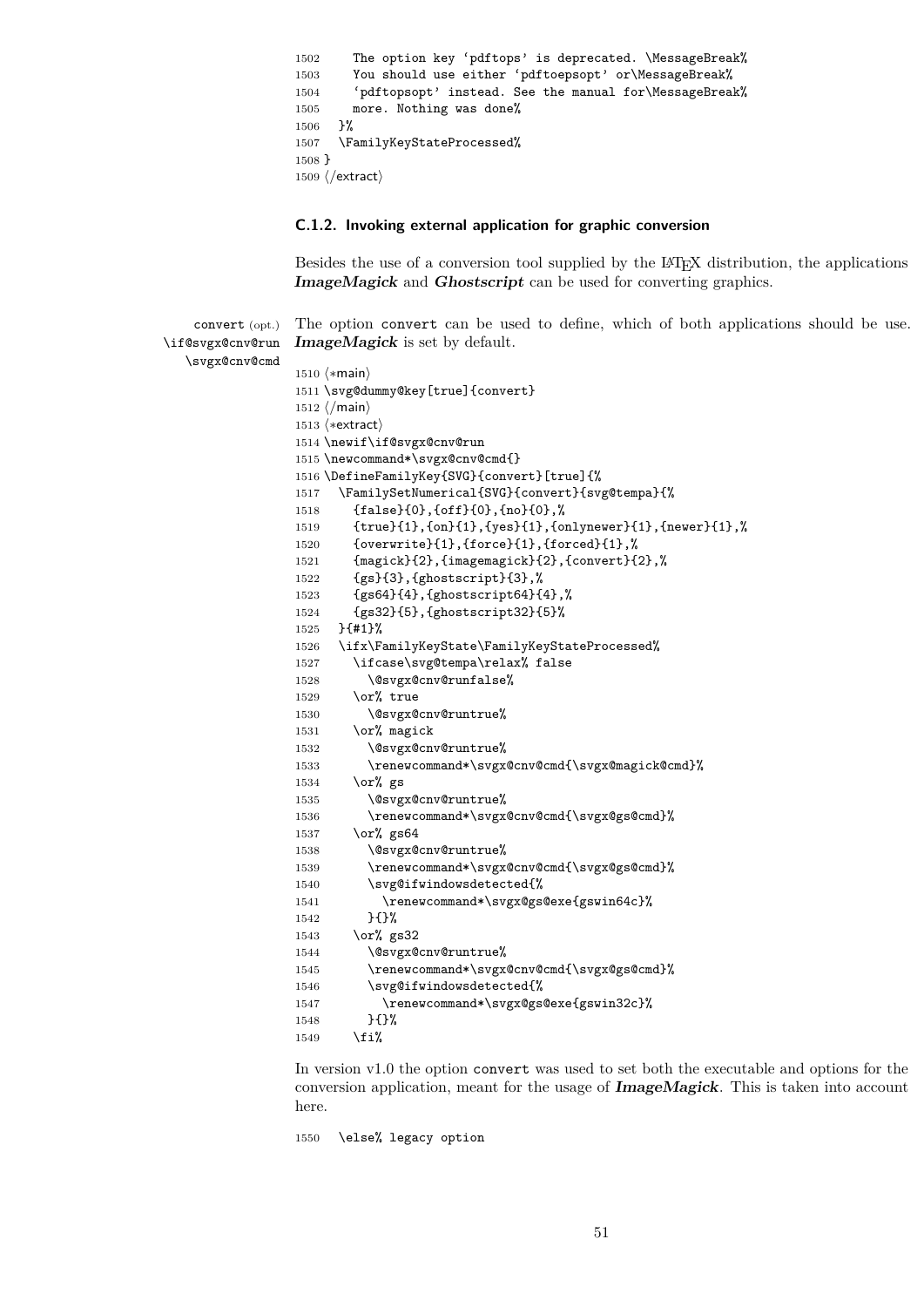```
1502 The option key 'pdftops' is deprecated. \MessageBreak%
1503 You should use either 'pdftoepsopt' or\MessageBreak%
1504 'pdftopsopt' instead. See the manual for\MessageBreak%
1505 more. Nothing was done%
1506 }%
1507 \FamilyKeyStateProcessed%
1508 }
1509 \langle/extract\rangle
```
#### **C.1.2. Invoking external application for graphic conversion**

Besides the use of a conversion tool supplied by the LATEX distribution, the applications **ImageMagick** and **Ghostscript** can be used for converting graphics.

convert (opt.) \if@svgx@cnv@run The option convert can be used to define, which of both applications should be use. **ImageMagick** is set by default.

```
\svgx@cnv@cmd
              1510 (*main)
              1511 \svg@dummy@key[true]{convert}
              1512 \langle/main)
              1513 (*extract)
              1514 \newif\if@svgx@cnv@run
              1515 \newcommand*\svgx@cnv@cmd{}
              1516 \DefineFamilyKey{SVG}{convert}[true]{%
              1517 \FamilySetNumerical{SVG}{convert}{svg@tempa}{%
              1518 {false}{0},{off}{0},{no}{0},%
              1519 {true}{1},{on}{1},{yes}{1},{onlynewer}{1},{newer}{1},%
              1520 {overwrite}{1},{force}{1},{forced}{1},%
              1521 {magick}{2},{imagemagick}{2},{convert}{2},%
              1522 {gs}{3},{ghostscript}{3},%
              1523 {gs64}{4},{ghostscript64}{4},%
              1524 {gs32}{5},{ghostscript32}{5}%
              1525 }{#1}%
              1526 \ifx\FamilyKeyState\FamilyKeyStateProcessed%
              1527 \ifcase\svg@tempa\relax% false
              1528 \@svgx@cnv@runfalse%
              1529 \qquad \text{or\% true}1530 \@svgx@cnv@runtrue%
              1531 \or% magick
              1532 \@svgx@cnv@runtrue%
              1533 \renewcommand*\svgx@cnv@cmd{\svgx@magick@cmd}%
              1534 \or% gs
              1535 \@svgx@cnv@runtrue%
              1536 \renewcommand*\svgx@cnv@cmd{\svgx@gs@cmd}%
              1537 \or% gs64
              1538 \@svgx@cnv@runtrue%
              1539 \renewcommand*\svgx@cnv@cmd{\svgx@gs@cmd}%
              1540 \svg@ifwindowsdetected{%
              1541 \renewcommand*\svgx@gs@exe{gswin64c}%
              1542 }{}%
              1543 \or% gs32
              1544 \@svgx@cnv@runtrue%
              1545 \renewcommand*\svgx@cnv@cmd{\svgx@gs@cmd}%
              1546 \svg@ifwindowsdetected{%
              1547 \renewcommand*\svgx@gs@exe{gswin32c}%
              1548 }{}%
              1549 \fi%
```
In version v1.0 the option convert was used to set both the executable and options for the conversion application, meant for the usage of **ImageMagick**. This is taken into account here.

```
1550 \else% legacy option
```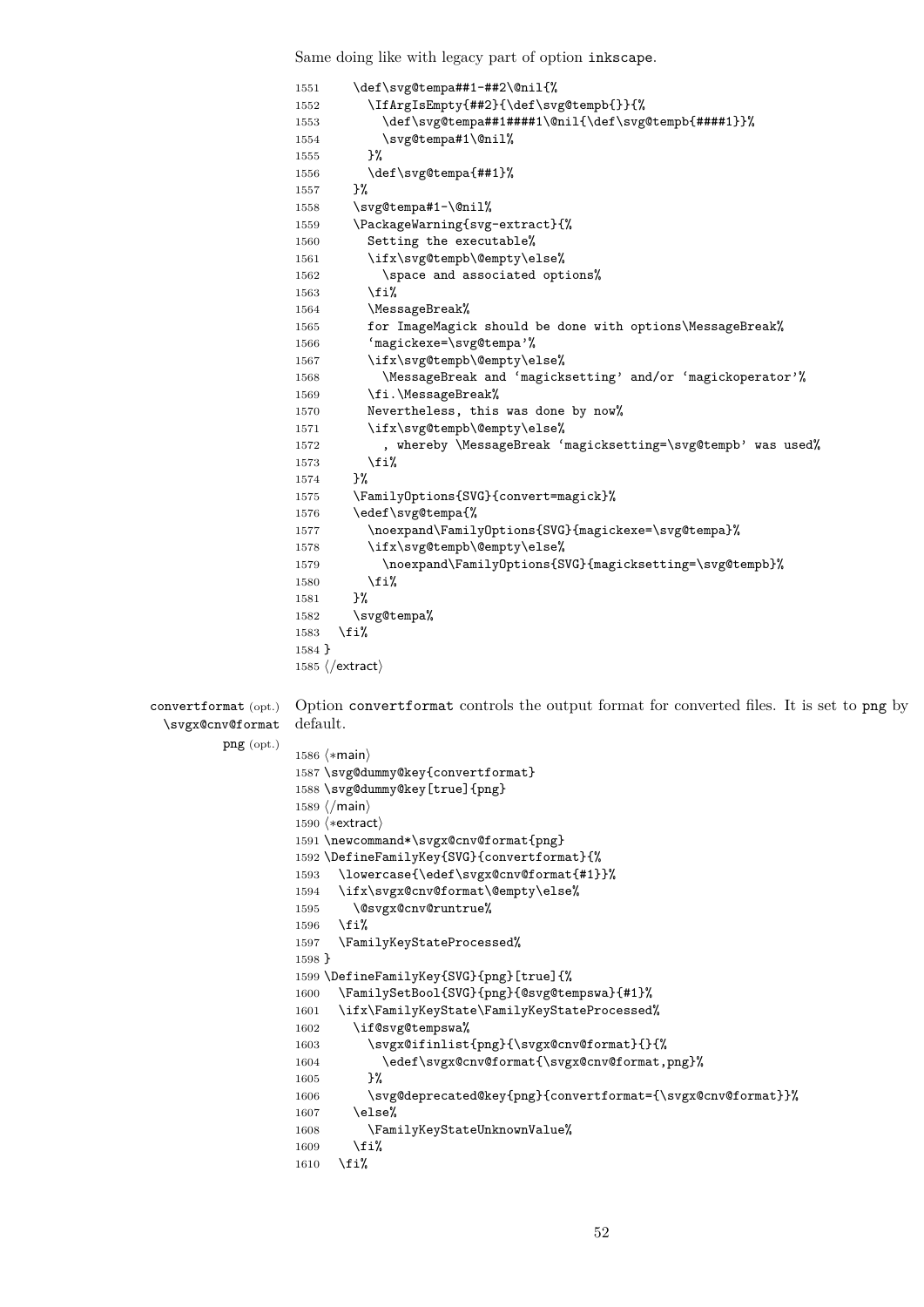Same doing like with legacy part of option inkscape.

|                      | \def\svg@tempa##1-##2\@nil{%<br>1551                                                      |
|----------------------|-------------------------------------------------------------------------------------------|
|                      | \IfArgIsEmpty{##2}{\def\svg@tempb{}}{%<br>1552                                            |
|                      | \def\svg@tempa##1####1\@nil{\def\svg@tempb{####1}}%<br>1553                               |
|                      | \svg@tempa#1\@nil%<br>1554                                                                |
|                      | }%<br>1555                                                                                |
|                      | \def\svg@tempa{##1}%<br>1556                                                              |
|                      | }%<br>1557                                                                                |
|                      | \svg@tempa#1-\@nil%<br>1558                                                               |
|                      | \PackageWarning{svg-extract}{%<br>1559                                                    |
|                      | Setting the executable%<br>1560                                                           |
|                      | \ifx\svg@tempb\@empty\else%<br>1561                                                       |
|                      | \space and associated options%<br>1562                                                    |
|                      | \fi%                                                                                      |
|                      | 1563                                                                                      |
|                      | \MessageBreak%<br>1564                                                                    |
|                      | for ImageMagick should be done with options\MessageBreak%<br>1565                         |
|                      | 'magickexe=\svg@tempa'%<br>1566                                                           |
|                      | \ifx\svg@tempb\@empty\else%<br>1567                                                       |
|                      | \MessageBreak and 'magicksetting' and/or 'magickoperator'%<br>1568                        |
|                      | \fi.\MessageBreak%<br>1569                                                                |
|                      | Nevertheless, this was done by now%<br>1570                                               |
|                      | \ifx\svg@tempb\@empty\else%<br>1571                                                       |
|                      | , whereby \MessageBreak 'magicksetting=\svg@tempb' was used%<br>1572                      |
|                      |                                                                                           |
|                      | \fi%<br>1573                                                                              |
|                      | }%<br>1574                                                                                |
|                      | \FamilyOptions{SVG}{convert=magick}%<br>1575                                              |
|                      | \edef\svg@tempa{%<br>1576                                                                 |
|                      | \noexpand\FamilyOptions{SVG}{magickexe=\svg@tempa}%<br>1577                               |
|                      | \ifx\svg@tempb\@empty\else%<br>1578                                                       |
|                      | \noexpand\FamilyOptions{SVG}{magicksetting=\svg@tempb}%<br>1579                           |
|                      | \fi%<br>1580                                                                              |
|                      | }%<br>1581                                                                                |
|                      | \svg@tempa%<br>1582                                                                       |
|                      | \fi%<br>1583                                                                              |
|                      | $1584$ }                                                                                  |
|                      |                                                                                           |
|                      | $1585 \; \langle$ /extract $\rangle$                                                      |
|                      |                                                                                           |
| convertformat (opt.) | Option convert format controls the output format for converted files. It is set to png by |
| \svgx@cnv@format     | default.                                                                                  |
| $png$ (opt.)         |                                                                                           |
|                      | $1586 \;$ (*main)                                                                         |
|                      | 1587 \svg@dummy@key{convertformat}                                                        |
|                      | 1588 \svg@dummy@key[true]{png}                                                            |
|                      | $1589 \; \langle / \text{main} \rangle$                                                   |
|                      | $1590$ $\langle$ *extract $\rangle$                                                       |
|                      | 1591 \newcommand*\svgx@cnv@format{png}                                                    |
|                      | 1592 \DefineFamilyKey{SVG}{convertformat}{%                                               |
|                      |                                                                                           |
|                      | \lowercase{\edef\svgx@cnv@format{#1}}%<br>1593                                            |
|                      | \ifx\svgx@cnv@format\@empty\else%<br>1594                                                 |
|                      | \@svgx@cnv@runtrue%<br>1595                                                               |
|                      | \fi%<br>1596                                                                              |
|                      | \FamilyKeyStateProcessed%<br>1597                                                         |
|                      | $1598$ }                                                                                  |
|                      | 1599 \DefineFamilyKey{SVG}{png}[true]{%                                                   |
|                      | \FamilySetBool{SVG}{png}{@svg@tempswa}{#1}%<br>1600                                       |
|                      | \ifx\FamilyKeyState\FamilyKeyStateProcessed%<br>1601                                      |
|                      | \if@svg@tempswa%<br>1602                                                                  |
|                      | \svgx@ifinlist{png}{\svgx@cnv@format}{}{%<br>1603                                         |
|                      |                                                                                           |
|                      | \edef\svgx@cnv@format{\svgx@cnv@format,png}%<br>1604                                      |
|                      | }%<br>1605                                                                                |
|                      | \svg@deprecated@key{png}{convertformat={\svgx@cnv@format}}%<br>1606                       |
|                      | \else%<br>1607                                                                            |
|                      | \FamilyKeyStateUnknownValue%<br>1608                                                      |
|                      | \fi%<br>1609                                                                              |
|                      | \fi%<br>1610                                                                              |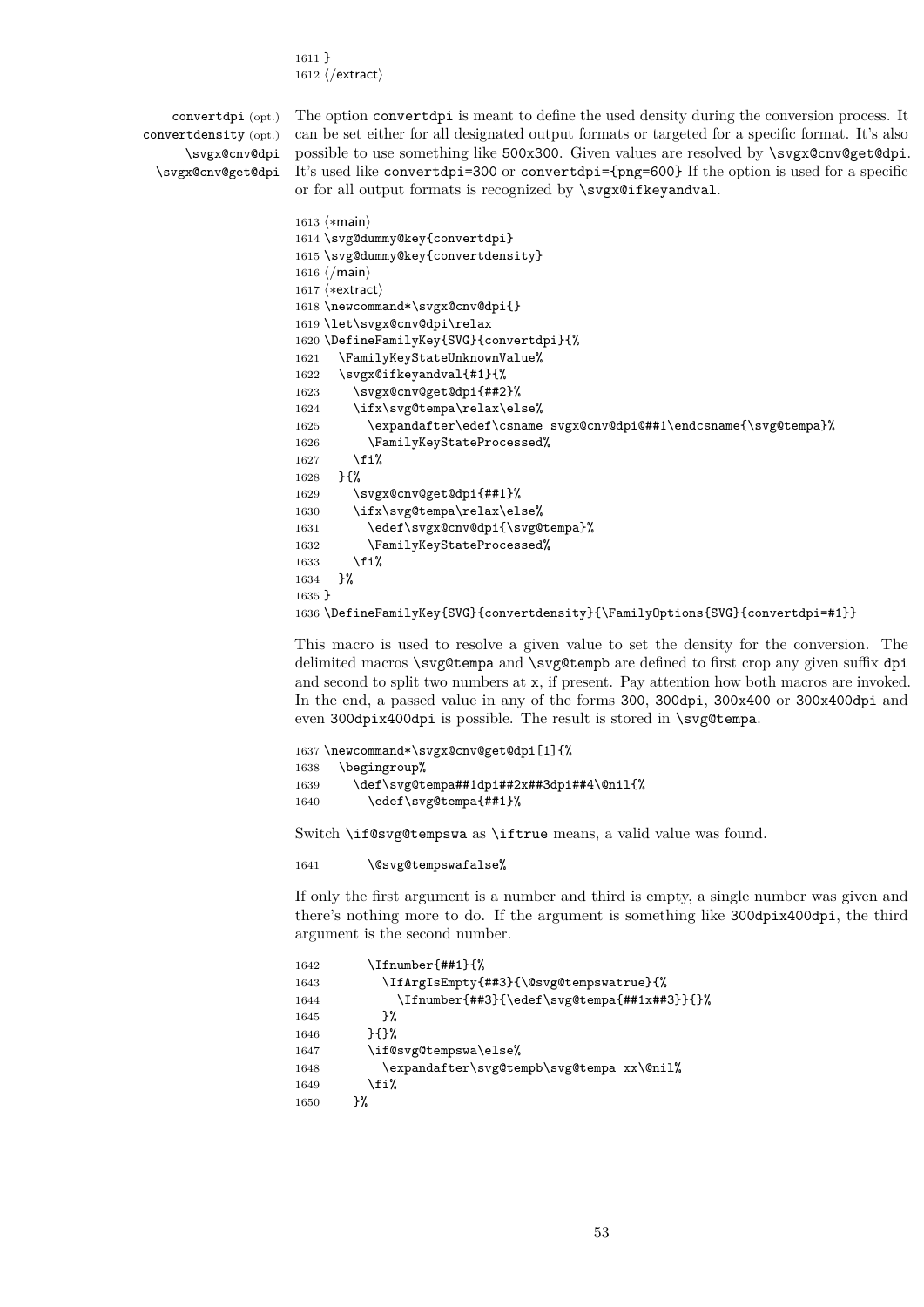1611 } 1612  $\langle$ /extract $\rangle$ 

convertdpi (opt.) convertdensity (opt.) \svgx@cnv@dpi \svgx@cnv@get@dpi

The option convertdpi is meant to define the used density during the conversion process. It can be set either for all designated output formats or targeted for a specific format. It's also possible to use something like 500x300. Given values are resolved by \svgx@cnv@get@dpi. It's used like convertdpi=300 or convertdpi={png=600} If the option is used for a specific or for all output formats is recognized by \svgx@ifkeyandval.

```
1613 (*main)
1614 \svg@dummy@key{convertdpi}
1615 \svg@dummy@key{convertdensity}
1616 (/main)
1617 \langle*extract\rangle1618 \newcommand*\svgx@cnv@dpi{}
1619 \let\svgx@cnv@dpi\relax
1620 \DefineFamilyKey{SVG}{convertdpi}{%
1621 \FamilyKeyStateUnknownValue%
1622 \svgx@ifkeyandval{#1}{%
1623 \svgx@cnv@get@dpi{##2}%
1624 \ifx\svg@tempa\relax\else%
1625 \expandafter\edef\csname svgx@cnv@dpi@##1\endcsname{\svg@tempa}%
1626 \FamilyKeyStateProcessed%
1627 \fi%
1628 }{%
1629 \svgx@cnv@get@dpi{##1}%
1630 \ifx\svg@tempa\relax\else%
1631 \edef\svgx@cnv@dpi{\svg@tempa}%
1632 \FamilyKeyStateProcessed%
1633 \fi%
1634 }%
1635 }
1636 \DefineFamilyKey{SVG}{convertdensity}{\FamilyOptions{SVG}{convertdpi=#1}}
```
This macro is used to resolve a given value to set the density for the conversion. The delimited macros \svg@tempa and \svg@tempb are defined to first crop any given suffix dpi and second to split two numbers at x, if present. Pay attention how both macros are invoked. In the end, a passed value in any of the forms 300, 300dpi, 300x400 or 300x400dpi and even 300dpix400dpi is possible. The result is stored in \svg@tempa.

```
1637 \newcommand*\svgx@cnv@get@dpi[1]{%
1638 \begingroup%
1639 \def\svg@tempa##1dpi##2x##3dpi##4\@nil{%
1640 \edef\svg@tempa{##1}%
```
Switch \if@svg@tempswa as \iftrue means, a valid value was found.

1641 \@svg@tempswafalse%

If only the first argument is a number and third is empty, a single number was given and there's nothing more to do. If the argument is something like 300dpix400dpi, the third argument is the second number.

```
1642 \Ifnumber{##1}{%
1643 \IfArgIsEmpty{##3}{\@svg@tempswatrue}{%
1644 \Ifnumber{##3}{\edef\svg@tempa{##1x##3}}{}%
1645 }%
1646 }{}%
1647 \if@svg@tempswa\else%
1648 \expandafter\svg@tempb\svg@tempa xx\@nil%
1649 \{f_i\}1650 }%
```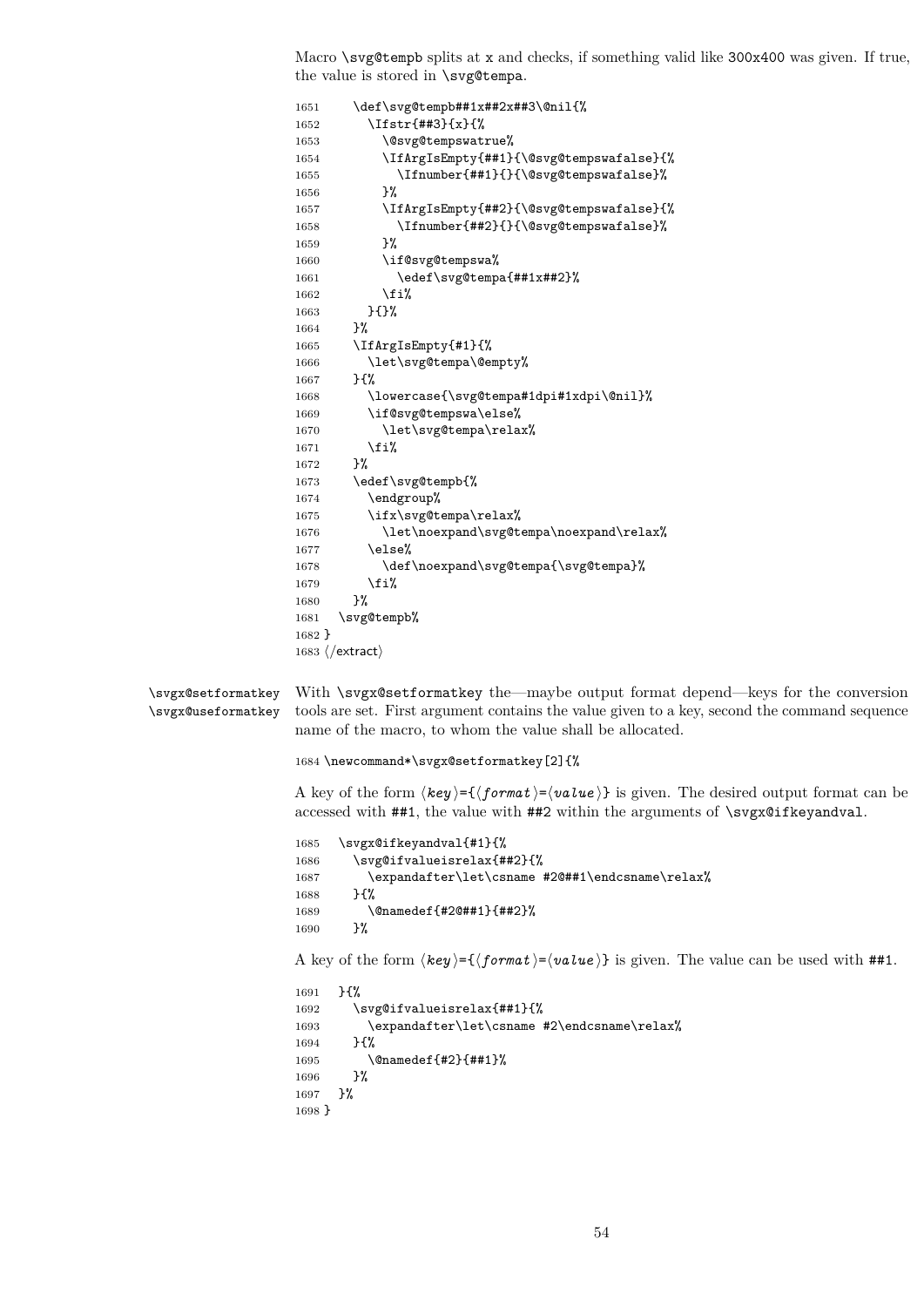Macro \svg@tempb splits at x and checks, if something valid like 300x400 was given. If true, the value is stored in \svg@tempa.

```
1651 \def\svg@tempb##1x##2x##3\@nil{%
                   1652 \Ifstr{##3}{x}{%
                   1653 \@svg@tempswatrue%
                   1654 \IfArgIsEmpty{##1}{\@svg@tempswafalse}{%
                   1655 \Ifnumber{##1}{}{\@svg@tempswafalse}%
                   1656 }%
                   1657 \IfArgIsEmpty{##2}{\@svg@tempswafalse}{%
                   1658 \Ifnumber{##2}{}{\@svg@tempswafalse}%
                   1659 }%
                   1660 \if@svg@tempswa%
                   1661 \edef\svg@tempa{##1x##2}%
                   1662 \fi%
                   1663 }{}%
                   1664 }%
                   1665 \IfArgIsEmpty{#1}{%
                   1666 \let\svg@tempa\@empty%
                   1667 }{%
                   1668 \lowercase{\svg@tempa#1dpi#1xdpi\@nil}%
                   1669 \if@svg@tempswa\else%
                   1670 \let\svg@tempa\relax%
                   1671 \{f_i\}1672 }%
                   1673 \edef\svg@tempb{%
                   1674 \endgroup%
                   1675 \ifx\svg@tempa\relax%
                   1676 \let\noexpand\svg@tempa\noexpand\relax%
                   1677 \else%
                   1678 \def\noexpand\svg@tempa{\svg@tempa}%
                   1679 \fi%
                   1680 }%
                   1681 \svg@tempb%
                   1682 }
                   1683 \langle/extract\rangle\svgx@setformatkey
\svgx@useformatkey
                   With \svgx@setformatkey the—maybe output format depend—keys for the conversion
                   tools are set. First argument contains the value given to a key, second the command sequence
                   name of the macro, to whom the value shall be allocated.
                   1684 \newcommand*\svgx@setformatkey[2]{%
                   A key of the form \langle key \rangle = {\langle format \rangle} = \langle value \rangle is given. The desired output format can be
                   accessed with \#41, the value with \#42 within the arguments of \svgx@ifkeyandval.
                   1685 \svgx@ifkeyandval{#1}{%
                   1686 \svg@ifvalueisrelax{##2}{%
                   1687 \expandafter\let\csname #2@##1\endcsname\relax%
                   1688 }{%
                   1689 \@namedef{#2@##1}{##2}%
                   1690 }%
                   A key of the form \langle key \rangle = \{ \langle format \rangle = \langle value \rangle \} is given. The value can be used with ##1.
                   1691 }{%
                   1692 \svg@ifvalueisrelax{##1}{%
                   1693 \expandafter\let\csname #2\endcsname\relax%
                   1694 }{%
                   1695 \@namedef{#2}{##1}%
                   1696 }%
                   1697 }%
                   1698 }
```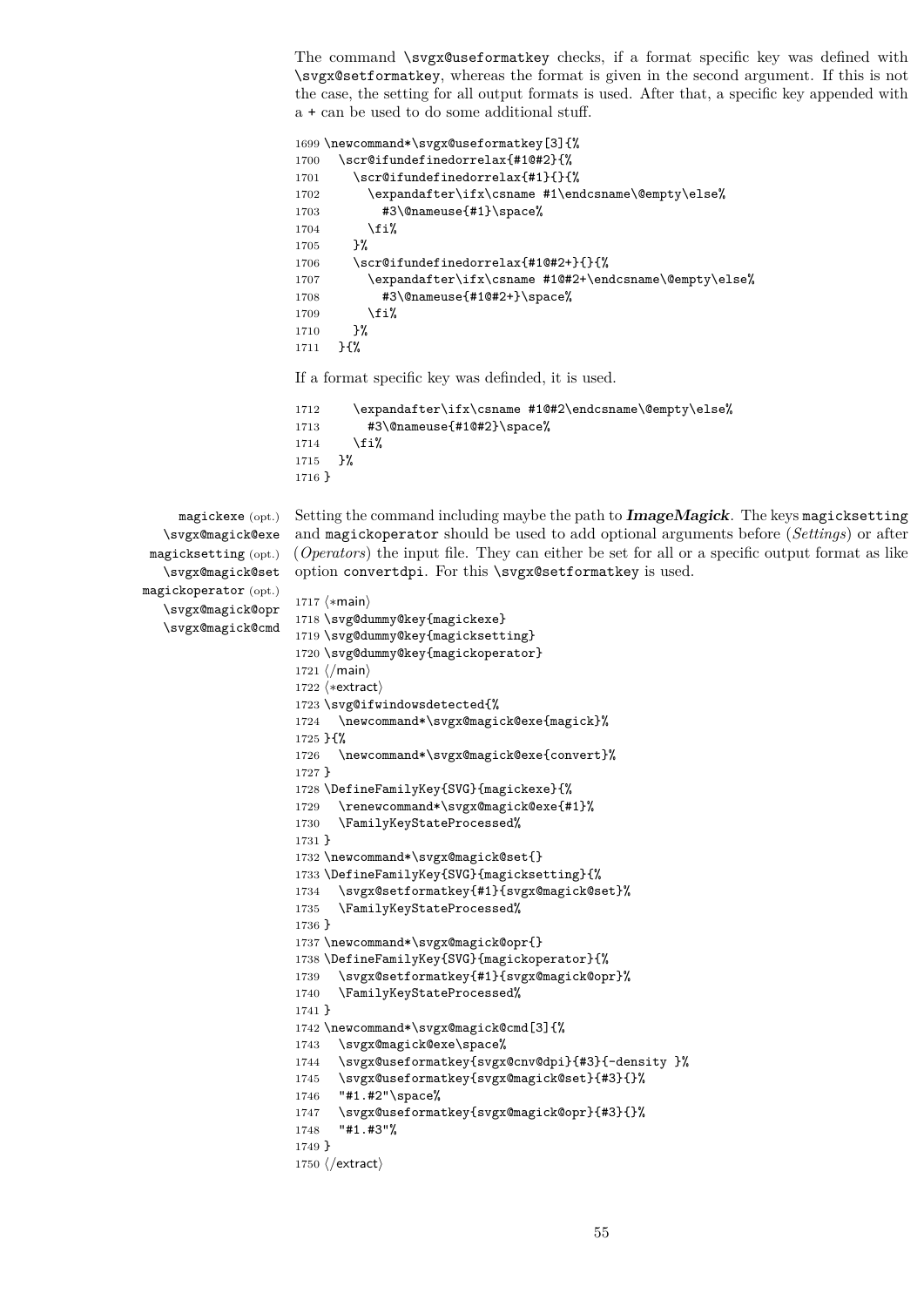The command \svgx@useformatkey checks, if a format specific key was defined with \svgx@setformatkey, whereas the format is given in the second argument. If this is not the case, the setting for all output formats is used. After that, a specific key appended with a + can be used to do some additional stuff.

```
1699 \newcommand*\svgx@useformatkey[3]{%
1700 \scr@ifundefinedorrelax{#1@#2}{%
1701 \scr@ifundefinedorrelax{#1}{}{%
1702 \expandafter\ifx\csname #1\endcsname\@empty\else%
1703 #3\@nameuse{#1}\space%
1704 \fi%
1705 }%
1706 \scr@ifundefinedorrelax{#1@#2+}{}{%
1707 \expandafter\ifx\csname #1@#2+\endcsname\@empty\else%
1708 #3\@nameuse{#1@#2+}\space%
1709 \fi%
1710 }%
1711 }{%
```
If a format specific key was definded, it is used.

```
1712 \expandafter\ifx\csname #1@#2\endcsname\@empty\else%
1713 #3\@nameuse{#1@#2}\space%
1714 \fi%
1715 }%
1716 }
```
magickexe (opt.) \svgx@magick@exe magicksetting (opt.) \svgx@magick@set magickoperator (opt.) \svgx@magick@opr \svgx@magick@cmd

Setting the command including maybe the path to **ImageMagick**. The keys magicksetting and magickoperator should be used to add optional arguments before (*Settings*) or after (*Operators*) the input file. They can either be set for all or a specific output format as like option convertdpi. For this \svgx@setformatkey is used.

```
1717 (*main)
1718 \svg@dummy@key{magickexe}
1719 \svg@dummy@key{magicksetting}
1720 \svg@dummy@key{magickoperator}
1721 \langle/main)
1722 (*extract)
1723 \svg@ifwindowsdetected{%
1724 \newcommand*\svgx@magick@exe{magick}%
1725 }{%
1726 \newcommand*\svgx@magick@exe{convert}%
1727 }
1728 \DefineFamilyKey{SVG}{magickexe}{%
1729 \renewcommand*\svgx@magick@exe{#1}%
1730 \FamilyKeyStateProcessed%
1731 }
1732 \newcommand*\svgx@magick@set{}
1733 \DefineFamilyKey{SVG}{magicksetting}{%
1734 \svgx@setformatkey{#1}{svgx@magick@set}%
1735 \FamilyKeyStateProcessed%
1736 }
1737 \newcommand*\svgx@magick@opr{}
1738 \DefineFamilyKey{SVG}{magickoperator}{%
1739 \svgx@setformatkey{#1}{svgx@magick@opr}%
1740 \FamilyKeyStateProcessed%
1741 }
1742 \newcommand*\svgx@magick@cmd[3]{%
1743 \svgx@magick@exe\space%
1744 \svgx@useformatkey{svgx@cnv@dpi}{#3}{-density }%
1745 \svgx@useformatkey{svgx@magick@set}{#3}{}%
1746 "#1.#2"\space%
1747 \svgx@useformatkey{svgx@magick@opr}{#3}{}%
1748 "#1.#3"%
1749 }
1750 \langle/extract)
```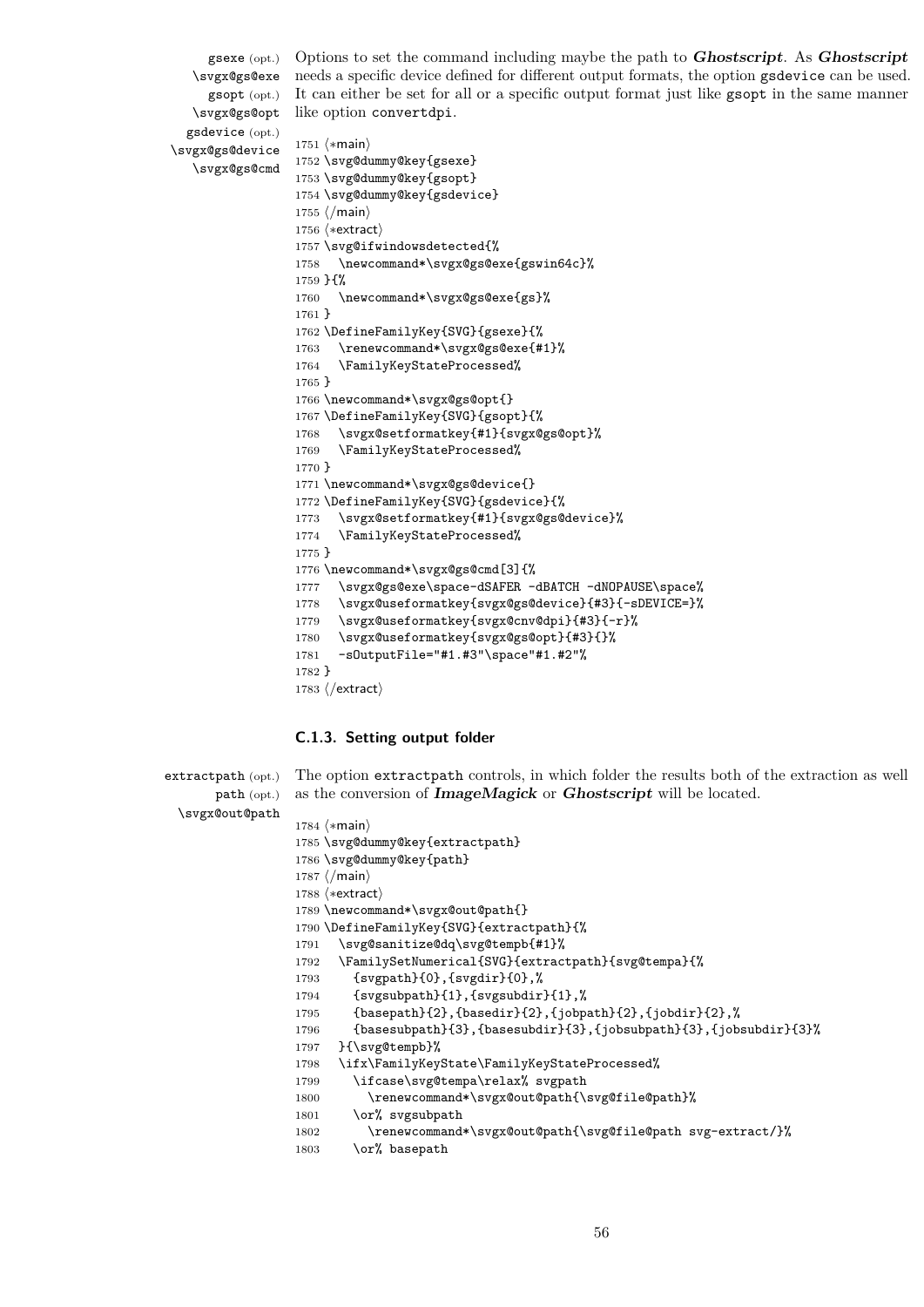gsexe (opt.) \svgx@gs@exe gsopt (opt.) \svgx@gs@opt gsdevice (opt.) \svgx@gs@device \svgx@gs@cmd Options to set the command including maybe the path to **Ghostscript**. As **Ghostscript** needs a specific device defined for different output formats, the option gsdevice can be used. It can either be set for all or a specific output format just like gsopt in the same manner like option convertdpi. 1751 (\*main) \svg@dummy@key{gsexe} \svg@dummy@key{gsopt} \svg@dummy@key{gsdevice} 1755  $\langle$ /main $\rangle$ 1756 (\*extract) \svg@ifwindowsdetected{% \newcommand\*\svgx@gs@exe{gswin64c}% }{% \newcommand\*\svgx@gs@exe{gs}% } \DefineFamilyKey{SVG}{gsexe}{% \renewcommand\*\svgx@gs@exe{#1}% \FamilyKeyStateProcessed% } \newcommand\*\svgx@gs@opt{} \DefineFamilyKey{SVG}{gsopt}{% \svgx@setformatkey{#1}{svgx@gs@opt}% \FamilyKeyStateProcessed% } \newcommand\*\svgx@gs@device{} \DefineFamilyKey{SVG}{gsdevice}{% \svgx@setformatkey{#1}{svgx@gs@device}% \FamilyKeyStateProcessed% } \newcommand\*\svgx@gs@cmd[3]{% \svgx@gs@exe\space-dSAFER -dBATCH -dNOPAUSE\space% \svgx@useformatkey{svgx@gs@device}{#3}{-sDEVICE=}% \svgx@useformatkey{svgx@cnv@dpi}{#3}{-r}% \svgx@useformatkey{svgx@gs@opt}{#3}{}%

- -sOutputFile="#1.#3"\space"#1.#2"%
- } 1783  $\langle$ /extract $\rangle$

## **C.1.3. Setting output folder**

| $\mathtt{extractpath}$ (opt.) | The option extract path controls, in which folder the results both of the extraction as well |
|-------------------------------|----------------------------------------------------------------------------------------------|
| path (opt.)                   | as the conversion of <b>ImageMagick</b> or <b>Ghostscript</b> will be located.               |
| \svgx@out@path                |                                                                                              |
|                               | 1784 $\langle \ast \text{main} \rangle$                                                      |
|                               | 1785 \svg@dummy@key{extractpath}                                                             |
|                               | 1786 \svg@dummy@key{path}                                                                    |
|                               | $1787 \; \langle / \text{main} \rangle$                                                      |
|                               | $1788$ $\langle$ *extract $\rangle$                                                          |
|                               | 1789 \newcommand*\svgx@out@path{}                                                            |
|                               | 1790 \DefineFamilyKey{SVG}{extractpath}{%                                                    |
|                               | \svg@sanitize@dq\svg@tempb{#1}%<br>1791                                                      |
|                               | \FamilySetNumerical{SVG}{extractpath}{svg@tempa}{%<br>1792                                   |
|                               | $\{sygpath\}(0), \{sygdir\}(0),\%$<br>1793                                                   |
|                               | {svgsubpath}{1}, {svgsubdir}{1},%<br>1794                                                    |
|                               | ${basepath}{2}, {basedir}{2}, {jobpath}{2}, {jobobdir}{2},$<br>1795                          |
|                               | ${base subpath}{3}, {base subdir}{3}, {job subpath}{3}, {job subpath}{3}$<br>1796            |
|                               | }{\svg@tempb}%<br>1797                                                                       |
|                               | \ifx\FamilyKeyState\FamilyKeyStateProcessed%<br>1798                                         |
|                               | \ifcase\svg@tempa\relax% svgpath<br>1799                                                     |
|                               | \renewcommand*\svgx@out@path{\svg@file@path}%<br>1800                                        |
|                               | \or% svgsubpath<br>1801                                                                      |
|                               | \renewcommand*\svgx@out@path{\svg@file@path svg-extract/}%<br>1802                           |
|                               | \or% basepath<br>1803                                                                        |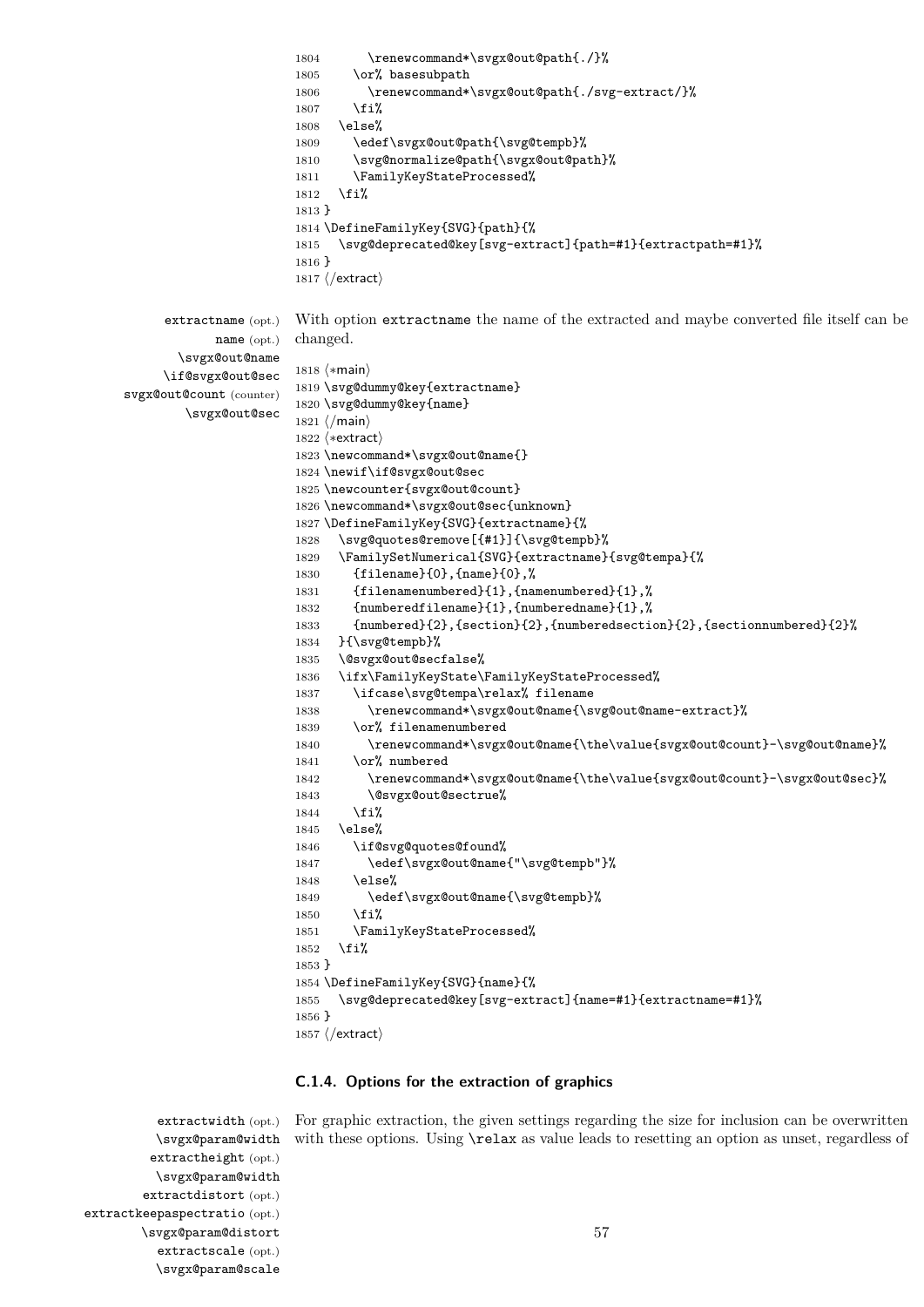```
1804 \renewcommand*\svgx@out@path{./}%
                       1805 \or% basesubpath
                       1806 \renewcommand*\svgx@out@path{./svg-extract/}%
                       1807 \fi%
                       1808 \else%
                       1809 \edef\svgx@out@path{\svg@tempb}%
                       1810 \svg@normalize@path{\svgx@out@path}%
                       1811 \FamilyKeyStateProcessed%
                       1812 \fi%
                       1813 }
                       1814 \DefineFamilyKey{SVG}{path}{%
                       1815 \svg@deprecated@key[svg-extract]{path=#1}{extractpath=#1}%
                       1816 }
                       1817 (/extract)
     extractname (opt.)
            name (opt.)
       \svgx@out@name
     \if@svgx@out@sec
svgx@out@count (counter)
        \svgx@out@sec
                       With option extractname the name of the extracted and maybe converted file itself can be
                       changed.
                       1818 \langle \ast \text{main} \rangle1819 \svg@dummy@key{extractname}
                       1820 \svg@dummy@key{name}
                       1821 \langle /main \rangle1822 (*extract)
                       1823 \newcommand*\svgx@out@name{}
                       1824 \newif\if@svgx@out@sec
                       1825 \newcounter{svgx@out@count}
                       1826 \newcommand*\svgx@out@sec{unknown}
                       1827 \DefineFamilyKey{SVG}{extractname}{%
                       1828 \svg@quotes@remove[{#1}]{\svg@tempb}%
                       1829 \FamilySetNumerical{SVG}{extractname}{svg@tempa}{%
                       1830 {filename}{0},{name}{0},%
                       1831 {filenamenumbered}{1},{namenumbered}{1},%
                       1832 {numberedfilename}{1},{numberedname}{1},%
                       1833 {numbered}{2},{section}{2},{numberedsection}{2},{sectionnumbered}{2}%
                       1834 }{\svg@tempb}%
                       1835 \@svgx@out@secfalse%
                       1836 \ifx\FamilyKeyState\FamilyKeyStateProcessed%
                       1837 \ifcase\svg@tempa\relax% filename
                       1838 \renewcommand*\svgx@out@name{\svg@out@name-extract}%
                       1839 \or% filenamenumbered
                       1840 \renewcommand*\svgx@out@name{\the\value{svgx@out@count}-\svg@out@name}%
                       1841 \or% numbered
                       1842 \renewcommand*\svgx@out@name{\the\value{svgx@out@count}-\svgx@out@sec}%
                       1843 \@svgx@out@sectrue%
                       1844 \fi%
                       1845 \else%
                       1846 \if@svg@quotes@found%
                       1847 \edef\svgx@out@name{"\svg@tempb"}%
                       1848 \else%
                       1849 \edef\svgx@out@name{\svg@tempb}%
                       1850 \, \text{Vf} i
                       1851 \FamilyKeyStateProcessed%
                       1852 \fi%
                       1853 }
                       1854 \DefineFamilyKey{SVG}{name}{%
                       1855 \svg@deprecated@key[svg-extract]{name=#1}{extractname=#1}%
                       1856 }
                       1857 \langle/extract\rangle
```
#### **C.1.4. Options for the extraction of graphics**

extractwidth (opt.) For graphic extraction, the given settings regarding the size for inclusion can be overwritten with these options. Using  $\text{relax}$  as value leads to resetting an option as unset, regardless of

\svgx@param@width extractheight (opt.) \svgx@param@width extractdistort (opt.) extractkeepaspectratio (opt.) \svgx@param@distort extractscale (opt.) \svgx@param@scale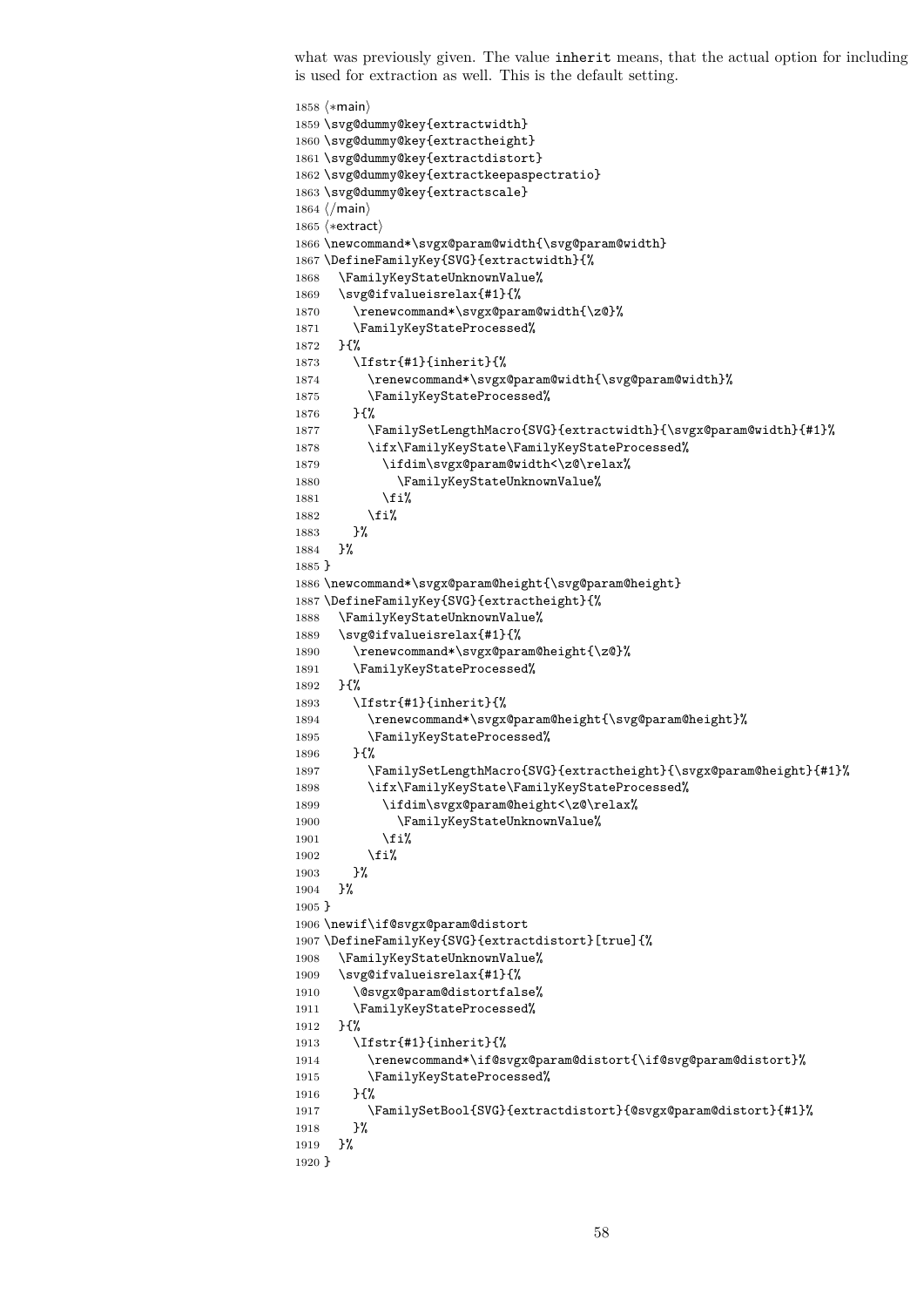what was previously given. The value inherit means, that the actual option for including is used for extraction as well. This is the default setting.

```
1858 \langle ∗main \rangle1859 \svg@dummy@key{extractwidth}
1860 \svg@dummy@key{extractheight}
1861 \svg@dummy@key{extractdistort}
1862 \svg@dummy@key{extractkeepaspectratio}
1863 \svg@dummy@key{extractscale}
1864 \langle/main\rangle1865 (*extract)
1866 \newcommand*\svgx@param@width{\svg@param@width}
1867 \DefineFamilyKey{SVG}{extractwidth}{%
1868 \FamilyKeyStateUnknownValue%
1869 \svg@ifvalueisrelax{#1}{%
1870 \renewcommand*\svgx@param@width{\z@}%
1871 \FamilyKeyStateProcessed%
1872 }{%
1873 \Ifstr{#1}{inherit}{%
1874 \renewcommand*\svgx@param@width{\svg@param@width}%
1875 \FamilyKeyStateProcessed%
1876 }{%
1877 \FamilySetLengthMacro{SVG}{extractwidth}{\svgx@param@width}{#1}%
1878 \ifx\FamilyKeyState\FamilyKeyStateProcessed%
1879 \ifdim\svgx@param@width<\z@\relax%
1880 \FamilyKeyStateUnknownValue%
1881 \fi%
1882 \fi%
1883 }%
1884 }%
1885 }
1886 \newcommand*\svgx@param@height{\svg@param@height}
1887 \DefineFamilyKey{SVG}{extractheight}{%
1888 \FamilyKeyStateUnknownValue%
1889 \svg@ifvalueisrelax{#1}{%
1890 \renewcommand*\svgx@param@height{\z@}%
1891 \FamilyKeyStateProcessed%
1892 }{%
1893 \Ifstr{#1}{inherit}{%
1894 \renewcommand*\svgx@param@height{\svg@param@height}%
1895 \FamilyKeyStateProcessed%
1896 }{%
1897 \FamilySetLengthMacro{SVG}{extractheight}{\svgx@param@height}{#1}%
1898 \ifx\FamilyKeyState\FamilyKeyStateProcessed%
1899 \ifdim\svgx@param@height<\z@\relax%
1900 \FamilyKeyStateUnknownValue%
1901 \quad \lambda \text{fi}%
1902 \fi%<br>1903 }%
1903
1904 }%
1905 }
1906 \newif\if@svgx@param@distort
1907 \DefineFamilyKey{SVG}{extractdistort}[true]{%
1908 \FamilyKeyStateUnknownValue%
1909 \svg@ifvalueisrelax{#1}{%
1910 \@svgx@param@distortfalse%
1911 \FamilyKeyStateProcessed%
1912 }{%
1913 \Ifstr{#1}{inherit}{%
1914 \renewcommand*\if@svgx@param@distort{\if@svg@param@distort}%
1915 \FamilyKeyStateProcessed%
1916 }{%
1917 \FamilySetBool{SVG}{extractdistort}{@svgx@param@distort}{#1}%
1918 }%
1919 }%
1920 }
```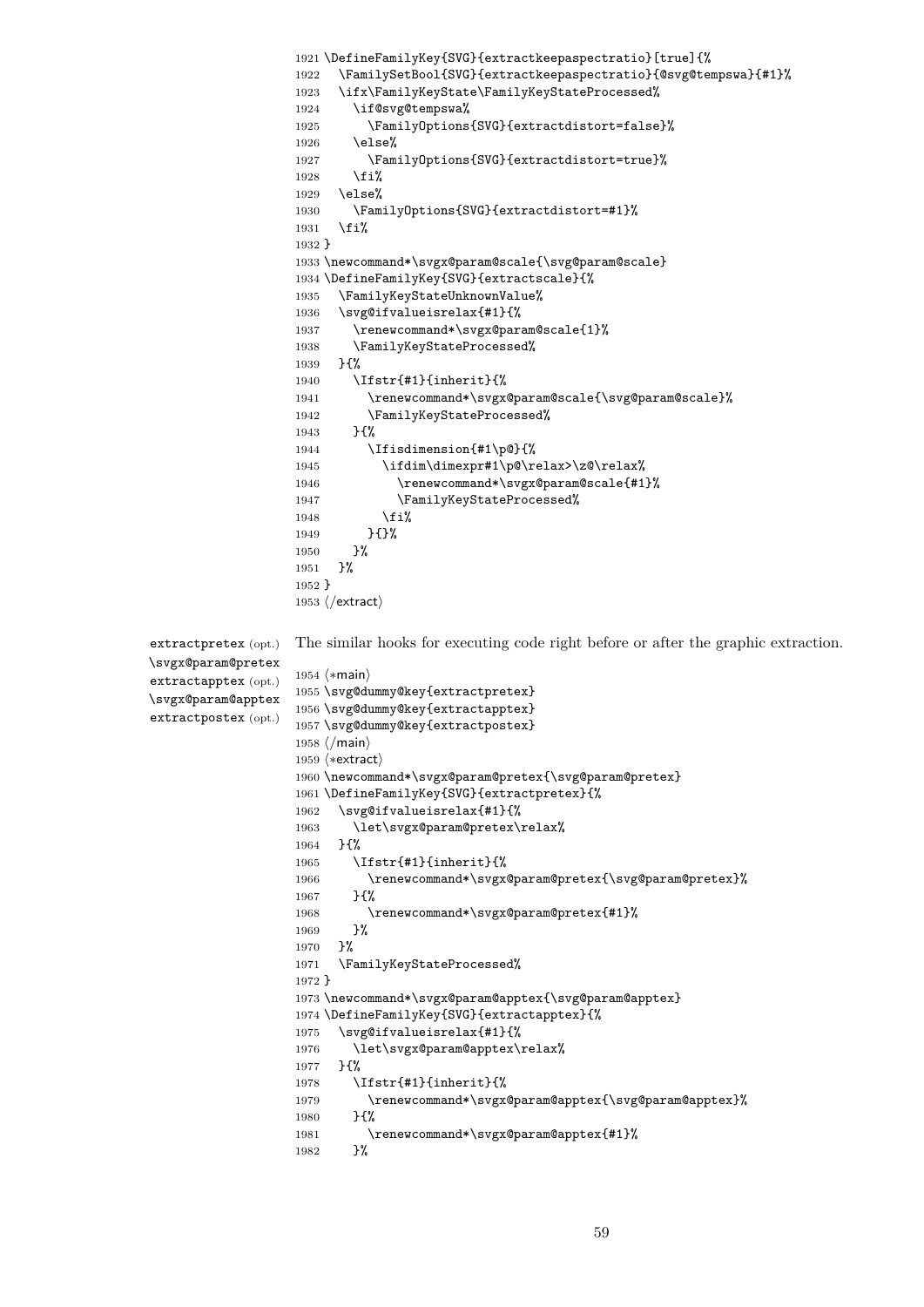```
1921 \DefineFamilyKey{SVG}{extractkeepaspectratio}[true]{%
                   1922 \FamilySetBool{SVG}{extractkeepaspectratio}{@svg@tempswa}{#1}%
                   1923 \ifx\FamilyKeyState\FamilyKeyStateProcessed%
                   1924 \if@svg@tempswa%
                   1925 \FamilyOptions{SVG}{extractdistort=false}%
                   1926 \else%
                   1927 \FamilyOptions{SVG}{extractdistort=true}%
                   1928 \fi%
                   1929 \else%
                   1930 \FamilyOptions{SVG}{extractdistort=#1}%<br>1931 \fi%
                         \frac{1}{2}1932 }
                   1933 \newcommand*\svgx@param@scale{\svg@param@scale}
                   1934 \DefineFamilyKey{SVG}{extractscale}{%
                   1935 \FamilyKeyStateUnknownValue%
                   1936 \svg@ifvalueisrelax{#1}{%
                   1937 \renewcommand*\svgx@param@scale{1}%
                   1938 \FamilyKeyStateProcessed%
                   1939 }{%
                   1940 \Ifstr{#1}{inherit}{%
                   1941 \renewcommand*\svgx@param@scale{\svg@param@scale}%
                   1942 \FamilyKeyStateProcessed%
                   1943 }{%
                   1944 \Ifisdimension{#1\p@}{%
                   1945 \ifdim\dimexpr#1\p@\relax>\z@\relax%
                   1946 \renewcommand*\svgx@param@scale{#1}%
                   1947 \FamilyKeyStateProcessed%
                   1948 \overrightarrow{12}1949 }{}%
                   1950 }?
                   1951 }%
                   1952 }
                   1953 (/extract)
extractpretex (opt.)
\svgx@param@pretex
extractapptex (opt.)
\svgx@param@apptex
extractpostex (opt.)
                   The similar hooks for executing code right before or after the graphic extraction.
                   1954 (*main)
                   1955 \svg@dummy@key{extractpretex}
                   1956 \svg@dummy@key{extractapptex}
                   1957 \svg@dummy@key{extractpostex}
                   1958 \langle/main\rangle1959 (*extract)
                   1960 \newcommand*\svgx@param@pretex{\svg@param@pretex}
                   1961 \DefineFamilyKey{SVG}{extractpretex}{%
                   1962 \svg@ifvalueisrelax{#1}{%
                   1963 \let\svgx@param@pretex\relax%
                   1964 }{%
                   1965 \Ifstr{#1}{inherit}{%
                   1966 \renewcommand*\svgx@param@pretex{\svg@param@pretex}%
                   1967 }{%
                   1968 \renewcommand*\svgx@param@pretex{#1}%
                   1969 }%
                   1970 }%
                   1971 \FamilyKeyStateProcessed%
                   1972 }
                   1973 \newcommand*\svgx@param@apptex{\svg@param@apptex}
                   1974 \DefineFamilyKey{SVG}{extractapptex}{%
                   1975 \svg@ifvalueisrelax{#1}{%
                   1976 \let\svgx@param@apptex\relax%
                   1977 }{%
                   1978 \Ifstr{#1}{inherit}{%
                   1979 \renewcommand*\svgx@param@apptex{\svg@param@apptex}%
                   1980 75%1981 \renewcommand*\svgx@param@apptex{#1}%
                   1982 }%
```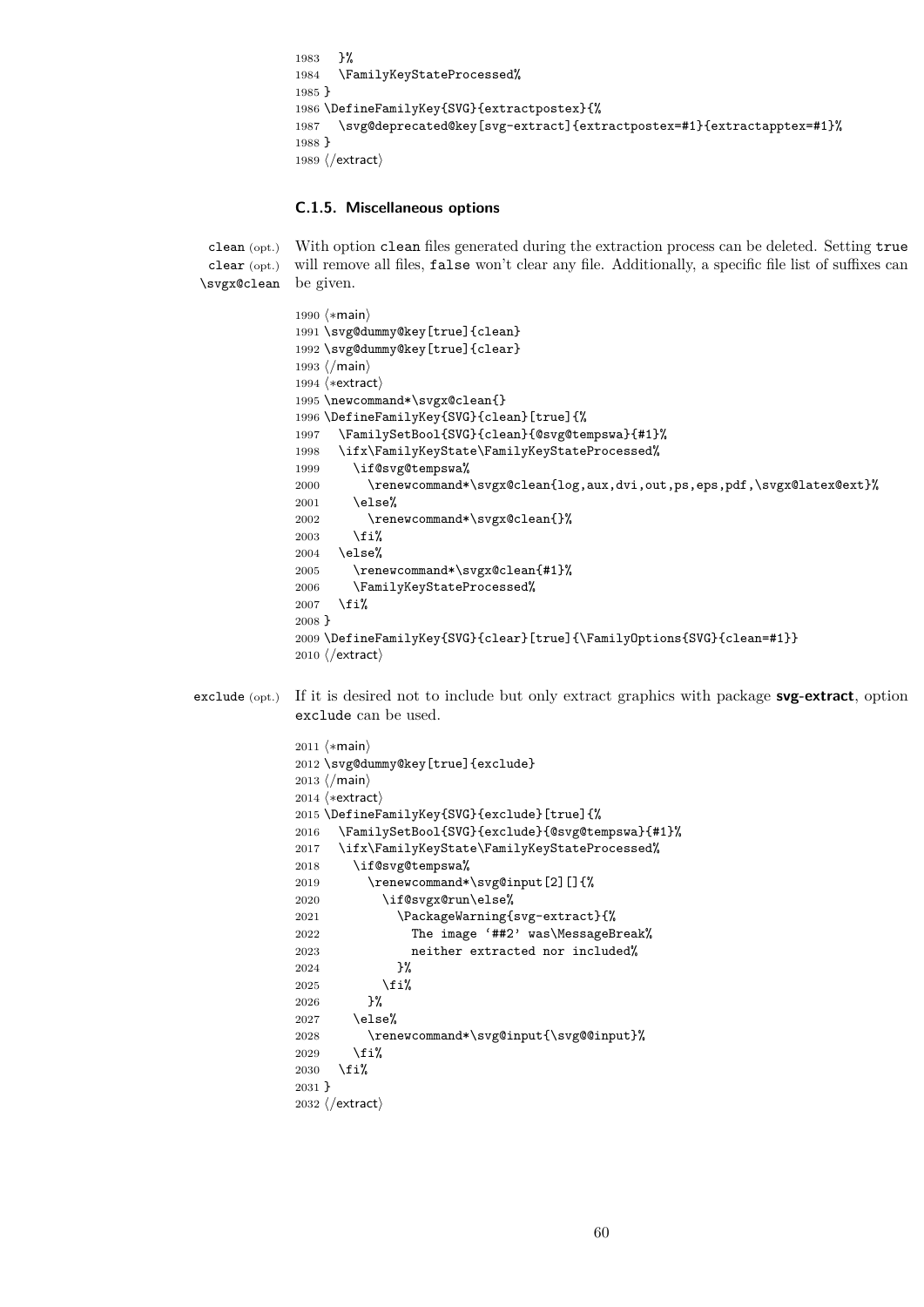1983 }% 1984 \FamilyKeyStateProcessed% 1985 } 1986 \DefineFamilyKey{SVG}{extractpostex}{% 1987 \svg@deprecated@key[svg-extract]{extractpostex=#1}{extractapptex=#1}% 1988 } 1989  $\langle$ /extract $\rangle$ 

#### **C.1.5. Miscellaneous options**

clean (opt.) clear (opt.) \svgx@clean be given. With option clean files generated during the extraction process can be deleted. Setting true will remove all files, false won't clear any file. Additionally, a specific file list of suffixes can

```
1990 (*main)
               1991 \svg@dummy@key[true]{clean}
               1992 \svg@dummy@key[true]{clear}
               1993 \langle/main)
               1994 \langle*extract\rangle1995 \newcommand*\svgx@clean{}
               1996 \DefineFamilyKey{SVG}{clean}[true]{%
               1997 \FamilySetBool{SVG}{clean}{@svg@tempswa}{#1}%
               1998 \ifx\FamilyKeyState\FamilyKeyStateProcessed%
               1999 \if@svg@tempswa%
              2000 \renewcommand*\svgx@clean{log,aux,dvi,out,ps,eps,pdf,\svgx@latex@ext}%
              2001 \else%
              2002 \renewcommand*\svgx@clean{}%
               2003 \fi%
               2004 \else%
               2005 \renewcommand*\svgx@clean{#1}%
              2006 \FamilyKeyStateProcessed%
              2007 \fi%
              2008 }
              2009 \DefineFamilyKey{SVG}{clear}[true]{\FamilyOptions{SVG}{clean=#1}}
              2010 \langle/extract\rangleexclude (opt.) If it is desired not to include but only extract graphics with package svg-extract, option
               exclude can be used.
              2011 \langle *main \rangle2012 \svg@dummy@key[true]{exclude}
               2013 \langle/main\rangle
```

```
2014 (*extract)
2015 \DefineFamilyKey{SVG}{exclude}[true]{%
2016 \FamilySetBool{SVG}{exclude}{@svg@tempswa}{#1}%
2017 \ifx\FamilyKeyState\FamilyKeyStateProcessed%
2018 \if@svg@tempswa%
2019 \renewcommand*\svg@input[2][]{%
2020 \if@svgx@run\else%
2021 \PackageWarning{svg-extract}{%
2022 The image '##2' was\MessageBreak%
2023 neither extracted nor included%
2024 }%
2025 \overline{\forall}2026 }%
2027 \else%
2028 \renewcommand*\svg@input{\svg@@input}%
2029 \fi%
2030 \overline{\text{if}}2031 }
2032 (/extract)
```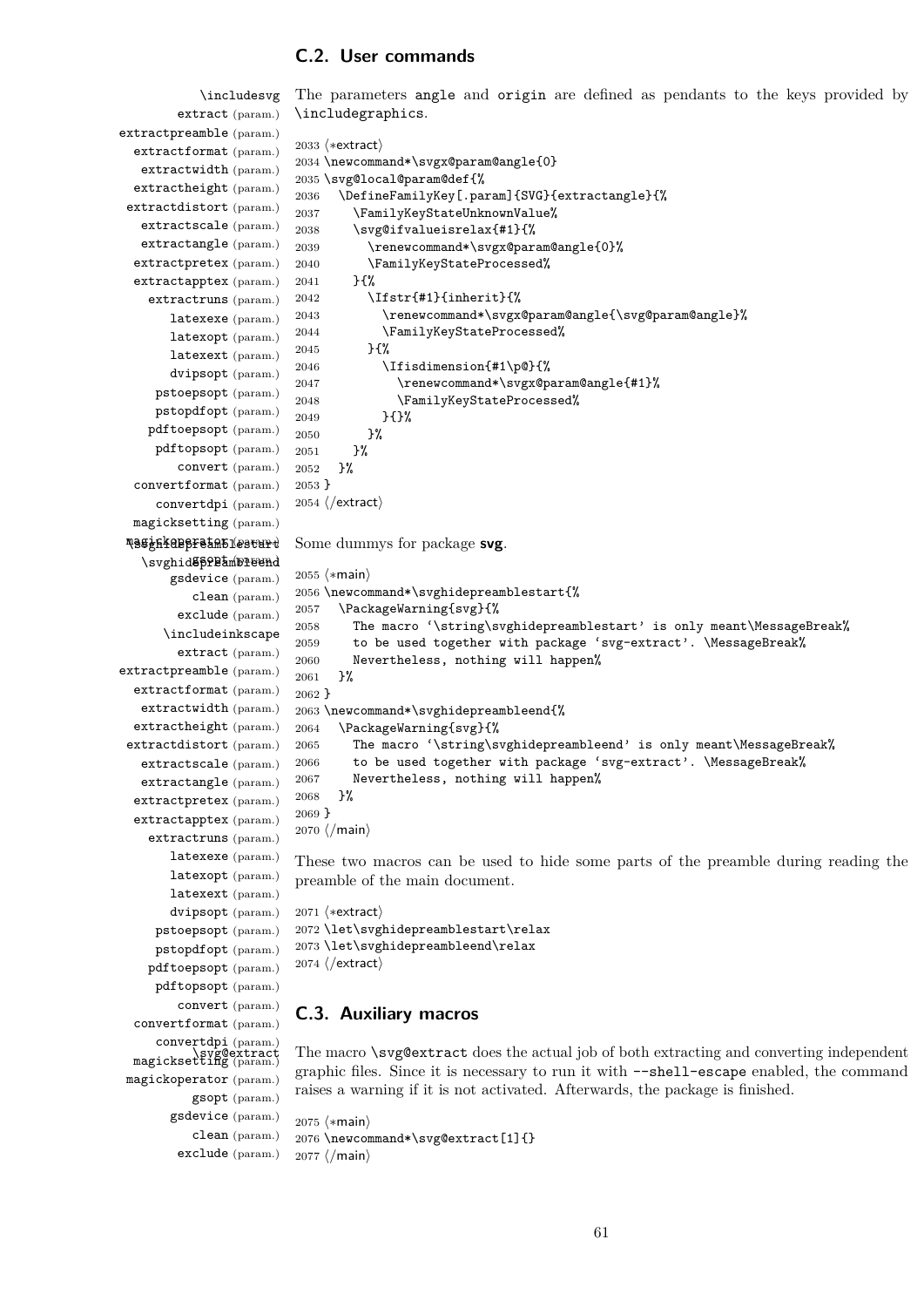# **C.2. User commands**

\includesvg extract (param.) extractpreamble (param.) extractformat (param.) extractwidth (param.) extractheight (param.) extractdistort (param.) extractscale (param.) extractangle (param.) extractpretex (param.) extractapptex (param.) extractruns (param.) latexexe (param.) latexopt (param.) latexext (param.) dvipsopt (param.) pstoepsopt (param.) pstopdfopt (param.) pdftoepsopt (param.) pdftopsopt (param.) convert (param.) convertformat (param.) convertdpi (param.) magicksetting (param.) magickoperator (param.) \svghidepreamblestart \svghid**@pPPamDleend** gsdevice (param.) clean (param.) exclude (param.) \includeinkscape extract (param.) extractpreamble (param.) extractformat (param.) extractwidth (param.) extractheight (param.) extractdistort (param.) extractscale (param.) extractangle (param.) extractpretex (param.) extractapptex (param.) extractruns (param.) latexexe (param.) latexopt (param.) latexext (param.) dvipsopt (param.) The parameters angle and origin are defined as pendants to the keys provided by \includegraphics. 2033 (\*extract) 2034 \newcommand\*\svgx@param@angle{0} 2035 \svg@local@param@def{% 2036 \DefineFamilyKey[.param]{SVG}{extractangle}{% 2037 \FamilyKeyStateUnknownValue% 2038 \svg@ifvalueisrelax{#1}{% 2039 \renewcommand\*\svgx@param@angle{0}% 2040 \FamilyKeyStateProcessed% 2041 }{% 2042 \Ifstr{#1}{inherit}{% 2043 \renewcommand\*\svgx@param@angle{\svg@param@angle}% 2044 \FamilyKeyStateProcessed% 2045 }{% 2046 \Ifisdimension{#1\p@}{% 2047 \renewcommand\*\svgx@param@angle{#1}% 2048 \FamilyKeyStateProcessed% 2049 }{}% 2050 }%  $2051$  }% 2052 }% 2053 } 2054  $\langle$ /extract $\rangle$ Some dummys for package **svg**. 2055  $\langle \ast \text{main} \rangle$ 2056 \newcommand\*\svghidepreamblestart{% 2057 \PackageWarning{svg}{% 2058 The macro '\string\svghidepreamblestart' is only meant\MessageBreak% 2059 to be used together with package 'svg-extract'. \MessageBreak% 2060 Nevertheless, nothing will happen% 2061 }% 2062 } 2063 \newcommand\*\svghidepreambleend{% 2064 \PackageWarning{svg}{% 2065 The macro '\string\svghidepreambleend' is only meant\MessageBreak% 2066 to be used together with package 'svg-extract'. \MessageBreak% 2067 Nevertheless, nothing will happen% 2068 }% 2069 } 2070  $\langle$ /main $\rangle$ These two macros can be used to hide some parts of the preamble during reading the preamble of the main document.

```
pstoepsopt (param.)
 pstopdfopt (param.)
pdftoepsopt (param.)
                       2071 (*extract)
                       2072 \let\svghidepreamblestart\relax
                       2073 \let\svghidepreambleend\relax
                       2074 \langle/extract\rangle
```
## **C.3. Auxiliary macros**

pdftopsopt (param.) convert (param.) convertformat (param.) convertdpi (param.) magicksetting (param.) magickoperator (param.)

gsopt (param.)

The macro  $\succeq$   $\searrow$  The macro  $\searrow$  The actual job of both extracting and converting independent graphic files. Since it is necessary to run it with --shell-escape enabled, the command raises a warning if it is not activated. Afterwards, the package is finished.

```
gsdevice (param.)
   clean (param.)
 exclude (param.)
                     2075 (*main)
                     2076 \newcommand*\svg@extract[1]{}
                    2077 \langle/main\rangle
```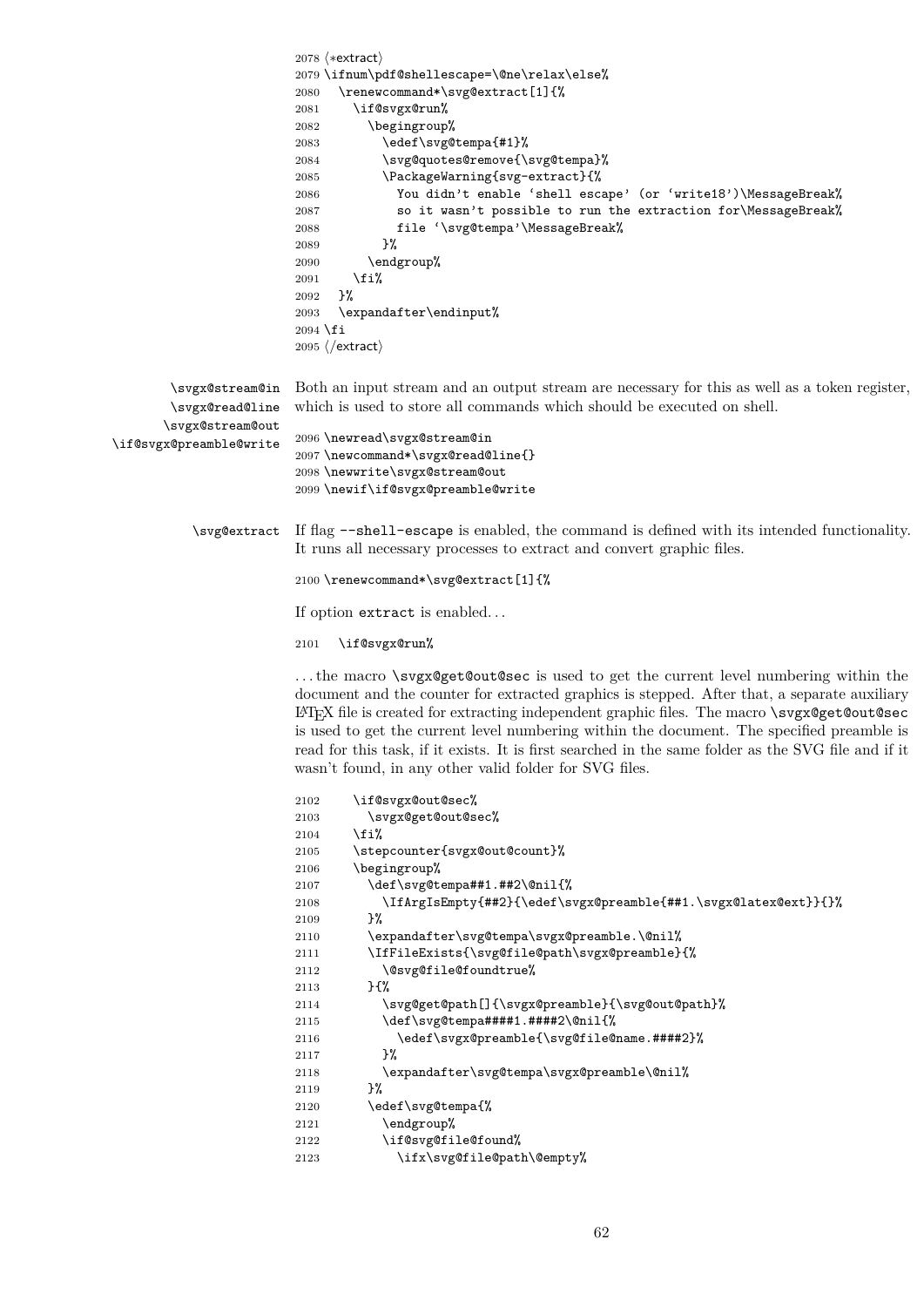```
2078 (*extract)
                        2079 \ifnum\pdf@shellescape=\@ne\relax\else%
                        2080 \renewcommand*\svg@extract[1]{%
                        2081 \if@svgx@run%
                        2082 \begingroup%
                        2083 \edef\svg@tempa{#1}%
                        2084 \svg@quotes@remove{\svg@tempa}%
                        2085 \PackageWarning{svg-extract}{%
                        2086 You didn't enable 'shell escape' (or 'write18')\MessageBreak%
                        2087 so it wasn't possible to run the extraction for\MessageBreak%
                        2088 file '\svg@tempa'\MessageBreak%
                        2089 }%
                        2090 \endgroup%
                        2091 \overline{if'_s}2092 }%
                        2093 \expandafter\endinput%
                        2094 \fi
                        2095 \langle/extract\rangle\svgx@stream@in
       \svgx@read@line
      \svgx@stream@out
\if@svgx@preamble@write
                        Both an input stream and an output stream are necessary for this as well as a token register,
                        which is used to store all commands which should be executed on shell.
                        2096 \newread\svgx@stream@in
                        2097 \newcommand*\svgx@read@line{}
                        2098 \newwrite\svgx@stream@out
                        2099 \newif\if@svgx@preamble@write
          \svg@extract If flag --shell-escape is enabled, the command is defined with its intended functionality.
                        It runs all necessary processes to extract and convert graphic files.
                        2100 \renewcommand*\svg@extract[1]{%
                        If option extract is enabled. . .
                        2101 \if@svgx@run%
                        . . . the macro \svgx@get@out@sec is used to get the current level numbering within the
                        document and the counter for extracted graphics is stepped. After that, a separate auxiliary
                        LATEX file is created for extracting independent graphic files. The macro \svgx@get@out@sec
                        is used to get the current level numbering within the document. The specified preamble is
                        read for this task, if it exists. It is first searched in the same folder as the SVG file and if it
                        wasn't found, in any other valid folder for SVG files.
                        2102 \if@svgx@out@sec%
                        2103 \svgx@get@out@sec%
                        2104 \fi%
                        2105 \stepcounter{svgx@out@count}%
                        2106 \begingroup%
                        2107 \def\svg@tempa##1.##2\@nil{%
                        2108 \IfArgIsEmpty{##2}{\edef\svgx@preamble{##1.\svgx@latex@ext}}{}%
                        2109 }%
                        2110 \expandafter\svg@tempa\svgx@preamble.\@nil%
                        2111 \IfFileExists{\svg@file@path\svgx@preamble}{%
                        2112 \@svg@file@foundtrue%
                        2113 }{%
                        2114 \svg@get@path[]{\svgx@preamble}{\svg@out@path}%
                        2115 \def\svg@tempa####1.####2\@nil{%
                        2116 \edef\svgx@preamble{\svg@file@name.####2}%
                        2117 }%
                        2118 \expandafter\svg@tempa\svgx@preamble\@nil%
```

```
2119 }%
2120 \edef\svg@tempa{%
```

```
2121 \endgroup%
2122 \if@svg@file@found%
```

```
2123 \ifx\svg@file@path\@empty%
```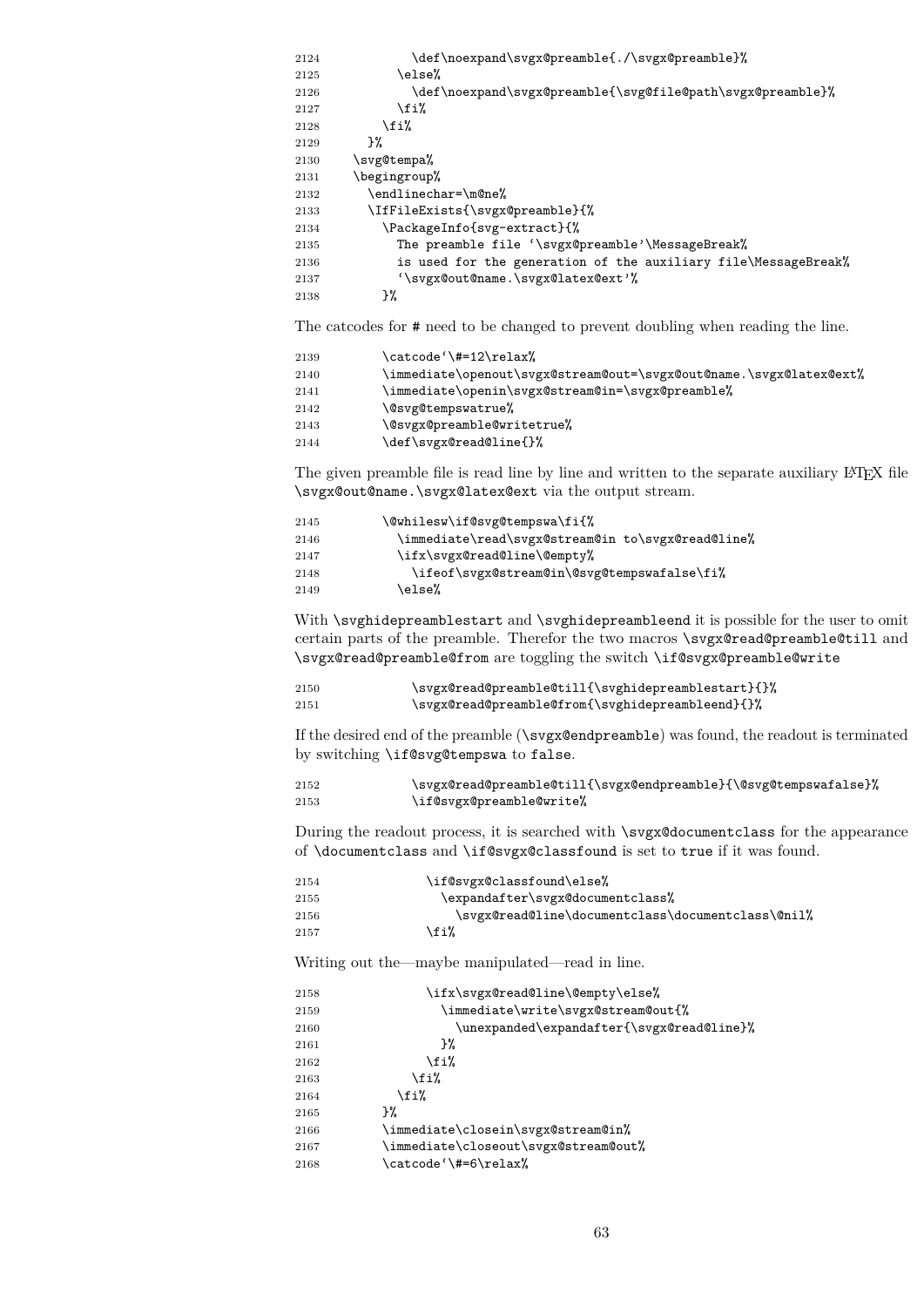| 2124 | \def\noexpand\svgx@preamble{./\svgx@preamble}%                 |
|------|----------------------------------------------------------------|
| 2125 | \else%                                                         |
| 2126 | \def\noexpand\svgx@preamble{\svg@file@path\svgx@preamble}%     |
| 2127 | \fi%                                                           |
| 2128 | \fi%                                                           |
| 2129 | ጉ%                                                             |
| 2130 | \svg@tempa%                                                    |
| 2131 | \begingroup%                                                   |
| 2132 | \endlinechar=\m@ne%                                            |
| 2133 | \IfFileExists{\svgx@preamble}{%                                |
| 2134 | \PackageInfo{svg-extract}{%                                    |
| 2135 | The preamble file '\svgx@preamble'\MessageBreak%               |
| 2136 | is used for the generation of the auxiliary file\MessageBreak% |
| 2137 | '\svgx@out@name.\svgx@latex@ext'%                              |
| 2138 | }%                                                             |

The catcodes for # need to be changed to prevent doubling when reading the line.

| 2139 | \catcode'\#=12\relax%                                              |
|------|--------------------------------------------------------------------|
| 2140 | \immediate\openout\svgx@stream@out=\svgx@out@name.\svgx@latex@ext% |
| 2141 | \immediate\openin\svgx@stream@in=\svgx@preamble%                   |
| 2142 | \@svg@tempswatrue%                                                 |
| 2143 | \@svgx@preamble@writetrue%                                         |
| 2144 | \def\svgx@read@line{}%                                             |

The given preamble file is read line by line and written to the separate auxiliary LATEX file \svgx@out@name.\svgx@latex@ext via the output stream.

| 2145 | \@whilesw\if@svg@tempswa\fi{%                     |
|------|---------------------------------------------------|
| 2146 | \immediate\read\svgx@stream@in to\svgx@read@line% |
| 2147 | \ifx\svgx@read@line\@empty%                       |
| 2148 | \ifeof\svgx@stream@in\@svg@tempswafalse\fi%       |
| 2149 | \else%                                            |

With \svghidepreamblestart and \svghidepreambleend it is possible for the user to omit certain parts of the preamble. Therefor the two macros \svgx@read@preamble@till and \svgx@read@preamble@from are toggling the switch \if@svgx@preamble@write

| 2150 | \svgx@read@preamble@till{\svghidepreamblestart}{}% |
|------|----------------------------------------------------|
| 2151 | \svgx@read@preamble@from{\svghidepreambleend}{}%   |

If the desired end of the preamble (\svgx@endpreamble) was found, the readout is terminated by switching \if@svg@tempswa to false.

| 2152 | \svgx@read@preamble@till{\svgx@endpreamble}{\@svg@tempswafalse}% |
|------|------------------------------------------------------------------|
| 2153 | \if@svgx@preamble@write%                                         |

During the readout process, it is searched with \svgx@documentclass for the appearance of \documentclass and \if@svgx@classfound is set to true if it was found.

| 2154 | \if@svgx@classfound\else%                         |
|------|---------------------------------------------------|
| 2155 | \expandafter\svgx@documentclass%                  |
| 2156 | \svgx@read@line\documentclass\documentclass\@nil% |
| 2157 | ∖fi%                                              |

Writing out the—maybe manipulated—read in line.

| 2158 | \ifx\svgx@read@line\@empty\else%          |
|------|-------------------------------------------|
| 2159 | \immediate\write\svgx@stream@out{%        |
| 2160 | \unexpanded\expandafter{\svgx@read@line}% |
| 2161 | }‰                                        |
| 2162 | \fi%                                      |
| 2163 | \fi%                                      |
| 2164 | \fi%                                      |
| 2165 | ን%                                        |
| 2166 | \immediate\closein\svgx@stream@in%        |
| 2167 | \immediate\closeout\svgx@stream@out%      |
| 2168 | \catcode'\#=6\relax%                      |
|      |                                           |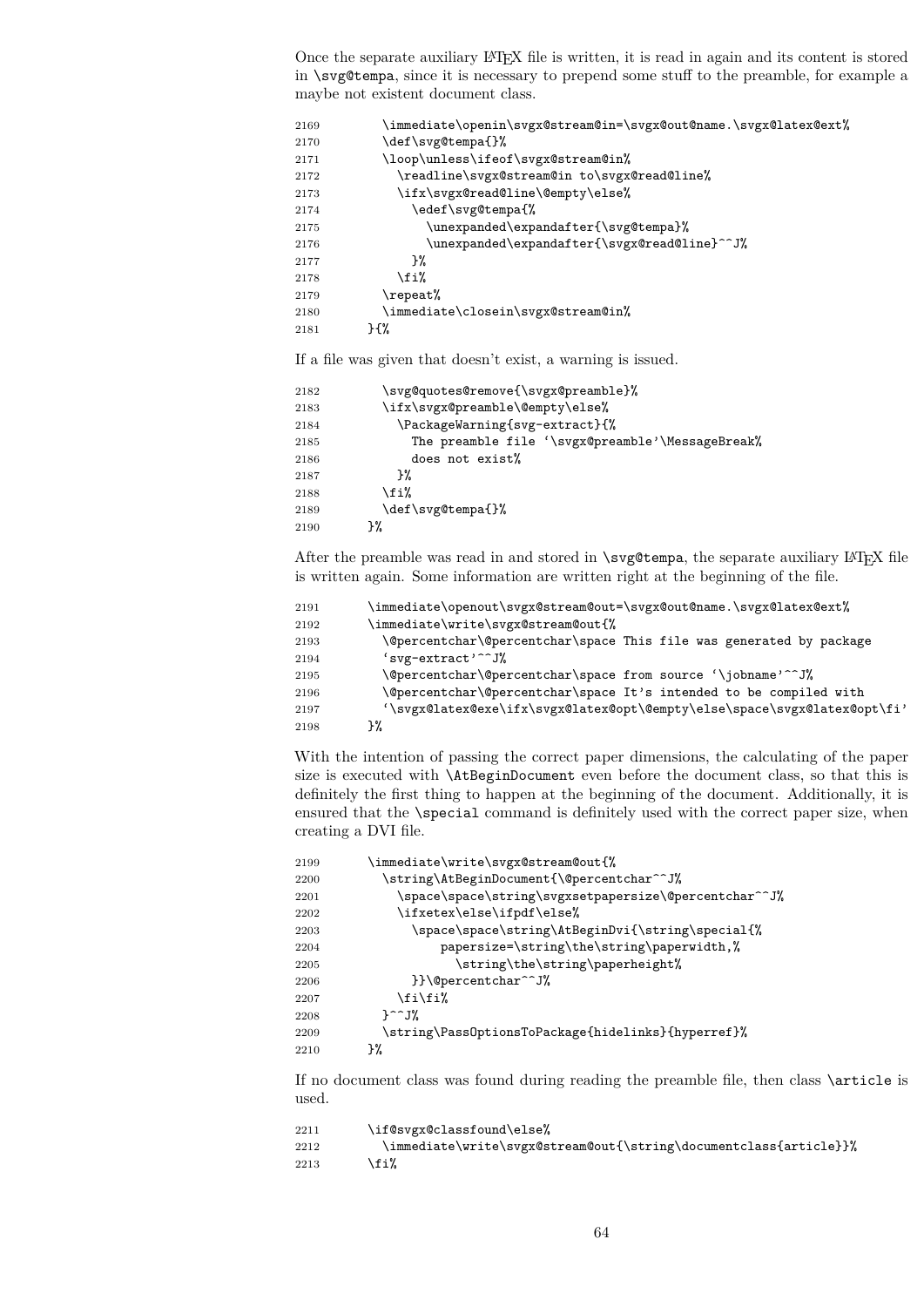Once the separate auxiliary LATEX file is written, it is read in again and its content is stored in \svg@tempa, since it is necessary to prepend some stuff to the preamble, for example a maybe not existent document class.

| 2169 | \immediate\openin\svgx@stream@in=\svgx@out@name.\svgx@latex@ext% |
|------|------------------------------------------------------------------|
| 2170 | \def\svg@tempa{}%                                                |
| 2171 | \loop\unless\ifeof\svgx@stream@in%                               |
| 2172 | \readline\svgx@stream@in to\svgx@read@line%                      |
| 2173 | \ifx\svgx@read@line\@empty\else%                                 |
| 2174 | \edef\svg@tempa{%                                                |
| 2175 | \unexpanded\expandafter{\svg@tempa}%                             |
| 2176 | \unexpanded\expandafter{\svgx@read@line}^^J%                     |
| 2177 | }‰                                                               |
| 2178 | \fi%                                                             |
| 2179 | $\verb \repeat '$                                                |
| 2180 | \immediate\closein\svgx@stream@in%                               |
| 2181 | ን {%                                                             |

If a file was given that doesn't exist, a warning is issued.

| 2182 | \svg@quotes@remove{\svgx@preamble}%              |
|------|--------------------------------------------------|
| 2183 | \ifx\svgx@preamble\@empty\else%                  |
| 2184 | \PackageWarning{svg-extract}{%                   |
| 2185 | The preamble file '\svgx@preamble'\MessageBreak% |
| 2186 | does not exist%                                  |
| 2187 | ን%                                               |
| 2188 | \fi%                                             |
| 2189 | \def\svg@tempa{}%                                |
| 2190 | }%                                               |

After the preamble was read in and stored in  $\simeq$   $\epsilon$  and  $\epsilon$  are separate auxiliary LATEX file is written again. Some information are written right at the beginning of the file.

| 2191 | \immediate\openout\svgx@stream@out=\svgx@out@name.\svgx@latex@ext%       |
|------|--------------------------------------------------------------------------|
| 2192 | \immediate\write\svgx@stream@out{%                                       |
| 2193 | \@percentchar\@percentchar\space This file was generated by package      |
| 2194 | 'svg-extract' <sup>--</sup> J%                                           |
| 2195 | \@percentchar\@percentchar\space from source '\jobname'^^J%              |
| 2196 | \@percentchar\@percentchar\space It's intended to be compiled with       |
| 2197 | '\svgx@latex@exe\ifx\svgx@latex@opt\@empty\else\space\svgx@latex@opt\fi' |
| 2198 | ኑ%                                                                       |

With the intention of passing the correct paper dimensions, the calculating of the paper size is executed with \AtBeginDocument even before the document class, so that this is definitely the first thing to happen at the beginning of the document. Additionally, it is ensured that the \special command is definitely used with the correct paper size, when creating a DVI file.

| 2199 | \immediate\write\svgx@stream@out{%                    |
|------|-------------------------------------------------------|
| 2200 | \string\AtBeginDocument{\@percentchar^^J%             |
| 2201 | \space\space\string\svgxsetpapersize\@percentchar^^J% |
| 2202 | \ifxetex\else\ifpdf\else%                             |
| 2203 | \space\space\string\AtBeginDvi{\string\special{%      |
| 2204 | papersize=\string\the\string\paperwidth,%             |
| 2205 | \string\the\string\paperheight%                       |
| 2206 | }}\@percentchar^^J%                                   |
| 2207 | \fi\fi%                                               |
| 2208 | $\uparrow$ $\hat{ }$ $\uparrow$ $\mathcal{I}$         |
| 2209 | \string\Pass0ptionsToPackage{hidelinks}{hyperref}%    |
| 2210 | ን%                                                    |
|      |                                                       |

If no document class was found during reading the preamble file, then class \article is used.

| 2211 | \if@svgx@classfound\else%                                         |
|------|-------------------------------------------------------------------|
| 2212 | \immediate\write\svgx@stream@out{\string\documentclass{article}}% |
| 2213 | \fi%                                                              |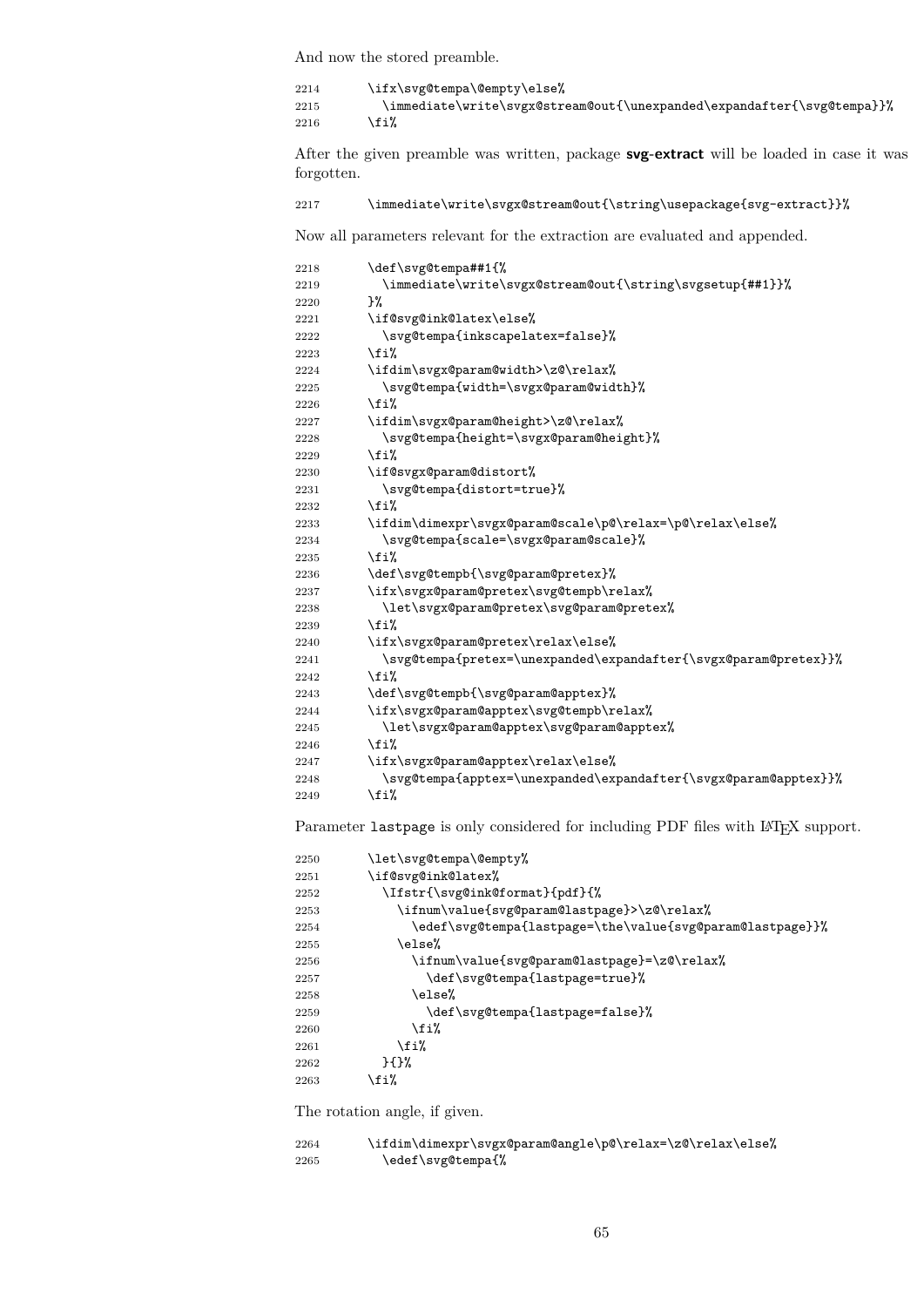And now the stored preamble.

2214 \ifx\svg@tempa\@empty\else%<br>2215 \immediate\write\svgx@str \immediate\write\svgx@stream@out{\unexpanded\expandafter{\svg@tempa}}% 2216  $\overline{\text{f}i}$ 

After the given preamble was written, package **svg-extract** will be loaded in case it was forgotten.

```
2217 \immediate\write\svgx@stream@out{\string\usepackage{svg-extract}}%
```
Now all parameters relevant for the extraction are evaluated and appended.

| 2218 | \def\svg@tempa##1{%                                             |
|------|-----------------------------------------------------------------|
| 2219 | \immediate\write\svgx@stream@out{\string\svgsetup{##1}}%        |
| 2220 | }‰                                                              |
| 2221 | \if@svg@ink@latex\else%                                         |
| 2222 | \svg@tempa{inkscapelatex=false}%                                |
| 2223 | \fi%                                                            |
| 2224 | \ifdim\svgx@param@width>\z@\relax%                              |
| 2225 | \svg@tempa{width=\svgx@param@width}%                            |
| 2226 | \fi%                                                            |
| 2227 | \ifdim\svgx@param@height>\z@\relax%                             |
| 2228 | \svg@tempa{height=\svgx@param@height}%                          |
| 2229 | \fi%                                                            |
| 2230 | \if@svgx@param@distort%                                         |
| 2231 | \svg@tempa{distort=true}%                                       |
| 2232 | \fi%                                                            |
| 2233 | \ifdim\dimexpr\svgx@param@scale\p@\relax=\p@\relax\else%        |
| 2234 | \svg@tempa{scale=\svgx@param@scale}%                            |
| 2235 | \fi%                                                            |
| 2236 | \def\svg@tempb{\svg@param@pretex}%                              |
| 2237 | \ifx\svgx@param@pretex\svg@tempb\relax%                         |
| 2238 | \let\svgx@param@pretex\svg@param@pretex%                        |
| 2239 | \fi%                                                            |
| 2240 | \ifx\svgx@param@pretex\relax\else%                              |
| 2241 | \svg@tempa{pretex=\unexpanded\expandafter{\svgx@param@pretex}}% |
| 2242 | \fi%                                                            |
| 2243 | \def\svg@tempb{\svg@param@apptex}%                              |
| 2244 | \ifx\svgx@param@apptex\svg@tempb\relax%                         |
| 2245 | \let\svgx@param@apptex\svg@param@apptex%                        |
| 2246 | \fi%                                                            |
| 2247 | \ifx\svgx@param@apptex\relax\else%                              |
| 2248 | \svg@tempa{apptex=\unexpanded\expandafter{\svgx@param@apptex}}% |
| 2249 | \fi%                                                            |
|      |                                                                 |

Parameter lastpage is only considered for including PDF files with L<sup>AT</sup>EX support.

| 2250 | \let\svg@tempa\@empty%                                    |
|------|-----------------------------------------------------------|
| 2251 | \if@svg@ink@latex%                                        |
| 2252 | \Ifstr{\svg@ink@format}{pdf}{%                            |
| 2253 | \ifnum\value{svg@param@lastpage}>\z@\relax%               |
| 2254 | \edef\svg@tempa{lastpage=\the\value{svg@param@lastpage}}% |
| 2255 | \else%                                                    |
| 2256 | \ifnum\value{svg@param@lastpage}=\z@\relax%               |
| 2257 | \def\svg@tempa{lastpage=true}%                            |
| 2258 | \else%                                                    |
| 2259 | \def\svg@tempa{lastpage=false}%                           |
| 2260 | \fi%                                                      |
| 2261 | \fi%                                                      |
| 2262 | $}$                                                       |
| 2263 | \fi%                                                      |

The rotation angle, if given.

| 2264 | \ifdim\dimexpr\svgx@param@angle\p@\relax=\z@\relax\else% |
|------|----------------------------------------------------------|
| 2265 | \edef\svg@tempa{%                                        |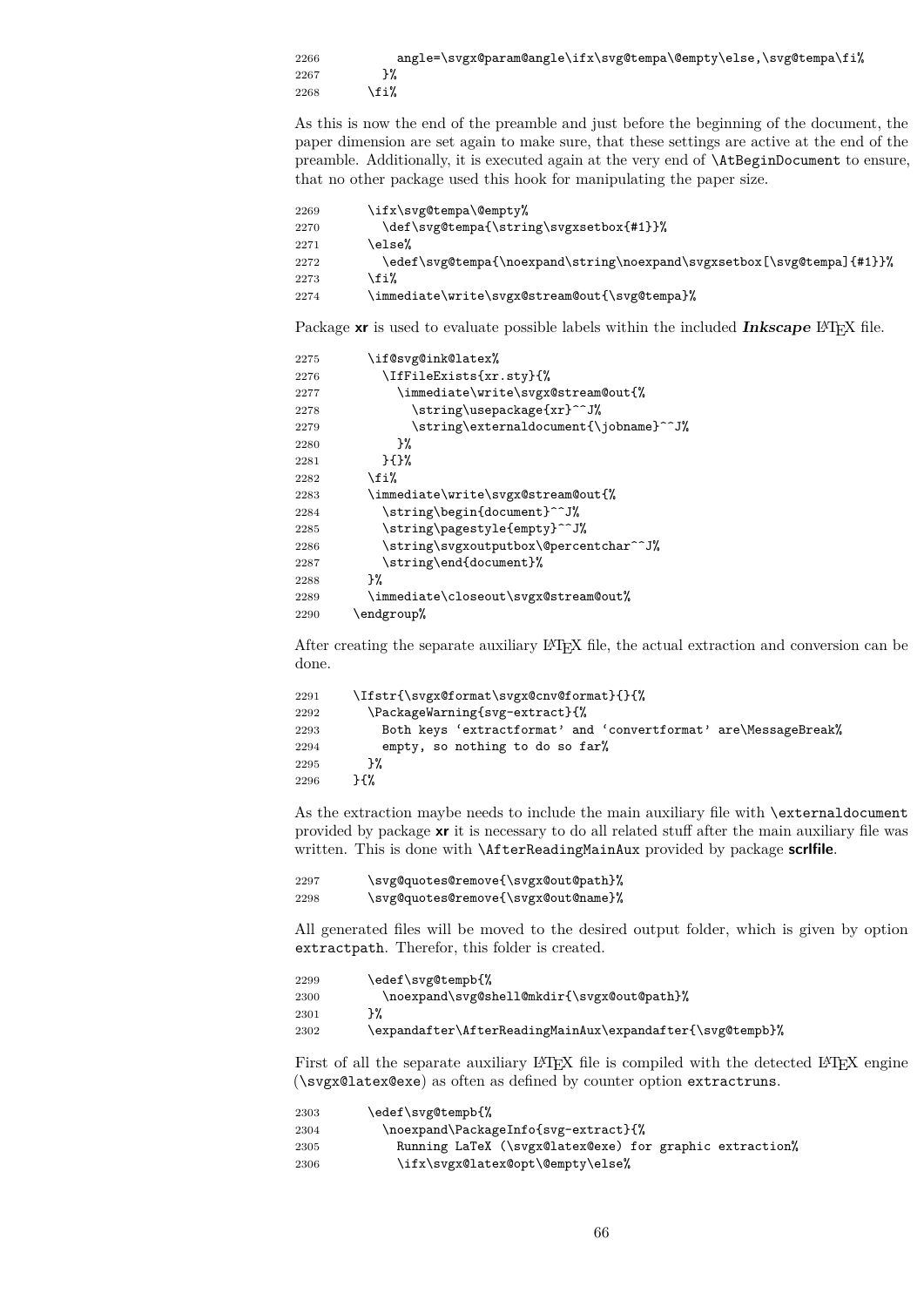```
2266 angle=\svgx@param@angle\ifx\svg@tempa\@empty\else,\svg@tempa\fi%
2267 }%
2268 \overrightarrow{1}
```
As this is now the end of the preamble and just before the beginning of the document, the paper dimension are set again to make sure, that these settings are active at the end of the preamble. Additionally, it is executed again at the very end of \AtBeginDocument to ensure, that no other package used this hook for manipulating the paper size.

```
2269 \ifx\svg@tempa\@empty%
2270 \def\svg@tempa{\string\svgxsetbox{#1}}%
2271 \else%
2272 \edef\svg@tempa{\noexpand\string\noexpand\svgxsetbox[\svg@tempa]{#1}}%
2273 \{f_i\}2274 \immediate\write\svgx@stream@out{\svg@tempa}%
```
Package **xr** is used to evaluate possible labels within the included **Inkscape** L<sup>A</sup>T<sub>E</sub>X file.

```
2275 \if@svg@ink@latex%
2276 \IfFileExists{xr.sty}{%
2277 \immediate\write\svgx@stream@out{%
2278 \string\usepackage{xr}^^J%
2279 \string\externaldocument{\jobname}^^J%
2280 }%
2281 }{}%
2282 \overrightarrow{fi}2283 \immediate\write\svgx@stream@out{%
2284 \string\begin{document}^^J%
2285 \string\pagestyle{empty}^^J%
2286 \string\svgxoutputbox\@percentchar^^J%
2287 \string\end{document}%
2288 }%
2289 \immediate\closeout\svgx@stream@out%
2290 \endgroup%
```
After creating the separate auxiliary LATEX file, the actual extraction and conversion can be done.

```
2291 \Ifstr{\svgx@format\svgx@cnv@format}{}{%
2292 \PackageWarning{svg-extract}{%
2293 Both keys 'extractformat' and 'convertformat' are\MessageBreak%
2294 empty, so nothing to do so far%
2295 }%
2296 }{%
```
As the extraction maybe needs to include the main auxiliary file with \externaldocument provided by package **xr** it is necessary to do all related stuff after the main auxiliary file was written. This is done with \AfterReadingMainAux provided by package **scrlfile**.

```
2297 \svg@quotes@remove{\svgx@out@path}%
2298 \svg@quotes@remove{\svgx@out@name}%
```
All generated files will be moved to the desired output folder, which is given by option extractpath. Therefor, this folder is created.

```
2299 \edef\svg@tempb{%
2300 \noexpand\svg@shell@mkdir{\svgx@out@path}%
2301 }%
2302 \expandafter\AfterReadingMainAux\expandafter{\svg@tempb}%
```
First of all the separate auxiliary LATEX file is compiled with the detected LATEX engine (\svgx@latex@exe) as often as defined by counter option extractruns.

| 2303 | \edef\svg@tempb{%                                       |
|------|---------------------------------------------------------|
| 2304 | \noexpand\PackageInfo{svg-extract}{%                    |
| 2305 | Running LaTeX (\svgx@latex@exe) for graphic extraction% |
| 2306 | \ifx\svgx@latex@opt\@empty\else%                        |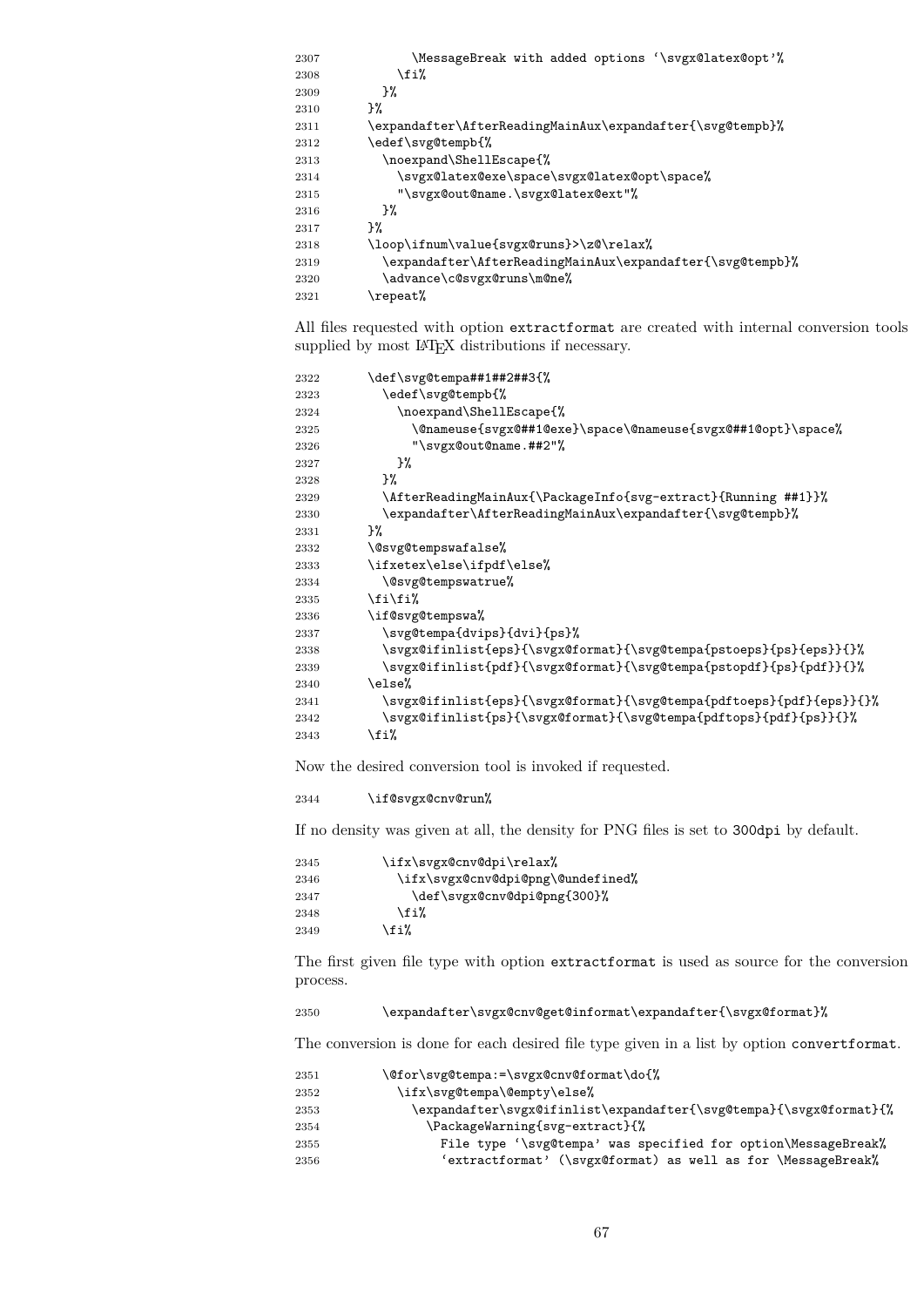| 2307 | \MessageBreak with added options '\svgx@latex@opt'%\      |
|------|-----------------------------------------------------------|
| 2308 | \fi%                                                      |
| 2309 | }‰                                                        |
| 2310 | ጉ%                                                        |
| 2311 | \expandafter\AfterReadingMainAux\expandafter{\svg@tempb}% |
| 2312 | \edef\svg@tempb{%                                         |
| 2313 | \noexpand\ShellEscape{%                                   |
| 2314 | \svgx@latex@exe\space\svgx@latex@opt\space%               |
| 2315 | "\svgx@out@name.\svgx@latex@ext"%                         |
| 2316 | }‰                                                        |
| 2317 | ጉ%                                                        |
| 2318 | \loop\ifnum\value{svgx@runs}>\z@\relax%                   |
| 2319 | \expandafter\AfterReadingMainAux\expandafter{\svg@tempb}% |
| 2320 | \advance\c@svgx@runs\m@ne%                                |
| 2321 | \repeat%                                                  |
|      |                                                           |

All files requested with option extractformat are created with internal conversion tools supplied by most  $\LaTeX{}$  distributions if necessary.

| 2322 | \def\svg@tempa##1##2##3{%                                            |
|------|----------------------------------------------------------------------|
| 2323 | \edef\svg@tempb{%                                                    |
| 2324 | \noexpand\ShellEscape{%                                              |
| 2325 | \@nameuse{svgx@##1@exe}\space\@nameuse{svgx@##1@opt}\space%          |
| 2326 | "\svgx@out@name.##2"%                                                |
| 2327 | }‰                                                                   |
| 2328 | }‰                                                                   |
| 2329 | \AfterReadingMainAux{\PackageInfo{svg-extract}{Running ##1}}%        |
| 2330 | \expandafter\AfterReadingMainAux\expandafter{\svg@tempb}%            |
| 2331 | }%                                                                   |
| 2332 | \@svg@tempswafalse%                                                  |
| 2333 | \ifxetex\else\ifpdf\else%                                            |
| 2334 | \@svg@tempswatrue%                                                   |
| 2335 | \fi\fi%                                                              |
| 2336 | \if@svg@tempswa%                                                     |
| 2337 | \svg@tempa{dvips}{dvi}{ps}%                                          |
| 2338 | \svgx@ifinlist{eps}{\svgx@format}{\svg@tempa{pstoeps}{ps}{eps}}{}%   |
| 2339 | \svgx@ifinlist{pdf}{\svgx@format}{\svg@tempa{pstopdf}{ps}{pdf}}{}%   |
| 2340 | \else%                                                               |
| 2341 | \svgx@ifinlist{eps}{\svgx@format}{\svg@tempa{pdftoeps}{pdf}{eps}}{}% |
| 2342 | \svgx@ifinlist{ps}{\svgx@format}{\svg@tempa{pdftops}{pdf}{ps}}{}%    |
| 2343 | \fi%                                                                 |
|      |                                                                      |

Now the desired conversion tool is invoked if requested.

## \if@svgx@cnv@run%

If no density was given at all, the density for PNG files is set to 300dpi by default.

| 2345 | \ifx\svgx@cnv@dpi\relax%          |
|------|-----------------------------------|
| 2346 | \ifx\svgx@cnv@dpi@png\@undefined% |
| 2347 | \def\svgx@cnv@dpi@png{300}%       |
| 2348 | \fi%                              |
| 2349 | \fi%                              |

The first given file type with option extractformat is used as source for the conversion process.

\expandafter\svgx@cnv@get@informat\expandafter{\svgx@format}%

The conversion is done for each desired file type given in a list by option convertformat.

| 2351 | \@for\svg@tempa:=\svgx@cnv@format\do{%                             |
|------|--------------------------------------------------------------------|
| 2352 | \ifx\svg@tempa\@empty\else%                                        |
| 2353 | \expandafter\svgx@ifinlist\expandafter{\svg@tempa}{\svgx@format}{% |
| 2354 | \PackageWarning{svg-extract}{%                                     |
| 2355 | File type '\svg@tempa' was specified for option\MessageBreak%      |
| 2356 | 'extractformat' (\svgx@format) as well as for \MessageBreak%       |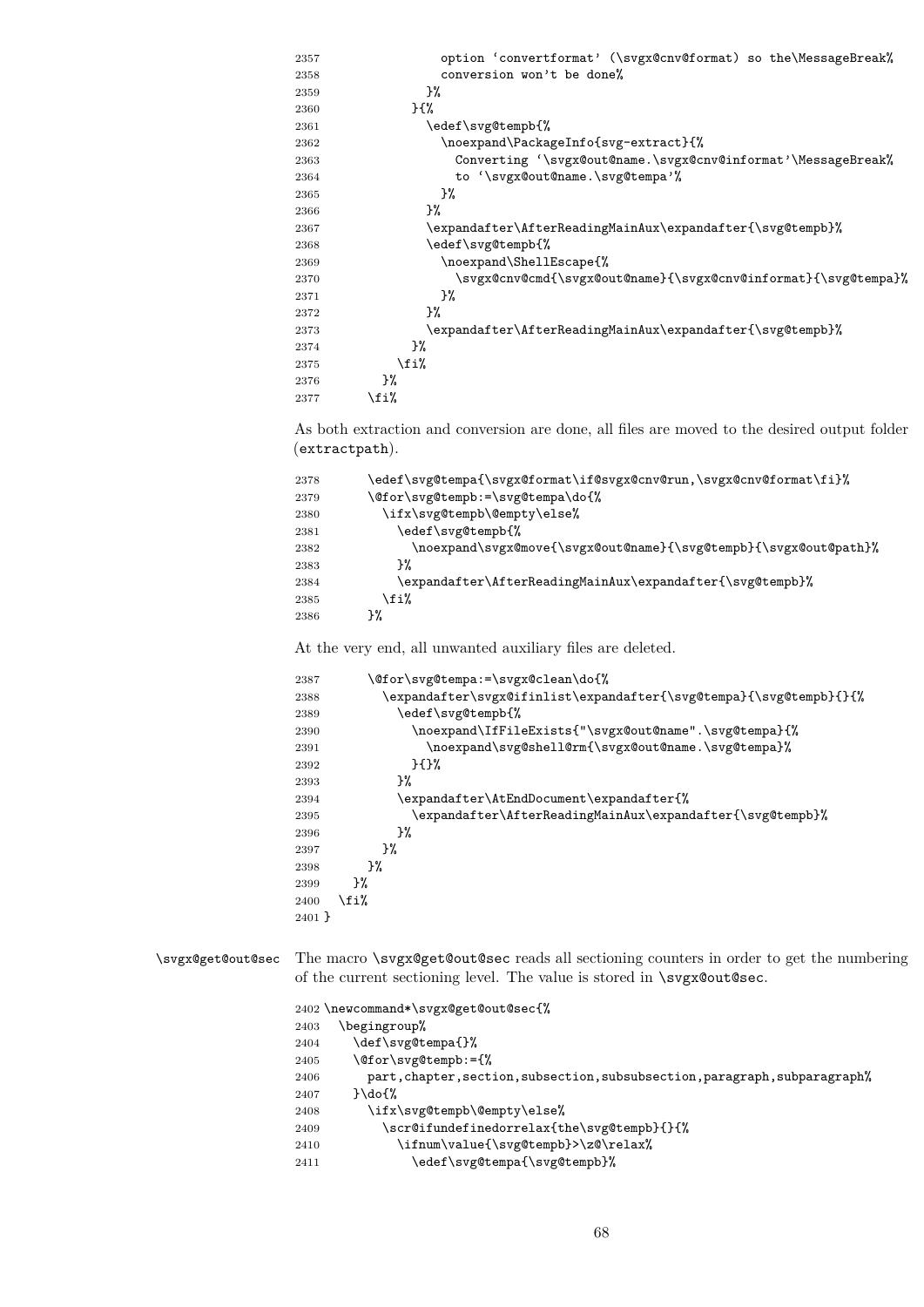| 2357 | option 'convertformat' (\svgx@cnv@format) so the\MessageBreak% |
|------|----------------------------------------------------------------|
| 2358 | conversion won't be done%                                      |
| 2359 | }‰                                                             |
| 2360 | ን የአ                                                           |
| 2361 | \edef\svg@tempb{%                                              |
| 2362 | \noexpand\PackageInfo{svg-extract}{%                           |
| 2363 | Converting '\svgx@out@name.\svgx@cnv@informat'\MessageBreak%   |
| 2364 | to '\svgx@out@name.\svg@tempa'%                                |
| 2365 | }%                                                             |
| 2366 | }‰                                                             |
| 2367 | \expandafter\AfterReadingMainAux\expandafter{\svg@tempb}%      |
| 2368 | \edef\svg@tempb{%                                              |
| 2369 | \noexpand\ShellEscape{%                                        |
| 2370 | \svgx@cnv@cmd{\svgx@out@name}{\svgx@cnv@informat}{\svg@tempa}% |
| 2371 | }‰                                                             |
| 2372 | ን%                                                             |
| 2373 | \expandafter\AfterReadingMainAux\expandafter{\svg@tempb}%      |
| 2374 | }%                                                             |
| 2375 | \fi%                                                           |
| 2376 | }%                                                             |
| 2377 | \fi%                                                           |
|      |                                                                |

As both extraction and conversion are done, all files are moved to the desired output folder (extractpath).

| 2378 | \edef\svg@tempa{\svgx@format\if@svgx@cnv@run,\svgx@cnv@format\fi}% |
|------|--------------------------------------------------------------------|
| 2379 | \@for\svg@tempb:=\svg@tempa\do{%                                   |
| 2380 | \ifx\svg@tempb\@empty\else%                                        |
| 2381 | \edef\svg@tempb{%                                                  |
| 2382 | \noexpand\svgx@move{\svgx@out@name}{\svg@tempb}{\svgx@out@path}%   |
| 2383 | ን%                                                                 |
| 2384 | \expandafter\AfterReadingMainAux\expandafter{\svg@tempb}%          |
| 2385 | \fi%                                                               |
| 2386 | ን%                                                                 |

At the very end, all unwanted auxiliary files are deleted.

| 2387     | \@for\svg@tempa:=\svgx@clean\do{%                                  |
|----------|--------------------------------------------------------------------|
| 2388     | \expandafter\svgx@ifinlist\expandafter{\svg@tempa}{\svg@tempb}{}{% |
| 2389     | \edef\svg@tempb{%                                                  |
| 2390     | \noexpand\IfFileExists{"\svgx@out@name".\svg@tempa}{%              |
| 2391     | \noexpand\svg@shell@rm{\svgx@out@name.\svg@tempa}%                 |
| 2392     | ን የአየ                                                              |
| 2393     | ን%                                                                 |
| 2394     | \expandafter\AtEndDocument\expandafter{%                           |
| 2395     | \expandafter\AfterReadingMainAux\expandafter{\svg@tempb}%          |
| 2396     | }‰                                                                 |
| 2397     | ን%                                                                 |
| 2398     | }‰                                                                 |
| 2399     | ን%                                                                 |
| 2400     | \fi%                                                               |
| $2401$ } |                                                                    |

\svgx@get@out@sec The macro \svgx@get@out@sec reads all sectioning counters in order to get the numbering of the current sectioning level. The value is stored in \svgx@out@sec.

> \newcommand\*\svgx@get@out@sec{% \begingroup% \def\svg@tempa{}% \@for\svg@tempb:={%  $2406 \qquad \qquad \texttt{part}, \texttt{chapter}, \texttt{section}, \texttt{subswitch}, \texttt{subsearch}, \texttt{subparam} \texttt{path},$  }\do{% 2408 \ifx\svg@tempb\@empty\else%  $2409 \qquad \quad \backslash \texttt{scrQ} \texttt{line} \texttt{line} \texttt{line} \texttt{line} \texttt{line} \texttt{line} \texttt{line} \texttt{line} \texttt{line} \texttt{line} \texttt{line} \texttt{line} \texttt{line} \texttt{line} \texttt{line} \texttt{line} \texttt{line} \texttt{line} \texttt{line} \texttt{line} \texttt{line} \texttt{line} \texttt{line} \texttt{line} \texttt{line} \texttt{line} \texttt{line} \texttt{line} \texttt{line} \texttt{line} \texttt{line} \texttt{line} \texttt{line} \texttt$ 2410 \ifnum\value{\svg@tempb}>\z@\relax% 2411 \edef\svg@tempa{\svg@tempb}%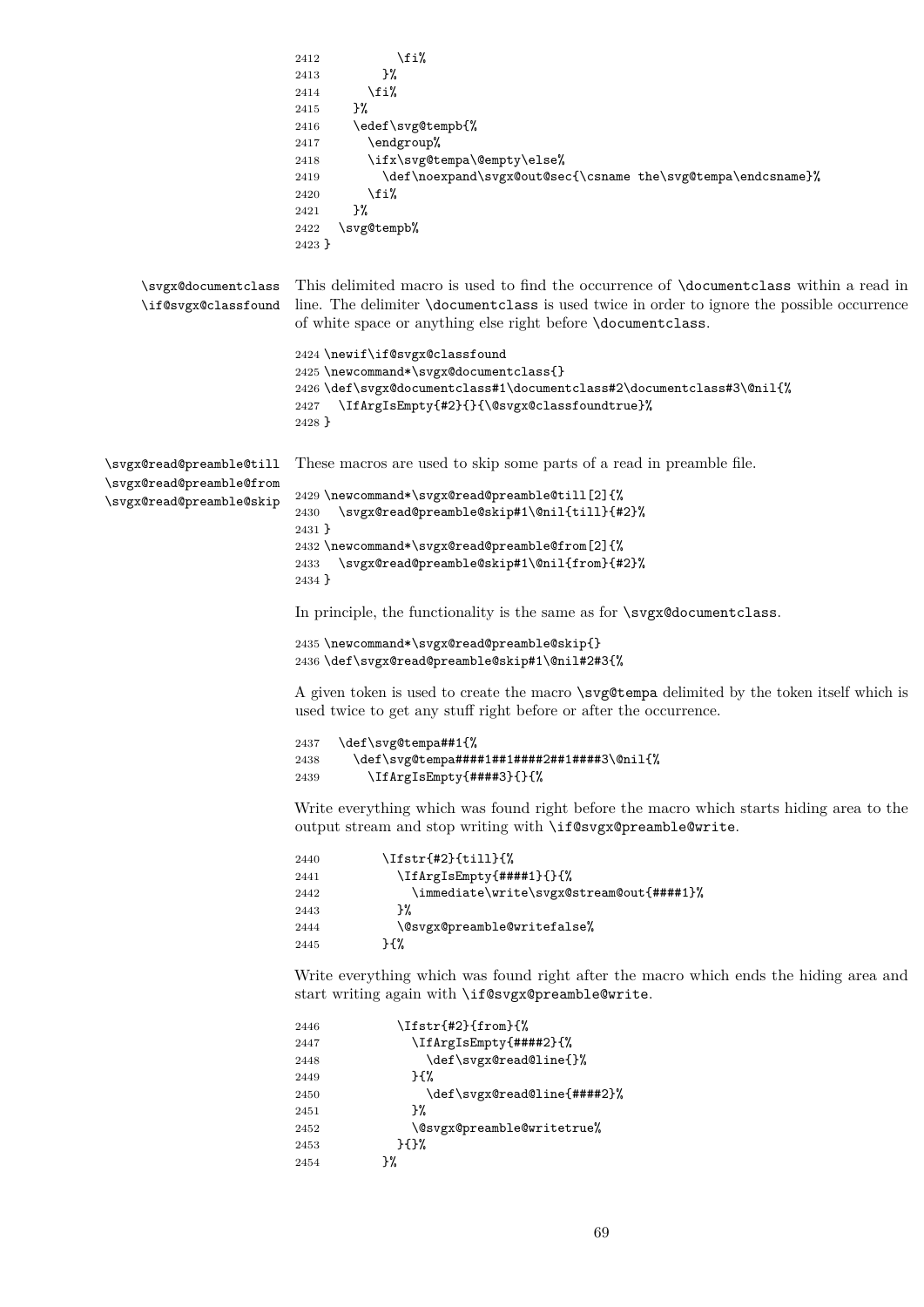```
2412 \overrightarrow{1}2413 }%
                         2414 \overrightarrow{1}2415 }%
                        2416 \edef\svg@tempb{%
                        2417 \endgroup%
                        2418 \ifx\svg@tempa\@empty\else%
                        2419 \def\noexpand\svgx@out@sec{\csname the\svg@tempa\endcsname}%
                        2420 \overrightarrow{1}2421 }%<br>2422 \svg
                              \svg@tempb%
                         2423 }
    \svgx@documentclass
    \if@svgx@classfound
                        This delimited macro is used to find the occurrence of \documentclass within a read in
                        line. The delimiter \documentclass is used twice in order to ignore the possible occurrence
                         of white space or anything else right before \documentclass.
                         2424 \newif\if@svgx@classfound
                        2425 \newcommand*\svgx@documentclass{}
                        2426 \def\svgx@documentclass#1\documentclass#2\documentclass#3\@nil{%
                         2427 \IfArgIsEmpty{#2}{}{\@svgx@classfoundtrue}%
                         2428 }
\svgx@read@preamble@till
\svgx@read@preamble@from
\svgx@read@preamble@skip
                        These macros are used to skip some parts of a read in preamble file.
                         2429 \newcommand*\svgx@read@preamble@till[2]{%
                         2430 \svgx@read@preamble@skip#1\@nil{till}{#2}%
                         2431 }
                        2432 \newcommand*\svgx@read@preamble@from[2]{%
                        2433 \svgx@read@preamble@skip#1\@nil{from}{#2}%
                        2434 }
                        In principle, the functionality is the same as for \svgx@documentclass.
                         2435 \newcommand*\svgx@read@preamble@skip{}
                         2436 \def\svgx@read@preamble@skip#1\@nil#2#3{%
                         A given token is used to create the macro \svg@tempa delimited by the token itself which is
                         used twice to get any stuff right before or after the occurrence.
                         2437 \def\svg@tempa##1{%
                         2438 \def\svg@tempa####1##1####2##1####3\@nil{%
                         2439 \IfArgIsEmpty{####3}{}{%
                        Write everything which was found right before the macro which starts hiding area to the
                        output stream and stop writing with \if@svgx@preamble@write.
                        2440 \Ifstr{#2}{till}{%
                         2441 \IfArgIsEmpty{####1}{}{%
                         2442 \immediate\write\svgx@stream@out{####1}%
                         2443 }%
                        2444 \@svgx@preamble@writefalse%
                        2445 }{%
                        Write everything which was found right after the macro which ends the hiding area and
                        start writing again with \if@svgx@preamble@write.
                        2446 \Ifstr{#2}{from}{%
                        2447 \IfArgIsEmpty{####2}{%
                        2448 \def\svgx@read@line{}%
                        2449 }{%
                        2450 \def\svgx@read@line{####2}%
                         2451 }%
                         2452 \@svgx@preamble@writetrue%
                         2453 }{}%
```
2454 }%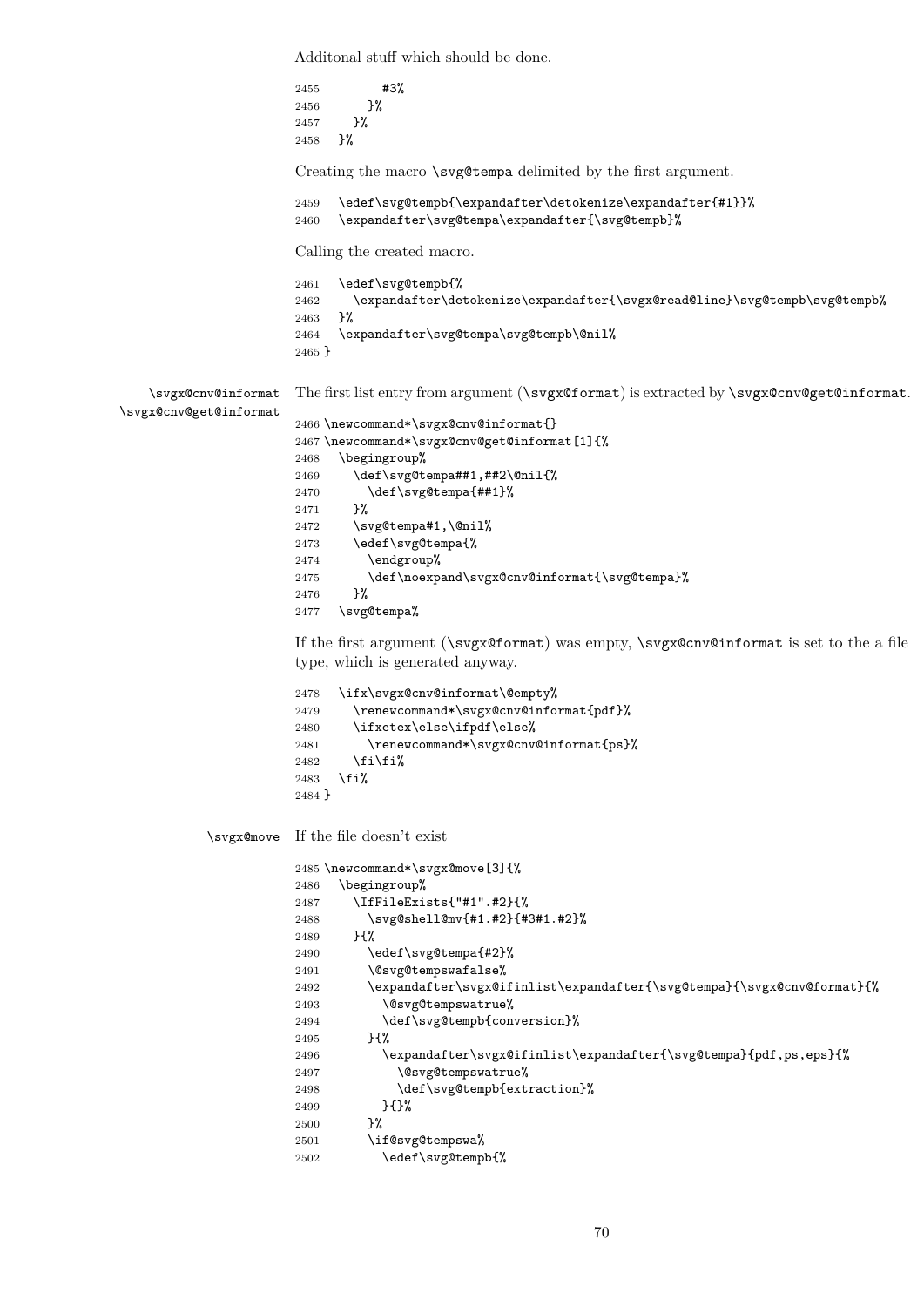Additonal stuff which should be done. 2455 #3% 2456 }% 2457 }% 2458 }% Creating the macro \svg@tempa delimited by the first argument. 2459 \edef\svg@tempb{\expandafter\detokenize\expandafter{#1}}% 2460 \expandafter\svg@tempa\expandafter{\svg@tempb}% Calling the created macro. 2461 \edef\svg@tempb{% 2462 \expandafter\detokenize\expandafter{\svgx@read@line}\svg@tempb\svg@tempb%<br>2463 }% 2463 2464 \expandafter\svg@tempa\svg@tempb\@nil% 2465 } \svgx@cnv@informat \svgx@cnv@get@informat The first list entry from argument (\svgx@format) is extracted by \svgx@cnv@get@informat. 2466 \newcommand\*\svgx@cnv@informat{} 2467 \newcommand\*\svgx@cnv@get@informat[1]{% 2468 \begingroup% 2469 \def\svg@tempa##1,##2\@nil{% 2470 \def\svg@tempa{##1}% 2471 }% 2472 \svg@tempa#1,\@nil% 2473 \edef\svg@tempa{% 2474 \endgroup% 2475 \def\noexpand\svgx@cnv@informat{\svg@tempa}% 2476 }% 2477 \svg@tempa% If the first argument (\svgx@format) was empty, \svgx@cnv@informat is set to the a file type, which is generated anyway. 2478 \ifx\svgx@cnv@informat\@empty% 2479 \renewcommand\*\svgx@cnv@informat{pdf}% 2480 \ifxetex\else\ifpdf\else% 2481 \renewcommand\*\svgx@cnv@informat{ps}% 2482  $\{f_i\}_i$ 2483 \fi% 2484 } \svgx@move If the file doesn't exist 2485 \newcommand\*\svgx@move[3]{% 2486 \begingroup% 2487 \IfFileExists{"#1".#2}{% 2488 \svg@shell@mv{#1.#2}{#3#1.#2}% 2489 }{% 2490 \edef\svg@tempa{#2}% 2491 \@svg@tempswafalse%  $2492 \qquad \verb|\expandafter\sygy@ifinlist\sxpandafter\sxyg0tempab\sxyggx@cnv@format}{\xyy@cnv@format}$ 2493 \@svg@tempswatrue% 2494 \def\svg@tempb{conversion}% 2495 }{% 2496 \expandafter\svgx@ifinlist\expandafter{\svg@tempa}{pdf,ps,eps}{% 2497 \@svg@tempswatrue% 2498 \def\svg@tempb{extraction}% 2499 }{}% 2500 }% 2501 \if@svg@tempswa%

2502 \edef\svg@tempb{%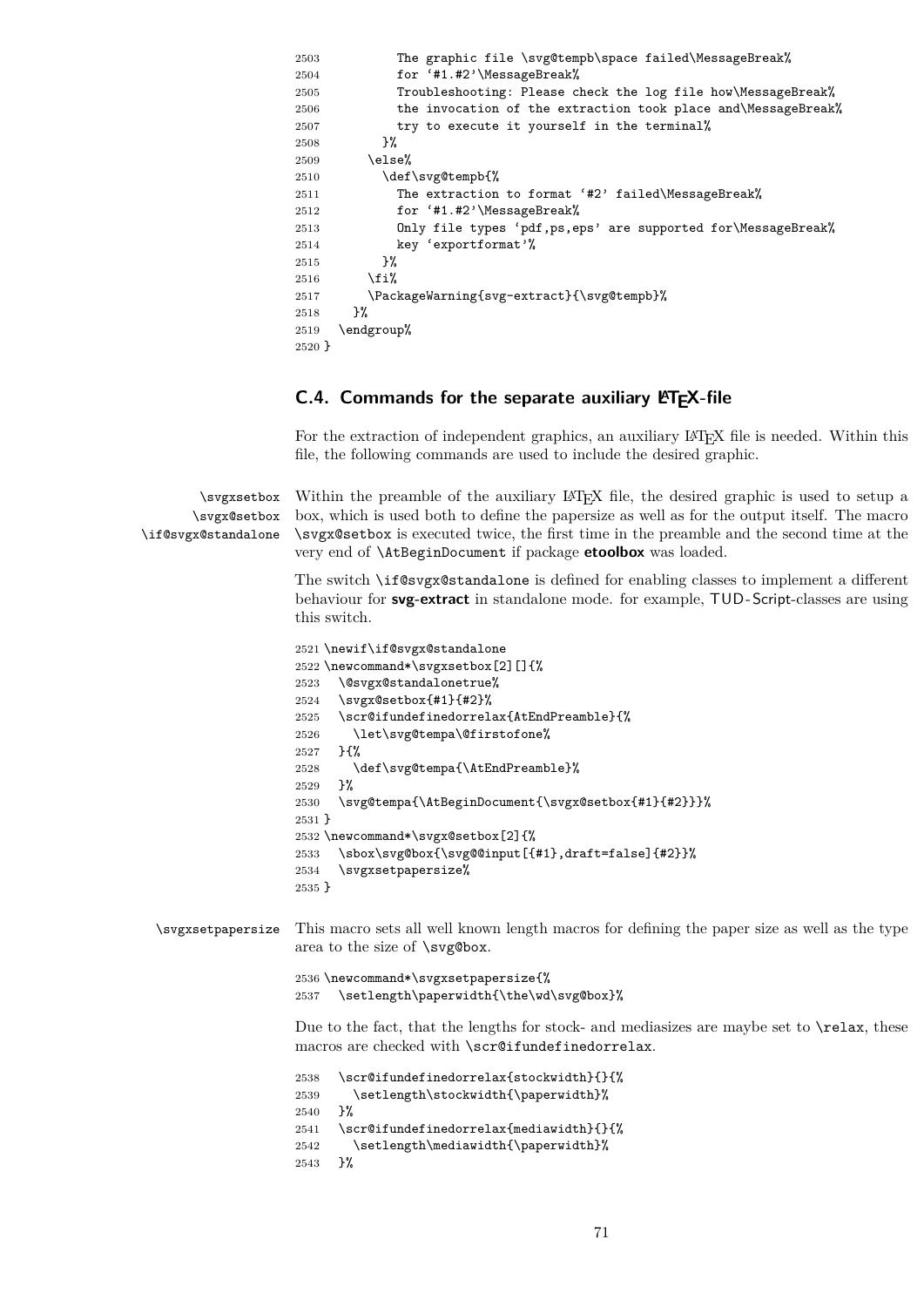```
2503 The graphic file \svg@tempb\space failed\MessageBreak%
2504 for '#1.#2'\MessageBreak%
2505 Troubleshooting: Please check the log file how\MessageBreak%
2506 the invocation of the extraction took place and\MessageBreak%
2507 try to execute it yourself in the terminal%
2508 }%
2509 \else%
2510 \def\svg@tempb{%
2511 The extraction to format '#2' failed\MessageBreak%
2512 for '#1.#2'\MessageBreak%
2513 Only file types 'pdf,ps,eps' are supported for\MessageBreak%
2514 key 'exportformat'%
2515 }%
2516 \fi%
2517 \PackageWarning{svg-extract}{\svg@tempb}%
2518 }%
2519 \endgroup%
2520 }
```
# **C.4. Commands for the separate auxiliary LATEX-file**

For the extraction of independent graphics, an auxiliary LATEX file is needed. Within this file, the following commands are used to include the desired graphic.

\svgxsetbox \svgx@setbox \if@svgx@standalone Within the preamble of the auxiliary LAT<sub>EX</sub> file, the desired graphic is used to setup a box, which is used both to define the papersize as well as for the output itself. The macro \svgx@setbox is executed twice, the first time in the preamble and the second time at the very end of \AtBeginDocument if package **etoolbox** was loaded.

> The switch \if@svgx@standalone is defined for enabling classes to implement a different behaviour for **svg-extract** in standalone mode. for example, TUD-Script-classes are using this switch.

```
2521 \newif\if@svgx@standalone
2522 \newcommand*\svgxsetbox[2][]{%
2523 \@svgx@standalonetrue%
2524 \svgx@setbox{#1}{#2}%
2525 \scr@ifundefinedorrelax{AtEndPreamble}{%
2526 \let\svg@tempa\@firstofone%
2527 }{%
2528 \def\svg@tempa{\AtEndPreamble}%
2529 }%
2530 \svg@tempa{\AtBeginDocument{\svgx@setbox{#1}{#2}}}%
2531 }
2532 \newcommand*\svgx@setbox[2]{%
2533 \sbox\svg@box{\svg@@input[{#1},draft=false]{#2}}%
2534 \svgxsetpapersize%
2535 }
```
\svgxsetpapersize This macro sets all well known length macros for defining the paper size as well as the type area to the size of \svg@box.

```
2536 \newcommand*\svgxsetpapersize{%
2537 \setlength\paperwidth{\the\wd\svg@box}%
```
Due to the fact, that the lengths for stock- and mediasizes are maybe set to **\relax**, these macros are checked with \scr@ifundefinedorrelax.

```
2538 \scr@ifundefinedorrelax{stockwidth}{}{%
2539 \setlength\stockwidth{\paperwidth}%
2540 }%
2541 \scr@ifundefinedorrelax{mediawidth}{}{%
2542 \setlength\mediawidth{\paperwidth}%
2543 }%
```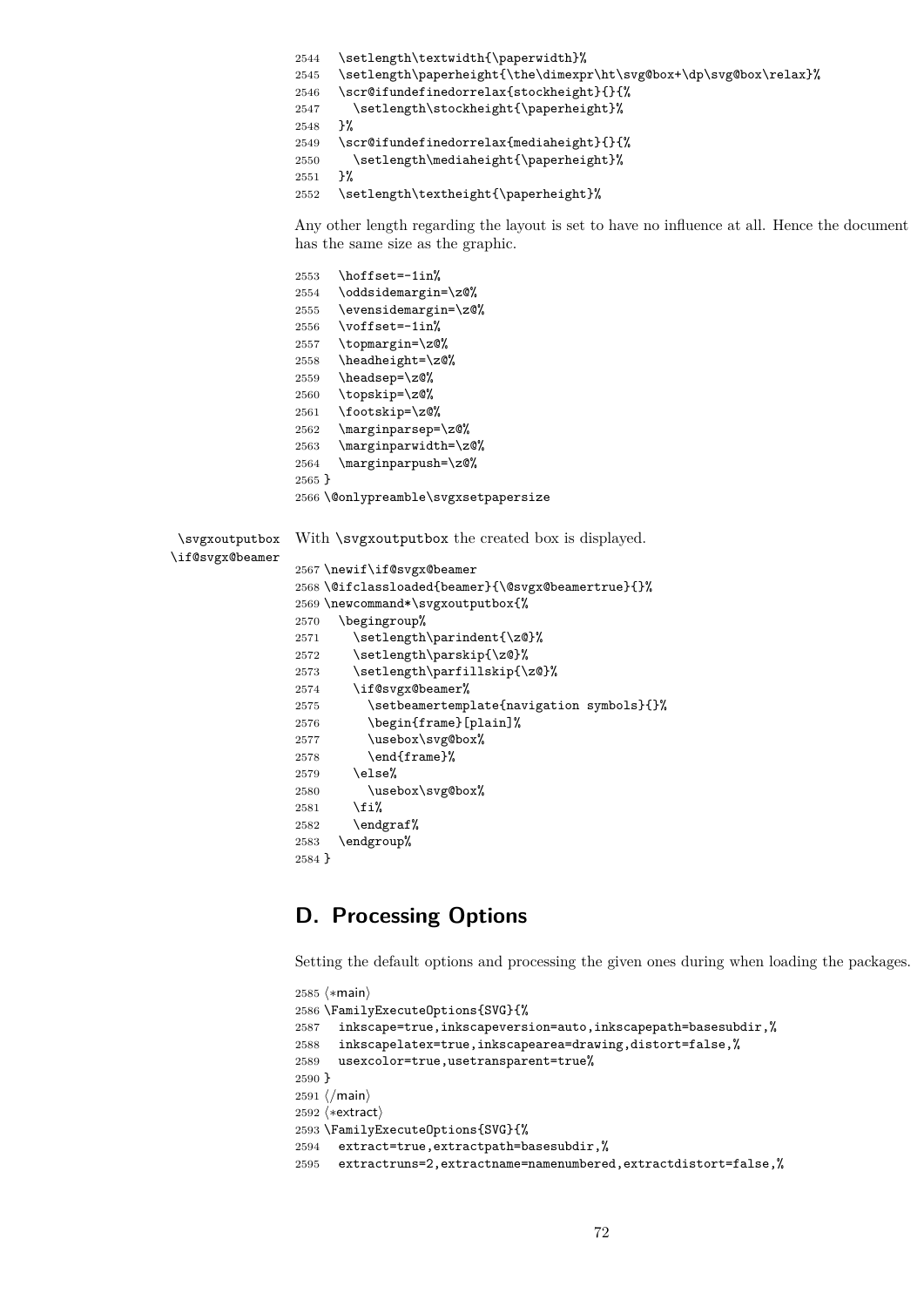```
2544 \setlength\textwidth{\paperwidth}%
```
\setlength\paperheight{\the\dimexpr\ht\svg@box+\dp\svg@box\relax}%

```
2546 \scr@ifundefinedorrelax{stockheight}{}{%
```
- 2547 \setlength\stockheight{\paperheight}%
- }%

\scr@ifundefinedorrelax{mediaheight}{}{%

2550 \setlength\mediaheight{\paperheight}%<br>2551 }%

}%

2552 \setlength\textheight{\paperheight}%

Any other length regarding the layout is set to have no influence at all. Hence the document has the same size as the graphic.

```
2553 \hoffset=-1in%
                2554 \oddsidemargin=\z@%
                2555 \evensidemargin=\z@%
                2556 \voffset=-1in%
                2557 \topmargin=\z@%
                2558 \headheight=\z@%
                2559 \headsep=\z@%
                2560 \topskip=\z@%
                2561 \footskip=\z@%
                2562 \marginparsep=\z@%
                2563 \marginparwidth=\z@%
                2564 \marginparpush=\z@%
                2565 }
                2566 \@onlypreamble\svgxsetpapersize
 \svgxoutputbox
\if@svgx@beamer
                With \surdsvgxoutputbox the created box is displayed.
                2567 \newif\if@svgx@beamer
                2568 \@ifclassloaded{beamer}{\@svgx@beamertrue}{}%
                2569 \newcommand*\svgxoutputbox{%
                2570 \begingroup%
                2571 \setlength\parindent{\z@}%
                2572 \setlength\parskip{\z@}%
                2573 \setlength\parfillskip{\z@}%
                2574 \if@svgx@beamer%
                2575 \setbeamertemplate{navigation symbols}{}%
                2576 \begin{frame}[plain]%
                2577 \usebox\svg@box%
                2578 \end{frame}%
                2579 \else%
                2580 \usebox\svg@box%
                2581 \fi%
                2582 \endgraf%
                2583 \endgroup%
                2584 }
```
# **D. Processing Options**

Setting the default options and processing the given ones during when loading the packages.

```
2585 (*main)
2586 \FamilyExecuteOptions{SVG}{%
2587 inkscape=true,inkscapeversion=auto,inkscapepath=basesubdir,%
2588 inkscapelatex=true,inkscapearea=drawing,distort=false,%
2589 usexcolor=true,usetransparent=true%
2590 }
2591 \langle/main)
2592 (*extract)
2593 \FamilyExecuteOptions{SVG}{%
2594 extract=true,extractpath=basesubdir,%
2595 extractruns=2,extractname=namenumbered,extractdistort=false,%
```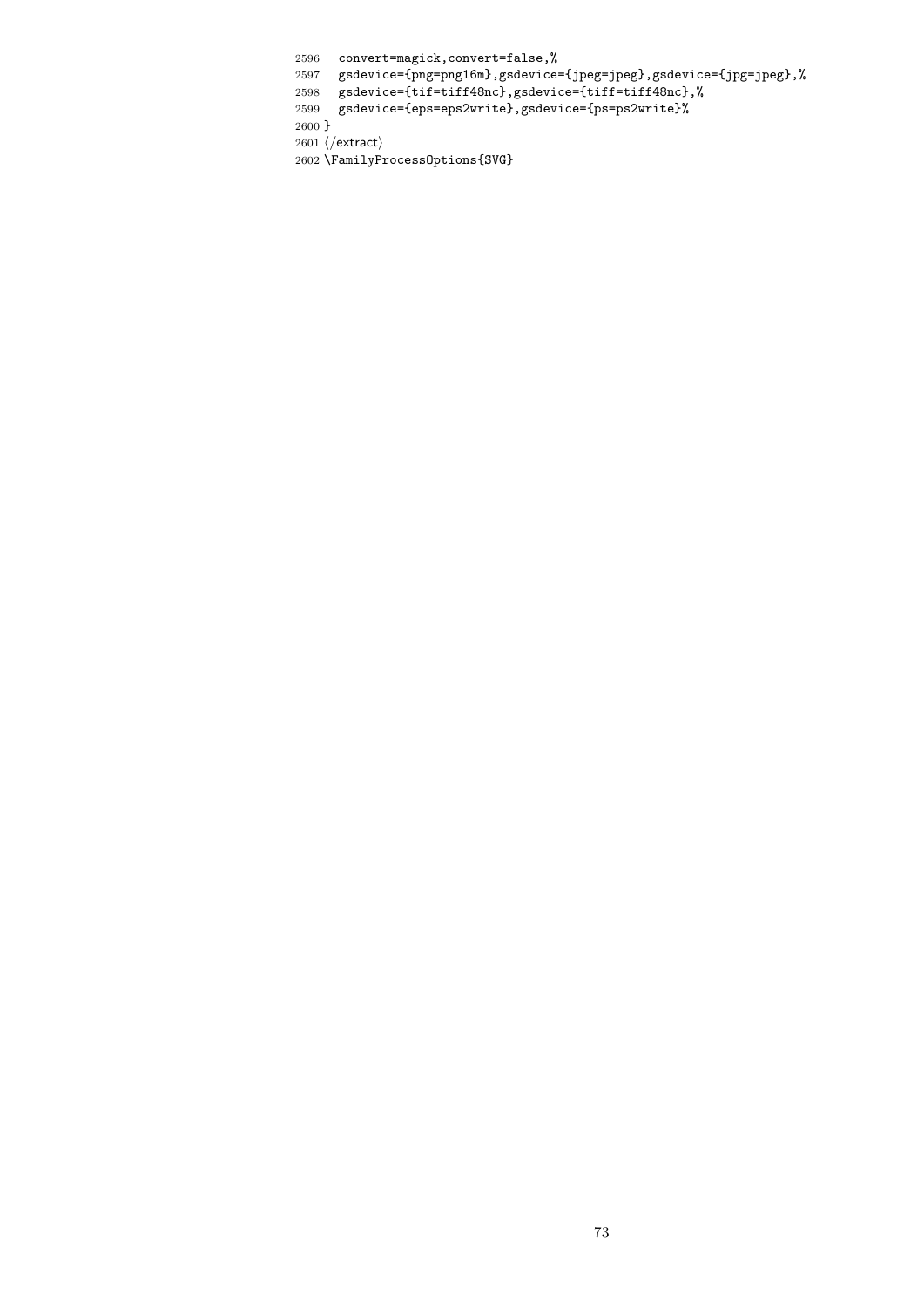convert=magick,convert=false,%

gsdevice={png=png16m},gsdevice={jpeg=jpeg},gsdevice={jpg=jpeg},%

gsdevice={tif=tiff48nc},gsdevice={tiff=tiff48nc},%

gsdevice={eps=eps2write},gsdevice={ps=ps2write}%

}

2601 $\langle$ /extract $\rangle$ 

\FamilyProcessOptions{SVG}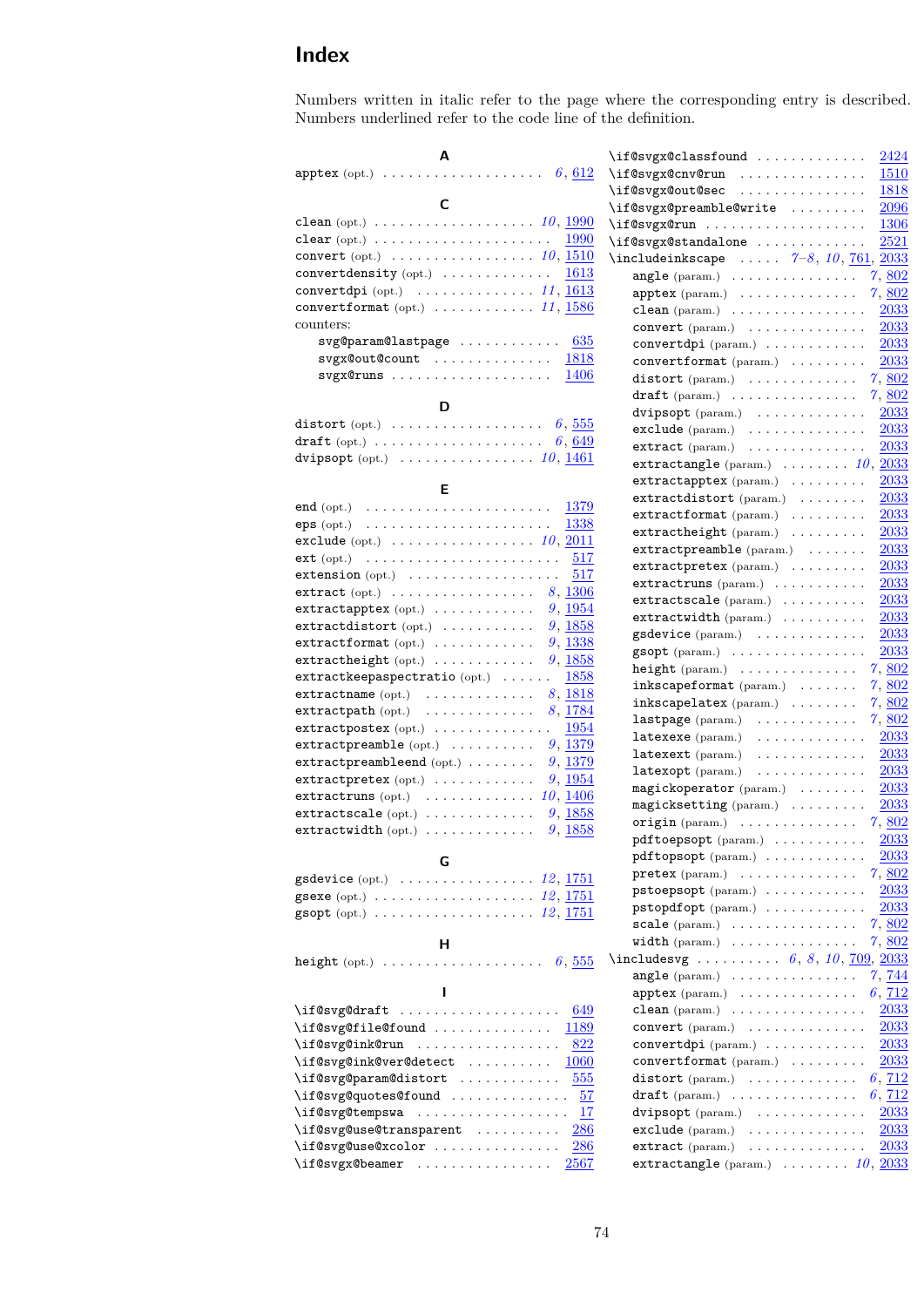# **Index**

Numbers written in italic refer to the page where the corresponding entry is described. Numbers underlined refer to the code line of the definition.

| А                                                                                    | \i: |
|--------------------------------------------------------------------------------------|-----|
| apptex (opt.) $\ldots \ldots \ldots \ldots \ldots \ldots 6,612$                      | \i: |
|                                                                                      | \i: |
| C                                                                                    | \i: |
| clean (opt.) $\ldots \ldots \ldots \ldots \ldots \ldots \ldots 10, 1990$             | \i: |
| $\text{clear}(\text{opt.}) \ldots \ldots \ldots \ldots \ldots \ldots$<br><b>1990</b> | \i: |
| convert (opt.) $\ldots \ldots \ldots \ldots \ldots \ldots 10, \underline{1510}$      | \i: |
| convertdensity (opt.) $\ldots \ldots \ldots \ldots \frac{1613}{2}$                   |     |
| convertdpi (opt.) $\dots \dots \dots \dots \dots 11, \underline{1613}$               |     |
| convertformat (opt.) $\ldots \ldots \ldots \ldots 11, \underline{1586}$              |     |
| counters:                                                                            |     |
| svg@param@lastpage  635                                                              |     |
| $svgx@out@count$ $1818$                                                              |     |
| 1406<br>$svgx@runs \ldots \ldots \ldots \ldots$                                      |     |
|                                                                                      |     |
| D                                                                                    |     |
| distort (opt.) $\ldots \ldots \ldots \ldots \ldots \ldots 6, 555$                    |     |
| draft (opt.) $\ldots \ldots \ldots \ldots \ldots \ldots \ldots 6, \underline{649}$   |     |
| dvipsopt (opt.) $\ldots \ldots \ldots \ldots \ldots 10, 1461$                        |     |
| Е                                                                                    |     |
|                                                                                      |     |
| end (opt.) $\ldots \ldots \ldots \ldots \ldots \ldots \ldots \ldots \frac{1379}{2}$  |     |
| eps (opt.) $\ldots \ldots \ldots \ldots \ldots \ldots \ldots \frac{1338}{}$          |     |
| exclude (opt.) $\ldots \ldots \ldots \ldots \ldots 10, \underline{2011}$             |     |
| $ext (opt.) \t \t \t \t \t$<br>517                                                   |     |
| $extension (opt.) \ldots \ldots \ldots \ldots \ldots$<br>517                         |     |
| extract (opt.) $\ldots \ldots \ldots \ldots \ldots \ldots$ 8, 1306                   |     |
| extractapptex (opt.) $\ldots \ldots \ldots \ldots$ 9, 1954                           |     |
| $extractdistort$ (opt.) $\ldots \ldots \ldots$<br>$9,\,\underline{1858}$             |     |
| 9,1338<br>$extractionmat$ (opt.) $\ldots \ldots \ldots$                              |     |
| $extractheight (opt.) \ldots \ldots \ldots$<br>9,1858                                |     |
| $extractkeepaspectratio\ (opt.)\ \ \ldots\ .$<br>1858                                |     |
| extractname (opt.) $\ldots \ldots \ldots \ldots \quad 8, \underline{1818}$           |     |
| extractpath (opt.) $\ldots \ldots \ldots \ldots \quad 8, \frac{1784}{1784}$<br>1954  |     |
| $extractpostex$ (opt.) $\ldots \ldots \ldots \ldots$                                 |     |
| 9,1379<br>$extractpreamble (opt.) \ldots \ldots$                                     |     |
| 9,1379<br>$extractpreambleend (opt.) \ldots \ldots$                                  |     |
| 9,1954<br>$extractpretextrm{text}(opt.)$                                             |     |
| 10, 1406<br>$extractruns (opt.) \dots \dots \dots \dots$                             |     |
| extractscale (opt.) $\ldots \ldots \ldots \ldots 9, 1858$                            |     |
| extractwidth (opt.) $\ldots \ldots \ldots \ldots 9, 1858$                            |     |
| G                                                                                    |     |
| $gsdevice (opt.) \dots \dots \dots \dots \dots$<br><i>12</i> , <u>1751</u>           |     |
| gsexe (opt.) $\ldots \ldots \ldots \ldots \ldots \ldots \ldots 12, 1751$             |     |
| gsopt (opt.) $\ldots \ldots \ldots \ldots \ldots \ldots 12, 1751$                    |     |
|                                                                                      |     |
| н                                                                                    |     |
| height (opt.) $\ldots \ldots \ldots \ldots \ldots \ldots 6, 555$                     | نذ\ |
|                                                                                      |     |
|                                                                                      |     |
| 649                                                                                  |     |
| \if@svg@file@found<br>1189                                                           |     |
| \if@svg@ink@run<br>822<br>.                                                          |     |
| \if@svg@ink@ver@detect<br><b>1060</b>                                                |     |
| \if@svg@param@distort<br>555                                                         |     |
| \if@svg@quotes@found<br>57                                                           |     |
| \if@svg@tempswa<br>17                                                                |     |
| \if@svg@use@transparent<br>286                                                       |     |
| \if@svg@use@xcolor<br><u>286</u>                                                     |     |
| \if@svgx@beamer<br>2567                                                              |     |

| \if@svgx@classfound<br>2424                                                          |
|--------------------------------------------------------------------------------------|
| \if@svgx@cnv@run<br><b>1510</b>                                                      |
| \if@svgx@out@sec<br>1818                                                             |
| \if@svgx@preamble@write<br>2096                                                      |
| 1306<br>\if@svgx@run                                                                 |
| 2521<br>\if@svgx@standalone                                                          |
| \includeinkscape $7-8$ , 10, $761$ , $2033$                                          |
| $angle (param.) \ldots \ldots \ldots \ldots$<br>7,802                                |
| 7,802<br>$\texttt{apptex}$ (param.) $\ldots \ldots \ldots \ldots$                    |
| 2033<br>$clean (param.) \dots \dots \dots \dots \dots$                               |
| 2033<br>convert (param.)                                                             |
| $2033\,$<br>$\texttt{convertdpi}$ (param.) $\ldots \ldots \ldots$                    |
| convertformat (param.)<br>2033                                                       |
| distort (param.) $\ldots \ldots \ldots$<br>7,802                                     |
| 7,802<br>$\text{draff}$ (param.) $\ldots \ldots \ldots \ldots$                       |
| 2033<br>dvipsopt (param.)                                                            |
| $2033\,$<br>$\verb"exclude" (param.) \dots \dots \dots \dots \dots$                  |
| 2033<br>extract (param.)<br>.                                                        |
| extractangle (param.) $\ldots \ldots \ldots 10$ , $2033$                             |
| 2033<br>$extractapptex$ (param.) $\ldots \ldots$                                     |
| 2033<br>$extractdistort (param.) \dots \dots$                                        |
| 2033<br>$extractionmat$ (param.) $\ldots \ldots \ldots$                              |
|                                                                                      |
| $2033\,$<br>$extractheight (param.) \ldots \ldots$                                   |
| 2033<br>$extractpreamble (param.) \dots \dots$                                       |
| extractpretex (param.)<br>2033                                                       |
| 2033<br>$extractruns (param.) \dots \dots \dots$                                     |
| $extractscale (param.) \dots \dots \dots$<br>2033                                    |
| $extractwidth$ (param.) $\ldots \ldots \ldots$<br>2033                               |
| $2033\,$<br>gsdevice (param.)                                                        |
| 2033<br>gsopt (param.)                                                               |
| 7,802<br>$height (param.) \ldots \ldots \ldots$                                      |
| $inkscapeformat$ (param.) $\ldots \ldots$<br>$7,\,802$                               |
| 7,802<br>$inkscape\texttt{latex}$ (param.) $\ldots \ldots$                           |
| lastpage (param.)<br>7,802                                                           |
| 2033<br>$\mathtt{latexexe}\;(\text{param.})\quad \ldots \ldots \ldots \ldots \ldots$ |
| 2033<br>latexext (param.)<br>$\mathcal{A}$ . The set of the set of the $\mathcal{A}$ |
| 2033<br>$latesopt(param.) \dots \dots \dots \dots$                                   |
| magickoperator (param.)<br>2033                                                      |
| magicksetting (param.)<br>2033                                                       |
| $origin(param.) \dots \dots \dots \dots$<br>7,802                                    |
| 2033<br>pdftoepsopt (param.)                                                         |
| 2033<br>pdftopsopt (param.)                                                          |
| 7,802<br>$\texttt{pretex}$ (param.) $\ldots \ldots \ldots \ldots$                    |
| 2033<br>$pstoepsopt(param.) \ldots \ldots \ldots$                                    |
| pstopdfopt (param.)<br>2033                                                          |
| 7,802<br>$scale(param.) \dots$                                                       |
| 7,802<br>$width$ (param.) $\ldots \ldots \ldots \ldots$                              |
|                                                                                      |
| 7, 744<br>angle $(\text{param.}) \dots \dots \dots \dots \dots$                      |
| 6, 712<br>$\texttt{apptex}$ (param.) $\ldots \ldots \ldots \ldots$                   |
| 2033<br>$clean (param.) \dots \dots \dots \dots \dots$                               |
| 2033<br>convert (param.)                                                             |
| 2033<br>convertdpi (param.)                                                          |
| convertformat (param.)<br>2033                                                       |
| 6, 712<br>$distort$ (param.) $\ldots \ldots \ldots$                                  |
| 6, 712                                                                               |
| draft $(\text{param.}) \dots \dots \dots \dots$                                      |
| 2033<br>dvipsopt (param.)                                                            |
| exclude (param.)<br>2033                                                             |
| $2033\,$<br>extract (param.)<br>.                                                    |
| extractangle (param.) $\ldots \ldots \ldots 10$ , $\underline{2033}$                 |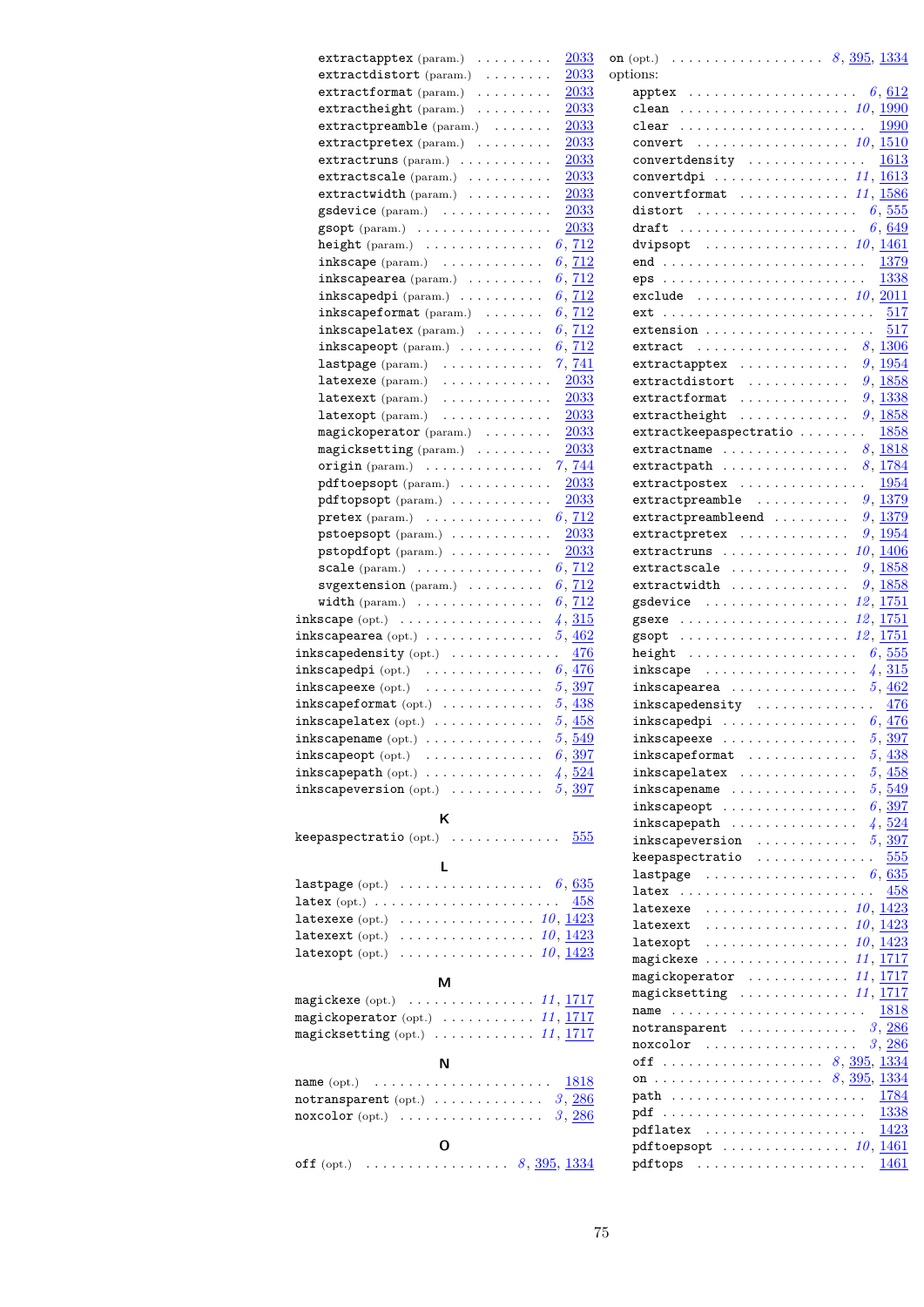| 2033<br>$extractdistort (param.) \dots \dots$                                                                                | option                   |
|------------------------------------------------------------------------------------------------------------------------------|--------------------------|
| 2033<br>$extractionmat$ (param.) $\ldots \ldots$                                                                             | ć                        |
| extractheight (param.)<br>2033                                                                                               | $\overline{\phantom{a}}$ |
| 2033<br>$extractpreamble(param.) \dots \dots$                                                                                | $\overline{\phantom{a}}$ |
| 2033<br>extractpretex (param.)                                                                                               | $\overline{\phantom{a}}$ |
| 2033<br>$extractruns (param.) \dots \dots \dots$                                                                             | $\overline{\phantom{a}}$ |
| $extractscale (param.) \dots \dots \dots$<br>2033                                                                            | $\mathbf$                |
| $extractwidth(param.) \dots \dots \dots$<br>2033                                                                             | $\mathbf$                |
| 2033<br>gsdevice (param.)                                                                                                    | $\mathsf{C}$             |
| 2033                                                                                                                         |                          |
| $\texttt{gsopt}(\text{param.}) \dots \dots \dots \dots \dots$<br>height (param.) $\ldots \ldots \ldots \ldots \ldots 6, 712$ | $\mathsf{C}$             |
|                                                                                                                              | $\mathsf{C}$             |
| 6, 712<br>$inkscope$ (param.) $\ldots \ldots \ldots$                                                                         | $\epsilon$               |
| $inkscapearea$ (param.) $\ldots \ldots$<br>6, 712                                                                            | $\epsilon$               |
| inkscapedpi (param.) $\ldots \ldots \ldots 6, \frac{712}{ }$                                                                 | $\epsilon$               |
| inkscapeformat (param.) $\ldots \ldots 6, \frac{712}{2}$                                                                     | ę                        |
| inkscapelatex (param.) $\ldots \ldots 6, \frac{712}{2}$                                                                      | ę                        |
| $inkscapeopt$ (param.) $\ldots \ldots \ldots$<br>6, 712                                                                      | $\epsilon$               |
| 7, 741<br>$lastpage(param.) \dots \dots \dots \dots$                                                                         | $\epsilon$               |
| latexexe $(\text{param.}) \dots \dots \dots \dots$<br><b>2033</b>                                                            | ę                        |
| 2033<br>$\mathtt{latexext}$ (param.) $\ldots \ldots \ldots \ldots$                                                           | ę                        |
| 2033<br>latexopt (param.)                                                                                                    | ę                        |
| 2033<br>$\verb magickoperator (param.)\>\>\dots\ldots\,.$                                                                    | ę                        |
| 2033<br>$magicksetting$ (param.) $\ldots \ldots$                                                                             | $\epsilon$               |
| 7,744<br>$origin(param.) \ldots \ldots \ldots \ldots$                                                                        | ę                        |
| 2033<br>pdftoepsopt (param.)                                                                                                 | ę                        |
| pdftopsopt (param.)<br>2033                                                                                                  | $\epsilon$               |
| <b>pretex</b> (param.) $\ldots \ldots \ldots \ldots \ldots \ldots 6, \frac{712}{ }$                                          | ę                        |
| 2033<br>pstoepsopt (param.)                                                                                                  | ę                        |
| 2033<br>${\tt pstopdfopt}$ (param.) $\ldots \ldots \ldots$                                                                   | $\epsilon$               |
| scale (param.) $\cdots$ 6, 712                                                                                               | ę                        |
| $\texttt{systemsion}$ (param.) $\ldots \ldots$ .<br>6, 712                                                                   | $\epsilon$               |
| width (param.) $\ldots \ldots \ldots \ldots \ldots 6, \frac{712}{ }$                                                         | ξ                        |
| inkscape (opt.) $\ldots \ldots \ldots \ldots \ldots \ \ 4, \frac{315}{21}$                                                   |                          |
| $\mathtt{inks} \mathtt{capearea}$ (opt.) $\ldots \ldots \ldots \ldots$<br>5,462                                              | ξ                        |
| inkscapedensity (opt.) $\ldots \ldots \ldots \ldots \frac{476}{2}$                                                           | ξ<br>ŀ                   |
| inkscapedpi (opt.) $\ldots \ldots \ldots \ldots \ldots 6, \frac{476}{2}$                                                     | į                        |
| inkscapeexe (opt.) $\ldots \ldots \ldots \ldots 5, \frac{397}{20}$                                                           | İ                        |
| inkscapeformat (opt.) $\ldots \ldots \ldots 5,438$                                                                           | Í                        |
| inkscapelatex (opt.) $\ldots \ldots \ldots \ldots 5, \frac{458}{3}$                                                          | Í                        |
| 5,549                                                                                                                        |                          |
| $inkscapename$ (opt.) $\ldots \ldots \ldots \ldots$<br>6, 397                                                                | İ<br>Í                   |
| $\mathtt{inkscapeopt}$ (opt.) $\ldots \ldots \ldots \ldots$                                                                  |                          |
| inkscapepath (opt.) $\ldots \ldots \ldots \ldots$ 4, $\frac{524}{3}$                                                         | I                        |
| inkscapeversion (opt.) $\ldots \ldots \ldots 5, 397$                                                                         | į                        |
| ĸ                                                                                                                            | į                        |
| keepaspectratio $(\text{opt.})$<br>555                                                                                       | j                        |
|                                                                                                                              | į                        |
| L                                                                                                                            | ŀ                        |
| <b>lastpage</b> (opt.) $\ldots \ldots \ldots \ldots \ldots \ldots 6, 635$                                                    | I                        |
| $\texttt{latex}(\text{opt.}) \dots \dots \dots \dots \dots \dots \dots$<br>458                                               | J                        |
| <b>latexexe</b> (opt.) $\ldots \ldots \ldots \ldots \ldots \ldots 10, 1423$                                                  | I                        |
| latexext (opt.) $\ldots \ldots \ldots \ldots \ldots 10, \underline{1423}$                                                    | J                        |
| latexopt (opt.) $\ldots \ldots \ldots \ldots \ldots 10, \underline{1423}$                                                    | I                        |
|                                                                                                                              | n                        |
| м                                                                                                                            | n                        |
| magickexe (opt.) $\ldots \ldots \ldots \ldots \ldots 11, \underline{1717}$                                                   | n                        |
| magickoperator (opt.) $\ldots \ldots \ldots 11, \underline{1717}$                                                            | I                        |
| magicksetting (opt.) $\ldots \ldots \ldots \ldots 11, 1717$                                                                  | I                        |
|                                                                                                                              | I                        |
| N                                                                                                                            | $\mathsf{C}$             |
| 1818<br>name $(\text{opt.}) \quad \ldots \ldots \ldots \ldots \ldots \ldots$                                                 | $\mathsf{C}$             |
| notransparent (opt.) $\ldots \ldots \ldots \ldots \quad 3, \underline{286}$                                                  | I                        |
| noxcolor (opt.) $\ldots \ldots \ldots \ldots \ldots \ldots$ 3, 286                                                           | I                        |
|                                                                                                                              | I                        |
| O                                                                                                                            | I                        |
|                                                                                                                              | Ι                        |

extractapptex (param.)  $\ldots \ldots \ldots$  [2033](#page-60-0) on

| options:                                                                                 |                        |
|------------------------------------------------------------------------------------------|------------------------|
|                                                                                          |                        |
| clean $\ldots \ldots \ldots \ldots \ldots \ldots \ldots 10, \underline{1990}$            |                        |
| clear <u>1990</u>                                                                        |                        |
| convert $10, 1510$                                                                       |                        |
| convertdensity  1613<br>convertdpi  11, 1613                                             |                        |
| convertformat $11, 1586$                                                                 |                        |
|                                                                                          |                        |
| $\cdots \cdots \cdots \cdots \cdots \cdots \cdots \cdots \quad 6,649$<br>draft           |                        |
|                                                                                          |                        |
|                                                                                          | 1379                   |
|                                                                                          | 1338                   |
| exclude $\ldots \ldots \ldots \ldots \ldots \ldots 10, 2011$                             |                        |
|                                                                                          |                        |
| extension $517$                                                                          |                        |
| extract $8, \underline{1306}$                                                            |                        |
| $extractapptex \ldots \ldots \ldots \ldots 9, \underline{1954}$                          |                        |
| extractdistort                                                                           | 9,1858                 |
| extractformat $9, 1338$                                                                  |                        |
| extractheight $9, 1858$                                                                  |                        |
| extractkeepaspectratio  1858                                                             |                        |
| $extractioname$                                                                          | 8,1818                 |
| $extractpath$                                                                            | 8,1784                 |
| extractpostex $1954$<br>extractpreamble $\ldots \ldots \ldots 9, 1379$                   |                        |
| extractpreambleend $9, \frac{1379}{2}$                                                   |                        |
| extractpretex $9, \underline{1954}$                                                      |                        |
| extractruns $10, 1406$                                                                   |                        |
| extractscale                                                                             | $9,\,\underline{1858}$ |
| $extractwidth$                                                                           | 9,1858                 |
| gsdevice $\;\;\ldots\ldots\ldots\ldots\ldots\; \; 12,\, \underline{1751}$                |                        |
|                                                                                          |                        |
| $\texttt{gsopt}\quad \dots \dots \dots \dots \dots \dots \dots \ 12, \,\underline{1751}$ |                        |
|                                                                                          |                        |
| inkscape                                                                                 | 4, 315                 |
| inkscapearea                                                                             | 5,462                  |
| inkscapedensity $476$                                                                    |                        |
| inkscapedpi $\ldots \ldots \ldots \ldots \ldots 6, \frac{476}{2}$                        |                        |
| inkscapeexe $5, \frac{397}{1000}$                                                        |                        |
| $inkscapeformat$                                                                         | 5, 438                 |
| inkscapelatex<br>.                                                                       | 5,458                  |
| inkscapename                                                                             | 5,549                  |
| $inkscapeopt$                                                                            | 6, 397                 |
| inkscapeversion                                                                          | 4,524<br>5,397         |
| $keepaspectratio$                                                                        | 555                    |
| lastpage $6,635$                                                                         |                        |
| latex                                                                                    | 458                    |
| . <i>10</i> , <u>1423</u><br>latexexe                                                    |                        |
| ${\tt latexact}$ $\ldots \ldots \ldots \ldots \ldots \ldots 10, \underline{1423}$        |                        |
| latexopt $\ldots \ldots \ldots \ldots \ldots 10, \underline{1423}$                       |                        |
| magickexe $\ldots \ldots \ldots \ldots \ldots 11, 1717$                                  |                        |
| magickoperator  11, 1717                                                                 |                        |
| . <i>11</i> , <u>1717</u><br>magicksetting                                               |                        |
|                                                                                          | 1818                   |
| notransparent $3, \underline{286}$                                                       |                        |
| noxcolor $3, \underline{286}$                                                            |                        |
|                                                                                          |                        |
| on  8, <u>395</u> , 1334                                                                 |                        |
|                                                                                          | 1784                   |
|                                                                                          | 1338                   |
| pdflatex                                                                                 | 1423                   |
| pdftoepsopt $\ldots \ldots \ldots \ldots \ldots 10, 1461$                                |                        |
| $pdftops$ 1461                                                                           |                        |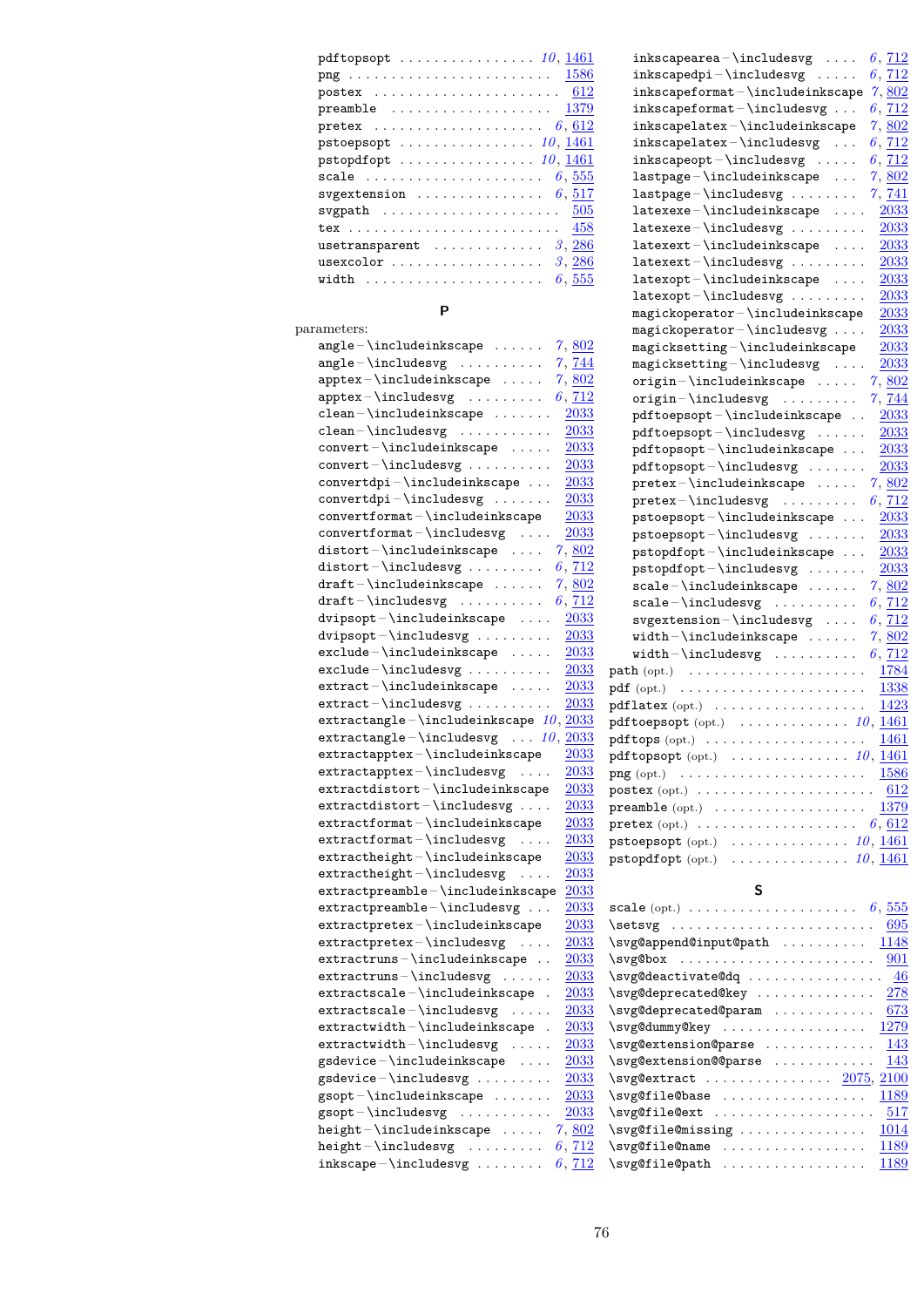| pdftopsopt $\ldots \ldots \ldots \ldots \ldots 10, 1461$                                                |
|---------------------------------------------------------------------------------------------------------|
|                                                                                                         |
|                                                                                                         |
| preamble $1379$                                                                                         |
| pretex $6,612$                                                                                          |
|                                                                                                         |
|                                                                                                         |
| scale $\ldots \ldots \ldots \ldots \ldots \ldots \ldots 6, 555$                                         |
| svgextension $6,517$                                                                                    |
|                                                                                                         |
| $tex \m{ }  \textrm{ }  \textrm{ }  \textrm{ }  \textrm{ }  \textrm{ }  \textrm{ }  \textrm{ } $<br>458 |
| $usetransparent$<br>3, 286                                                                              |
| usexcolor<br>3, 286                                                                                     |
| width $\ldots \ldots \ldots \ldots \ldots$<br>6.555                                                     |

#### **P**

| parameters:                                                                                                                                                                                                                                                                                                                                                                                                                    |
|--------------------------------------------------------------------------------------------------------------------------------------------------------------------------------------------------------------------------------------------------------------------------------------------------------------------------------------------------------------------------------------------------------------------------------|
| $angle - \in \texttt{include} \; \dots \; .$<br>7,802                                                                                                                                                                                                                                                                                                                                                                          |
| $angle-\infty$<br>7,744                                                                                                                                                                                                                                                                                                                                                                                                        |
| ${\tt apptex} - \verb \includeinkscape   \dots.$<br>7,802                                                                                                                                                                                                                                                                                                                                                                      |
| ${\tt apptex-\backslash includesvg \dots \dots \dots}$<br>6, 712                                                                                                                                                                                                                                                                                                                                                               |
| $\verb clean-\include inkscope  \dots \dots$<br>2033                                                                                                                                                                                                                                                                                                                                                                           |
| $\verb clean-\rangle includesvg \dots \dots \dots \dots$<br>2033                                                                                                                                                                                                                                                                                                                                                               |
| $\verb convert-\include  inkscape  .$<br>2033                                                                                                                                                                                                                                                                                                                                                                                  |
| convert-\includesvg<br>2033                                                                                                                                                                                                                                                                                                                                                                                                    |
| $convertdpi - \includegraphics{red:1}{{\textbf{open}}}.$<br><u>2033</u>                                                                                                                                                                                                                                                                                                                                                        |
| $convertdpi - \includegraphics{red}{\text{colvert}}$<br>2033                                                                                                                                                                                                                                                                                                                                                                   |
| $\verb convertformat--\include  inkscape $<br>2033                                                                                                                                                                                                                                                                                                                                                                             |
| $\verb convertformat-\include{\\$<br>2033                                                                                                                                                                                                                                                                                                                                                                                      |
| $\verb distort-\\includeinkscape  .$<br>7,802                                                                                                                                                                                                                                                                                                                                                                                  |
| $distort - \includegraphics{width}{\label{fig:2} }}$<br>$6,\,\underline{712}$                                                                                                                                                                                                                                                                                                                                                  |
| $\mathtt{dratt-}\includegraphics{``name" s' in the image.} \label{fig:rel}$<br>7,802                                                                                                                                                                                                                                                                                                                                           |
| $\mathtt{dratt-}\texttt{includesvg}\ \ldots\ldots\ldots\,.$<br>6, 712                                                                                                                                                                                                                                                                                                                                                          |
| $\verb divpsopt-\include  inkscape \,.$<br>2033                                                                                                                                                                                                                                                                                                                                                                                |
| $\verb divpsopt-\rangle includes vg \dots \dots \dots$<br>2033                                                                                                                                                                                                                                                                                                                                                                 |
| $\verb exclude-\rangle include in kscale \dots .$<br>2033                                                                                                                                                                                                                                                                                                                                                                      |
| $\verb"exclude-\includesvg$<br>2033                                                                                                                                                                                                                                                                                                                                                                                            |
| $\verb extract-\\include  inkscape   \qquad \verb $<br>$\, 2033$                                                                                                                                                                                                                                                                                                                                                               |
| $extract - \includegraphics{width}{\label{fig:2}x + y + z + z + \ldots}$<br>$2033\,$                                                                                                                                                                                                                                                                                                                                           |
| extractangle-\includeinkscape $10, \frac{2033}{200}$                                                                                                                                                                                                                                                                                                                                                                           |
| $\verb extractangle-\backslash includesvg~~. 10 ,$<br>2033                                                                                                                                                                                                                                                                                                                                                                     |
| $\verb extractapptex \verb /includeinkscape $<br>$2033\,$                                                                                                                                                                                                                                                                                                                                                                      |
| extractapptex-\includesvg<br><u> 2033</u>                                                                                                                                                                                                                                                                                                                                                                                      |
| $extractdistort - \in \lceil$<br>2033                                                                                                                                                                                                                                                                                                                                                                                          |
| $extractdistort - \in \lceil$<br>2033                                                                                                                                                                                                                                                                                                                                                                                          |
| $\verb extractformat-\include  inkscape $<br><u> 2033</u>                                                                                                                                                                                                                                                                                                                                                                      |
| $2033\,$                                                                                                                                                                                                                                                                                                                                                                                                                       |
| $extractionmat - \includegraphics[width=0.0000000000; width=0.000000; width=0.00000; width=0.00000; width=0.00000; width=0.00000; width=0.00000; width=0.00000; width=0.00000; width=0.00000; width=0.00000; width=0.00000; width=0.00000; width=0.00000; width=0.00000; width=0.00000; width=0.00000; width=0.00000; width=0.00000; width=0.00000; width=0.00$<br>$extractheight - \includegraphics{logh}{t}$<br><u> 2033</u> |
| $extractheight - \infty$<br>2033                                                                                                                                                                                                                                                                                                                                                                                               |
| extractpreamble-\includeinkscape<br>$2033\,$                                                                                                                                                                                                                                                                                                                                                                                   |
|                                                                                                                                                                                                                                                                                                                                                                                                                                |
| $extractpreamble - \in \lceil \cdot \rceil$<br><u> 2033</u>                                                                                                                                                                                                                                                                                                                                                                    |
| $\verb extractpretex \verb includeinkscape $<br><u> 2033</u>                                                                                                                                                                                                                                                                                                                                                                   |
| <u> 2033</u><br>$extractpretexthinspace\text{-}\text{-}\text{-}\text{-}\text{-}\text{-}$<br>$\sim$ $\sim$ $\sim$ $\sim$                                                                                                                                                                                                                                                                                                        |
| $extractruns - \includegraphics{box="color: red;">indeinkscope$<br><u> 2033</u>                                                                                                                                                                                                                                                                                                                                                |
| $extractruns - \texttt{includes}$<br>2033                                                                                                                                                                                                                                                                                                                                                                                      |
| $extractscale - \in \text{include}$ .<br><u>2033</u>                                                                                                                                                                                                                                                                                                                                                                           |
| $extractscale - \text{includesvg} \dots$<br><u> 2033</u>                                                                                                                                                                                                                                                                                                                                                                       |
| $\verb extractwidth-\include inkscale ~~.$<br><u>2033</u>                                                                                                                                                                                                                                                                                                                                                                      |
| 2033<br>.                                                                                                                                                                                                                                                                                                                                                                                                                      |
| gsdevice-\includeinkscape<br>2033                                                                                                                                                                                                                                                                                                                                                                                              |
| $gsdevice - \in \lceil \cdot \rceil$<br>2033                                                                                                                                                                                                                                                                                                                                                                                   |
| $gsopt - \in \text{ludeinkscope} \dots$<br>2033                                                                                                                                                                                                                                                                                                                                                                                |
| $gsopt-\in\lceil$<br>$\, 2033$                                                                                                                                                                                                                                                                                                                                                                                                 |
| $\verb height–\include  inkscape    \; .   \; .  $<br>7,802                                                                                                                                                                                                                                                                                                                                                                    |
| $height - \in \lceil \cdot \rceil$<br>6, 712                                                                                                                                                                                                                                                                                                                                                                                   |
| 6, 712                                                                                                                                                                                                                                                                                                                                                                                                                         |

| $inkscapearea - \in Cludesvg \dots$<br>$6,\,\underline{712}$<br>$inkscapedpi - \text{indesvg} $<br>6, 712<br>$inkscapeformat - \includegraphics{width}{black}$<br>7,802<br>$inkscapeformat - \includegraphics{width}{black} - \ldots \end{width}$<br>6,712<br>$\verb inkscapelatex- \include  valuescape\n  inkscapelatex- \include  valuesvg \dots$<br>$7,\,\underline{802}$<br>6, 712<br>$inkscapeopt - \includegraphics{width}{reds} \label{fig:red}$<br>6, 712<br>${\tt lastpage-}\includegraphics{$<br>$7,\,\underline{802}$<br>$lastpage - \includegraphics$<br><u>7, 741</u><br>$\verb latexexe-\inludeinkscale ~~.$<br>2033<br>$\mathtt{latexexe-}\in \mathtt{ludesvg}\dots\dots\dots$<br>2033<br>----------<br>latexext-\includeinkscape<br><u> 2033</u><br>$\texttt{latexext}-\texttt{includesvg}\dots\dots\,.$<br>2033<br>$\mathtt{latexopt}\text{-}\mathtt{indeinkscape}$<br><u> 2033</u><br>$\verb latexopt-\rangle includes vg  \ldots.$<br>2033<br>$\verb magickoperator-\verb \include  inkscape$<br>2033<br>$\verb magickoperator-\in\label{eq:model} \verb magickoperator-\in\label{eq:model} \verb magickoperator-\in\label{eq:model} \verb magickoperator-\in\label{eq:model} \verb magickoperator-\in\label{eq:model} \verb magickoperator-\in\label{eq:model}$<br>2033<br>$\verb magicksetting-\\include in kscale\\$<br>2033<br>$magicksetting - \includegraphics{red:} \label{red:red:alpha} \vspace{-0.5em}$<br>2033<br>$origin-\includegraphics{red:1}$<br>7,802<br>$origin - \includegraphics{red:1}$<br>7, 744<br>$\verb pdftoepsopt-\include :h\text{edge} \dots \text{space}  \label{fig:opt}$<br>2033<br>$pdf toepsopt - \includegraphics{width}{\label{fig:1} \text{pdf} toepsopt - \includegraphics{width}{\label{fig:1} \text{pdf} toepsopt - \includegraphics{width}{\label{fig:1} \text{pdf} toepsopt - \includegraphics{width}{\label{fig:1} \text{pdf} toepsopt - \includegraphics{width}{\label{fig:1} \text{pdf} toepsopt - \includegraphics{width}{\label{fig:1} \text{pdf} toepsopt - \includegraphics{width}{\label{fig:1} \text{pdf} toepsopt - \includegraphics{width}{\label{fig:1} \text{pdf} toepsopt - \includegraphics{width}{\label{fig:1} \text{pdf} toepsopt - \includegraphics{width}{\label{fig:1} \text{pdf$<br>2033<br>$pdftopsopt - \includegraphics[width=0.45\textwidth]{pdttops} \label{pdttops}$<br>2033<br>$pdftopsopt-\in\lceil$<br>2033<br>$\verb pretex-\rangle\hspace{-1.5em}  includes \verb inkscale  \dots. .$<br>7,802<br>$\texttt{pretex}$ - \includesvg<br>6, 712<br>${\tt pstoepsopt-}\label{thm:opt} $$$<br>$2033\,$<br>$\verb+pt= snot-\include+asyg+ \ldots, $$ \pt{opt-}\include+ \text{sup}\ \ldots, $$ \pt{p+1} \end{p-} \end{math} \label{thm:opt-1}$<br>2033<br>2033<br>pstopdfopt-\includesvg<br>2033<br>$scale-\in\texttt{ludeinkscope}\dots\dots$<br>7,802<br>$scale-\in\lceil$<br>6, 712<br>$svgextension - \in \lceil \cdot \rceil$<br>6, 712<br>$\verb width-\rangle \text{include} \text{inkscape } \ldots \text{.}$<br>7,802<br>$width-\in\texttt{ludesvg}\dots\dots\dots$<br>6, 712<br>1784<br>$path (opt.) \t \t \t \t \t$<br>1338<br>$pdf (opt.) \quad$<br>$pdflatex (opt.) \ldots \ldots \ldots \ldots \ldots$<br>1423<br>${\tt pdftoepsopt}$ (opt.) $\cdots \cdots \cdots \cdots 10, \, \underline{1461}$<br>1461<br>$pdftops (opt.) \ldots \ldots \ldots \ldots \ldots \ldots$<br>pdftopsopt (opt.) $\ldots \ldots \ldots \ldots 10, \underline{1461}$<br>$\text{png}(\text{opt.}) \quad \ldots \ldots \ldots \ldots \ldots \ldots \ldots$<br>612<br>$\texttt{postex}~(\text{opt.})~\dots\ldots\ldots\ldots\ldots\ldots\ldots\ldots$<br><b>preamble</b> (opt.) $\ldots \ldots \ldots \ldots \ldots \ldots \ldots \frac{1379}{2}$<br>6,612<br>$\texttt{pretex}(\texttt{opt.}) \ \ldots \ldots \ldots \ldots \ldots \ldots$<br>${\tt pstoepsopt}$ (opt.) $\ldots \ldots \ldots \ldots \ldots 10, \underline{1461}$<br>$\cdots \cdots \cdots \cdots 10, \underline{1461}$<br>${\tt pstopdfopt}$ $({\rm opt.})$ |      |
|-------------------------------------------------------------------------------------------------------------------------------------------------------------------------------------------------------------------------------------------------------------------------------------------------------------------------------------------------------------------------------------------------------------------------------------------------------------------------------------------------------------------------------------------------------------------------------------------------------------------------------------------------------------------------------------------------------------------------------------------------------------------------------------------------------------------------------------------------------------------------------------------------------------------------------------------------------------------------------------------------------------------------------------------------------------------------------------------------------------------------------------------------------------------------------------------------------------------------------------------------------------------------------------------------------------------------------------------------------------------------------------------------------------------------------------------------------------------------------------------------------------------------------------------------------------------------------------------------------------------------------------------------------------------------------------------------------------------------------------------------------------------------------------------------------------------------------------------------------------------------------------------------------------------------------------------------------------------------------------------------------------------------------------------------------------------------------------------------------------------------------------------------------------------------------------------------------------------------------------------------------------------------------------------------------------------------------------------------------------------------------------------------------------------------------------------------------------------------------------------------------------------------------------------------------------------------------------------------------------------------------------------------------------------------------------------------------------------------------------------------------------------------------------------------------------------------------------------------------------------------------------------------------------------------------------------------------------------------------------------------------------------------------------------------------------------------------------------------------------------------------------------------------------------------------------------------------------------------------------------------------------------------------------------------------------------------------------------------------------------------------------------------------------------------------------------------------------------------------------------------------------------------------------------------------------------------------------------------------------------------------------------------------------------------------------------------------------------------------------------------------------------------------------------------------------------------------------------------------------------------------------------------------------------------------------------------------------------------------------------------------------|------|
|                                                                                                                                                                                                                                                                                                                                                                                                                                                                                                                                                                                                                                                                                                                                                                                                                                                                                                                                                                                                                                                                                                                                                                                                                                                                                                                                                                                                                                                                                                                                                                                                                                                                                                                                                                                                                                                                                                                                                                                                                                                                                                                                                                                                                                                                                                                                                                                                                                                                                                                                                                                                                                                                                                                                                                                                                                                                                                                                                                                                                                                                                                                                                                                                                                                                                                                                                                                                                                                                                                                                                                                                                                                                                                                                                                                                                                                                                                                                                                                                             |      |
|                                                                                                                                                                                                                                                                                                                                                                                                                                                                                                                                                                                                                                                                                                                                                                                                                                                                                                                                                                                                                                                                                                                                                                                                                                                                                                                                                                                                                                                                                                                                                                                                                                                                                                                                                                                                                                                                                                                                                                                                                                                                                                                                                                                                                                                                                                                                                                                                                                                                                                                                                                                                                                                                                                                                                                                                                                                                                                                                                                                                                                                                                                                                                                                                                                                                                                                                                                                                                                                                                                                                                                                                                                                                                                                                                                                                                                                                                                                                                                                                             |      |
|                                                                                                                                                                                                                                                                                                                                                                                                                                                                                                                                                                                                                                                                                                                                                                                                                                                                                                                                                                                                                                                                                                                                                                                                                                                                                                                                                                                                                                                                                                                                                                                                                                                                                                                                                                                                                                                                                                                                                                                                                                                                                                                                                                                                                                                                                                                                                                                                                                                                                                                                                                                                                                                                                                                                                                                                                                                                                                                                                                                                                                                                                                                                                                                                                                                                                                                                                                                                                                                                                                                                                                                                                                                                                                                                                                                                                                                                                                                                                                                                             |      |
|                                                                                                                                                                                                                                                                                                                                                                                                                                                                                                                                                                                                                                                                                                                                                                                                                                                                                                                                                                                                                                                                                                                                                                                                                                                                                                                                                                                                                                                                                                                                                                                                                                                                                                                                                                                                                                                                                                                                                                                                                                                                                                                                                                                                                                                                                                                                                                                                                                                                                                                                                                                                                                                                                                                                                                                                                                                                                                                                                                                                                                                                                                                                                                                                                                                                                                                                                                                                                                                                                                                                                                                                                                                                                                                                                                                                                                                                                                                                                                                                             |      |
|                                                                                                                                                                                                                                                                                                                                                                                                                                                                                                                                                                                                                                                                                                                                                                                                                                                                                                                                                                                                                                                                                                                                                                                                                                                                                                                                                                                                                                                                                                                                                                                                                                                                                                                                                                                                                                                                                                                                                                                                                                                                                                                                                                                                                                                                                                                                                                                                                                                                                                                                                                                                                                                                                                                                                                                                                                                                                                                                                                                                                                                                                                                                                                                                                                                                                                                                                                                                                                                                                                                                                                                                                                                                                                                                                                                                                                                                                                                                                                                                             |      |
|                                                                                                                                                                                                                                                                                                                                                                                                                                                                                                                                                                                                                                                                                                                                                                                                                                                                                                                                                                                                                                                                                                                                                                                                                                                                                                                                                                                                                                                                                                                                                                                                                                                                                                                                                                                                                                                                                                                                                                                                                                                                                                                                                                                                                                                                                                                                                                                                                                                                                                                                                                                                                                                                                                                                                                                                                                                                                                                                                                                                                                                                                                                                                                                                                                                                                                                                                                                                                                                                                                                                                                                                                                                                                                                                                                                                                                                                                                                                                                                                             |      |
|                                                                                                                                                                                                                                                                                                                                                                                                                                                                                                                                                                                                                                                                                                                                                                                                                                                                                                                                                                                                                                                                                                                                                                                                                                                                                                                                                                                                                                                                                                                                                                                                                                                                                                                                                                                                                                                                                                                                                                                                                                                                                                                                                                                                                                                                                                                                                                                                                                                                                                                                                                                                                                                                                                                                                                                                                                                                                                                                                                                                                                                                                                                                                                                                                                                                                                                                                                                                                                                                                                                                                                                                                                                                                                                                                                                                                                                                                                                                                                                                             |      |
|                                                                                                                                                                                                                                                                                                                                                                                                                                                                                                                                                                                                                                                                                                                                                                                                                                                                                                                                                                                                                                                                                                                                                                                                                                                                                                                                                                                                                                                                                                                                                                                                                                                                                                                                                                                                                                                                                                                                                                                                                                                                                                                                                                                                                                                                                                                                                                                                                                                                                                                                                                                                                                                                                                                                                                                                                                                                                                                                                                                                                                                                                                                                                                                                                                                                                                                                                                                                                                                                                                                                                                                                                                                                                                                                                                                                                                                                                                                                                                                                             |      |
|                                                                                                                                                                                                                                                                                                                                                                                                                                                                                                                                                                                                                                                                                                                                                                                                                                                                                                                                                                                                                                                                                                                                                                                                                                                                                                                                                                                                                                                                                                                                                                                                                                                                                                                                                                                                                                                                                                                                                                                                                                                                                                                                                                                                                                                                                                                                                                                                                                                                                                                                                                                                                                                                                                                                                                                                                                                                                                                                                                                                                                                                                                                                                                                                                                                                                                                                                                                                                                                                                                                                                                                                                                                                                                                                                                                                                                                                                                                                                                                                             |      |
|                                                                                                                                                                                                                                                                                                                                                                                                                                                                                                                                                                                                                                                                                                                                                                                                                                                                                                                                                                                                                                                                                                                                                                                                                                                                                                                                                                                                                                                                                                                                                                                                                                                                                                                                                                                                                                                                                                                                                                                                                                                                                                                                                                                                                                                                                                                                                                                                                                                                                                                                                                                                                                                                                                                                                                                                                                                                                                                                                                                                                                                                                                                                                                                                                                                                                                                                                                                                                                                                                                                                                                                                                                                                                                                                                                                                                                                                                                                                                                                                             |      |
|                                                                                                                                                                                                                                                                                                                                                                                                                                                                                                                                                                                                                                                                                                                                                                                                                                                                                                                                                                                                                                                                                                                                                                                                                                                                                                                                                                                                                                                                                                                                                                                                                                                                                                                                                                                                                                                                                                                                                                                                                                                                                                                                                                                                                                                                                                                                                                                                                                                                                                                                                                                                                                                                                                                                                                                                                                                                                                                                                                                                                                                                                                                                                                                                                                                                                                                                                                                                                                                                                                                                                                                                                                                                                                                                                                                                                                                                                                                                                                                                             |      |
|                                                                                                                                                                                                                                                                                                                                                                                                                                                                                                                                                                                                                                                                                                                                                                                                                                                                                                                                                                                                                                                                                                                                                                                                                                                                                                                                                                                                                                                                                                                                                                                                                                                                                                                                                                                                                                                                                                                                                                                                                                                                                                                                                                                                                                                                                                                                                                                                                                                                                                                                                                                                                                                                                                                                                                                                                                                                                                                                                                                                                                                                                                                                                                                                                                                                                                                                                                                                                                                                                                                                                                                                                                                                                                                                                                                                                                                                                                                                                                                                             |      |
|                                                                                                                                                                                                                                                                                                                                                                                                                                                                                                                                                                                                                                                                                                                                                                                                                                                                                                                                                                                                                                                                                                                                                                                                                                                                                                                                                                                                                                                                                                                                                                                                                                                                                                                                                                                                                                                                                                                                                                                                                                                                                                                                                                                                                                                                                                                                                                                                                                                                                                                                                                                                                                                                                                                                                                                                                                                                                                                                                                                                                                                                                                                                                                                                                                                                                                                                                                                                                                                                                                                                                                                                                                                                                                                                                                                                                                                                                                                                                                                                             |      |
|                                                                                                                                                                                                                                                                                                                                                                                                                                                                                                                                                                                                                                                                                                                                                                                                                                                                                                                                                                                                                                                                                                                                                                                                                                                                                                                                                                                                                                                                                                                                                                                                                                                                                                                                                                                                                                                                                                                                                                                                                                                                                                                                                                                                                                                                                                                                                                                                                                                                                                                                                                                                                                                                                                                                                                                                                                                                                                                                                                                                                                                                                                                                                                                                                                                                                                                                                                                                                                                                                                                                                                                                                                                                                                                                                                                                                                                                                                                                                                                                             |      |
|                                                                                                                                                                                                                                                                                                                                                                                                                                                                                                                                                                                                                                                                                                                                                                                                                                                                                                                                                                                                                                                                                                                                                                                                                                                                                                                                                                                                                                                                                                                                                                                                                                                                                                                                                                                                                                                                                                                                                                                                                                                                                                                                                                                                                                                                                                                                                                                                                                                                                                                                                                                                                                                                                                                                                                                                                                                                                                                                                                                                                                                                                                                                                                                                                                                                                                                                                                                                                                                                                                                                                                                                                                                                                                                                                                                                                                                                                                                                                                                                             |      |
|                                                                                                                                                                                                                                                                                                                                                                                                                                                                                                                                                                                                                                                                                                                                                                                                                                                                                                                                                                                                                                                                                                                                                                                                                                                                                                                                                                                                                                                                                                                                                                                                                                                                                                                                                                                                                                                                                                                                                                                                                                                                                                                                                                                                                                                                                                                                                                                                                                                                                                                                                                                                                                                                                                                                                                                                                                                                                                                                                                                                                                                                                                                                                                                                                                                                                                                                                                                                                                                                                                                                                                                                                                                                                                                                                                                                                                                                                                                                                                                                             |      |
|                                                                                                                                                                                                                                                                                                                                                                                                                                                                                                                                                                                                                                                                                                                                                                                                                                                                                                                                                                                                                                                                                                                                                                                                                                                                                                                                                                                                                                                                                                                                                                                                                                                                                                                                                                                                                                                                                                                                                                                                                                                                                                                                                                                                                                                                                                                                                                                                                                                                                                                                                                                                                                                                                                                                                                                                                                                                                                                                                                                                                                                                                                                                                                                                                                                                                                                                                                                                                                                                                                                                                                                                                                                                                                                                                                                                                                                                                                                                                                                                             |      |
|                                                                                                                                                                                                                                                                                                                                                                                                                                                                                                                                                                                                                                                                                                                                                                                                                                                                                                                                                                                                                                                                                                                                                                                                                                                                                                                                                                                                                                                                                                                                                                                                                                                                                                                                                                                                                                                                                                                                                                                                                                                                                                                                                                                                                                                                                                                                                                                                                                                                                                                                                                                                                                                                                                                                                                                                                                                                                                                                                                                                                                                                                                                                                                                                                                                                                                                                                                                                                                                                                                                                                                                                                                                                                                                                                                                                                                                                                                                                                                                                             |      |
|                                                                                                                                                                                                                                                                                                                                                                                                                                                                                                                                                                                                                                                                                                                                                                                                                                                                                                                                                                                                                                                                                                                                                                                                                                                                                                                                                                                                                                                                                                                                                                                                                                                                                                                                                                                                                                                                                                                                                                                                                                                                                                                                                                                                                                                                                                                                                                                                                                                                                                                                                                                                                                                                                                                                                                                                                                                                                                                                                                                                                                                                                                                                                                                                                                                                                                                                                                                                                                                                                                                                                                                                                                                                                                                                                                                                                                                                                                                                                                                                             |      |
|                                                                                                                                                                                                                                                                                                                                                                                                                                                                                                                                                                                                                                                                                                                                                                                                                                                                                                                                                                                                                                                                                                                                                                                                                                                                                                                                                                                                                                                                                                                                                                                                                                                                                                                                                                                                                                                                                                                                                                                                                                                                                                                                                                                                                                                                                                                                                                                                                                                                                                                                                                                                                                                                                                                                                                                                                                                                                                                                                                                                                                                                                                                                                                                                                                                                                                                                                                                                                                                                                                                                                                                                                                                                                                                                                                                                                                                                                                                                                                                                             |      |
|                                                                                                                                                                                                                                                                                                                                                                                                                                                                                                                                                                                                                                                                                                                                                                                                                                                                                                                                                                                                                                                                                                                                                                                                                                                                                                                                                                                                                                                                                                                                                                                                                                                                                                                                                                                                                                                                                                                                                                                                                                                                                                                                                                                                                                                                                                                                                                                                                                                                                                                                                                                                                                                                                                                                                                                                                                                                                                                                                                                                                                                                                                                                                                                                                                                                                                                                                                                                                                                                                                                                                                                                                                                                                                                                                                                                                                                                                                                                                                                                             |      |
|                                                                                                                                                                                                                                                                                                                                                                                                                                                                                                                                                                                                                                                                                                                                                                                                                                                                                                                                                                                                                                                                                                                                                                                                                                                                                                                                                                                                                                                                                                                                                                                                                                                                                                                                                                                                                                                                                                                                                                                                                                                                                                                                                                                                                                                                                                                                                                                                                                                                                                                                                                                                                                                                                                                                                                                                                                                                                                                                                                                                                                                                                                                                                                                                                                                                                                                                                                                                                                                                                                                                                                                                                                                                                                                                                                                                                                                                                                                                                                                                             |      |
|                                                                                                                                                                                                                                                                                                                                                                                                                                                                                                                                                                                                                                                                                                                                                                                                                                                                                                                                                                                                                                                                                                                                                                                                                                                                                                                                                                                                                                                                                                                                                                                                                                                                                                                                                                                                                                                                                                                                                                                                                                                                                                                                                                                                                                                                                                                                                                                                                                                                                                                                                                                                                                                                                                                                                                                                                                                                                                                                                                                                                                                                                                                                                                                                                                                                                                                                                                                                                                                                                                                                                                                                                                                                                                                                                                                                                                                                                                                                                                                                             |      |
|                                                                                                                                                                                                                                                                                                                                                                                                                                                                                                                                                                                                                                                                                                                                                                                                                                                                                                                                                                                                                                                                                                                                                                                                                                                                                                                                                                                                                                                                                                                                                                                                                                                                                                                                                                                                                                                                                                                                                                                                                                                                                                                                                                                                                                                                                                                                                                                                                                                                                                                                                                                                                                                                                                                                                                                                                                                                                                                                                                                                                                                                                                                                                                                                                                                                                                                                                                                                                                                                                                                                                                                                                                                                                                                                                                                                                                                                                                                                                                                                             |      |
|                                                                                                                                                                                                                                                                                                                                                                                                                                                                                                                                                                                                                                                                                                                                                                                                                                                                                                                                                                                                                                                                                                                                                                                                                                                                                                                                                                                                                                                                                                                                                                                                                                                                                                                                                                                                                                                                                                                                                                                                                                                                                                                                                                                                                                                                                                                                                                                                                                                                                                                                                                                                                                                                                                                                                                                                                                                                                                                                                                                                                                                                                                                                                                                                                                                                                                                                                                                                                                                                                                                                                                                                                                                                                                                                                                                                                                                                                                                                                                                                             |      |
|                                                                                                                                                                                                                                                                                                                                                                                                                                                                                                                                                                                                                                                                                                                                                                                                                                                                                                                                                                                                                                                                                                                                                                                                                                                                                                                                                                                                                                                                                                                                                                                                                                                                                                                                                                                                                                                                                                                                                                                                                                                                                                                                                                                                                                                                                                                                                                                                                                                                                                                                                                                                                                                                                                                                                                                                                                                                                                                                                                                                                                                                                                                                                                                                                                                                                                                                                                                                                                                                                                                                                                                                                                                                                                                                                                                                                                                                                                                                                                                                             |      |
|                                                                                                                                                                                                                                                                                                                                                                                                                                                                                                                                                                                                                                                                                                                                                                                                                                                                                                                                                                                                                                                                                                                                                                                                                                                                                                                                                                                                                                                                                                                                                                                                                                                                                                                                                                                                                                                                                                                                                                                                                                                                                                                                                                                                                                                                                                                                                                                                                                                                                                                                                                                                                                                                                                                                                                                                                                                                                                                                                                                                                                                                                                                                                                                                                                                                                                                                                                                                                                                                                                                                                                                                                                                                                                                                                                                                                                                                                                                                                                                                             |      |
|                                                                                                                                                                                                                                                                                                                                                                                                                                                                                                                                                                                                                                                                                                                                                                                                                                                                                                                                                                                                                                                                                                                                                                                                                                                                                                                                                                                                                                                                                                                                                                                                                                                                                                                                                                                                                                                                                                                                                                                                                                                                                                                                                                                                                                                                                                                                                                                                                                                                                                                                                                                                                                                                                                                                                                                                                                                                                                                                                                                                                                                                                                                                                                                                                                                                                                                                                                                                                                                                                                                                                                                                                                                                                                                                                                                                                                                                                                                                                                                                             |      |
|                                                                                                                                                                                                                                                                                                                                                                                                                                                                                                                                                                                                                                                                                                                                                                                                                                                                                                                                                                                                                                                                                                                                                                                                                                                                                                                                                                                                                                                                                                                                                                                                                                                                                                                                                                                                                                                                                                                                                                                                                                                                                                                                                                                                                                                                                                                                                                                                                                                                                                                                                                                                                                                                                                                                                                                                                                                                                                                                                                                                                                                                                                                                                                                                                                                                                                                                                                                                                                                                                                                                                                                                                                                                                                                                                                                                                                                                                                                                                                                                             |      |
|                                                                                                                                                                                                                                                                                                                                                                                                                                                                                                                                                                                                                                                                                                                                                                                                                                                                                                                                                                                                                                                                                                                                                                                                                                                                                                                                                                                                                                                                                                                                                                                                                                                                                                                                                                                                                                                                                                                                                                                                                                                                                                                                                                                                                                                                                                                                                                                                                                                                                                                                                                                                                                                                                                                                                                                                                                                                                                                                                                                                                                                                                                                                                                                                                                                                                                                                                                                                                                                                                                                                                                                                                                                                                                                                                                                                                                                                                                                                                                                                             |      |
|                                                                                                                                                                                                                                                                                                                                                                                                                                                                                                                                                                                                                                                                                                                                                                                                                                                                                                                                                                                                                                                                                                                                                                                                                                                                                                                                                                                                                                                                                                                                                                                                                                                                                                                                                                                                                                                                                                                                                                                                                                                                                                                                                                                                                                                                                                                                                                                                                                                                                                                                                                                                                                                                                                                                                                                                                                                                                                                                                                                                                                                                                                                                                                                                                                                                                                                                                                                                                                                                                                                                                                                                                                                                                                                                                                                                                                                                                                                                                                                                             |      |
|                                                                                                                                                                                                                                                                                                                                                                                                                                                                                                                                                                                                                                                                                                                                                                                                                                                                                                                                                                                                                                                                                                                                                                                                                                                                                                                                                                                                                                                                                                                                                                                                                                                                                                                                                                                                                                                                                                                                                                                                                                                                                                                                                                                                                                                                                                                                                                                                                                                                                                                                                                                                                                                                                                                                                                                                                                                                                                                                                                                                                                                                                                                                                                                                                                                                                                                                                                                                                                                                                                                                                                                                                                                                                                                                                                                                                                                                                                                                                                                                             |      |
|                                                                                                                                                                                                                                                                                                                                                                                                                                                                                                                                                                                                                                                                                                                                                                                                                                                                                                                                                                                                                                                                                                                                                                                                                                                                                                                                                                                                                                                                                                                                                                                                                                                                                                                                                                                                                                                                                                                                                                                                                                                                                                                                                                                                                                                                                                                                                                                                                                                                                                                                                                                                                                                                                                                                                                                                                                                                                                                                                                                                                                                                                                                                                                                                                                                                                                                                                                                                                                                                                                                                                                                                                                                                                                                                                                                                                                                                                                                                                                                                             |      |
|                                                                                                                                                                                                                                                                                                                                                                                                                                                                                                                                                                                                                                                                                                                                                                                                                                                                                                                                                                                                                                                                                                                                                                                                                                                                                                                                                                                                                                                                                                                                                                                                                                                                                                                                                                                                                                                                                                                                                                                                                                                                                                                                                                                                                                                                                                                                                                                                                                                                                                                                                                                                                                                                                                                                                                                                                                                                                                                                                                                                                                                                                                                                                                                                                                                                                                                                                                                                                                                                                                                                                                                                                                                                                                                                                                                                                                                                                                                                                                                                             |      |
|                                                                                                                                                                                                                                                                                                                                                                                                                                                                                                                                                                                                                                                                                                                                                                                                                                                                                                                                                                                                                                                                                                                                                                                                                                                                                                                                                                                                                                                                                                                                                                                                                                                                                                                                                                                                                                                                                                                                                                                                                                                                                                                                                                                                                                                                                                                                                                                                                                                                                                                                                                                                                                                                                                                                                                                                                                                                                                                                                                                                                                                                                                                                                                                                                                                                                                                                                                                                                                                                                                                                                                                                                                                                                                                                                                                                                                                                                                                                                                                                             |      |
|                                                                                                                                                                                                                                                                                                                                                                                                                                                                                                                                                                                                                                                                                                                                                                                                                                                                                                                                                                                                                                                                                                                                                                                                                                                                                                                                                                                                                                                                                                                                                                                                                                                                                                                                                                                                                                                                                                                                                                                                                                                                                                                                                                                                                                                                                                                                                                                                                                                                                                                                                                                                                                                                                                                                                                                                                                                                                                                                                                                                                                                                                                                                                                                                                                                                                                                                                                                                                                                                                                                                                                                                                                                                                                                                                                                                                                                                                                                                                                                                             |      |
|                                                                                                                                                                                                                                                                                                                                                                                                                                                                                                                                                                                                                                                                                                                                                                                                                                                                                                                                                                                                                                                                                                                                                                                                                                                                                                                                                                                                                                                                                                                                                                                                                                                                                                                                                                                                                                                                                                                                                                                                                                                                                                                                                                                                                                                                                                                                                                                                                                                                                                                                                                                                                                                                                                                                                                                                                                                                                                                                                                                                                                                                                                                                                                                                                                                                                                                                                                                                                                                                                                                                                                                                                                                                                                                                                                                                                                                                                                                                                                                                             |      |
|                                                                                                                                                                                                                                                                                                                                                                                                                                                                                                                                                                                                                                                                                                                                                                                                                                                                                                                                                                                                                                                                                                                                                                                                                                                                                                                                                                                                                                                                                                                                                                                                                                                                                                                                                                                                                                                                                                                                                                                                                                                                                                                                                                                                                                                                                                                                                                                                                                                                                                                                                                                                                                                                                                                                                                                                                                                                                                                                                                                                                                                                                                                                                                                                                                                                                                                                                                                                                                                                                                                                                                                                                                                                                                                                                                                                                                                                                                                                                                                                             |      |
|                                                                                                                                                                                                                                                                                                                                                                                                                                                                                                                                                                                                                                                                                                                                                                                                                                                                                                                                                                                                                                                                                                                                                                                                                                                                                                                                                                                                                                                                                                                                                                                                                                                                                                                                                                                                                                                                                                                                                                                                                                                                                                                                                                                                                                                                                                                                                                                                                                                                                                                                                                                                                                                                                                                                                                                                                                                                                                                                                                                                                                                                                                                                                                                                                                                                                                                                                                                                                                                                                                                                                                                                                                                                                                                                                                                                                                                                                                                                                                                                             |      |
|                                                                                                                                                                                                                                                                                                                                                                                                                                                                                                                                                                                                                                                                                                                                                                                                                                                                                                                                                                                                                                                                                                                                                                                                                                                                                                                                                                                                                                                                                                                                                                                                                                                                                                                                                                                                                                                                                                                                                                                                                                                                                                                                                                                                                                                                                                                                                                                                                                                                                                                                                                                                                                                                                                                                                                                                                                                                                                                                                                                                                                                                                                                                                                                                                                                                                                                                                                                                                                                                                                                                                                                                                                                                                                                                                                                                                                                                                                                                                                                                             |      |
|                                                                                                                                                                                                                                                                                                                                                                                                                                                                                                                                                                                                                                                                                                                                                                                                                                                                                                                                                                                                                                                                                                                                                                                                                                                                                                                                                                                                                                                                                                                                                                                                                                                                                                                                                                                                                                                                                                                                                                                                                                                                                                                                                                                                                                                                                                                                                                                                                                                                                                                                                                                                                                                                                                                                                                                                                                                                                                                                                                                                                                                                                                                                                                                                                                                                                                                                                                                                                                                                                                                                                                                                                                                                                                                                                                                                                                                                                                                                                                                                             |      |
|                                                                                                                                                                                                                                                                                                                                                                                                                                                                                                                                                                                                                                                                                                                                                                                                                                                                                                                                                                                                                                                                                                                                                                                                                                                                                                                                                                                                                                                                                                                                                                                                                                                                                                                                                                                                                                                                                                                                                                                                                                                                                                                                                                                                                                                                                                                                                                                                                                                                                                                                                                                                                                                                                                                                                                                                                                                                                                                                                                                                                                                                                                                                                                                                                                                                                                                                                                                                                                                                                                                                                                                                                                                                                                                                                                                                                                                                                                                                                                                                             |      |
|                                                                                                                                                                                                                                                                                                                                                                                                                                                                                                                                                                                                                                                                                                                                                                                                                                                                                                                                                                                                                                                                                                                                                                                                                                                                                                                                                                                                                                                                                                                                                                                                                                                                                                                                                                                                                                                                                                                                                                                                                                                                                                                                                                                                                                                                                                                                                                                                                                                                                                                                                                                                                                                                                                                                                                                                                                                                                                                                                                                                                                                                                                                                                                                                                                                                                                                                                                                                                                                                                                                                                                                                                                                                                                                                                                                                                                                                                                                                                                                                             |      |
|                                                                                                                                                                                                                                                                                                                                                                                                                                                                                                                                                                                                                                                                                                                                                                                                                                                                                                                                                                                                                                                                                                                                                                                                                                                                                                                                                                                                                                                                                                                                                                                                                                                                                                                                                                                                                                                                                                                                                                                                                                                                                                                                                                                                                                                                                                                                                                                                                                                                                                                                                                                                                                                                                                                                                                                                                                                                                                                                                                                                                                                                                                                                                                                                                                                                                                                                                                                                                                                                                                                                                                                                                                                                                                                                                                                                                                                                                                                                                                                                             | 1586 |
|                                                                                                                                                                                                                                                                                                                                                                                                                                                                                                                                                                                                                                                                                                                                                                                                                                                                                                                                                                                                                                                                                                                                                                                                                                                                                                                                                                                                                                                                                                                                                                                                                                                                                                                                                                                                                                                                                                                                                                                                                                                                                                                                                                                                                                                                                                                                                                                                                                                                                                                                                                                                                                                                                                                                                                                                                                                                                                                                                                                                                                                                                                                                                                                                                                                                                                                                                                                                                                                                                                                                                                                                                                                                                                                                                                                                                                                                                                                                                                                                             |      |
|                                                                                                                                                                                                                                                                                                                                                                                                                                                                                                                                                                                                                                                                                                                                                                                                                                                                                                                                                                                                                                                                                                                                                                                                                                                                                                                                                                                                                                                                                                                                                                                                                                                                                                                                                                                                                                                                                                                                                                                                                                                                                                                                                                                                                                                                                                                                                                                                                                                                                                                                                                                                                                                                                                                                                                                                                                                                                                                                                                                                                                                                                                                                                                                                                                                                                                                                                                                                                                                                                                                                                                                                                                                                                                                                                                                                                                                                                                                                                                                                             |      |
|                                                                                                                                                                                                                                                                                                                                                                                                                                                                                                                                                                                                                                                                                                                                                                                                                                                                                                                                                                                                                                                                                                                                                                                                                                                                                                                                                                                                                                                                                                                                                                                                                                                                                                                                                                                                                                                                                                                                                                                                                                                                                                                                                                                                                                                                                                                                                                                                                                                                                                                                                                                                                                                                                                                                                                                                                                                                                                                                                                                                                                                                                                                                                                                                                                                                                                                                                                                                                                                                                                                                                                                                                                                                                                                                                                                                                                                                                                                                                                                                             |      |
|                                                                                                                                                                                                                                                                                                                                                                                                                                                                                                                                                                                                                                                                                                                                                                                                                                                                                                                                                                                                                                                                                                                                                                                                                                                                                                                                                                                                                                                                                                                                                                                                                                                                                                                                                                                                                                                                                                                                                                                                                                                                                                                                                                                                                                                                                                                                                                                                                                                                                                                                                                                                                                                                                                                                                                                                                                                                                                                                                                                                                                                                                                                                                                                                                                                                                                                                                                                                                                                                                                                                                                                                                                                                                                                                                                                                                                                                                                                                                                                                             |      |
|                                                                                                                                                                                                                                                                                                                                                                                                                                                                                                                                                                                                                                                                                                                                                                                                                                                                                                                                                                                                                                                                                                                                                                                                                                                                                                                                                                                                                                                                                                                                                                                                                                                                                                                                                                                                                                                                                                                                                                                                                                                                                                                                                                                                                                                                                                                                                                                                                                                                                                                                                                                                                                                                                                                                                                                                                                                                                                                                                                                                                                                                                                                                                                                                                                                                                                                                                                                                                                                                                                                                                                                                                                                                                                                                                                                                                                                                                                                                                                                                             |      |
|                                                                                                                                                                                                                                                                                                                                                                                                                                                                                                                                                                                                                                                                                                                                                                                                                                                                                                                                                                                                                                                                                                                                                                                                                                                                                                                                                                                                                                                                                                                                                                                                                                                                                                                                                                                                                                                                                                                                                                                                                                                                                                                                                                                                                                                                                                                                                                                                                                                                                                                                                                                                                                                                                                                                                                                                                                                                                                                                                                                                                                                                                                                                                                                                                                                                                                                                                                                                                                                                                                                                                                                                                                                                                                                                                                                                                                                                                                                                                                                                             |      |

# **S**

| scale (opt.) $\ldots \ldots \ldots \ldots \ldots \ldots \ldots 6, \underline{555}$ |
|------------------------------------------------------------------------------------|
| 695                                                                                |
| \svg@append@input@path  1148                                                       |
| 901                                                                                |
| \svg@deactivate@dq<br>-46                                                          |
| \svg@deprecated@key<br>278                                                         |
| \svg@deprecated@param<br>673                                                       |
| $\sqrt{\text{svg}^2}$ dummy@key  1279                                              |
| \svg@extension@parse<br>143                                                        |
| \svg@extension@@parse<br>143                                                       |
| $\sqrt{\text{svg@extract} \dots \dots \dots \dots \ 2075, 2100}$                   |
| \svg@file@base<br>1189                                                             |
| \svg@file@ext<br>517                                                               |
|                                                                                    |
| $\surd$ svg@file@name<br>1189                                                      |
| \svg@file@path<br>1189<br>.                                                        |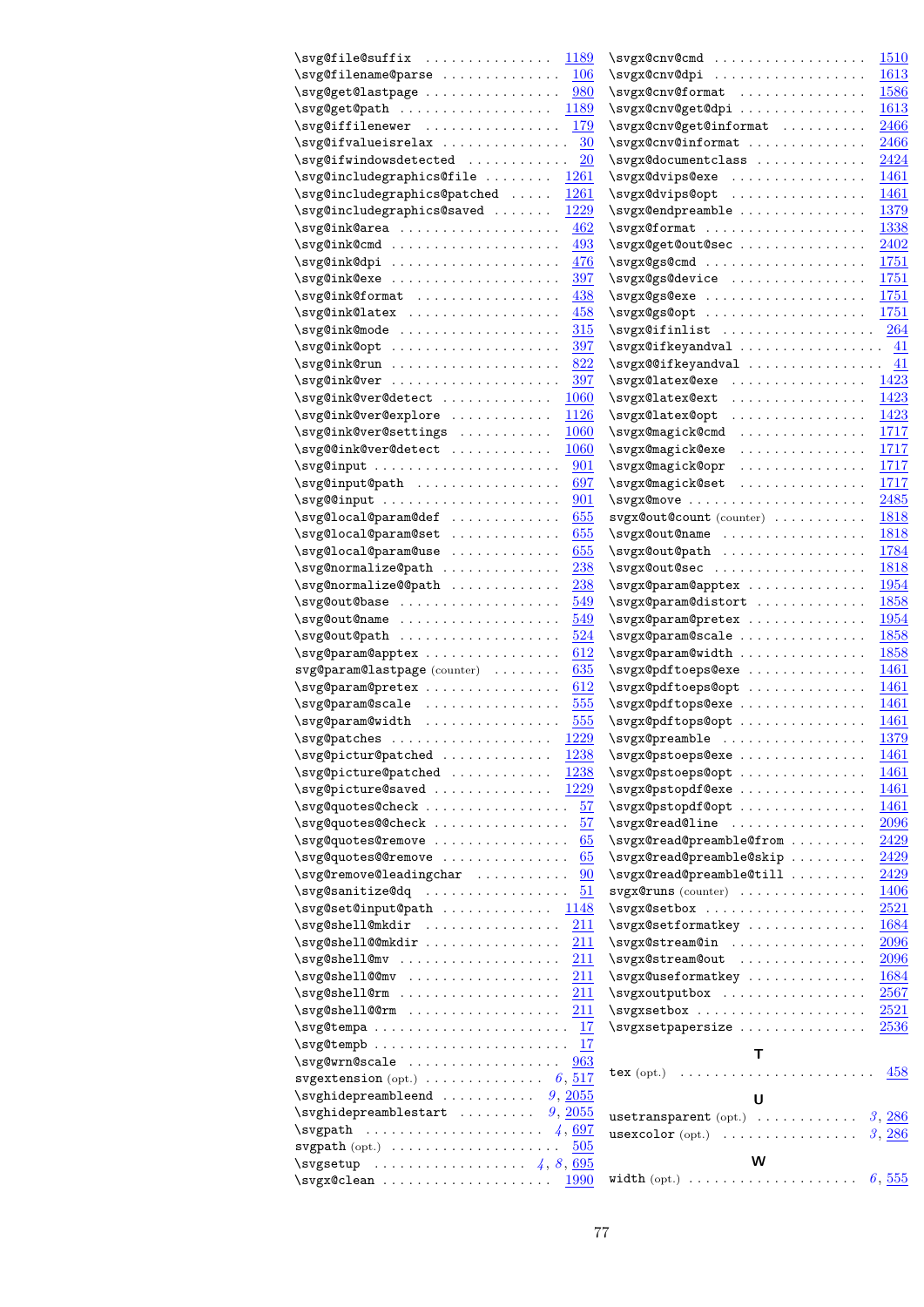| \svg@file@suffix                                                                                                       | $\surd$ svgx@cnv@cmd                                                                      |
|------------------------------------------------------------------------------------------------------------------------|-------------------------------------------------------------------------------------------|
| 1189                                                                                                                   | <b>1510</b>                                                                               |
| \svg@filename@parse                                                                                                    | \svgx@cnv@dpi                                                                             |
| <b>106</b>                                                                                                             | 1613                                                                                      |
| \svg@get@lastpage                                                                                                      | \svgx@cnv@format                                                                          |
| 980                                                                                                                    | 1586                                                                                      |
| $\surd\text{svg@get@path}$                                                                                             | \svgx@cnv@get@dpi                                                                         |
| 1189                                                                                                                   | 1613                                                                                      |
| \svg@iffilenewer                                                                                                       | \svgx@cnv@get@informat                                                                    |
| 179                                                                                                                    | 2466                                                                                      |
| \svg@ifvalueisrelax                                                                                                    | \svgx@cnv@informat                                                                        |
| 30                                                                                                                     | 2466                                                                                      |
| $\overline{20}$                                                                                                        | \svgx@documentclass                                                                       |
| \svg@ifwindowsdetected                                                                                                 | 2424                                                                                      |
| \svg@includegraphics@file                                                                                              | \svgx@dvips@exe                                                                           |
| 1261                                                                                                                   | 1461                                                                                      |
| \svg@includegraphics@patched                                                                                           | \svgx@dvips@opt                                                                           |
| 1261                                                                                                                   | 1461                                                                                      |
| \svg@includegraphics@saved                                                                                             | \svgx@endpreamble                                                                         |
| 1229                                                                                                                   | 1379                                                                                      |
| \svg@ink@area                                                                                                          | \svgx@format                                                                              |
| 462                                                                                                                    | 1338                                                                                      |
| \svg@ink@cmd                                                                                                           | \svgx@get@out@sec                                                                         |
| 493                                                                                                                    | 2402                                                                                      |
| \svg@ink@dpi                                                                                                           | \svgx@gs@cmd                                                                              |
| 476                                                                                                                    | 1751                                                                                      |
| \svg@ink@exe                                                                                                           | \svgx@gs@device                                                                           |
| 397                                                                                                                    | 1751                                                                                      |
| \svg@ink@format                                                                                                        | \svgx@gs@exe                                                                              |
| 438                                                                                                                    | <u>1751</u>                                                                               |
| \svg@ink@latex                                                                                                         | $\surd\text{sygx@gs@opt} \dots \dots \dots \dots \dots$                                   |
| 458                                                                                                                    | 1751                                                                                      |
| \svg@ink@mode                                                                                                          | $\surd$ svgx@ifinlist                                                                     |
| 315                                                                                                                    | <b>264</b>                                                                                |
| $\surd\text{svg@ink@opt}$                                                                                              | $\surd$ svgx@ifkeyandval                                                                  |
| 397                                                                                                                    | -41                                                                                       |
| 822                                                                                                                    | $\surd$ svgx@@ifkeyandval                                                                 |
| \svg@ink@run                                                                                                           | 41                                                                                        |
| \svg@ink@ver<br>397                                                                                                    | \svgx@latex@exe<br>1423<br>\svgx@latex@ext<br>1423                                        |
| \svg@ink@ver@detect<br><b>1060</b><br>\svg@ink@ver@explore<br>1126                                                     | \svgx@latex@opt<br>1423                                                                   |
| \svg@ink@ver@settings                                                                                                  | \svgx@magick@cmd                                                                          |
| <b>1060</b>                                                                                                            | 1717                                                                                      |
| \svg@@ink@ver@detect<br><b>1060</b>                                                                                    | \svgx@magick@exe<br>.<br>1717                                                             |
| 901                                                                                                                    | \svgx@magick@opr<br>.<br>1717                                                             |
| \svg@input@path<br>697                                                                                                 | \svgx@magick@set<br>.<br>1717                                                             |
| $\surd\text{svg@dinput} \dots \dots \dots \dots \dots \dots$                                                           |                                                                                           |
| 901                                                                                                                    | 2485                                                                                      |
| \svg@local@param@def                                                                                                   | svgx@out@count (counter)                                                                  |
| 655                                                                                                                    | <u>1818</u>                                                                               |
| \svg@local@param@set                                                                                                   | \svgx@out@name                                                                            |
| 655                                                                                                                    | 1818                                                                                      |
| \svg@local@param@use                                                                                                   | 1784                                                                                      |
| 655                                                                                                                    | \svgx@out@path                                                                            |
| \svg@normalize@path                                                                                                    | \svgx@out@sec                                                                             |
| <b>238</b>                                                                                                             | 1818                                                                                      |
| \svg@normalize@@path                                                                                                   | \svgx@param@apptex                                                                        |
| <b>238</b>                                                                                                             | 1954                                                                                      |
| \svg@out@base                                                                                                          | \svgx@param@distort                                                                       |
| 549                                                                                                                    | 1858                                                                                      |
| 549                                                                                                                    | \svgx@param@pretex                                                                        |
| \svg@out@name                                                                                                          | 1954                                                                                      |
| \svg@out@path                                                                                                          | \svgx@param@scale                                                                         |
| 524                                                                                                                    | 1858                                                                                      |
| \svg@param@apptex                                                                                                      | \svgx@param@width                                                                         |
| 612                                                                                                                    | 1858                                                                                      |
| svg@param@lastpage(counter)                                                                                            | \svgx@pdftoeps@exe                                                                        |
| 635                                                                                                                    | 1461                                                                                      |
| \svg@param@pretex                                                                                                      | \svgx@pdftoeps@opt                                                                        |
| 612                                                                                                                    | 1461                                                                                      |
| \svg@param@scale                                                                                                       | \svgx@pdftops@exe                                                                         |
| 555                                                                                                                    | 1461                                                                                      |
| \svg@param@width<br>555                                                                                                | \svgx@pdftops@opt<br>1461<br>1379                                                         |
| $\simeq$ $1229$                                                                                                        | \svgx@preamble                                                                            |
| \svg@pictur@patched                                                                                                    | \svgx@pstoeps@exe                                                                         |
| <u> 1238 </u>                                                                                                          | 1461                                                                                      |
| \svg@picture@patched                                                                                                   | \svgx@pstoeps@opt                                                                         |
| 1238                                                                                                                   | 1461                                                                                      |
| \svg@picture@saved                                                                                                     | $\simeq$ $\simeq$ $\simeq$ $\cdots$                                                       |
| <u>1229</u>                                                                                                            | 1461                                                                                      |
| \svg@quotes@check                                                                                                      | \svgx@pstopdf@opt                                                                         |
| 57                                                                                                                     | <u>1461</u>                                                                               |
| \svg@quotes@@check                                                                                                     | \svgx@read@line                                                                           |
| 57                                                                                                                     | 2096                                                                                      |
| \svg@quotes@remove                                                                                                     | \svgx@read@preamble@from                                                                  |
| 65                                                                                                                     | 2429                                                                                      |
| \svg@quotes@@remove                                                                                                    | \svgx@read@preamble@skip                                                                  |
| 65                                                                                                                     | <u>2429</u>                                                                               |
| \svg@remove@leadingchar                                                                                                | \svgx@read@preamble@till                                                                  |
| 90                                                                                                                     | <u>2429</u>                                                                               |
| $\surd$ svg@sanitize@dq                                                                                                | $svgx@runs (counter) \ldots \ldots \ldots \ldots$                                         |
| 51                                                                                                                     | 1406                                                                                      |
| \svg@set@input@path                                                                                                    | $\surd$ svgx@setbox                                                                       |
| <u> 1148 </u>                                                                                                          | 2521                                                                                      |
| \svg@shell@mkdir                                                                                                       | \svgx@setformatkey                                                                        |
| 211                                                                                                                    | 1684                                                                                      |
| \svg@shell@@mkdir                                                                                                      | \svgx@stream@in                                                                           |
| <u>211</u>                                                                                                             | <u> 2096</u>                                                                              |
| $\simeq$ \svg@shell@mv                                                                                                 | \svgx@stream@out                                                                          |
| 211                                                                                                                    | 2096                                                                                      |
| \svg@shell@@mv                                                                                                         | \svgx@useformatkey                                                                        |
| 211                                                                                                                    | 1684                                                                                      |
|                                                                                                                        | $\surd$ svgxoutputbox                                                                     |
| <u> 211</u>                                                                                                            | <u>2567</u>                                                                               |
| \svg@shell@@rm                                                                                                         | \svgxsetbox                                                                               |
| <u>211</u>                                                                                                             | <b>2521</b>                                                                               |
|                                                                                                                        | \svgxsetpapersize                                                                         |
| 17                                                                                                                     | 2536                                                                                      |
| 17                                                                                                                     | Т                                                                                         |
| \svg@wrn@scale                                                                                                         | $text{(opt.)} \dots \dots \dots \dots \dots \dots \dots \dots \dots$                      |
| 963                                                                                                                    | 458                                                                                       |
| svgextension (opt.) $\ldots \ldots \ldots \ldots 6, \frac{517}{2}$<br>$\sqrt{s}$ vghidepreambleend $9, \frac{2055}{s}$ |                                                                                           |
| $\sqrt{s}$ vghidepreamblestart $9, \frac{2055}{s}$                                                                     | U                                                                                         |
|                                                                                                                        | $\texttt{usetransparent}\;(\texttt{opt.})\;\;\ldots\;\ldots\;\ldots\;\ldots\;.$<br>3, 286 |
| $\texttt{svgpath}\ (\text{opt.})\ \dots \dots \dots \dots \dots \dots \dots$                                           | $usexcolor (opt.) \dots \dots \dots \dots \dots$                                          |
| 505                                                                                                                    | 3, 286                                                                                    |
| $\simeq$ $4, 8, 695$                                                                                                   | W                                                                                         |
| \svgx@clean<br><b>1990</b>                                                                                             | width (opt.) $\ldots \ldots \ldots \ldots \ldots \ldots \ldots 6, 555$                    |
|                                                                                                                        |                                                                                           |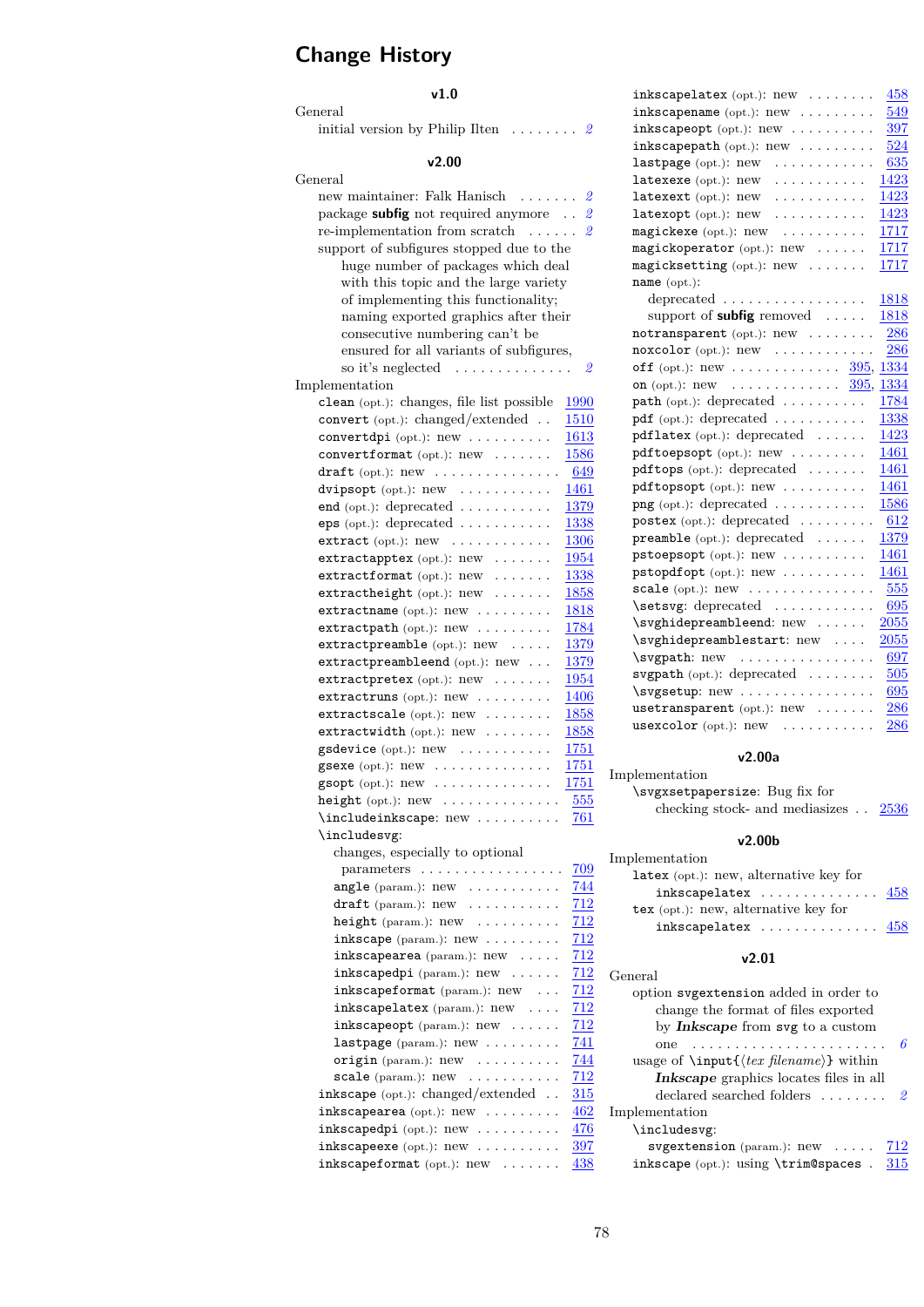# **Change History**

### **v1.0**

General

initial version by Philip Ilten . . . . . . . . *[2](#page-1-0)*

### **v2.00**

| v∠.uu                                                                                             |                                        |
|---------------------------------------------------------------------------------------------------|----------------------------------------|
| General                                                                                           |                                        |
| new maintainer: Falk Hanisch<br>$\ldots$                                                          | $\it 2$                                |
| package <b>subfig</b> not required anymore                                                        | $\mathfrak{D}$                         |
| re-implementation from scratch<br>$\ddot{\phantom{0}}$<br>$\ddot{\phantom{a}}$                    | $\mathfrak{D}$<br>$\ddot{\phantom{0}}$ |
| support of subfigures stopped due to the                                                          |                                        |
| huge number of packages which deal                                                                |                                        |
| with this topic and the large variety                                                             |                                        |
| of implementing this functionality;                                                               |                                        |
| naming exported graphics after their                                                              |                                        |
| consecutive numbering can't be                                                                    |                                        |
| ensured for all variants of subfigures,                                                           |                                        |
| so it's neglected<br>.                                                                            | $\it 2$                                |
| Implementation                                                                                    |                                        |
| clean (opt.): changes, file list possible                                                         | 1990                                   |
| convert (opt.): changed/extended                                                                  | 1510                                   |
| $\text{convertdpi} (\text{opt.}): \text{new} \dots \dots \dots$                                   | 1613                                   |
| convertformat (opt.): new                                                                         | 1586                                   |
| draft (opt.): $new \dots \dots \dots \dots$                                                       | 649                                    |
| dvipsopt (opt.): new                                                                              | 1461                                   |
| end (opt.): deprecated $\dots \dots \dots$                                                        | 1379                                   |
| $eps$ (opt.): deprecated $\ldots \ldots \ldots$                                                   | 1338                                   |
| extract $(\text{opt.})$ : $new$                                                                   | 1306                                   |
| $extractapptex$ (opt.): $new$                                                                     | 1954                                   |
| $extractionmat$ (opt.): $new$                                                                     | 1338                                   |
| $extractheight$ (opt.): $new$                                                                     | 1858                                   |
| extractioname (opt.): new                                                                         | 1818                                   |
| extractpath (opt.): new                                                                           | 1784                                   |
| extractpreamble (opt.): new<br>.                                                                  | 1379                                   |
| extractpreambleend (opt.): new                                                                    | <u>1379</u>                            |
| $extractpretextrm{text}$ (opt.): $new$                                                            | 1954                                   |
| extractruns (opt.): $new$                                                                         | 1406                                   |
| extractscale (opt.): $new$                                                                        | 1858                                   |
| $extractwidth$ (opt.): $new \dots \dots$                                                          | 1858                                   |
| gsdevice $(\text{opt.})$ : $\text{new}$                                                           | 1751                                   |
| gsexe (opt.): new<br>.<br>$\ddot{\phantom{0}}$                                                    | <u>1751</u>                            |
| $\texttt{gsopt}$ (opt.): $\text{new}$                                                             | 1751                                   |
| height $(\text{opt.})$ : $\text{new}$ $\dots$ $\dots$                                             | 555                                    |
| \includeinkscape: new                                                                             | 761                                    |
| \includesvg:                                                                                      |                                        |
| changes, especially to optional                                                                   |                                        |
| $parameters \ldots \ldots \ldots \ldots$                                                          | 709                                    |
| angle (param.): new .                                                                             | 744                                    |
| draft (param.): new<br>.                                                                          | 712                                    |
| height (param.): new<br>.                                                                         | 712                                    |
| $inkscope$ (param.): $new$                                                                        | 712                                    |
| inkscapearea (param.): new                                                                        | 712                                    |
| inkscapedpi (param.): new                                                                         | 712                                    |
| inkscapeformat (param.): new                                                                      | 712                                    |
| inkscapelatex (param.): new                                                                       | 712                                    |
| $inkscapeopt$ (param.): $new \dots$ .                                                             | 712                                    |
| $lastpage$ (param.): $new$                                                                        | 741                                    |
| origin (param.): new<br>$\mathcal{L}$ , and $\mathcal{L}$ , and $\mathcal{L}$ , and $\mathcal{L}$ | 744                                    |
| scale (param.): new<br>$\mathcal{A}$ , and $\mathcal{A}$ , and $\mathcal{A}$ , and $\mathcal{A}$  | $\overline{712}$                       |
| inkscape $(\text{opt.})$ : changed/extended                                                       | 315                                    |
| $inkscapearea$ (opt.): $new$                                                                      | 462                                    |
| $inkscapedpi$ (opt.): $new$                                                                       | 476                                    |
| $inkscapeexe$ (opt.): $new \dots \dots$                                                           | 397                                    |

inkscapeformat (opt.):  $new$  .......  $\frac{438}{1}$  $\frac{438}{1}$  $\frac{438}{1}$ 

| $inkscape\texttt{latex}$ (opt.): $new \dots \dots$                      | 458  |
|-------------------------------------------------------------------------|------|
| $inkscapename$ (opt.): $new$                                            | 549  |
| $\frac{1}{2}$ inkscapeopt (opt.): new $\cdots \cdots$                   | 397  |
| $inkscapepath$ (opt.): $new$                                            | 524  |
| $lastpage$ (opt.): $new$<br>.                                           | 635  |
| latexexe (opt.): new<br>.                                               | 1423 |
| latexext (opt.): new<br>.                                               | 1423 |
| $latexopt$ (opt.): $new$                                                | 1423 |
| $\texttt{magickexe}$ (opt.): $\texttt{new}$                             | 1717 |
| magickoperator (opt.): new                                              | 1717 |
| $magicksetting$ (opt.): $new$                                           | 1717 |
| name (opt.):                                                            |      |
| deprecated $\ldots \ldots \ldots \ldots \ldots$                         | 1818 |
| support of <b>subfig</b> removed                                        | 1818 |
| $notransparent$ (opt.): $new$                                           | 286  |
| $\texttt{noxcolor}(\text{opt.}): \text{new} \quad \ldots \ldots \ldots$ | 286  |
| off (opt.): new $395, 1334$                                             |      |
| on (opt.): new $\ldots \ldots \ldots \ldots \frac{395}{395}$ ,          | 1334 |
| path (opt.): deprecated                                                 | 1784 |
| pdf (opt.): deprecated                                                  | 1338 |
| pdflatex (opt.): depicted                                               | 1423 |
| pdftoepsopt (opt.): new                                                 | 1461 |
| $pdftops$ (opt.): deprecated $\ldots \ldots$                            | 1461 |
| pdftopsopt (opt.): new                                                  | 1461 |
| $\text{png}(\text{opt.})$ : deprecated                                  | 1586 |
| postex $(\text{opt.})$ : deprecated $\ldots \ldots$                     | 612  |
| preamble (opt.): deprecated $\dots\dots$                                | 1379 |
| pstoepsopt (opt.): new                                                  | 1461 |
| ${\sf pstopdf}$ opt.): ${\sf new}$                                      | 1461 |
| scale (opt.): $new$                                                     | 555  |
| \setsvg: deprecated                                                     | 695  |
| \svghidepreambleend: new                                                | 2055 |
| \svghidepreamblestart: new                                              | 2055 |
| $\sqrt{\text{sygpath}}$ : new                                           | 697  |
| svgpath $(\text{opt.})$ : deprecated                                    | 505  |
| \svgsetup: new                                                          | 695  |
| usetransparent (opt.): $new$                                            | 286  |
| usexcolor (opt.): new                                                   | 286  |
|                                                                         |      |

#### **v2.00a**

Implementation \svgxsetpapersize: Bug fix for checking stock- and mediasizes  $\therefore$  [2536](#page-70-1)

#### **v2.00b**

| Implementation                                         |  |  |
|--------------------------------------------------------|--|--|
| $\texttt{latex}$ (opt.): new, alternative key for      |  |  |
| inkscapelatex $\ldots \ldots \ldots \ldots \ldots$ 458 |  |  |
| $text{tex}$ (opt.): new, alternative key for           |  |  |
| inkscapelatex $\ldots \ldots \ldots \ldots \ldots$ 458 |  |  |
| v2.01                                                  |  |  |
| General                                                |  |  |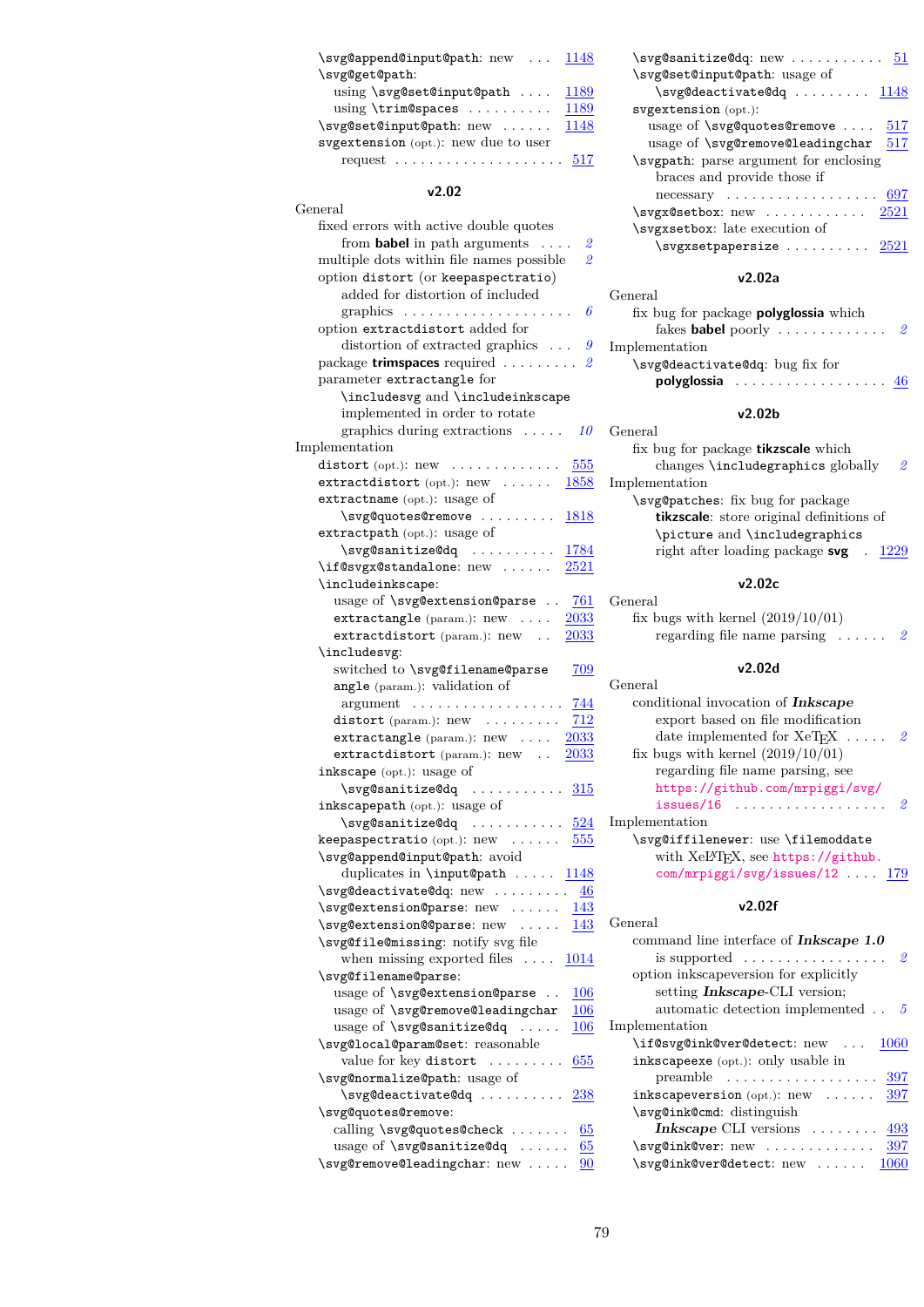| \svg@append@input@path: new  1148                       |      |  |  |  |
|---------------------------------------------------------|------|--|--|--|
| \svg@get@path:                                          |      |  |  |  |
| using $\succeq$ svg@set@input@path                      | 1189 |  |  |  |
| $using \times \text{Spaces} \dots \dots$                | 1189 |  |  |  |
| \svg@set@input@path: new                                | 1148 |  |  |  |
| svgextension $(\text{opt.})$ : new due to user          |      |  |  |  |
| request $\ldots \ldots \ldots \ldots \ldots \ldots 517$ |      |  |  |  |

### **v2.02**

| General                                                                              |
|--------------------------------------------------------------------------------------|
| fixed errors with active double quotes                                               |
| from <b>babel</b> in path arguments<br>2                                             |
| $\overline{\mathbf{2}}$<br>multiple dots within file names possible                  |
| option distort (or keepaspectratio)                                                  |
| added for distortion of included                                                     |
| 6                                                                                    |
| graphics                                                                             |
| option extractdistort added for<br>$\boldsymbol{g}$                                  |
| distortion of extracted graphics $\ldots$                                            |
| package trimspaces required<br>2                                                     |
| parameter extractangle for                                                           |
| \includesvg and \includeinkscape                                                     |
| implemented in order to rotate                                                       |
| graphics during extractions<br><i>10</i><br>$\sim$ $\sim$ $\sim$ $\sim$ $\sim$       |
| Implementation                                                                       |
| 555<br>distort (opt.): $new$                                                         |
| $extractdistort$ (opt.): $new$<br><b>1858</b>                                        |
| extractname (opt.): usage of                                                         |
| \svg@quotes@remove<br>1818                                                           |
| extractpath (opt.): usage of                                                         |
| \svg@sanitize@dq<br>1784<br>$\sim$                                                   |
| \if@svgx@standalone: new<br>2521                                                     |
| \includeinkscape:                                                                    |
| usage of \svg@extension@parse<br><b>761</b>                                          |
| extractangle (param.): new<br>2033<br>$\ddot{\phantom{0}}$                           |
| extractdistort (param.): new<br>2033                                                 |
| \includesvg:                                                                         |
| switched to \svg@filename@parse<br>709                                               |
| angle (param.): validation of                                                        |
| .<br>744<br>argument                                                                 |
| distort (param.): $new$<br>712                                                       |
| extractangle (param): new<br><u> 2033</u>                                            |
| extractdistort (param.): new<br>2033                                                 |
| inkscape (opt.): usage of                                                            |
| \svg@sanitize@dq                                                                     |
| 315                                                                                  |
| inkscapepath (opt.): usage of                                                        |
|                                                                                      |
| $\texttt{keepaspectratio}\;(\text{opt.})\text{: new}\;\;\ldots\ldots\text{.}$<br>555 |
| \svg@append@input@path: avoid                                                        |
| duplicates in \input@path<br>1148                                                    |
| \svg@deactivate@dq: new<br>$\underline{46}$                                          |
| \svg@extension@parse: new<br>143                                                     |
| \svg@extension@@parse: new<br>143                                                    |
| \svg@file@missing: notify svg file                                                   |
| when missing exported files $\dots$<br><u> 1014</u>                                  |
| \svg@filename@parse:                                                                 |
| usage of \svg@extension@parse<br>$\underline{106}$<br>$\sim$                         |
| usage of \svg@remove@leadingchar<br>$\underline{106}$                                |
| usage of \svg@sanitize@dq<br>106<br>$\ldots$ .                                       |
| \svg@local@param@set: reasonable                                                     |
| value for key distort<br>655<br>.                                                    |
| \svg@normalize@path: usage of                                                        |
| \svg@deactivate@dq<br><b>238</b>                                                     |
| \svg@quotes@remove:                                                                  |
| calling \svg@quotes@check<br>65                                                      |
| usage of \svg@sanitize@dq<br>65<br>$\sim$ $\sim$ $\sim$ $\sim$                       |
| \svg@remove@leadingchar: new<br>90                                                   |

| $\sqrt{s}$ vgCsanitizeCdq: new $51$                   |  |
|-------------------------------------------------------|--|
| \svg@set@input@path: usage of                         |  |
|                                                       |  |
| svgextension (opt.):                                  |  |
| usage of $\simeq$ arg@quotes@remove $517$             |  |
| usage of $\simeq$ 17                                  |  |
| \svgpath: parse argument for enclosing                |  |
| braces and provide those if                           |  |
| necessary $\ldots \ldots \ldots \ldots \ldots 697$    |  |
| $\surd$ svgx@setbox: new $2521$                       |  |
| \svgxsetbox: late execution of                        |  |
| $\text{Svgxsetpaperize} \dots \dots \dots \quad 2521$ |  |
|                                                       |  |

#### **v2.02a**

| General                                      |  |  |  |  |
|----------------------------------------------|--|--|--|--|
| fix bug for package <b>polyglossia</b> which |  |  |  |  |
|                                              |  |  |  |  |
| Implementation                               |  |  |  |  |
| \svg@deactivate@dq: bug fix for              |  |  |  |  |
| <b>polyglossia</b> 46                        |  |  |  |  |
|                                              |  |  |  |  |

#### **v2.02b**

| General                                          |
|--------------------------------------------------|
| fix bug for package <b>tikzscale</b> which       |
| changes \includegraphics globally<br>2.          |
| Implementation                                   |
| \svg@patches: fix bug for package                |
| <b>tikzscale</b> : store original definitions of |
| \picture and \includegraphics                    |
| right after loading package $\text{svg}$ . 1229  |
|                                                  |

## **v2.02c**

| General                                         |  |
|-------------------------------------------------|--|
| fix bugs with kernel $(2019/10/01)$             |  |
| regarding file name parsing $\ldots$ $\ldots$ 2 |  |
|                                                 |  |

#### **v2.02d**

| General                                                     |  |  |  |
|-------------------------------------------------------------|--|--|--|
| conditional invocation of <b>Inkscape</b>                   |  |  |  |
| export based on file modification                           |  |  |  |
| date implemented for $XeT_FX$<br>2.                         |  |  |  |
| fix bugs with kernel $(2019/10/01)$                         |  |  |  |
| regarding file name parsing, see                            |  |  |  |
| https://github.com/mrpiggi/svg/                             |  |  |  |
| $issues/16$<br>2                                            |  |  |  |
| Implementation                                              |  |  |  |
| \svg@iffilenewer: use \filemoddate                          |  |  |  |
| with XeL <sup>4</sup> T <sub>F</sub> X, see https://github. |  |  |  |
| $com/mrpiggi/svg/issues/12 \ldots 179$                      |  |  |  |

#### **v2.02f**